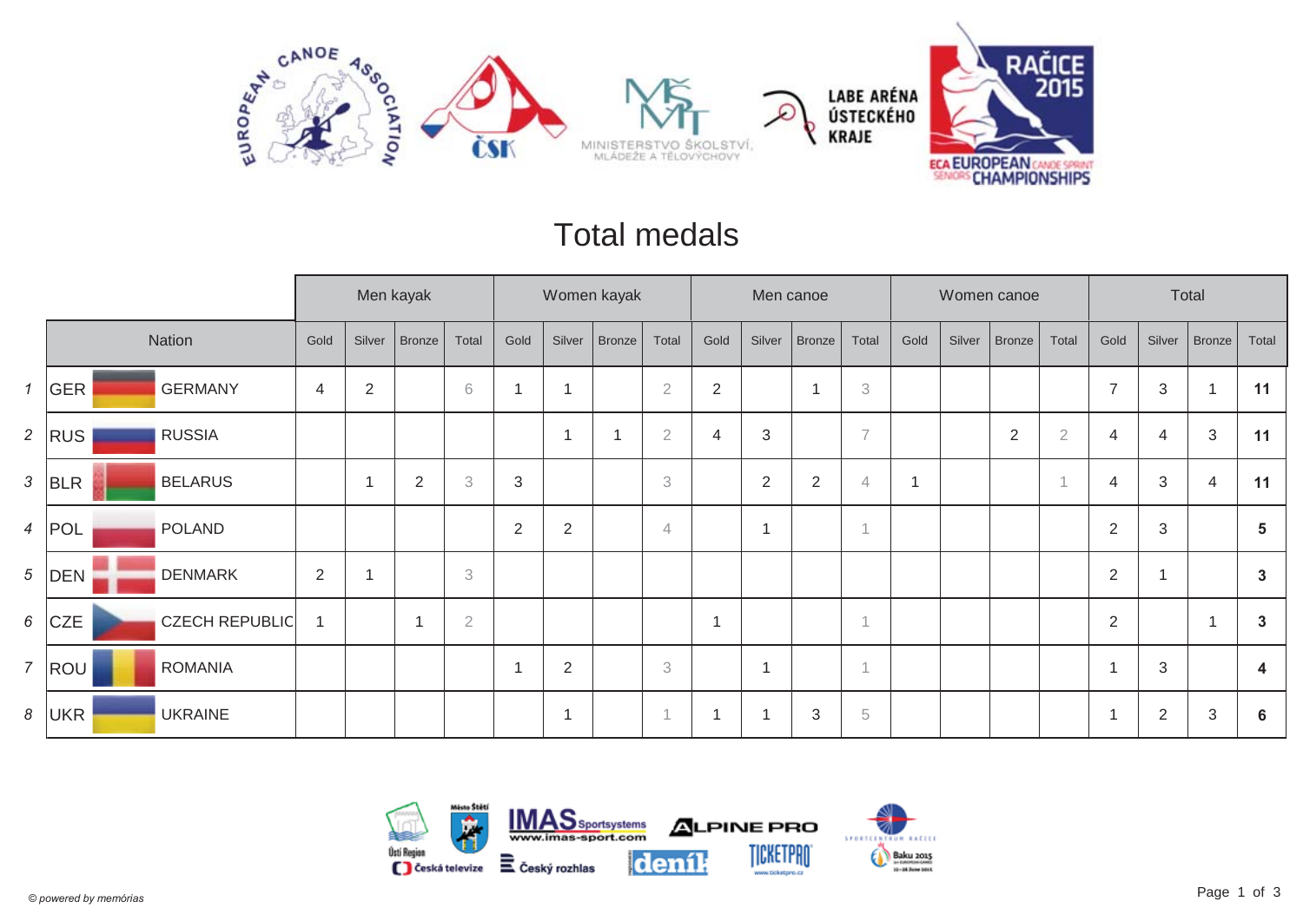

#### Total medals

|                |                                     |                |                | Men kayak      |                           |            |                | Women kayak   |                |                |                          | Men canoe      |                           |      |        | Women canoe    |                |                | Total          |                |                |
|----------------|-------------------------------------|----------------|----------------|----------------|---------------------------|------------|----------------|---------------|----------------|----------------|--------------------------|----------------|---------------------------|------|--------|----------------|----------------|----------------|----------------|----------------|----------------|
|                | Nation                              | Gold           | Silver         | <b>Bronze</b>  | Total                     | Gold       | Silver         | <b>Bronze</b> | Total          | Gold           | Silver                   | <b>Bronze</b>  | Total                     | Gold | Silver | <b>Bronze</b>  | Total          | Gold           | Silver         | <b>Bronze</b>  | Total          |
| $\mathcal{I}$  | <b>GERMANY</b><br>GER               | $\overline{4}$ | $\overline{2}$ |                | 6                         |            | $\overline{A}$ |               | $\sqrt{2}$     | $\overline{2}$ |                          | $\overline{1}$ | $\ensuremath{\mathsf{3}}$ |      |        |                |                | $\overline{7}$ | 3              |                | 11             |
| $\overline{2}$ | <b>RUSSIA</b><br><b>RUS</b>         |                |                |                |                           |            | $\overline{A}$ | ٠             | $\overline{2}$ | 4              | 3                        |                | $\overline{7}$            |      |        | $\overline{2}$ | $\overline{2}$ | $\overline{4}$ | $\overline{4}$ | 3              | 11             |
| 3              | <b>BELARUS</b><br>BLR               |                | ٠              | $\overline{2}$ | $\ensuremath{\mathbf{3}}$ | $\sqrt{3}$ |                |               | 3              |                | 2                        | $\overline{2}$ | $\overline{4}$            |      |        |                |                | $\overline{4}$ | $\sqrt{3}$     | 4              | 11             |
| $\overline{4}$ | POLAND<br>POL                       |                |                |                |                           | 2          | $\overline{2}$ |               | $\overline{4}$ |                | -1                       |                |                           |      |        |                |                | $\overline{2}$ | 3              |                | $5\phantom{1}$ |
| 5              | <b>DENMARK</b><br>DEN               | $\sqrt{2}$     |                |                | 3                         |            |                |               |                |                |                          |                |                           |      |        |                |                | $\overline{2}$ | 1              |                | $\mathbf{3}$   |
| 6              | <b>CZE</b><br><b>CZECH REPUBLIC</b> |                |                | ٠              | $\overline{2}$            |            |                |               |                |                |                          |                | $\overline{A}$            |      |        |                |                | $\overline{2}$ |                | $\overline{1}$ | $\mathbf{3}$   |
| $\overline{7}$ | <b>ROMANIA</b><br>ROU               |                |                |                |                           |            | $\overline{2}$ |               | 3              |                | $\overline{\phantom{a}}$ |                | $\overline{A}$            |      |        |                |                | ٠              | 3              |                | 4              |
| 8              | <b>UKRAINE</b><br>UKR               |                |                |                |                           |            | $\mathbf 1$    |               | $\overline{A}$ |                |                          | $\mathbf{3}$   | $\sqrt{5}$                |      |        |                |                | r,             | $\overline{2}$ | 3              | 6              |

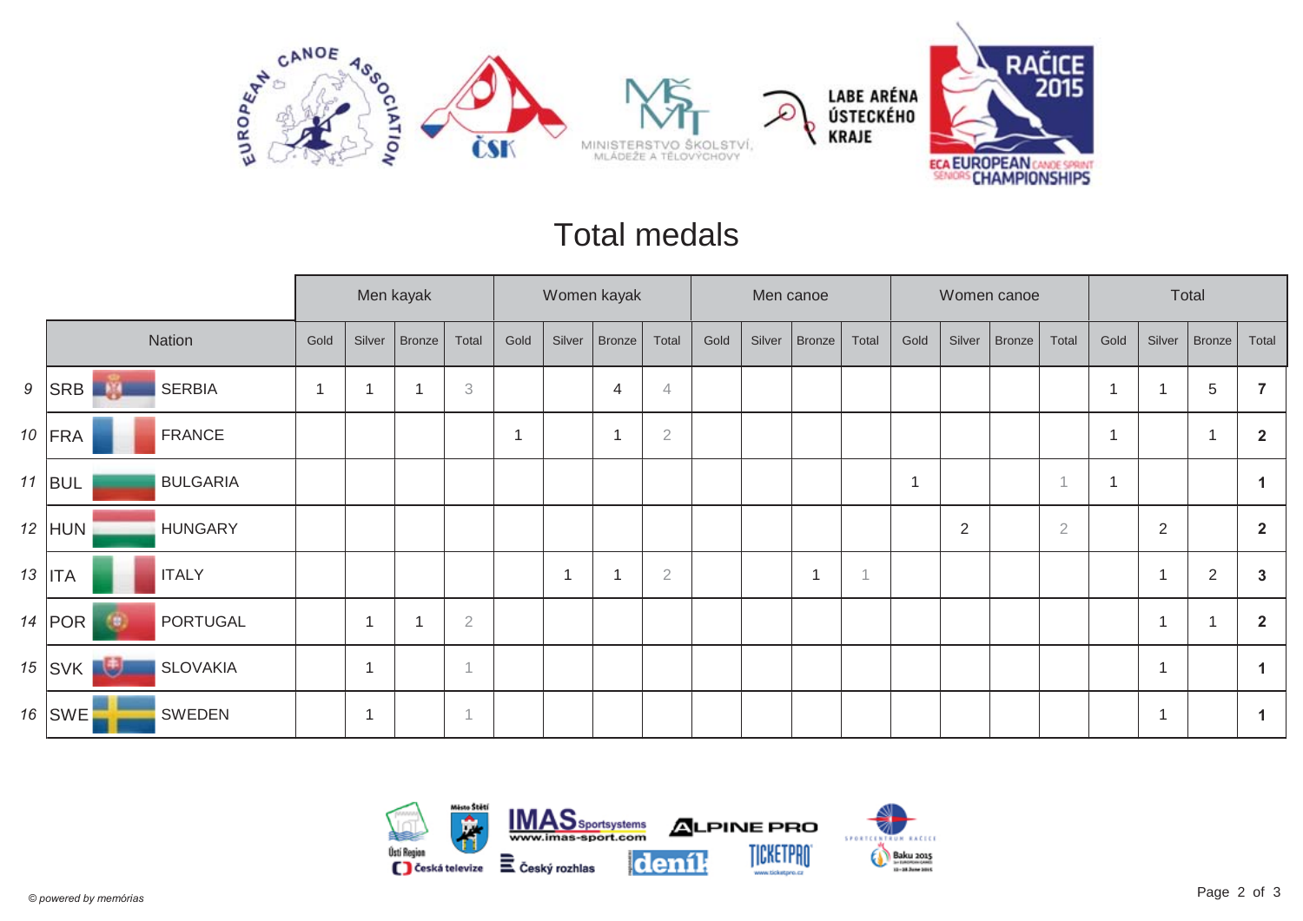

#### Total medals

|   |                                  |      |                         | Men kayak     |                |      |        | Women kayak    |                |      | Men canoe |        |       |                |                | Women canoe |                |                         | Total                    |                |                |
|---|----------------------------------|------|-------------------------|---------------|----------------|------|--------|----------------|----------------|------|-----------|--------|-------|----------------|----------------|-------------|----------------|-------------------------|--------------------------|----------------|----------------|
|   | Nation                           | Gold | Silver                  | <b>Bronze</b> | Total          | Gold | Silver | Bronze         | Total          | Gold | Silver    | Bronze | Total | Gold           | Silver         | Bronze      | Total          | Gold                    | Silver                   | Bronze         | Total          |
| 9 | <b>SERBIA</b><br>SRB<br>-91      |      |                         |               | 3              |      |        | $\overline{4}$ | $\overline{4}$ |      |           |        |       |                |                |             |                | $\overline{A}$          |                          | $\overline{5}$ |                |
|   | $10$ FRA<br><b>FRANCE</b>        |      |                         |               |                | 1    |        | -1             | $\sqrt{2}$     |      |           |        |       |                |                |             |                | $\overline{\mathbf{A}}$ |                          | $\overline{1}$ | $\overline{2}$ |
|   | $11$ BUL<br><b>BULGARIA</b>      |      |                         |               |                |      |        |                |                |      |           |        |       | $\overline{1}$ |                |             |                | $\overline{\mathbf{A}}$ |                          |                |                |
|   | $12$ HUN<br><b>HUNGARY</b>       |      |                         |               |                |      |        |                |                |      |           |        |       |                | $\overline{2}$ |             | $\overline{2}$ |                         | $\overline{2}$           |                | $\overline{2}$ |
|   | $13$   ITA<br><b>ITALY</b>       |      |                         |               |                |      |        |                | $\sqrt{2}$     |      |           | -4     |       |                |                |             |                |                         | $\overline{\phantom{a}}$ | $\overline{2}$ | 3              |
|   | 14 $ POR$<br>PORTUGAL<br>69      |      |                         |               | $\sqrt{2}$     |      |        |                |                |      |           |        |       |                |                |             |                |                         | -1                       | -4             | $\overline{2}$ |
|   | 週<br>$15$ SVK<br><b>SLOVAKIA</b> |      | $\overline{\mathbf{1}}$ |               | 1              |      |        |                |                |      |           |        |       |                |                |             |                |                         | -1                       |                |                |
|   | 16   SWE <sup>F</sup><br>SWEDEN  |      |                         |               | $\overline{A}$ |      |        |                |                |      |           |        |       |                |                |             |                |                         | ٠                        |                |                |

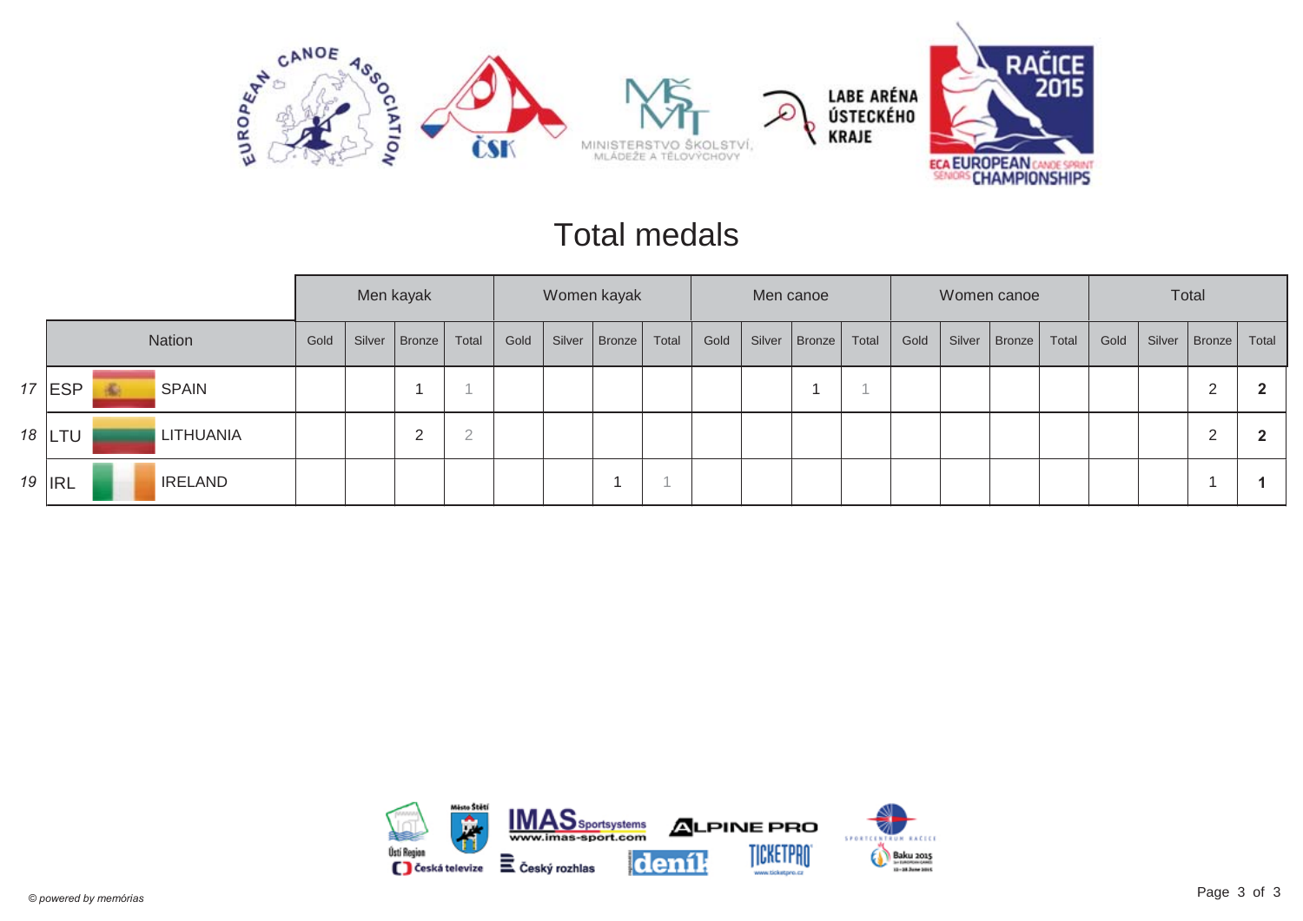

#### Total medals

|               |   |                  |      |        | Men kayak |             |      |        | Women kayak |       |      |        | Men canoe |       |      | Women canoe     |       |      |        | Total                  |       |
|---------------|---|------------------|------|--------|-----------|-------------|------|--------|-------------|-------|------|--------|-----------|-------|------|-----------------|-------|------|--------|------------------------|-------|
|               |   | <b>Nation</b>    | Gold | Silver | Bronze    | Total       | Gold | Silver | Bronze      | Total | Gold | Silver | Bronze    | Total | Gold | Silver   Bronze | Total | Gold | Silver | $\vert$ Bronze $\vert$ | Total |
| 17 ESP        | 畜 | <b>SPAIN</b>     |      |        |           |             |      |        |             |       |      |        |           |       |      |                 |       |      |        | 2                      |       |
| 18   LTU      |   | <b>LITHUANIA</b> |      |        | ∠         | $\cap$<br>∠ |      |        |             |       |      |        |           |       |      |                 |       |      |        | 2                      |       |
| 19 <b>IRL</b> |   | <b>IRELAND</b>   |      |        |           |             |      |        |             |       |      |        |           |       |      |                 |       |      |        |                        |       |

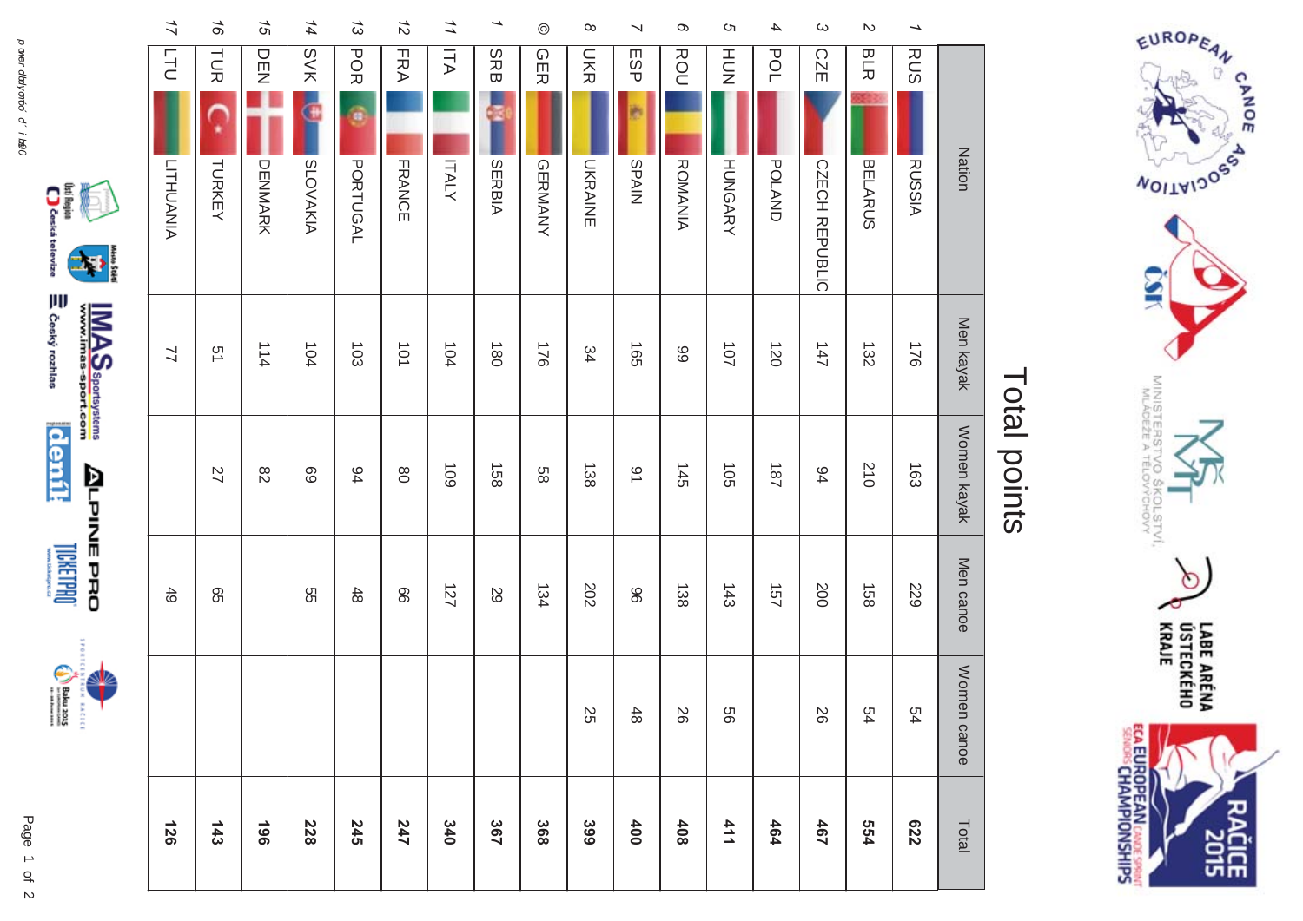



**LICKETPRO** 





| <b>Ceská televize</b><br>i |  |
|----------------------------|--|
| ျူ<br>ခွ<br><b>RANA</b>    |  |

| 126 |             | 49        |                 | $\preceq$        | l<br><b>LITHUANIA</b> | 17<br><b>TTU</b>            |
|-----|-------------|-----------|-----------------|------------------|-----------------------|-----------------------------|
|     |             | 95        | 27              | 51               | TURKEY                | 97<br>コ<br>反                |
|     |             |           | $82\,$          | 114              | <b>DENMARK</b>        | 15<br><b>DEN</b>            |
|     |             | 9S        | 69              | 104              | G<br><b>SLOVAKIA</b>  | 14<br><b>SVK</b>            |
|     |             | 48        | 94              | 103              | a<br><b>PORTUGAL</b>  | 13<br>POR                   |
|     |             | 99        | $_{\rm 80}$     | 101              | <b>FRANCE</b>         | 12<br><b>FRA</b>            |
|     |             | 127       | 109             | 104              | <b>ITALY</b>          | 11<br>ITA                   |
|     |             | 29        | 158             | $\overline{180}$ | SERBIA                | →<br><b>SRB</b>             |
|     |             | 134       | 88              | 176              | GERMANY               | $^{\circ}$<br><b>GER</b>    |
|     | 25          | 202       | 138             | 34               | <b>UKRAINE</b>        | $\infty$<br><b>DKR</b>      |
|     | $48$        | 96        | $\overline{6}$  | 591              | SPAIN                 | ↘<br>ESP                    |
|     | 26          | 138       | 145             | 89               | <b>ROMANIA</b>        | Q<br>ROU                    |
|     | 99          | 143       | 105             | 101              | <b>HUNGARY</b>        | Ωı<br>HU<br>N               |
|     |             | 157       | 181             | 120              | <b>POLAND</b>         | 4<br><b>POL</b>             |
|     | 26          | 200       | 64              | 147              | CZECH REPUBLIC        | ω<br><b>CZE</b>             |
|     | 54          | 158       | 210             | 132              | <b>BELARUS</b>        | $\mathcal{D}$<br><b>BLR</b> |
|     | 54          | 529       | $\overline{63}$ | 921              | <b>RUSSIA</b>         | →<br><b>RUS</b>             |
|     | Women canoe | Men canoe | Women kayak     | Men kayak        | Nation                |                             |

#### Total points Total points



EUROPEAN OF

**MOITAIDOS** 

Š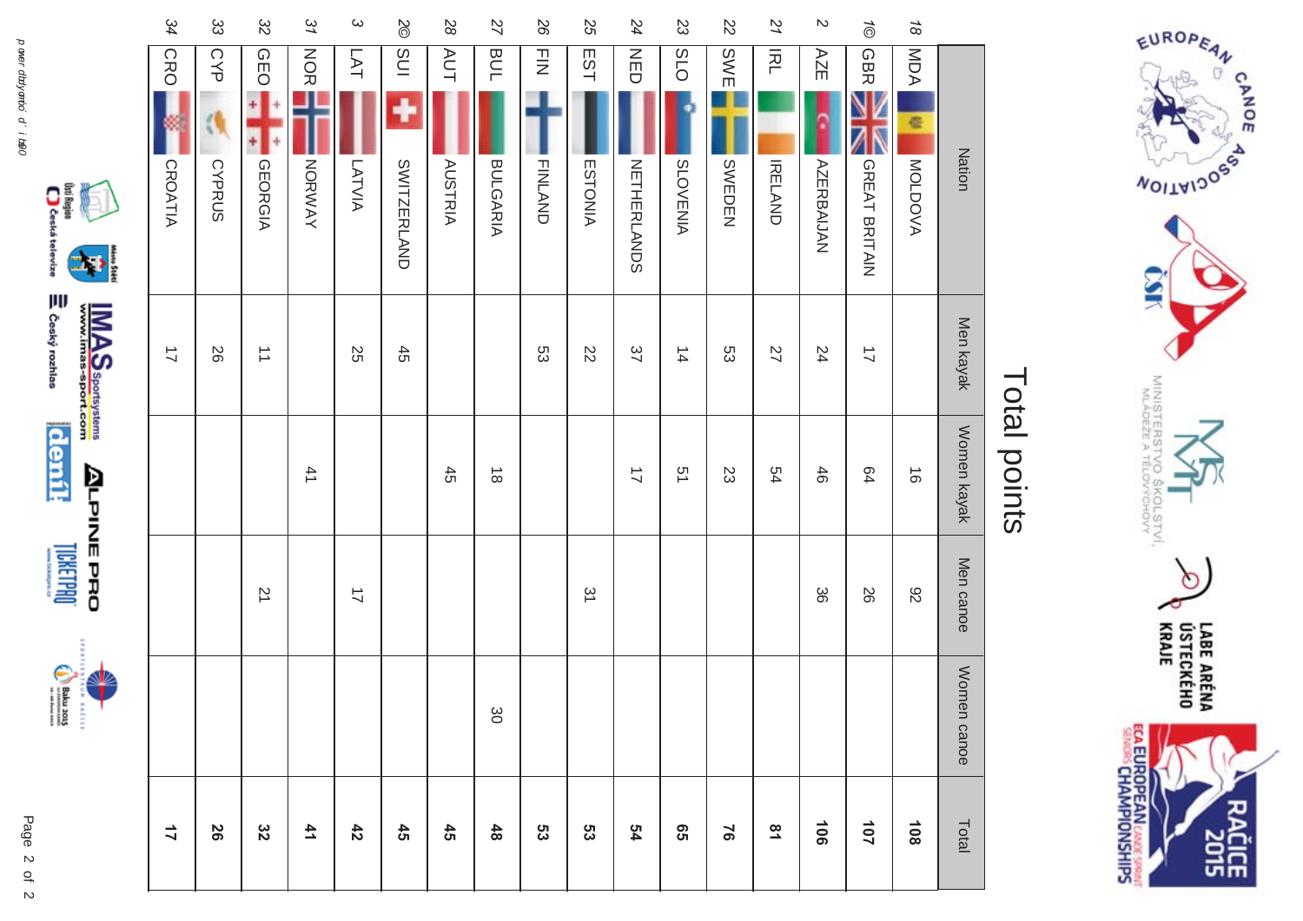



 $\begin{picture}(20,20) \put(0,0){\vector(0,1){10}} \put(15,0){\vector(0,1){10}} \put(15,0){\vector(0,1){10}} \put(15,0){\vector(0,1){10}} \put(15,0){\vector(0,1){10}} \put(15,0){\vector(0,1){10}} \put(15,0){\vector(0,1){10}} \put(15,0){\vector(0,1){10}} \put(15,0){\vector(0,1){10}} \put(15,0){\vector(0,1){10}} \put(15,0){\vector(0,1){10}} \put(15,0){\vector(0$ 



|                | 318045<br>Ê | <b>ALPINE PRO</b><br>Tirul Timin |               |                      | Î                                            |                       |
|----------------|-------------|----------------------------------|---------------|----------------------|----------------------------------------------|-----------------------|
|                |             |                                  |               | $\vec{=}$            | CRO<br><b>CROATIA</b>                        | 34                    |
| 58             |             |                                  |               | 92                   | CYP<br><b>CYPRUS</b>                         | ξ                     |
| ဗ္ဗ            |             | $\overline{2}$                   |               | $\overrightarrow{=}$ | <b>CEO</b><br><b>GEORGIA</b>                 | 32                    |
| 4 <sub>1</sub> |             |                                  | 41            |                      | <b>NOR</b><br>NORWAY                         | 31                    |
| $\frac{4}{3}$  |             | $\overrightarrow{2}$             |               | 25                   | LAT<br>LATVIA                                | $\boldsymbol{\omega}$ |
| $\ddot{a}$     |             |                                  |               | 45                   | INS<br>$\blacklozenge$<br><b>SWITZERLAND</b> | $rac{2}{6}$           |
| $\ddot{a}$     |             |                                  | 45            |                      | AUT<br><b>AUSTRIA</b>                        | 28                    |
| $\frac{4}{8}$  | δg          |                                  | $\frac{1}{8}$ |                      | <b>BUL</b><br><b>BULGARIA</b>                | 27                    |

| $\frac{1}{8}$         | MDA              | Œ<br>Nation<br>MOLDOVA  | Men kayak                      | Women kayak<br>$\vec{0}$             | Men canoe<br>82 |
|-----------------------|------------------|-------------------------|--------------------------------|--------------------------------------|-----------------|
| $\vec{\odot}$         | <b>GBR</b>       | GREAT BRITAIN           | $\overrightarrow{L}$           | 64                                   | 56              |
| N                     | AZE              | <b>AZERBAIJAN</b>       | 24                             | 46                                   | တွ              |
| 21                    | 云                | <b>IRELAND</b>          | 27                             | 54                                   |                 |
| 22                    | <b>SWE</b>       | SWEDEN                  | ςg                             | 23                                   |                 |
| 33                    | O <sub>1</sub> S | <b>SLOVENIA</b>         | $\frac{1}{4}$                  | 51                                   |                 |
| 24                    | <b>NED</b>       | <b>NETHERLANDS</b>      | 37                             | $\overrightarrow{L}$                 |                 |
| 55                    | EST              | <b>ESTONIA</b>          | $\overline{z}$                 |                                      | 51              |
| 26                    | $\frac{1}{2}$    | <b>FINLAND</b>          | ςg                             |                                      |                 |
| 27                    | <b>BUL</b>       | <b>BULGARIA</b>         |                                | $\stackrel{\rightharpoonup}{\infty}$ |                 |
| 82                    | <b>AUT</b>       | <b>AUSTRIA</b>          |                                | $45\,$                               |                 |
| $\%$                  | $\frac{1}{2}$    | ц<br><b>SWITZERLAND</b> | $45\,$                         |                                      |                 |
| $\boldsymbol{\omega}$ | LAT              | LATVIA                  | 55                             |                                      | $\overline{a}$  |
| 37                    | <b>NOR</b>       | NORWAY                  |                                | 41                                   |                 |
| $\frac{2}{5}$         | <b>GEO</b>       | <b>GEORGIA</b>          | $\overrightarrow{\phantom{a}}$ |                                      | 71              |
| ద్ద                   | CYP              | <b>CYPRUS</b>           | 56                             |                                      |                 |
| 34                    | CRO              | <b>CROATIA</b>          | $\overrightarrow{L}$           |                                      |                 |



EUROPEAN OF

**MOITAIDOS** 

Š

MINISTER<br>MLÁDEZE

Ò

LABE ARÉNA<br>ÚSTECKÉHO<br>KRAJE

čiče<br>2015

**ECA EUROPEAN CANCE SPRINT**<br>SENORS CHAMPIONSHIPS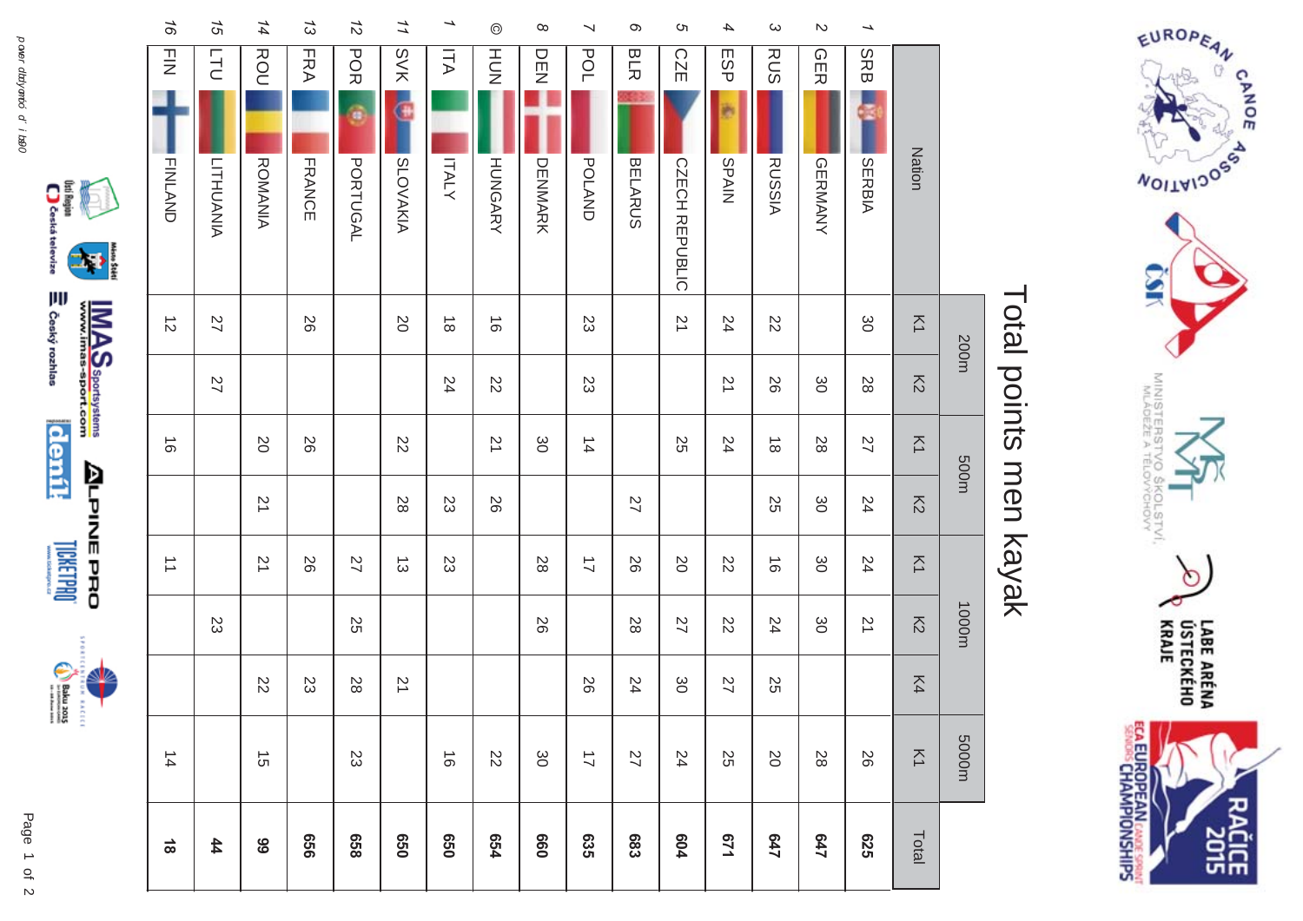



**LICKERPOOL** 









## Total points men kayak Total points men kayak

200m 500m 500m 1000m 5000m 5000m

1000m

m0005

m003

200m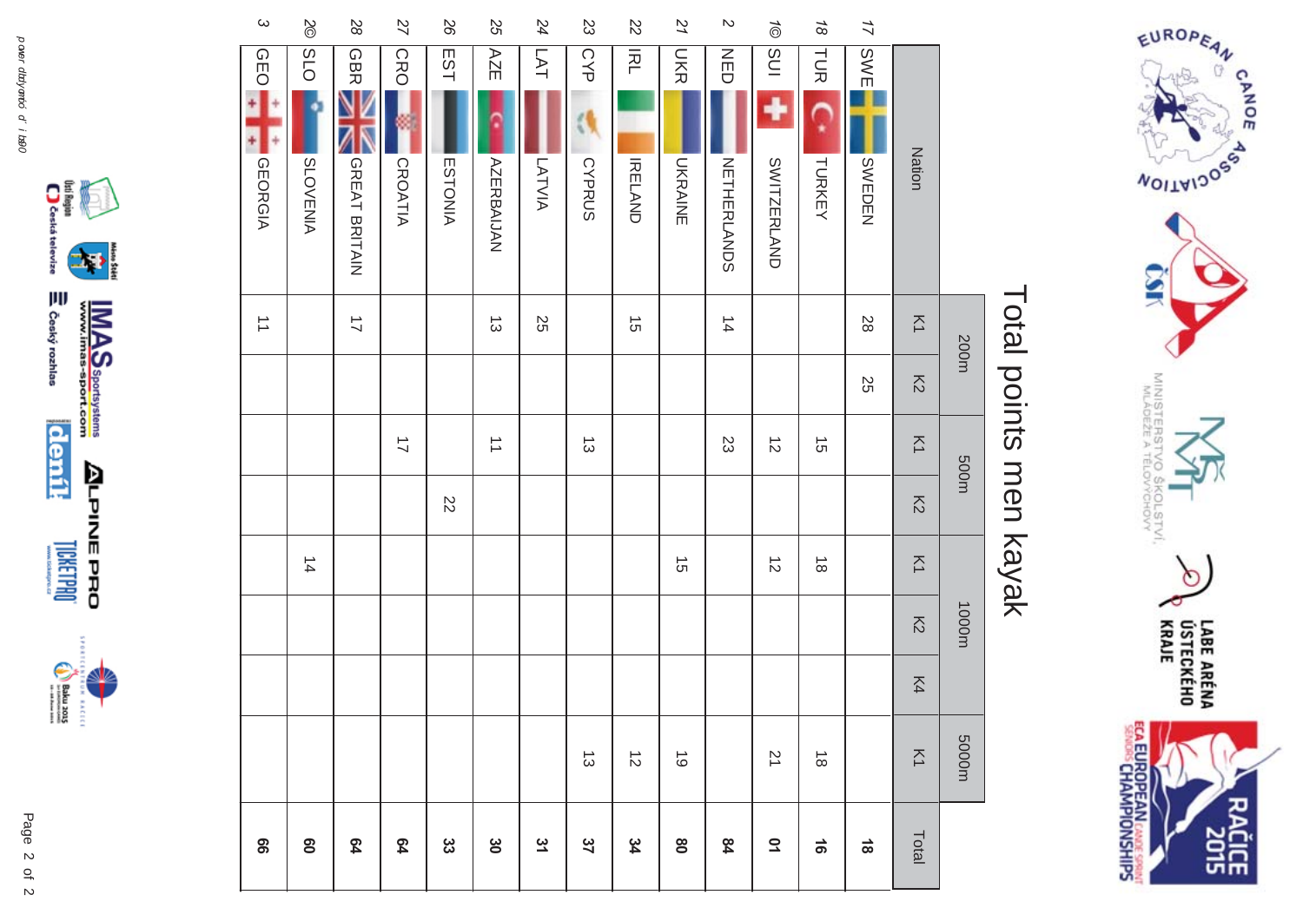



## Total points men kayak Total points men kayak

| $\omega$                       | $\frac{8}{2}$         | $\mathcal{S}^{\mathcal{O}}$ | 27                       | 92             | SS                             | 24         | 23             | 22             | 21                      | $\mathcal{D}$      | $\vec{\circ}$  | $\frac{1}{8}$                          | $\overline{17}$ |                          |       |
|--------------------------------|-----------------------|-----------------------------|--------------------------|----------------|--------------------------------|------------|----------------|----------------|-------------------------|--------------------|----------------|----------------------------------------|-----------------|--------------------------|-------|
| <b>GEO</b>                     | O <sub>1</sub> S<br>۰ | <b>GBR</b>                  | <b>CRO</b>               | EST            | AZE                            | <b>LAT</b> | <b>CYP</b>     | <b>IRL</b>     | <b>NR</b>               | $\frac{Z}{U}$      | <b>SUI</b>     | TUR                                    | SWE             |                          |       |
| <b>GEORGIA</b>                 | <b>SLOVENIA</b>       | GREAT BRITAIN               | <b>CROATIA</b>           | <b>ESTONIA</b> | <b>AZERBAIJAN</b>              | LATVIA     | <b>CYPRUS</b>  | <b>IRELAND</b> | <b>UKRAINE</b>          | <b>NETHERLANDS</b> | SWITZERLAND    | TURKEY                                 | SWEDEN          | Nation                   |       |
| $\overrightarrow{\phantom{a}}$ |                       | $\overline{1}$              |                          |                | $\vec{\omega}$                 | 55         |                | $\vec{5}$      |                         | $\frac{1}{4}$      |                |                                        | $28$            | $\overline{\leq}$        |       |
|                                |                       |                             |                          |                |                                |            |                |                |                         |                    |                |                                        | SS              | $\overline{\mathcal{L}}$ | 200m  |
|                                |                       |                             | $\overline{\mathcal{L}}$ |                | $\overrightarrow{\phantom{a}}$ |            | $\vec{\omega}$ |                |                         | 23                 | $\vec{z}$      | $\stackrel{\rightharpoonup}{\circ}$    |                 | $\overline{\leq}$        | 500m  |
|                                |                       |                             |                          | $\overline{z}$ |                                |            |                |                |                         |                    |                |                                        |                 | $\overline{5}$           |       |
|                                | $\frac{1}{4}$         |                             |                          |                |                                |            |                |                | $\vec{c}$               |                    | $\vec{\infty}$ | $\stackrel{\rightharpoonup }{\infty }$ |                 | $\overline{\leq}$        |       |
|                                |                       |                             |                          |                |                                |            |                |                |                         |                    |                |                                        |                 | $\overline{5}$           | 1000m |
|                                |                       |                             |                          |                |                                |            |                |                |                         |                    |                |                                        |                 | K4                       |       |
|                                |                       |                             |                          |                |                                |            | $\vec{\omega}$ | $\vec{v}$      | $\vec{\circ}$           |                    | 71             | $\stackrel{\rightharpoonup }{\infty }$ |                 | $\overline{\leq}$        | m0005 |
| 99                             | $\mathbf{S}$          | 64                          | 54                       | ပ္ပ            | $\infty$                       | 31         | 37             | 34             | $\mathsf{S}^\mathsf{O}$ | 84                 | $\overline{0}$ | $\vec{e}$                              | $\frac{1}{8}$   | Total                    |       |

 $\begin{picture}(40,40) \put(0,0){\line(1,0){155}} \put(15,0){\line(1,0){155}} \put(15,0){\line(1,0){155}} \put(15,0){\line(1,0){155}} \put(15,0){\line(1,0){155}} \put(15,0){\line(1,0){155}} \put(15,0){\line(1,0){155}} \put(15,0){\line(1,0){155}} \put(15,0){\line(1,0){155}} \put(15,0){\line(1,0){155}} \put(15,0){\line(1,0){155}} \$ 

⊇ Český rozhlas

 $\left| \mathbf{r} \right|$ 



Page

 $\overline{a}$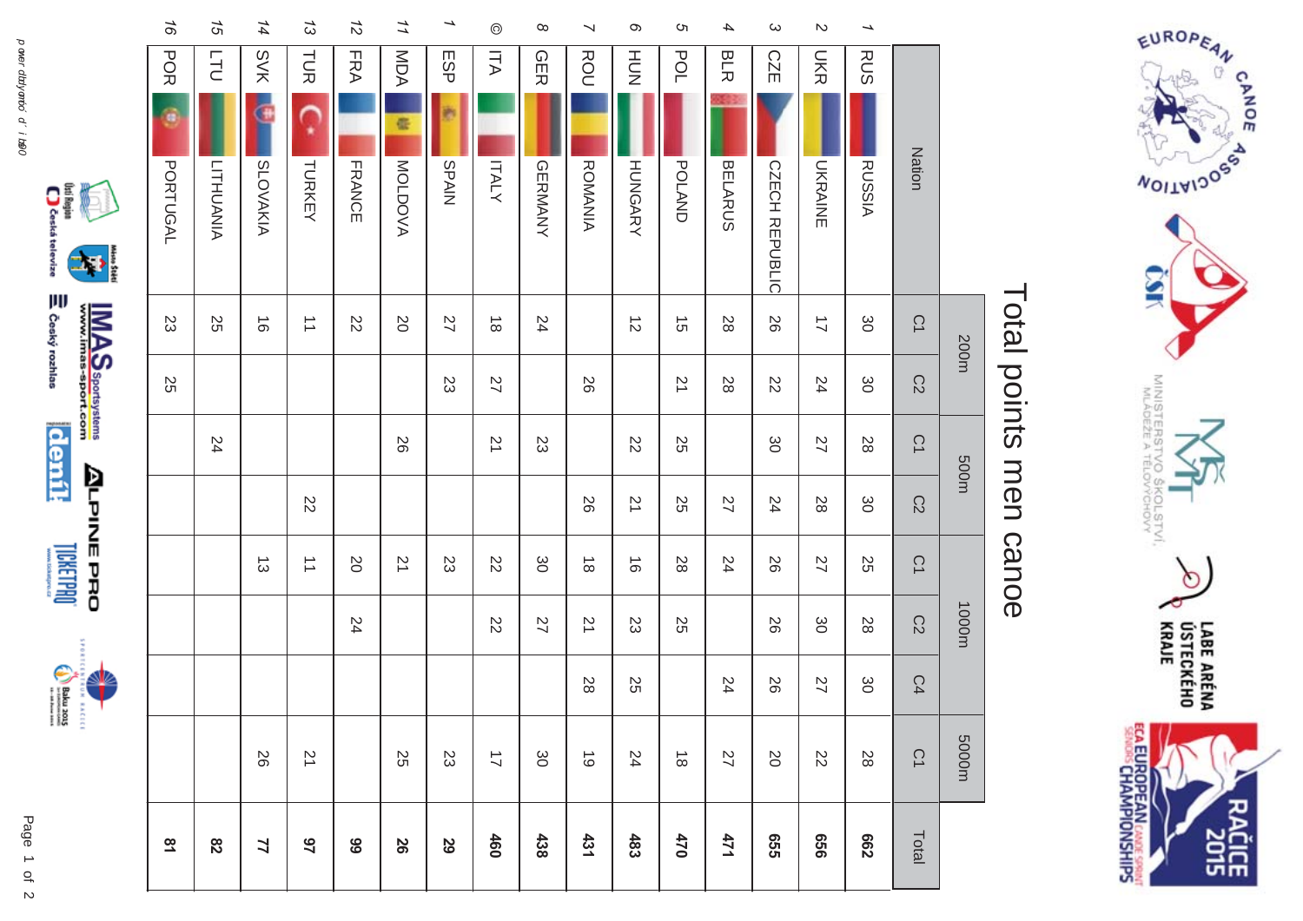



**RACICE** 





|                          |                 | <b>Nation</b>         | $\tilde{\omega}$     | C2                       | C1             | C2             | C1                   | C2                       | C4  | CΊ                                   | Total          |
|--------------------------|-----------------|-----------------------|----------------------|--------------------------|----------------|----------------|----------------------|--------------------------|-----|--------------------------------------|----------------|
| $\overline{\phantom{0}}$ | <b>RUS</b>      | <b>RUSSIA</b>         | 80                   | မွ                       | 28             | ပ္တ            | 55                   | 28                       | ပ္တ | 28                                   | <b>C62</b>     |
| $\mathbb N$              | <b>DKR</b>      | <b>UNANANE</b>        | $\overline{1}$       | 24                       | 27             | 28             | 22                   | မွ                       | 27  | $\overline{\mathcal{C}}$             | 999            |
| $\omega$                 | <b>CZE</b>      | <b>CZECH REPUBLIC</b> | 92                   | $\overline{\mathcal{C}}$ | δg             | 24             | 92                   | 92                       | 92  | <b>SO</b>                            | <b>925</b>     |
| 4                        | <b>BLR</b>      | <b>BELARUS</b>        | 28                   | 28                       |                | 27             | 24                   |                          | 24  | 27                                   | 171            |
| <b>ຕ</b>                 | POL             | <b>POLAND</b>         | $\vec{5}$            | 21                       | 2S             | 25             | 28                   | 25                       |     | $\stackrel{\rightharpoonup}{\infty}$ | 470            |
| $\infty$                 | HUT<br>N        | <b>HUNGARY</b>        | $\vec{v}$            |                          | $\overline{z}$ | $\overline{2}$ | $\vec{0}$            | SS                       | 25  | 24                                   | 483            |
| $\prec$                  | ROU             | <b>ROMANIA</b>        |                      | 26                       |                | 92             | $\vec{\infty}$       | 21                       | 28  | $\vec{6}$                            | 431            |
| $\infty$                 | <b>GER</b>      | <b>GERMANYY</b>       | 24                   |                          | 23             |                | ဖွ                   | 27                       |     | 80                                   | 438            |
| $\odot$                  | ITA             | <b>ITALY</b>          | $\vec{\infty}$       | $\overline{2}$           | $\overline{2}$ |                | ZZ                   | $\overline{\mathcal{C}}$ |     | $\overline{\mathcal{L}}$             | 460            |
| →                        | ESP             | <b>SPAIN</b>          | 27                   | S                        |                |                | 23                   |                          |     | 23                                   | 29             |
| 11                       | MDA<br>¢        | MOLDOVA               | $\overline{0}$       |                          | 56             |                | 21                   |                          |     | 55                                   | 56             |
| $\vec{z}$                | <b>FRA</b>      | <b>FRANCE</b>         | $\overline{z}$       |                          |                |                | <b>N</b>             | 24                       |     |                                      | 66             |
| 73                       | TUR<br>è        | TURKEY                | $\overrightarrow{=}$ |                          |                | 22             | $\overrightarrow{=}$ |                          |     | $\overline{\mathcal{L}}$             | $\overline{2}$ |
| 14                       | <b>SVK</b>      | <b>SLOVAKIA</b>       | $\vec{0}$            |                          |                |                | $\vec{\omega}$       |                          |     | 26                                   | 77             |
| 15                       | <b>LTU</b>      | <b>LITHUANIA</b>      | 25                   |                          | 24             |                |                      |                          |     |                                      | 82             |
| 97                       | <b>POR</b><br>۹ | <b>PORTUGAL</b>       | SS                   | 25                       |                |                |                      |                          |     |                                      | $\overline{3}$ |





## Total points men canoe Total points men canoe

200m 500m 500m 1000m 5000m 5000m

1000m

m0005

m003

200m

 $\mathcal{C}2$ 

 $\mathbb{C}^4$ 

 $\tilde{C}$ 

 $\tilde{C}$ 

 $\tilde{C}$ 

 $\mathbb{C}2$ 

 $\tilde{C}$ 

 $\mathcal{C}2$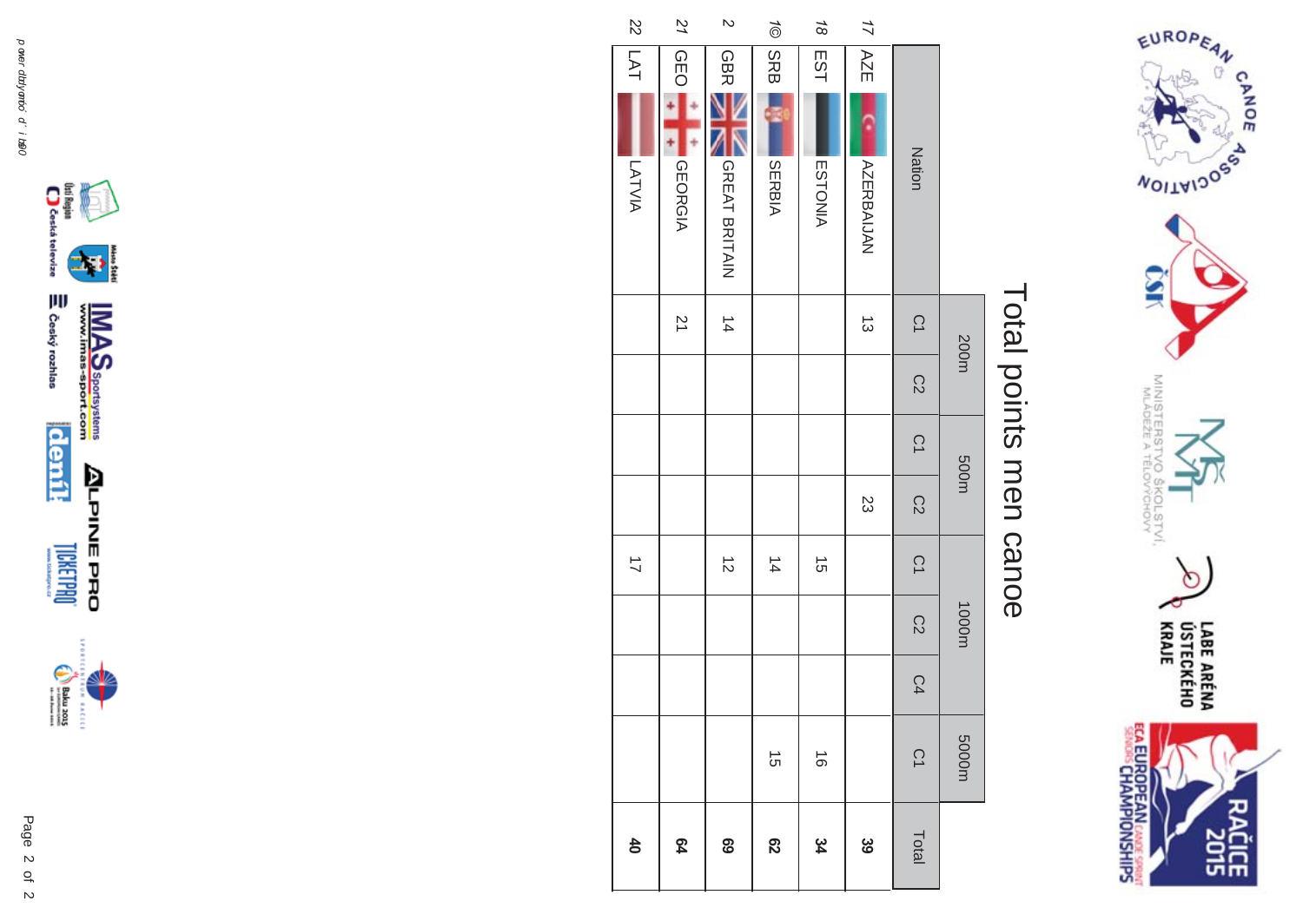

## Total points men canoe Total points men canoe

| $\frac{2}{2}$            | 51             | $\overline{c}$ | $\frac{1}{\sqrt{2}}$ | $\frac{1}{8}$ | 17               |                 |       |
|--------------------------|----------------|----------------|----------------------|---------------|------------------|-----------------|-------|
| $\overline{5}$           | <b>GEO</b>     | <b>GBR</b>     | SRB                  | EST           | AZE              |                 |       |
|                          |                |                | J                    |               |                  |                 |       |
| LATVIA                   | <b>GEORGIA</b> | GREAT BRITAIN  | SERBIA               | ESTONIA       | <b>AZERAIJAN</b> | Nation          |       |
|                          | $\overline{2}$ | $\frac{1}{4}$  |                      |               | $\vec{\omega}$   | $\tilde{C}$     | 200m  |
|                          |                |                |                      |               |                  | $\overline{C2}$ |       |
|                          |                |                |                      |               |                  | $\overline{C}$  | 500m  |
|                          |                |                |                      |               | 23               | $\overline{C}2$ |       |
| $\overline{\mathcal{L}}$ |                | $\vec{z}$      | $\frac{1}{4}$        | $\vec{q}$     |                  | $\overline{C}$  |       |
|                          |                |                |                      |               |                  | C <sub>2</sub>  | 1000m |
|                          |                |                |                      |               |                  | C4              |       |
|                          |                |                | $\vec{q}$            | $\vec{0}$     |                  | $\overline{C}$  | m0005 |
| $\overline{40}$          | 64             | 69             | $\overline{c}$       | 34            | င်<br>၁၁         | Total           |       |





 $\begin{picture}(20,20) \put(0,0){\vector(0,1){30}} \put(15,0){\vector(0,1){30}} \put(15,0){\vector(0,1){30}} \put(15,0){\vector(0,1){30}} \put(15,0){\vector(0,1){30}} \put(15,0){\vector(0,1){30}} \put(15,0){\vector(0,1){30}} \put(15,0){\vector(0,1){30}} \put(15,0){\vector(0,1){30}} \put(15,0){\vector(0,1){30}} \put(15,0){\vector(0,1){30}} \put(15,0){\vector(0$ **MAGES** 

of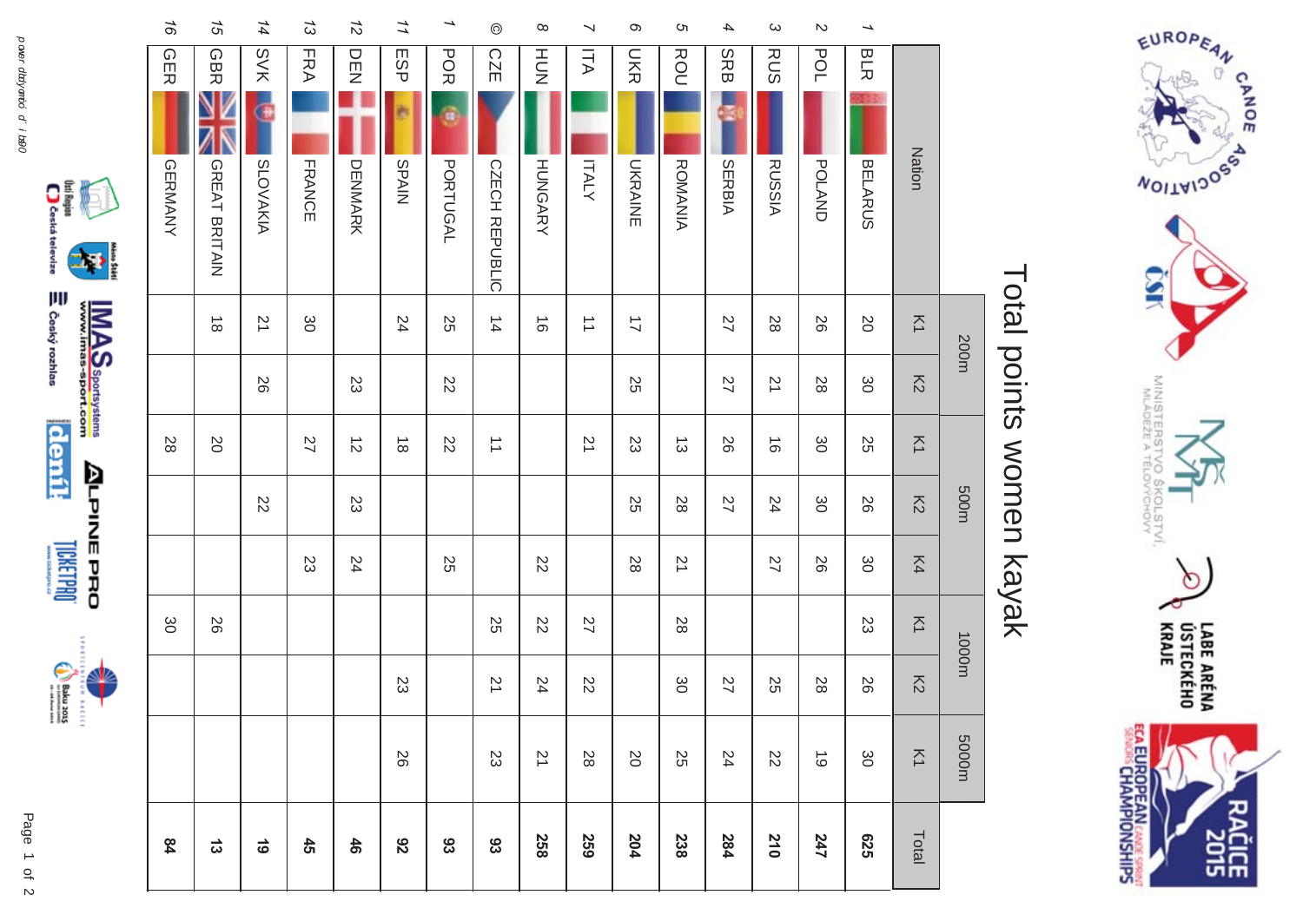



**LICKERPOOL** 

 $\begin{picture}(20,5) \put(0,0) {\put(0,0){\line(1,0){15}} \put(0,0){\line(1,0){15}} \put(0,0){\line(1,0){15}} \put(0,0){\line(1,0){15}} \put(0,0){\line(1,0){15}} \put(0,0){\line(1,0){15}} \put(0,0){\line(1,0){15}} \put(0,0){\line(1,0){15}} \put(0,0){\line(1,0){15}} \put(0,0){\line(1,0){15}} \put(0,0){\line(1,0){15}} \put(0,0){\line(1,0){15$ **MARCEL** 

310045



| iveles |   |
|--------|---|
| JΨ     | ξ |

| $\infty$<br>HU<br>N                   | $\infty$<br>c<br>$\boldsymbol{\omega}$<br>4<br>$\mathcal{D}$<br>$\overline{\phantom{0}}$<br>J<br><b>DKR</b><br>ROU<br><b>SRB</b><br>POL<br><b>ITA</b><br><b>RUS</b><br>모<br>모 |       |
|---------------------------------------|-------------------------------------------------------------------------------------------------------------------------------------------------------------------------------|-------|
| <b>HUNGARY</b><br><b>ITALY</b>        | Nation<br><b>UKRAINE</b><br><b>SERBIA</b><br><b>RUSSIA</b><br><b>BELARUS</b><br><b>ROMANIA</b><br><b>POLAND</b>                                                               |       |
| $\vec{\circ}$<br>$\overrightarrow{=}$ | $\overline{\leq}$<br>27<br>28<br>92<br><b>SO</b><br>$\overrightarrow{L}$                                                                                                      | 200m  |
|                                       | $\overline{5}$<br>25<br>27<br>21<br>မွ<br>28                                                                                                                                  |       |
|                                       | 25<br>$\overline{2}$<br>23<br>56<br>ပ္တ<br>$\overline{\leq}$<br>$\vec{\omega}$<br>$\vec{0}$                                                                                   |       |
|                                       | $\overline{5}$<br>2S<br>28<br>27<br>24<br>80<br>92                                                                                                                            | 500m  |
| $\overline{\mathcal{C}}$              | $\overline{8}$<br>K4<br>မွ<br>21<br>27<br>92                                                                                                                                  |       |
| $\overline{\mathcal{C}}$<br>27        | $\overline{\leq}$<br>28<br>S                                                                                                                                                  | 1000m |
| 24<br>22                              | $\overline{5}$<br>ပ္တ<br>27<br>28<br>56<br>25                                                                                                                                 |       |
| 71                                    | $\overline{\leq}$<br>28<br>$\infty$<br>25<br>24<br>ပ္တ<br>22<br>$\vec{\circ}$                                                                                                 | m0005 |
| 258                                   | Total<br>559<br>238<br><b>625</b><br>204<br>284<br>210<br>247                                                                                                                 |       |



**SHS** 

# Total points women kayak Total points women kayak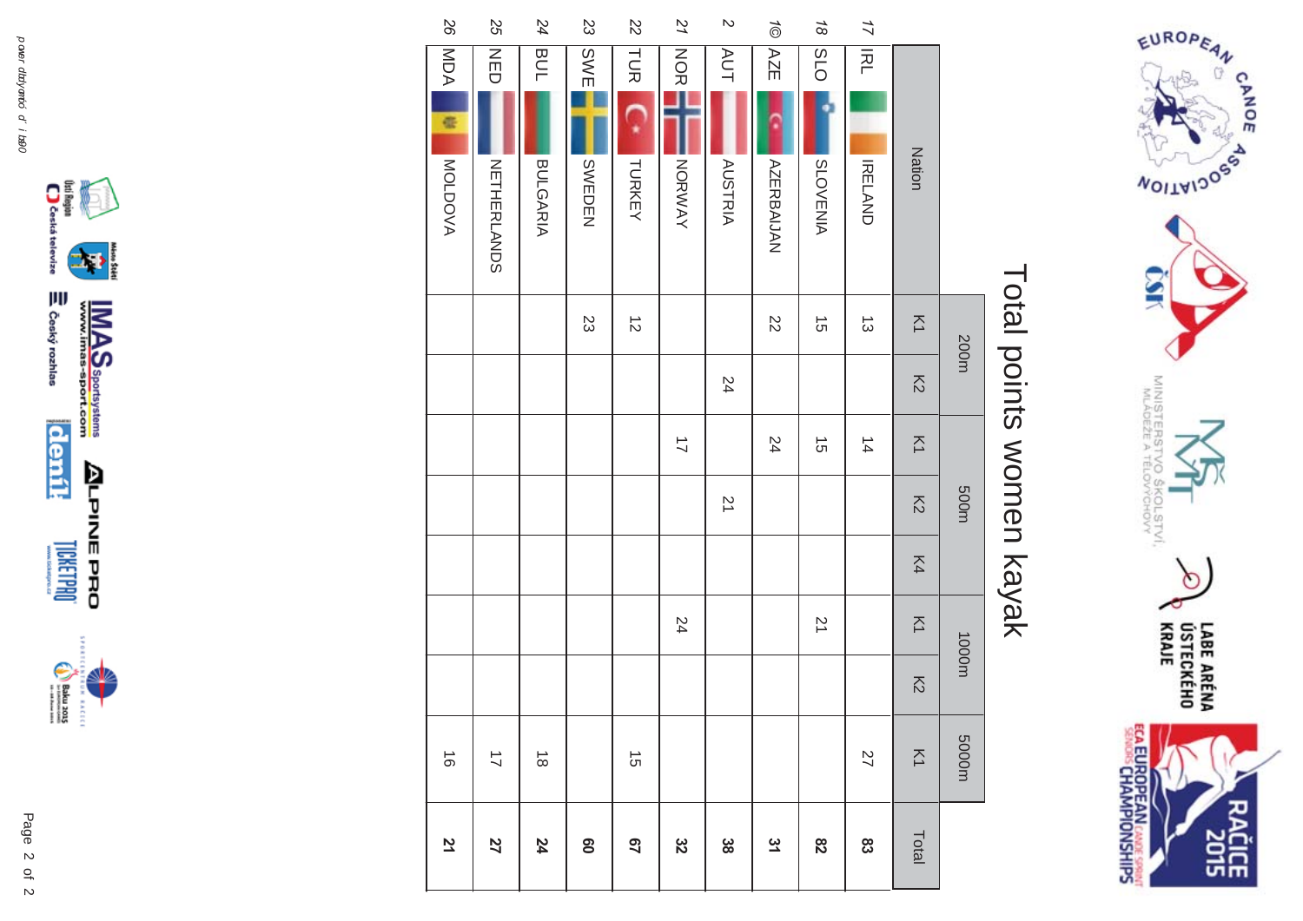

# Total points women kayak Total points women kayak

|                     |            |   |                   | 200m           |                |                                | 500m           |    | 1000m             |                | m0005                                |              |
|---------------------|------------|---|-------------------|----------------|----------------|--------------------------------|----------------|----|-------------------|----------------|--------------------------------------|--------------|
|                     |            |   | <b>Nation</b>     | $\overline{z}$ | $\overline{6}$ | $\overline{\leq}$              | $\overline{6}$ | K4 | $\overline{\leq}$ | $\overline{5}$ | $\overline{\leq}$                    | Total        |
| 17                  | <b>IRL</b> |   | <b>IRELAND</b>    | $\vec{\omega}$ |                | $\frac{1}{4}$                  |                |    |                   |                | 27                                   | 83           |
| $\frac{1}{8}$       | OTS        |   | <b>SLOVENIA</b>   | $\vec{5}$      |                | ີຕ                             |                |    | 21                |                |                                      | 82           |
| $\widetilde{\circ}$ | AZE        |   | <b>AZERRAIJAN</b> | 22             |                | 24                             |                |    |                   |                |                                      | 31           |
| $\overline{a}$      | <b>AUT</b> |   | <b>AUSTRIA</b>    |                | 24             |                                | $\overline{z}$ |    |                   |                |                                      | အိ           |
| 21                  | <b>NOR</b> |   | NORWAY            |                |                | $\overrightarrow{\mathcal{L}}$ |                |    | 24                |                |                                      | 32           |
| $\overline{2}$      | TUR        |   | TURKEY            | $\vec{z}$      |                |                                |                |    |                   |                | $\vec{\sigma}$                       | 29           |
| 23                  | <b>SWE</b> |   | SWEDEN            | 23             |                |                                |                |    |                   |                |                                      | $\mathbf{S}$ |
| 24                  | <b>BUL</b> |   | <b>BULGARIA</b>   |                |                |                                |                |    |                   |                | $\stackrel{\rightharpoonup}{\infty}$ | 24           |
| SS                  | NED        |   | NETHERLANDS       |                |                |                                |                |    |                   |                | $\overrightarrow{L}$                 | 27           |
| 97                  | MDA        | Œ | <b>MOLDOVA</b>    |                |                |                                |                |    |                   |                | $\overrightarrow{\circ}$             | 71           |



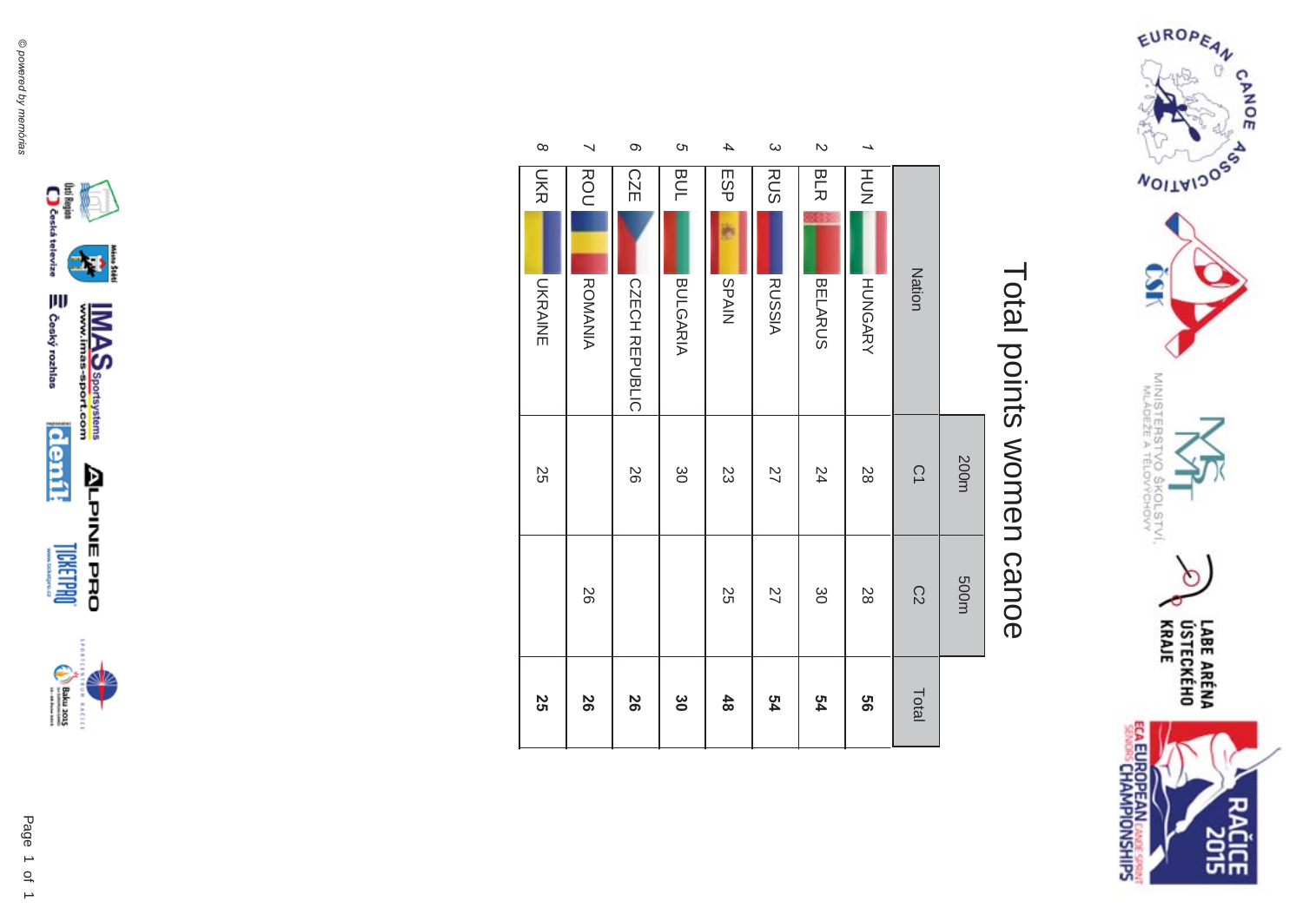

# Total points women canoe Total points women canoe

| 4<br>ESP        |                | BUL             | <b>თ</b><br>$\infty$<br><b>CZE</b> | $\overline{\phantom{0}}$<br>ROU |
|-----------------|----------------|-----------------|------------------------------------|---------------------------------|
|                 | <b>SPAIN</b>   | <b>BULGARIA</b> | CZECH REPUBLIC                     | <b>ROMANIA</b>                  |
|                 | 23             | $\infty$        | 97                                 |                                 |
| $\overline{27}$ | 55             |                 |                                    | 97                              |
|                 | $\frac{48}{2}$ | $\infty$        | 80                                 | 56                              |





**LICKET PO** 

 $\begin{picture}(20,5) \put(0,0) {\put(0,0){\line(1,0){15}} \put(0,0){\line(1,0){15}} \put(0,0){\line(1,0){15}} \put(0,0){\line(1,0){15}} \put(0,0){\line(1,0){15}} \put(0,0){\line(1,0){15}} \put(0,0){\line(1,0){15}} \put(0,0){\line(1,0){15}} \put(0,0){\line(1,0){15}} \put(0,0){\line(1,0){15}} \put(0,0){\line(1,0){15}} \put(0,0){\line(1,0){15$ **RACICE**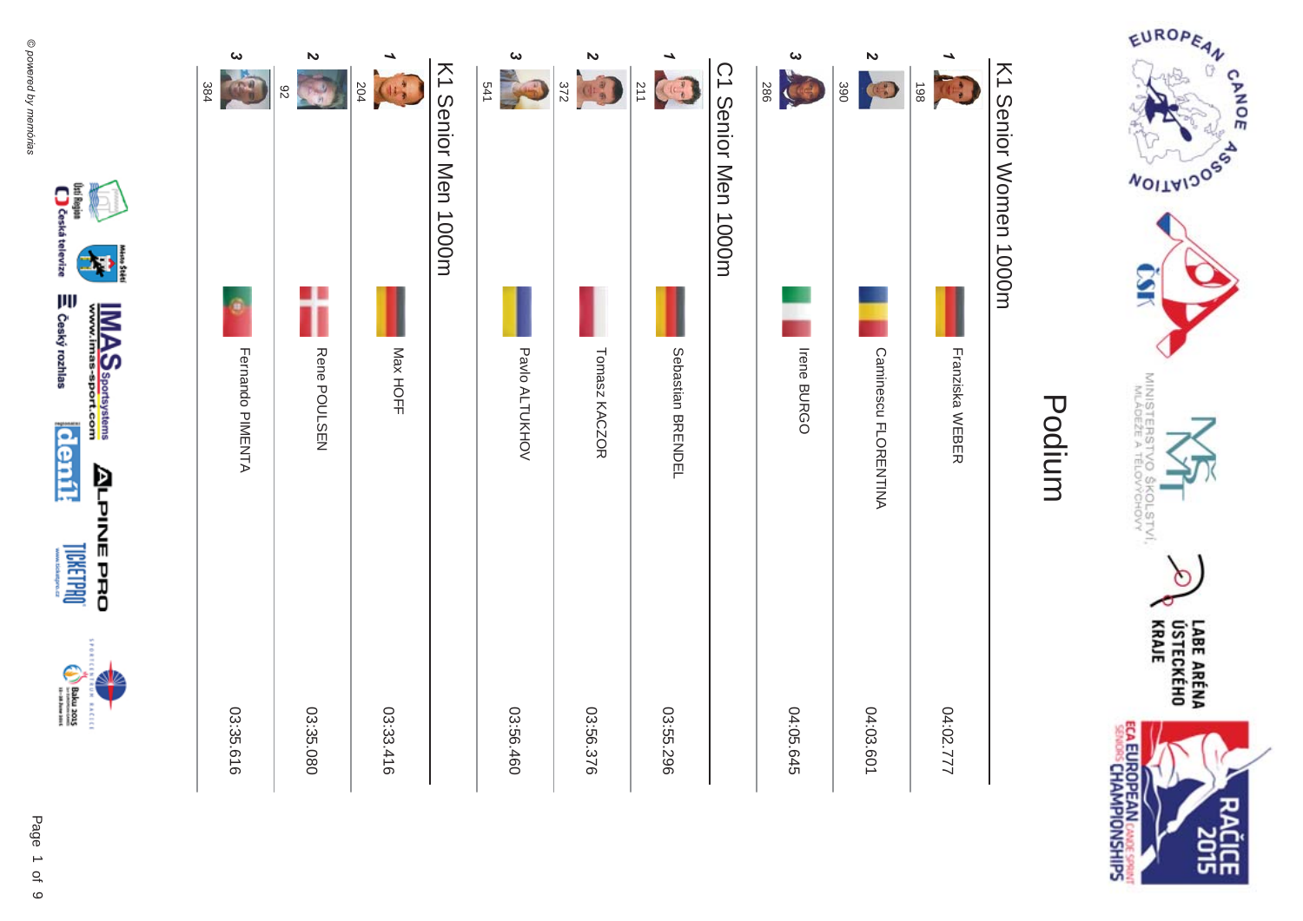

### K1 Senior Women 1000m K1 Senior Women 1000m



()sti Region<br>Cassica televize

⇒ Český rozhlas

**deník** 

**LICKETPROT** 

 $\begin{picture}(20,5) \put(0,0) {\put(0,0){\line(1,0){15}} \put(0,0){\line(1,0){15}} \put(0,0){\line(1,0){15}} \put(0,0){\line(1,0){15}} \put(0,0){\line(1,0){15}} \put(0,0){\line(1,0){15}} \put(0,0){\line(1,0){15}} \put(0,0){\line(1,0){15}} \put(0,0){\line(1,0){15}} \put(0,0){\line(1,0){15}} \put(0,0){\line(1,0){15}} \put(0,0){\line(1,0){15$ **RACEC** 

**ALPINE PRO** 

≸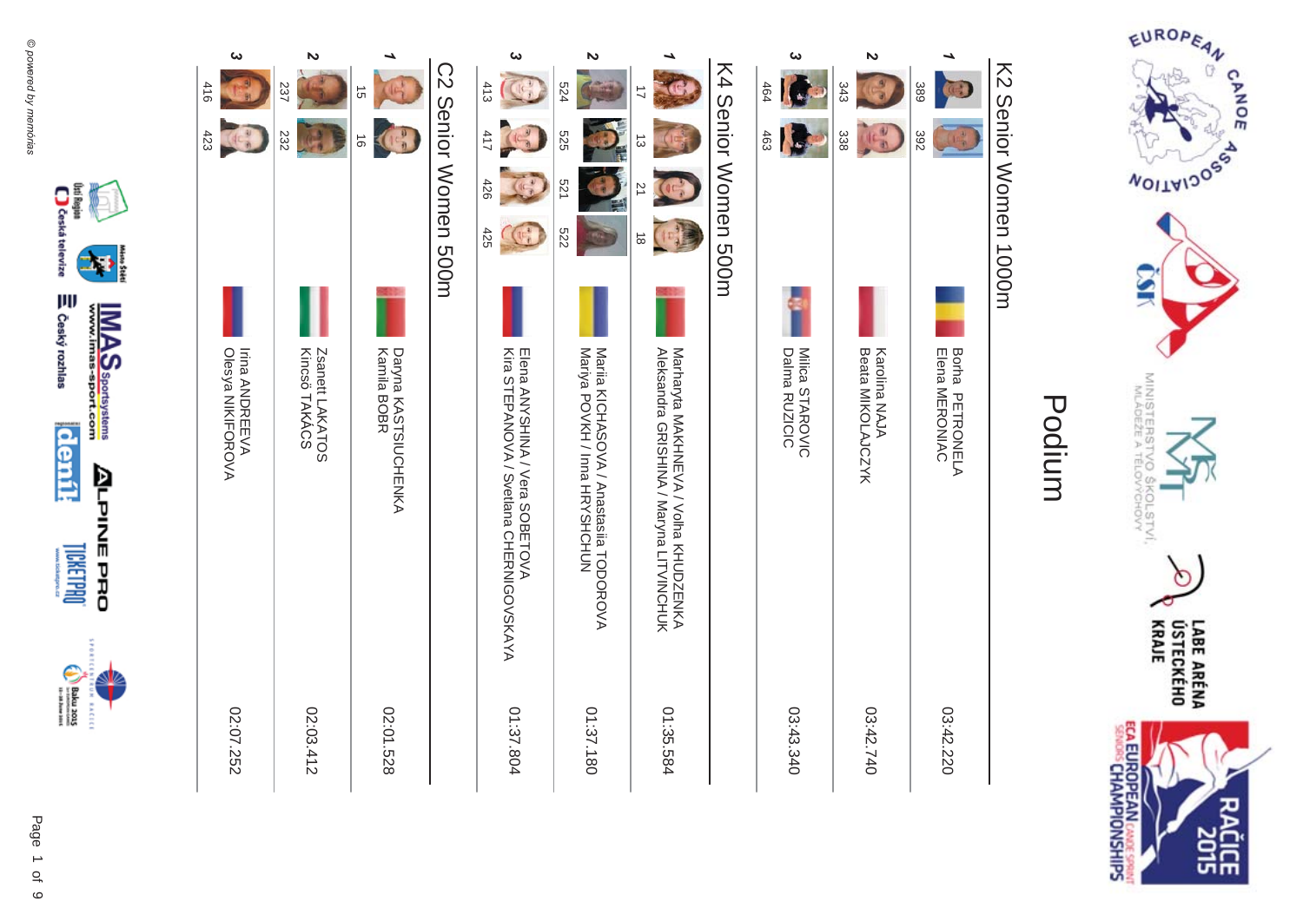

### K2 Senior Women 1000m K2 Senior Women 1000m

| ట                                          | $\boldsymbol{\mathsf{N}}$        |                                            |                      | ω                                                                          | N                                                                       |                                                                                 |                      | ట                                | N                                  |                                   |
|--------------------------------------------|----------------------------------|--------------------------------------------|----------------------|----------------------------------------------------------------------------|-------------------------------------------------------------------------|---------------------------------------------------------------------------------|----------------------|----------------------------------|------------------------------------|-----------------------------------|
| 416                                        | 237                              | 5Ì                                         |                      | 413                                                                        | 524                                                                     | $\vec{=}$                                                                       |                      | 464                              | 343                                | 389                               |
| 423                                        | 232                              | $\vec{\circ}$                              |                      | 411                                                                        | 525                                                                     | $\vec{\omega}$                                                                  |                      | 463                              | 田田<br>338                          | 392                               |
|                                            |                                  |                                            |                      | 426                                                                        | 521                                                                     | $\overline{2}$                                                                  |                      |                                  |                                    |                                   |
|                                            |                                  |                                            | C2 Senior Momen 500H | 425                                                                        | 222                                                                     | $\vec{8}$                                                                       | K4 Senior Women 500m |                                  |                                    |                                   |
|                                            |                                  |                                            |                      |                                                                            |                                                                         |                                                                                 |                      |                                  |                                    |                                   |
| <b>Irina ANDREEVA</b><br>Olesya NIKIFOROVA | Kincsö TAKÁCS<br>Zsanett LAKATOS | <b>Kamila BOBR</b><br>Daryna KASTSIUCHENKA |                      | Kira STEPANOVA / Svetlana CHERNIGOVSKAYA<br>Elena ANYSHINA / Vera SOBETOVA | Maria KICHASOVA / Anastasiia TODOROVA<br>Mariya POVKII / Inna IKKSINIUI | Marraryta MAKHNE/A / Volha KHUDZENKA<br>Aleksandra GRISHINA / Maryna LITVINCHUK |                      | Milica STAROVIC<br>Dalma RUZICIC | Beata MIKOLAJCZYK<br>Karolina NAJA | Borha PETRONELA<br>Elena MERONIAC |
| 02:07.252                                  | 02:03.412                        | 02:01.528                                  |                      | 01:37.804                                                                  | 01:37.180                                                               | 01:35.584                                                                       |                      | 03:43.340                        | 03:42.740                          | 03:42.220                         |



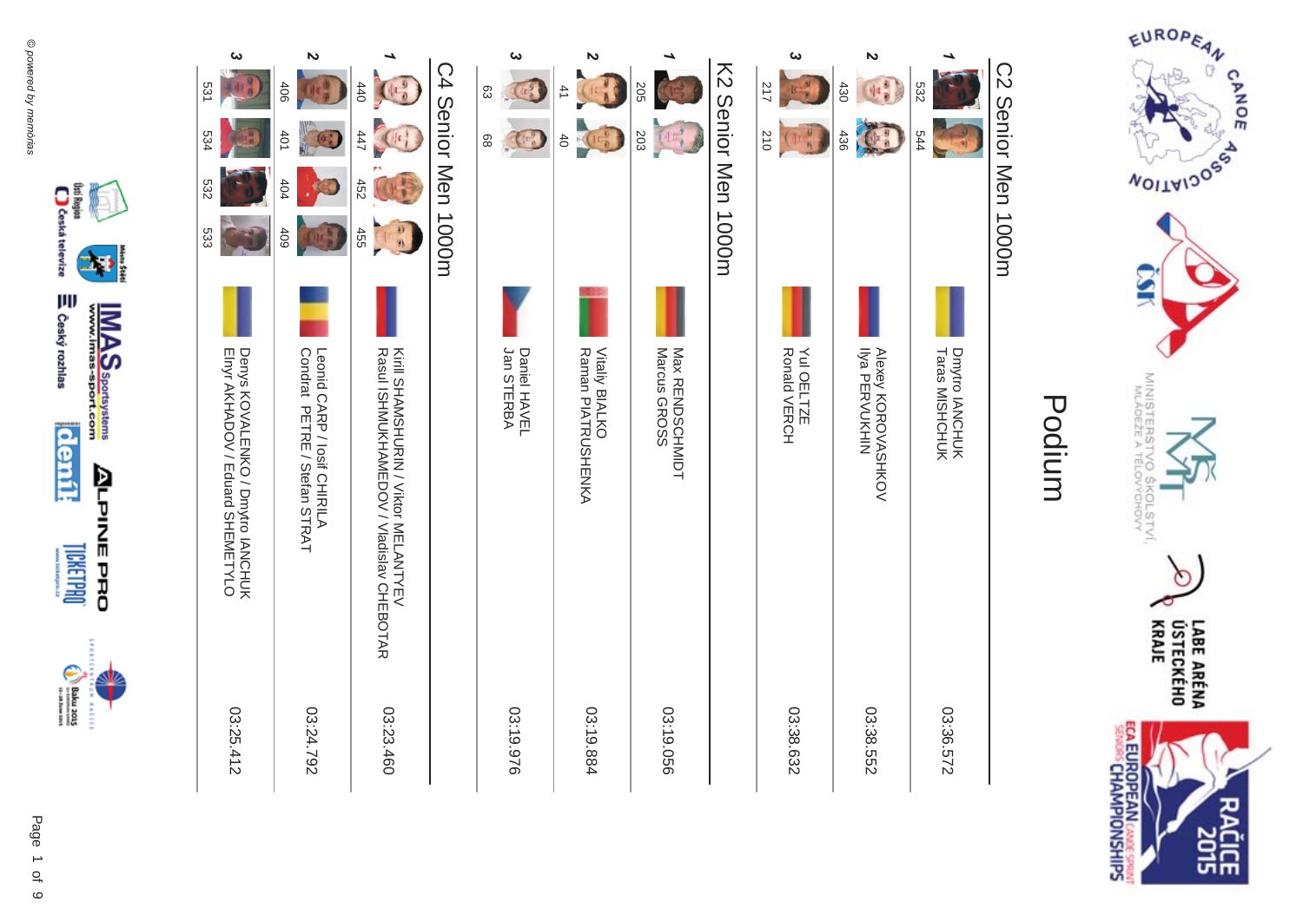







**IMAS**<br>www.imas-sport.com

**ALPINE PRO** 

**RACEC** 

**DRELLMO** 

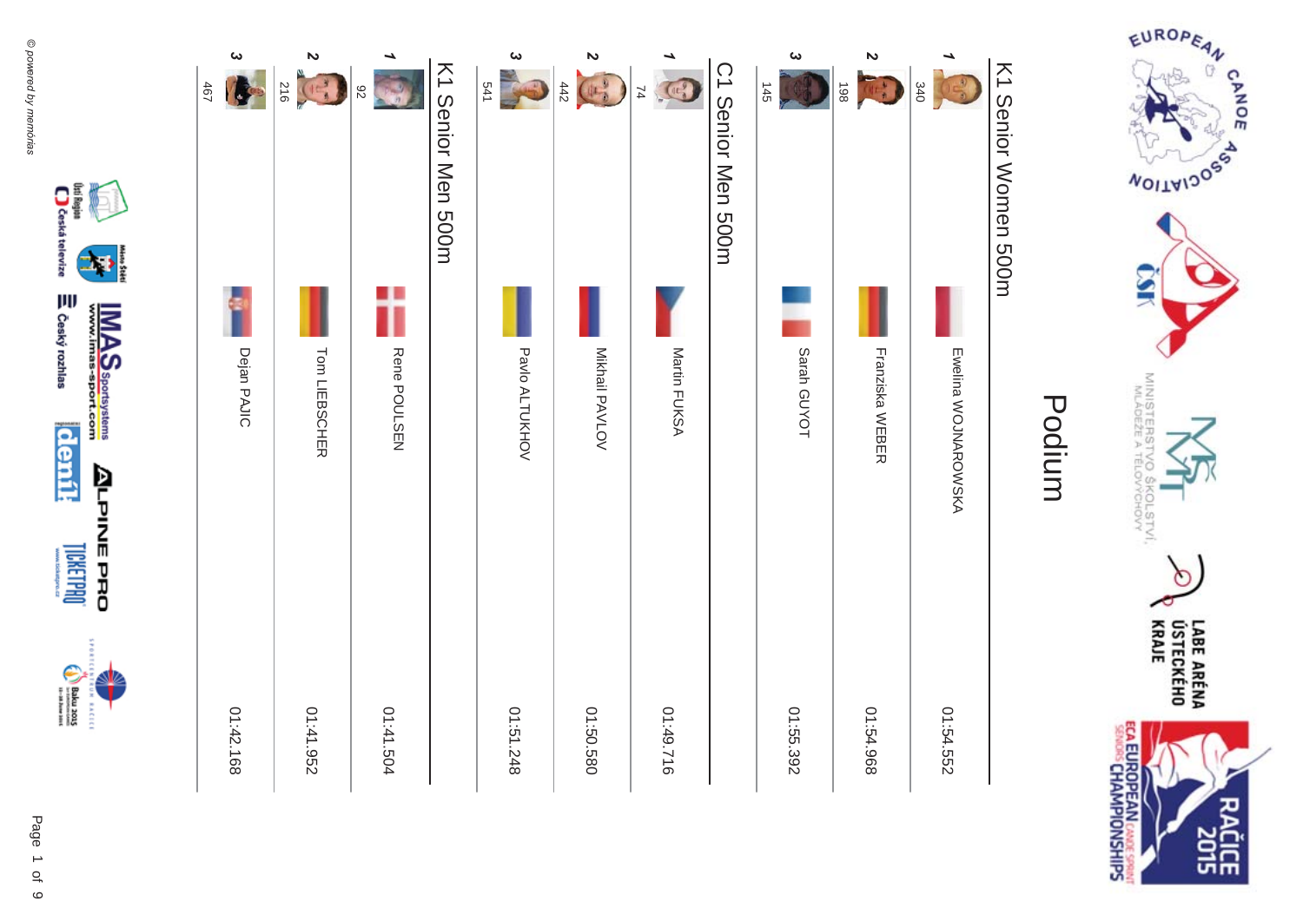

| ట<br>467<br>I. | $\boldsymbol{\mathsf{N}}$<br>410 | 82           | K1 Senior Men 500m | ట<br>541       | $\boldsymbol{\mathsf{N}}$<br>$\begin{pmatrix} 1 & 0 \\ 0 & 0 \end{pmatrix}$<br>442 | 74           | C1 Senior Meng SODH | ట<br>145    | $\boldsymbol{\mathsf{z}}$<br>86 L<br>$(1)$ | 340                 | K1 Senior Normen 500H |
|----------------|----------------------------------|--------------|--------------------|----------------|------------------------------------------------------------------------------------|--------------|---------------------|-------------|--------------------------------------------|---------------------|-----------------------|
|                |                                  |              |                    |                |                                                                                    |              |                     |             |                                            |                     |                       |
| Dejan PAJIC    | Tom LIEBSCHER                    | Rene POULSEN |                    | Pavlo ALTUKHOV | Mikhail PAVLOV                                                                     | Martin FUKSA |                     | Sarah GUYOT | Franziska WEBER                            | Ewelina WOJNAROWSKA | Podium                |
| 01:42.168      | 01:41.952                        | 11:41.504    |                    | 01:51.248      | 01:50.580                                                                          | 01:49.716    |                     | 01:55.392   | 01:54.968                                  | 01:54.552           |                       |



EUROPEAN

**MOITAIDOS** 

MINISTERS'S

옆

COLSTVI.<br><sup>COLSTVI</sup>

 $\circ$ 

CANOE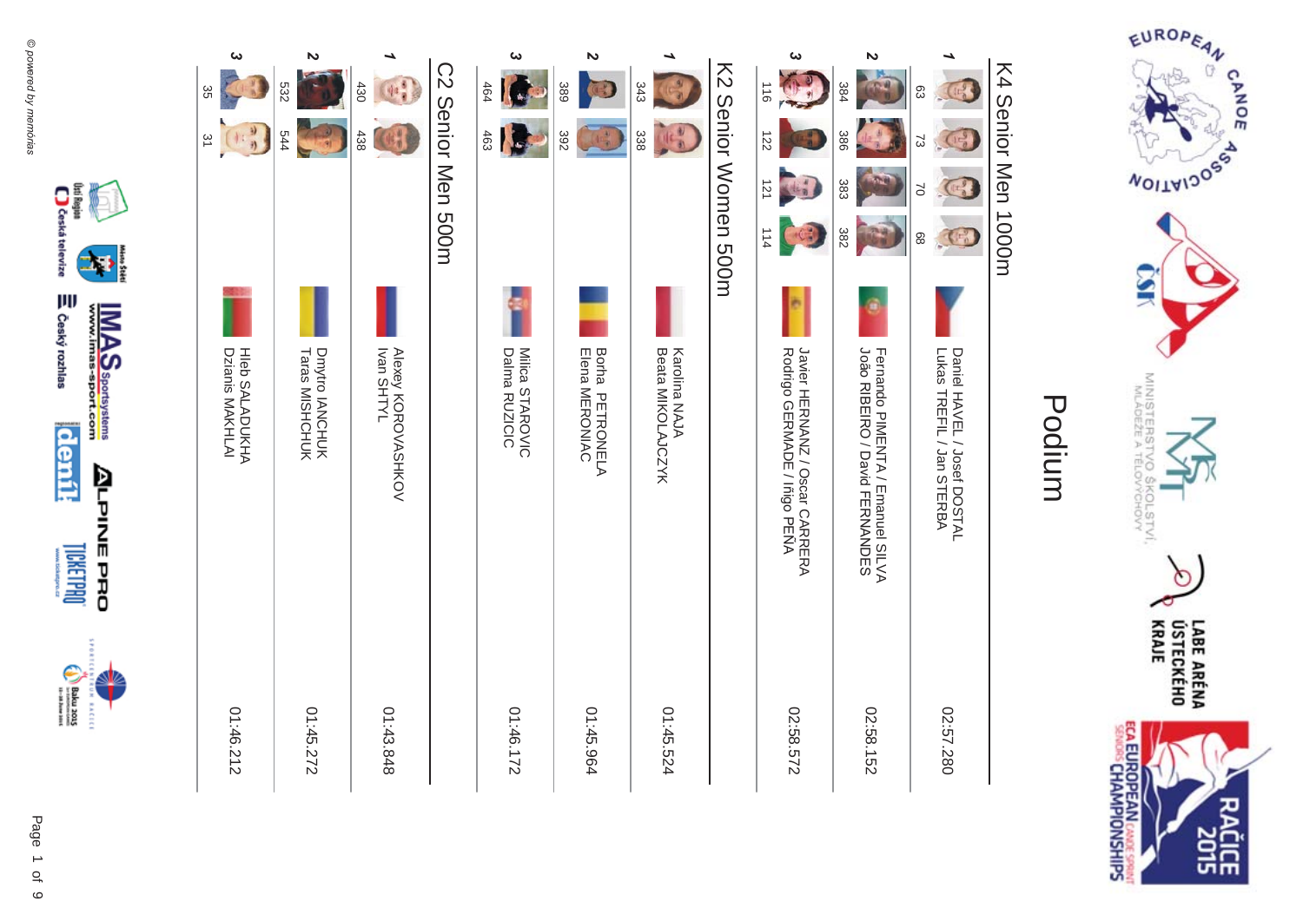



moský rozhlas

**denik** 

**DRELINE** 

 $\begin{picture}(20,5) \put(0,0) {\put(0,0){\line(1,0){15}} \put(0,0){\line(1,0){15}} \put(0,0){\line(1,0){15}} \put(0,0){\line(1,0){15}} \put(0,0){\line(1,0){15}} \put(0,0){\line(1,0){15}} \put(0,0){\line(1,0){15}} \put(0,0){\line(1,0){15}} \put(0,0){\line(1,0){15}} \put(0,0){\line(1,0){15}} \put(0,0){\line(1,0){15}} \put(0,0){\line(1,0){15$ **RACEC** 

**IMAS**<br>www.imas-sport.com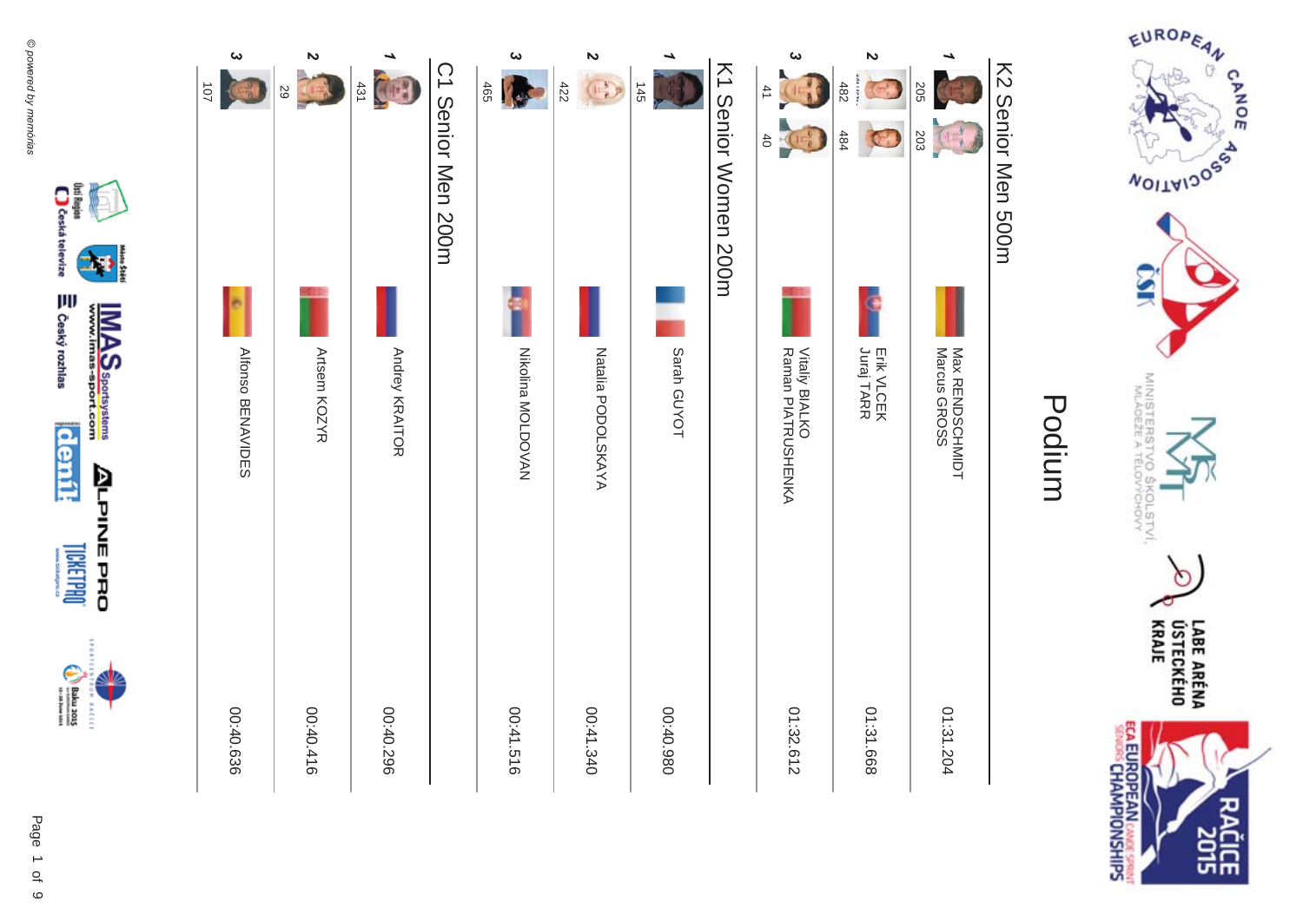

### K2 Senior Men 500m K2 Senior Men 500m



(lai Region ()<br>[ ] Costa televize

moský rozhlas

Į



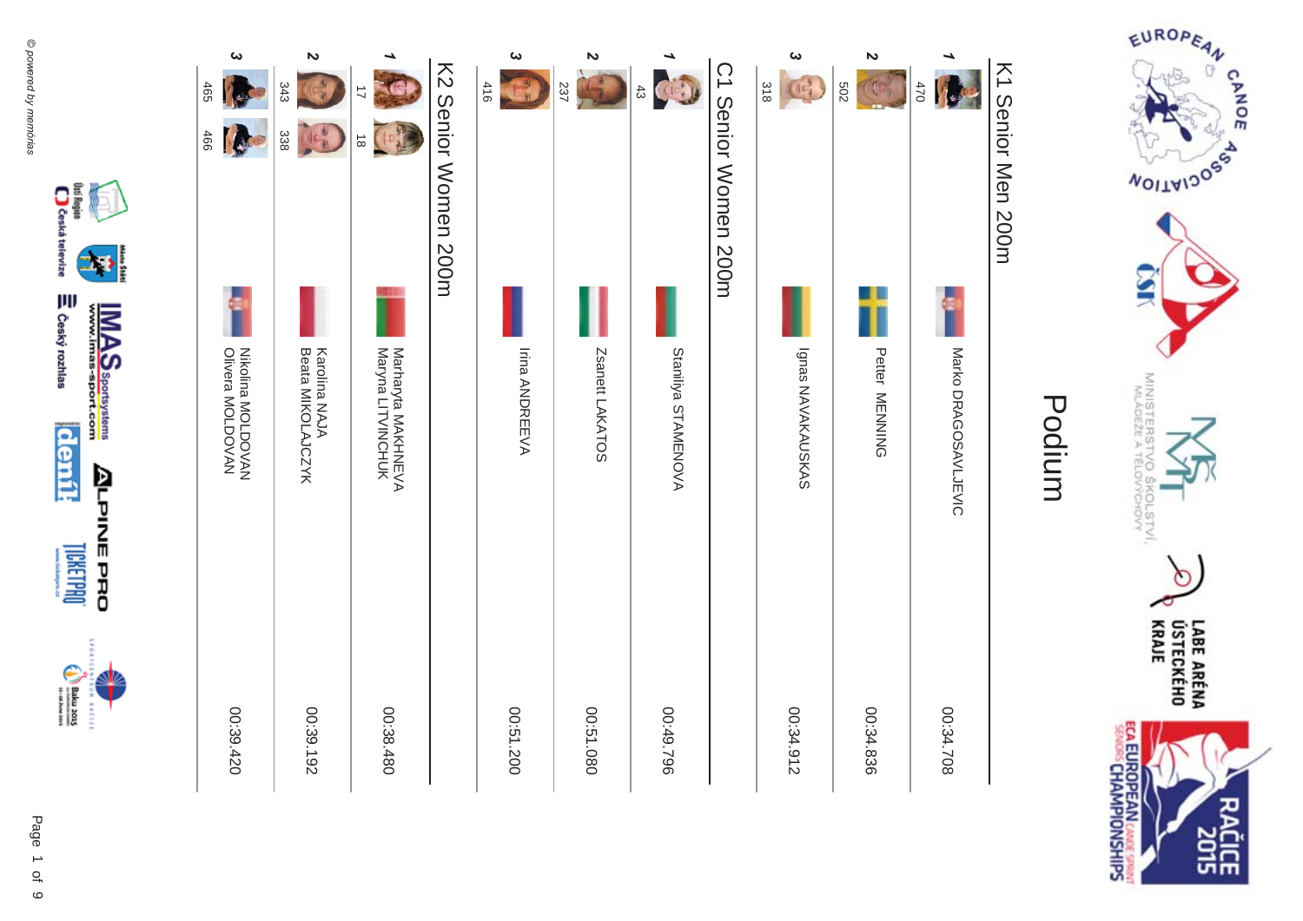





(ki Region)<br>Caska televize

moský rozhlas

**deník** 

**DRETER OF** 

 $\begin{picture}(20,5) \put(0,0) {\put(0,0){\line(1,0){15}} \put(0,0){\line(1,0){15}} \put(0,0){\line(1,0){15}} \put(0,0){\line(1,0){15}} \put(0,0){\line(1,0){15}} \put(0,0){\line(1,0){15}} \put(0,0){\line(1,0){15}} \put(0,0){\line(1,0){15}} \put(0,0){\line(1,0){15}} \put(0,0){\line(1,0){15}} \put(0,0){\line(1,0){15}} \put(0,0){\line(1,0){15$ **RACEC** 

Þ

**IMAS**<br>www.imas-sport.com

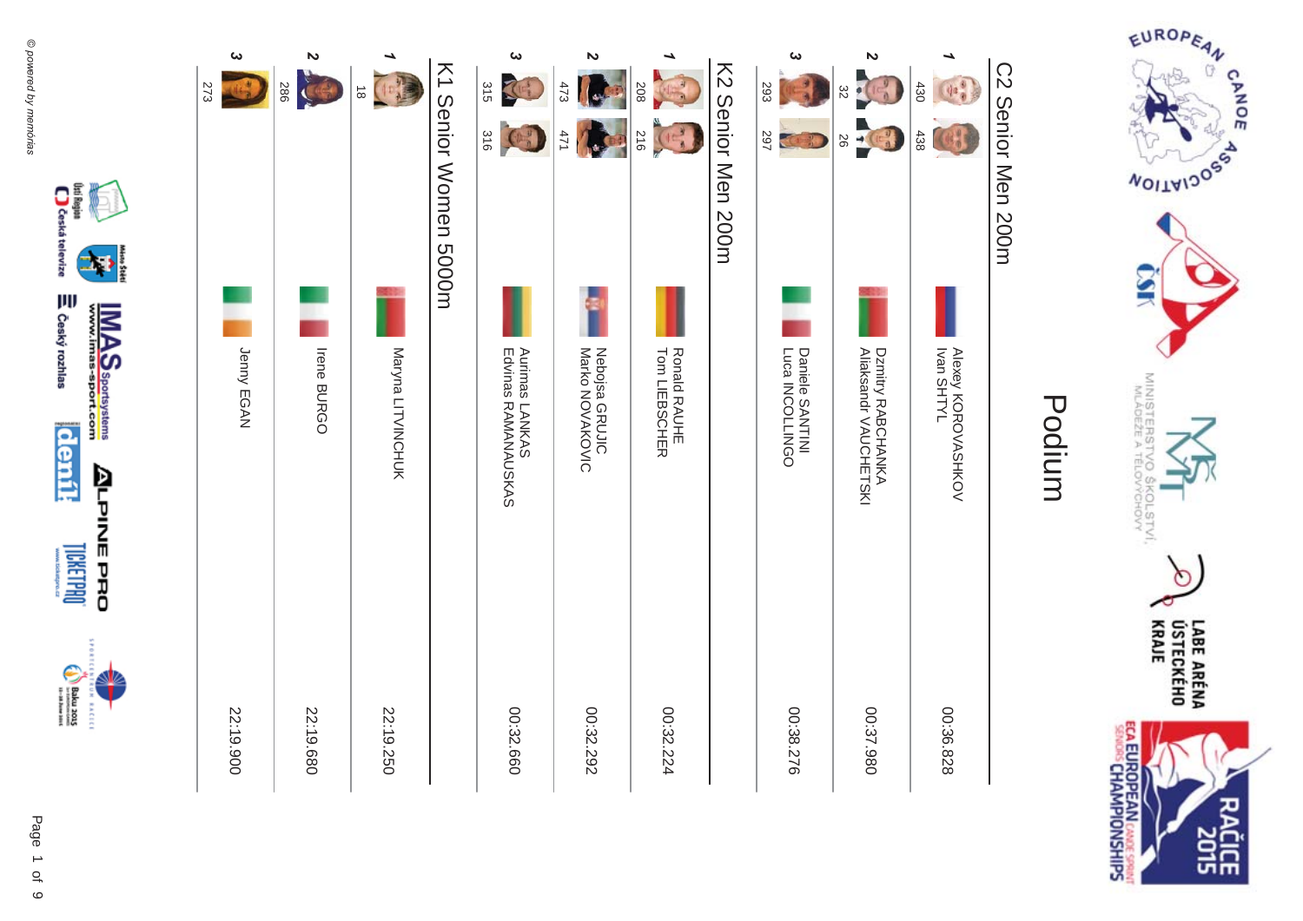

### C2 Senior Men 200m C2 Senior Men 200m



(kti Region (\* 1. )<br>Q Česká televize

moský rozhlas

**deník** 

**DRELINEL** 

 $\begin{picture}(20,5) \put(0,0) {\put(0,0){\line(1,0){15}} \put(0,0){\line(1,0){15}} \put(0,0){\line(1,0){15}} \put(0,0){\line(1,0){15}} \put(0,0){\line(1,0){15}} \put(0,0){\line(1,0){15}} \put(0,0){\line(1,0){15}} \put(0,0){\line(1,0){15}} \put(0,0){\line(1,0){15}} \put(0,0){\line(1,0){15}} \put(0,0){\line(1,0){15}} \put(0,0){\line(1,0){15$ **RACEC** 

**IMAS**<br>www.imas-sport.com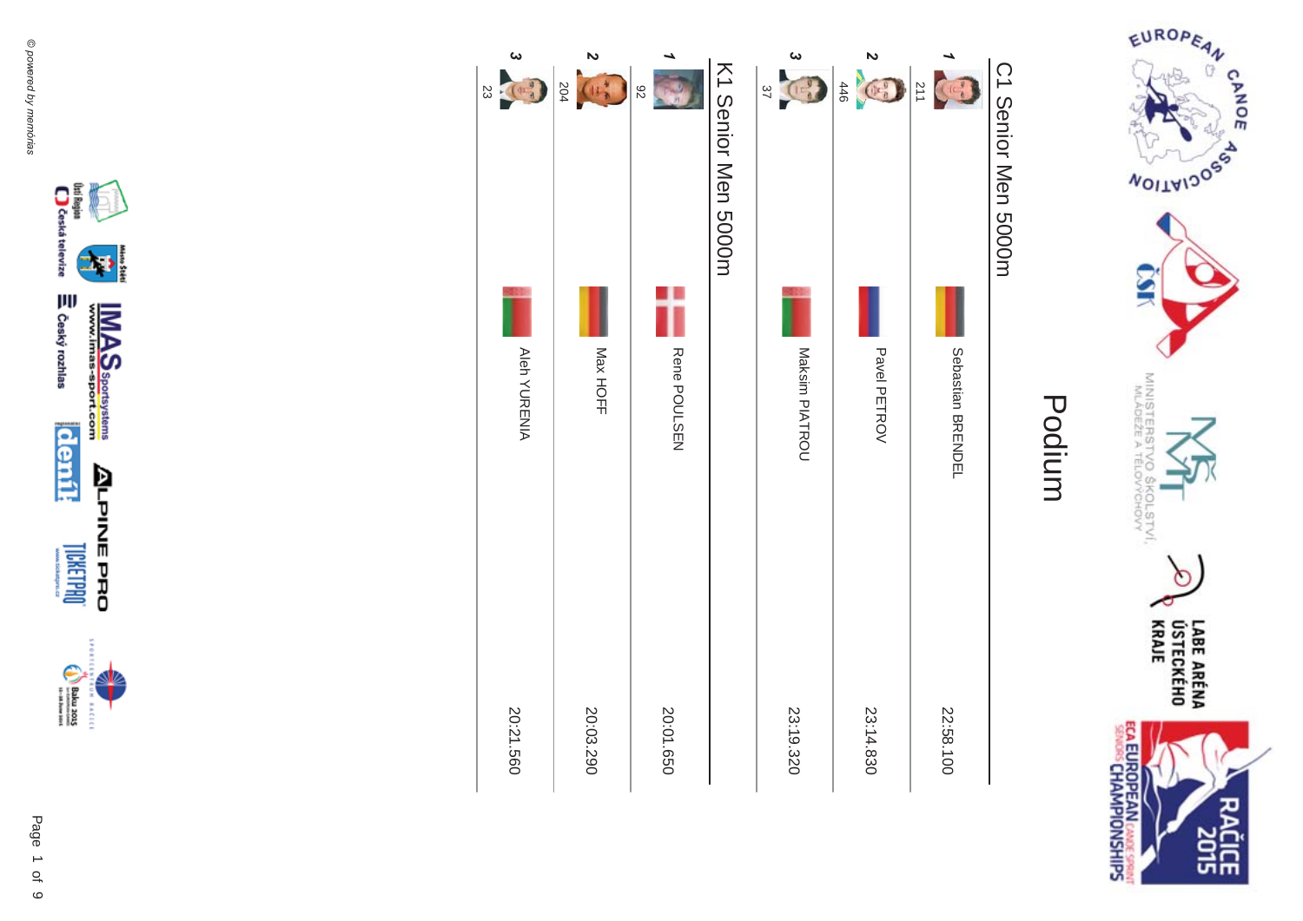









(lsi Region)<br>| Costat televize

⇒ Český rozhlas

**denik** 

**LICKETPROT** 

 $\begin{picture}(180,170)(-30,170)(-30,170)(-30,170)(-30,170)(-30,170)(-30,170)(-30,170)(-30,170)(-30,170)(-30,170)(-30,170)(-30,170)(-30,170)(-30,170)(-30,170)(-30,170)(-30,170)(-30,170)(-30,170)(-30,170)(-30,170)(-30,170)(-30,170)(-30,170)(-30,170)(-30,170$ **EXCLO** 

Þ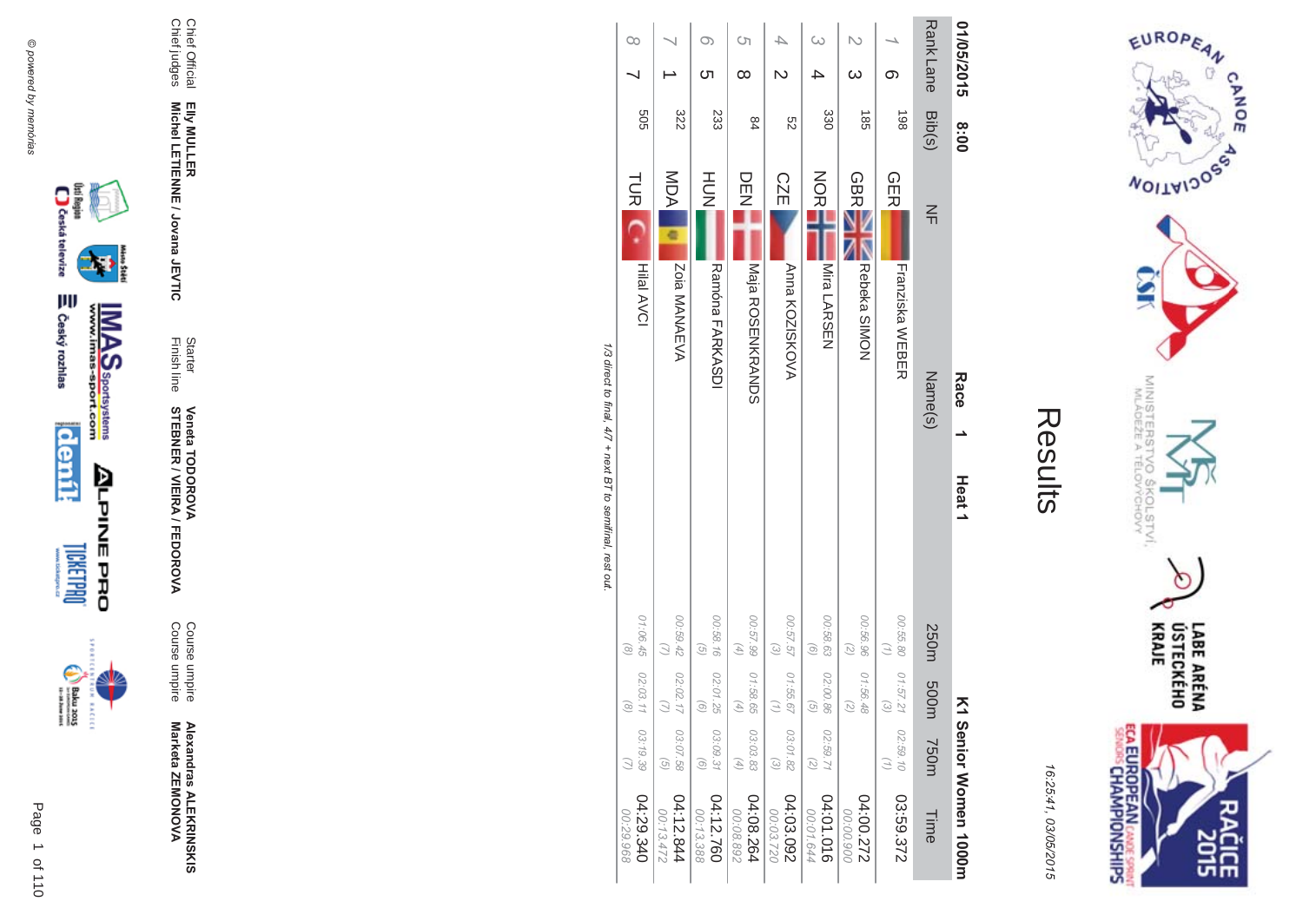



| í |
|---|
|   |
|   |

| 01/05/2015       | 8:00            | Race<br>Heat <sub>1</sub>                                  |                                                            | ᅎ                              |                                               | 1 Senior Women 1000m    |
|------------------|-----------------|------------------------------------------------------------|------------------------------------------------------------|--------------------------------|-----------------------------------------------|-------------------------|
| <b>Rank Lane</b> | Bib(s)          | $\frac{2}{1}$<br>Name(s)                                   | 250m                                                       | m005                           | <b>750m</b>                                   | Time                    |
| ග                | 198             | <b>GER</b><br>Franziska WEBER                              | 00:55.80                                                   | 01:57.2<br>$\widehat{\omega}$  | 02:59.10                                      | 03:59.372               |
| ω                | $\frac{185}{2}$ | <b>GBR</b><br>Rebeka SIMON                                 | 00:56.96<br>$\tag{5}$                                      | 01:56.48<br>$\widehat{\wedge}$ |                                               | 272.00:272<br>00:00.900 |
|                  | 330             | NOR<br>No<br>Mira LARSEN                                   | 00:58.63<br>$\odot$                                        | 02:00.86<br>$\widehat{\sigma}$ | 02:59.71<br>(5)                               | 04:01.016<br>00:01.644  |
| $\overline{C}$   | 82              | <b>CZE</b><br>Anna KOZISKOVA                               | 00:57.57<br>$\omega$                                       | 01:55.6                        | 03:01.82<br>$\widehat{\omega}$                | 04:03.092<br>00:03.720  |
| Ōп<br>$\infty$   | 84              | DEE<br>Naja ROSENKRANZDS                                   | 00:57.99<br>$\left( \begin{matrix} 4 \end{matrix} \right)$ | 01:58.65<br>G,                 | 03:03.83<br>$\begin{pmatrix} 4 \end{pmatrix}$ | 04:08.264<br>00:08.892  |
| O)<br>ഗ          | 233             | HU<br>N<br>Ramóna FARKASDI                                 | 00:58.16<br>$\overline{G}$                                 | 02:01.25<br>ଚ                  | 03:09.31<br>$\left( 9\right)$                 | 04:12.760<br>00:13.388  |
|                  | 322             | <b>MDA</b><br><b>Zoia MANAEVA</b>                          | 00:59.42                                                   | 02:02.17                       | 03:07.58<br>$\widehat{G}$                     | 04:12.844<br>00:13.472  |
| $\infty$         | 505             | TUR <sub>IC</sub><br><b>Hilal AVCI</b>                     | 01:06.45<br>$\odot$                                        | 02:03.1<br>$\widehat{\alpha}$  | 03:19.39                                      | 04:29.340<br>00:29.968  |
|                  |                 | 1/3 direct to final, 4/7 + next B T to semifinal, rest out |                                                            |                                |                                               |                         |

/3 direct to final,  $4/7 +$  next BT to semifinal, rest out





**Alexandras ALEKR Alexandras ALEKRINSKIS<br>Marketa ZEMONOVA** Marketa ZEMONOVA

**MA** Course umpire<br>Course umpire Course umpire Course umpire

Finish line Starter **STEBNER \$ -**A/FEDOR **Veneta TODOR \*\$'**

Elly MULLER<br>Michel LETIENNE / Jovana JEVTIC **Michel LETIENNE / Jovana JEVTIC** 

Chief Official<br>Chief judges Chief judges

Chief Official **EIIy MULLER** 

Page

 $\overline{a}$ 1 of 110  $\begin{picture}(20,5) \put(0,0) {\put(0,0){\line(1,0){15}} \put(0,0){\line(1,0){15}} \put(0,0){\line(1,0){15}} \put(0,0){\line(1,0){15}} \put(0,0){\line(1,0){15}} \put(0,0){\line(1,0){15}} \put(0,0){\line(1,0){15}} \put(0,0){\line(1,0){15}} \put(0,0){\line(1,0){15}} \put(0,0){\line(1,0){15}} \put(0,0){\line(1,0){15}} \put(0,0){\line(1,0){15$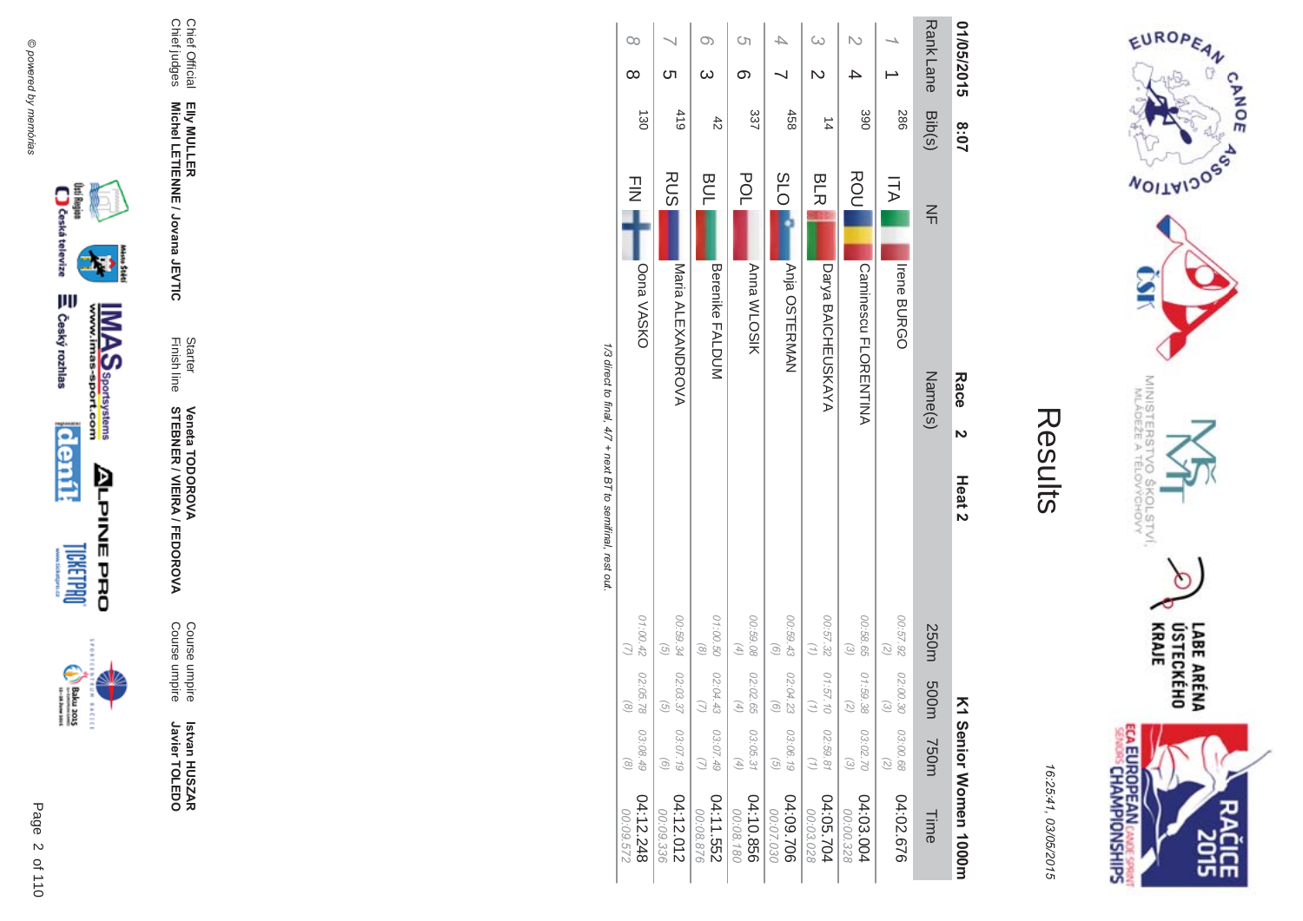



| ŗ.<br>L |
|---------|
|         |
|         |
|         |
|         |
|         |

|                        |                               |                                |                                                            | 1/3 direct to final, 4/7 + next BT to semifinal, rest out |               |                |            |          |
|------------------------|-------------------------------|--------------------------------|------------------------------------------------------------|-----------------------------------------------------------|---------------|----------------|------------|----------|
| 04:12.248<br>223'60:00 | 03:08.49<br>$\odot$           | 02:05.78<br>$\widehat{\alpha}$ | 01:00.42                                                   | Oona VASKO                                                | $\frac{1}{2}$ | $\frac{1}{30}$ | $\infty$   | $\infty$ |
| 04:12.012<br>00:09.336 | 03:07.19<br>$\odot$           | 02:03.37<br>G,                 | 00:59.34<br>$\left( 9\right)$                              | Maria ALEXANDROVA                                         | <b>RUS</b>    | 419            | ဟ          |          |
| 04:11.552<br>00:08.876 | 03:07.49<br>$\overline{z}$    | 02:04.43<br>Ξ                  | 01:00.50<br>$\circledcirc$                                 | <b>Berenike FALDUM</b>                                    | <b>BUL</b>    | 42             | ω          | O)       |
| 04:10.856<br>00:08.180 | 03:05.31<br>$\left( 4\right)$ | 02:02.65<br>G,                 | 00:59.08<br>$\left( \begin{matrix} 4 \end{matrix} \right)$ | <b>Anna WLOSIK</b>                                        | POL           | 337            | တ          | S)       |
| 04:09.706<br>02.07.030 | 03:06.19<br>$\widehat{G}$     | 02:04.23<br>G                  | 00:59.43<br>$\left( 9\right)$                              | Anja OSTERMAN                                             | <b>PLO</b>    | 458            |            |          |
| 4:05.704<br>00:03.028  | 02:59.81<br>$\binom{7}{1}$    | 01:57.10                       | 00:57.32<br>$\binom{7}{1}$                                 | Darya BAICHEUSKAYA                                        | <b>BLR</b>    | $\frac{1}{4}$  |            | ω        |
| 04:03.004<br>00:00.328 | 03:02.70<br>$\omega$          | 01:59.38<br>$\widehat{\sim}$   | 00:58.65<br>$\omega$                                       | <b>Caninescript PLORENTINA</b>                            | ROU           | 390            |            |          |
| 04:02.676              | 03:00.68<br>(2)               | 02:00.30<br>ದ                  | 26'2'00<br>$\binom{2}{2}$                                  | <b>Irene BURGO</b>                                        | ITA I         | <b>286</b>     |            |          |
| Time                   | <b>T50m</b>                   | m005                           | 250m                                                       | Name(s)                                                   | $\leq$        | Bib(s)         | Rank Lane  |          |
| 1 Senior Women 1000m   |                               | ⋝                              |                                                            | Race<br>N<br>Heat <sub>2</sub>                            |               | 2:07           | 01/05/2015 |          |

/3 direct to final,  $4/7 +$  next BT to semifinal, rest out л,





 **Betvan HUSZAR** Istvan HUSZAR<br>Javier TOLEDO Javier TOLEDO

Course umpire

**MA** 

Finish line **STEBNER \$ -Veneta TODOR \*\$'**

**Starter** 

**EIIy MULLER** Elly MULLER<br>Michel LETIENNE / Jovana JEVTIC **Michel LETIENNE / Jovana JEVTIC** 

Chief Official<br>Chief judges Chief judges

Chief Official

Course umpire<br>Course umpire Course umpire

A/FEDOR

Page  $\overline{a}$ 2 of 110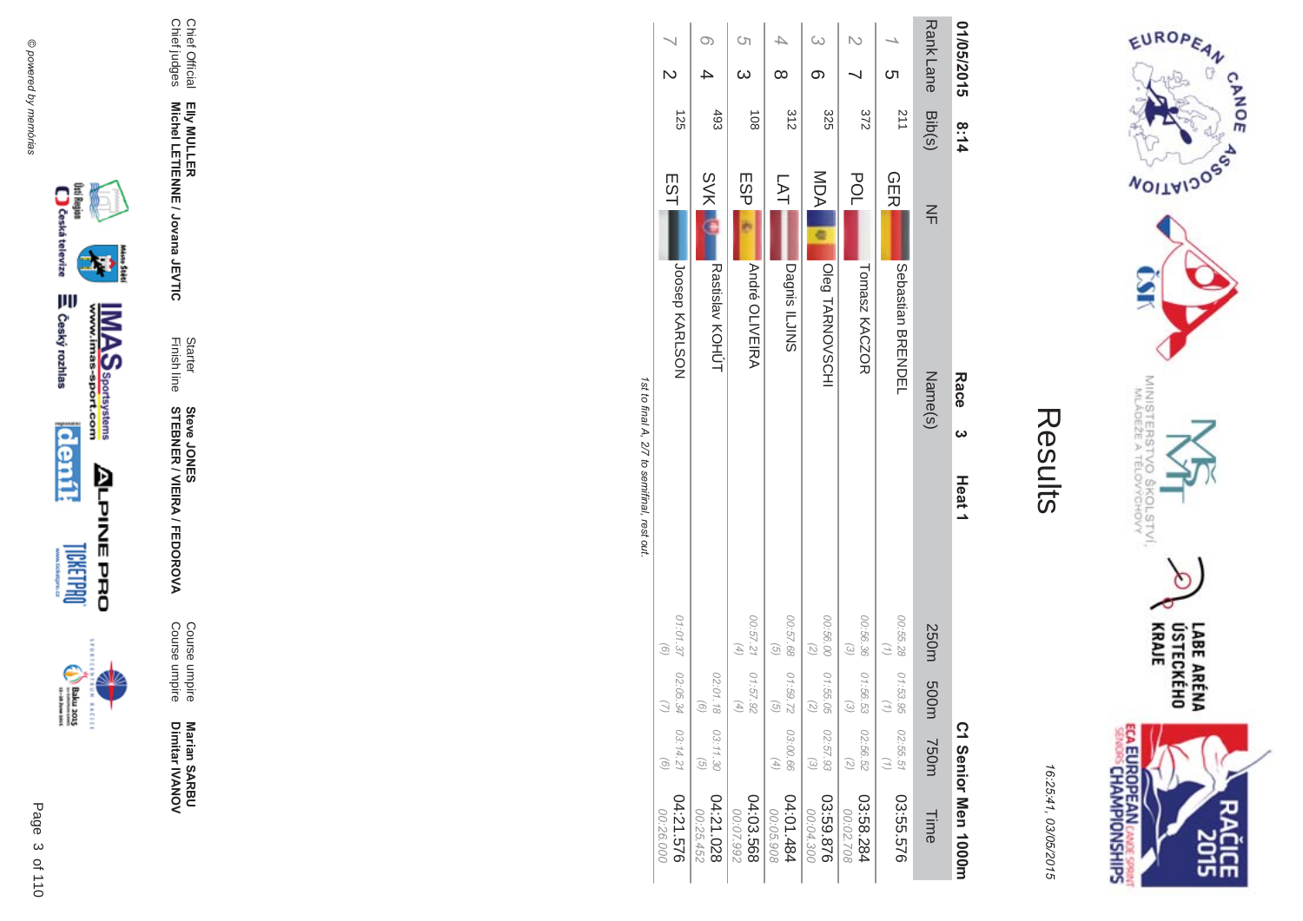



| 01/05/2015      | 8:14            | Race<br>ω                       | Heat <sub>1</sub>                          |                                     |                                        | C1 Senior Men 1000m     |
|-----------------|-----------------|---------------------------------|--------------------------------------------|-------------------------------------|----------------------------------------|-------------------------|
| <b>RankLane</b> | Bib(s)          | $\leq$<br>Name(s)               |                                            | 250m 500m                           | <b>750m</b>                            | Time                    |
| ທ               | 112             | <b>GER</b><br>Sebastian BRENDEL | 00:55.28                                   | 01:53.95                            | 02:55.51                               | 03:55.576               |
|                 | 372             | POL<br>Tomasz KACZOR            | 00:56.36<br>$\omega$                       | 01:56.53<br>$\widehat{\omega}$      | 02:56.52<br>(5)                        | 482.88.284<br>00:02.708 |
|                 | 325             | MDA<br>Oleg TARNOVSCHI          | 00:56.00<br>$\binom{2}{2}$                 | 01:55.05<br>$\widehat{\mathcal{N}}$ | 02:57.93<br>$\left(\frac{2}{2}\right)$ | 03:59.876<br>00:04.300  |
|                 | 312             | LAT<br>Pagnis ILJINS            | $\left(\frac{1}{2}\right)$                 | 00:57.68 01:59.72<br>୕ୄ             | 03:00.66<br>A)                         | 04:01.484<br>00:05.908  |
| <b>(</b> ၂      | $\frac{108}{2}$ | ESP<br><b>André OLIVEIRA</b>    | 00:57.21 01:57.9:<br>$\left( 4\right)$     |                                     |                                        | 04:03.568<br>00:07.992  |
|                 | 493             | <b>SVK</b><br>Rastislav KOHÚT   |                                            | 02:01.18<br>G.                      | 03:11.30<br>$\widehat{G}$              | 04:21.028<br>00:25.452  |
|                 | 125             | ESTI<br><b>DOSPION KARLSON</b>  | $\left( 9\right)$                          | 01:01.37 02:05.34<br>Ξ              | 03:14.21<br>o,                         | 04:21.576<br>00:26.000  |
|                 |                 |                                 | the final D.M. O.M. Camifinal read the out |                                     |                                        |                         |

1st to final A, 2/7 to semitinal, rest out. st to final A, 2/7 to semifinal, rest out.







**Marian SAR Marian SARBU**<br>Dimitar IVANOV Dimitar **IVANOV** 

**MA** Course umpire<br>Course umpire Course umpire Course umpire

**\$ -**A/FEDOR

Finish line Starter **STEBNER Steve JONES** 

Elly MULLER<br>Michel LETIENNE / Jovana JEVTIC **Michel LETIENNE / Jovana JEVTIC** 

Chief Official<br>Chief judges Chief judges Chief Official **EIIy MULLER** 

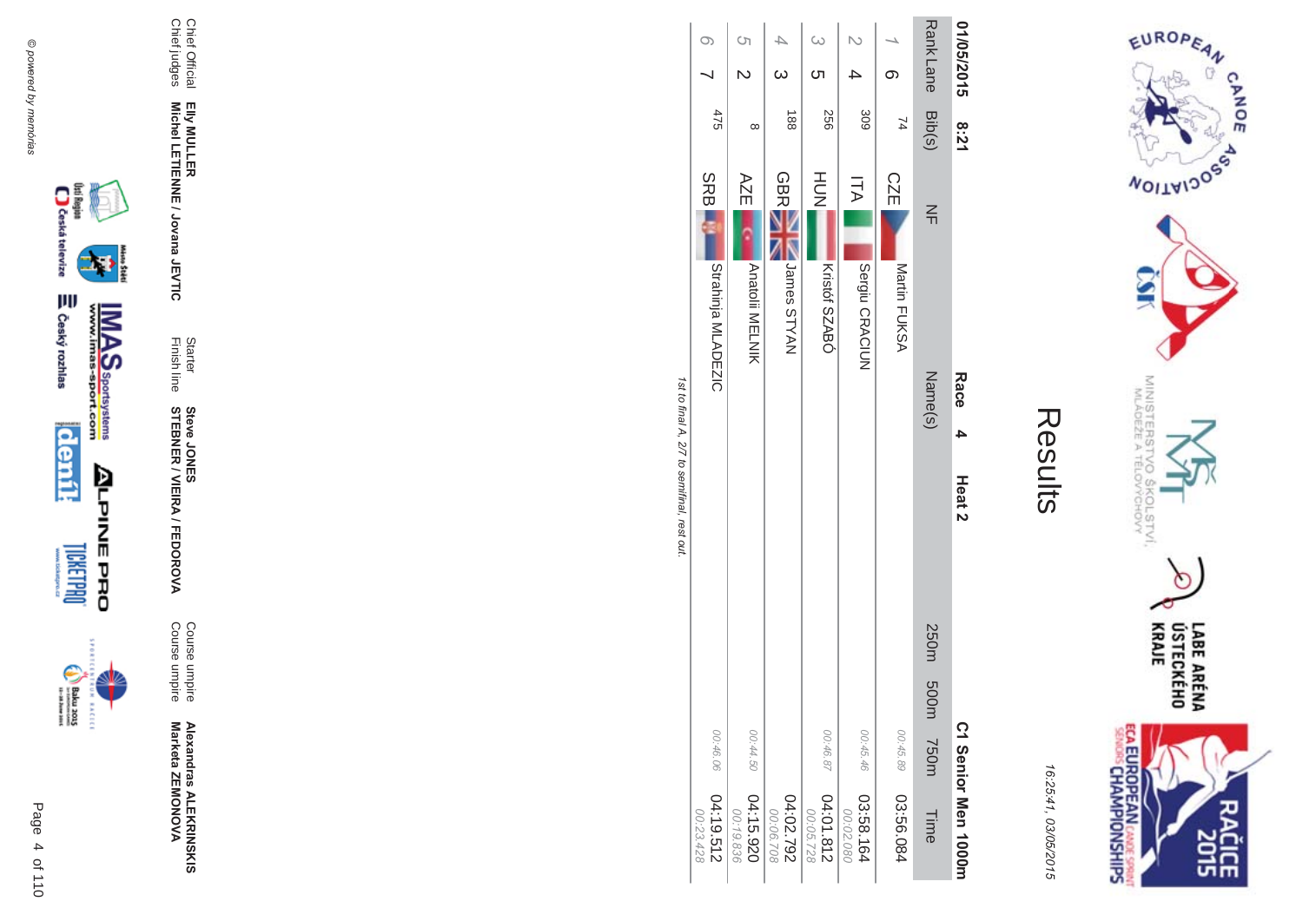

EUROPEAN

### Results

16:25:41, 03/05/2015

| 01/05/2015 8:21 |                  | Race<br>4<br>Heat <sub>2</sub>   |                          | C <sub>1</sub> Senior Nen 1000m |
|-----------------|------------------|----------------------------------|--------------------------|---------------------------------|
| <b>RankLane</b> | Bib(s)           | $\leq$<br>Name(s)                | 250m 500m<br><b>750m</b> | Time                            |
|                 | $\overline{7}$   | <b>CZE</b><br>Martin FUKSA       | 00:45.89                 | 03:56.084                       |
| $\overline{C}$  | 309              | <b>ITA</b><br>Sergiu CRACIUN     | 00:45.46                 | 461.58.164<br>00:02.080         |
| $\omega$<br>ဟ   | 556              | HUH<br>N<br>Kristóf SZABÓ        | 00:46.87                 | 04:01.812<br>00:05.728          |
|                 | $\frac{188}{18}$ | <b>GBRE</b><br>NAYTS semel       |                          | 04:02.792<br>00:06.708          |
| <sup>ດ</sup>    | $\infty$         | AZE<br><b>Anatolii MELNIK</b>    | 00:44.50                 | 04:15.920<br>00:19.836          |
| $\circ$         | 475              | <b>SRB</b><br>Strahinja MLADEZIC | 00:46.06                 | 04:19.512<br>00:23.428          |

1st to final A, 2/7 to semifinal, rest out.

@ powered by memórias



incon

 $\begin{picture}(20,5) \put(0,0) {\put(0,0){\line(1,0){15}} \put(0,0){\line(1,0){15}} \put(0,0){\line(1,0){15}} \put(0,0){\line(1,0){15}} \put(0,0){\line(1,0){15}} \put(0,0){\line(1,0){15}} \put(0,0){\line(1,0){15}} \put(0,0){\line(1,0){15}} \put(0,0){\line(1,0){15}} \put(0,0){\line(1,0){15}} \put(0,0){\line(1,0){15}} \put(0,0){\line(1,0){15$ 

Alexandras ALEKRINSKIS<br>Marketa ZEMONOVA

Course umpire<br>Course umpire

Starter<br>Finish line **Steve JONER / VIEIRA / FEDOROVA** 

Elly MULLER<br>Michel LETIENNE / Jovana JEVTIC

Chief Official<br>Chief judges

Page 4 of 110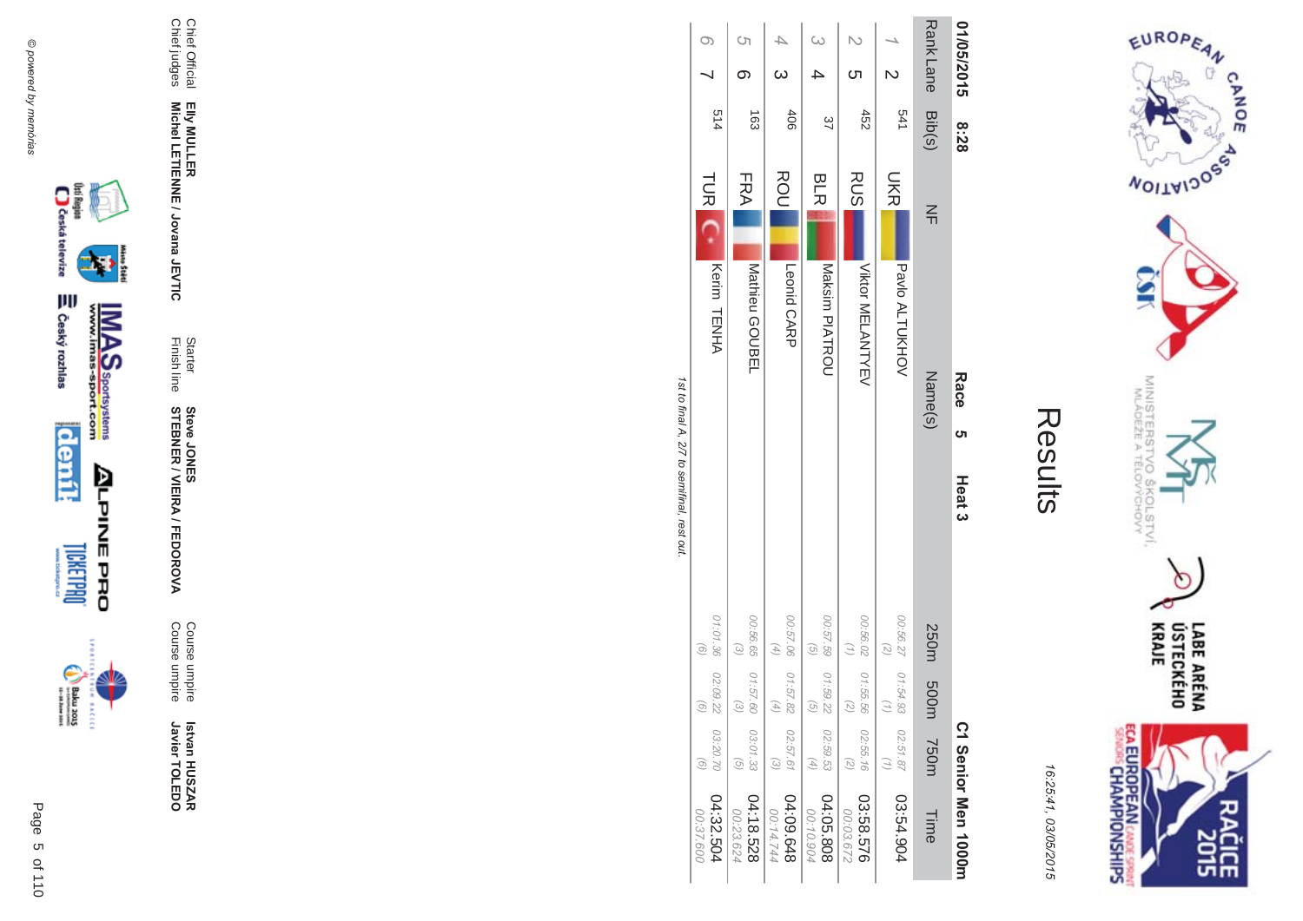



| í |
|---|
|   |
|   |

| 01/05/2015      | 8:28   |            | <b>Race</b><br>ຕ   | Heat <sub>3</sub>                    |                                |                                    | C1 Senior Men 1000m    |
|-----------------|--------|------------|--------------------|--------------------------------------|--------------------------------|------------------------------------|------------------------|
| <b>RankLane</b> | Bib(s) | $\leq$     | Name(s)            |                                      | 250m 500m                      | <b>750m</b>                        | Time                   |
|                 | 541    | <b>SKR</b> | Pavlo ALTUKHOV     | 00:56.27 01:54.93<br>(2)             |                                | 02:51.87                           | 03:54.904              |
|                 | 452    | <b>RUS</b> | Viktor NELANHYEV   | 00:56.02   01:55.56                  |                                | 02:55.16<br>(7)                    | 03:58.576<br>00:03.672 |
|                 | 37     | <b>BLR</b> | Maksim PIATROU     | 00:57.59   01:59.22<br>$\widehat{G}$ | $\widehat{\sigma}$             | 02:59.53<br>$\left( 4\right)$      | 04:05.808<br>00:10.904 |
|                 | 406    | ROU        | Leonid CARP        | 00:57.06 01:57.82<br>$(4)$           | $\overline{4}$                 | 02:57.61<br>$\widetilde{\epsilon}$ | 8+9'00:48<br>00:14.744 |
| <u>(</u>        | 163    | FRA        | Mathieu GOUBEL     | 00:56.65<br>$\widehat{\omega}$       | 01:57.60<br>$\widehat{\omega}$ | 03:01.33<br>$\widehat{G}$          | 04:18.528<br>00:23.624 |
|                 | 514    |            | TUR C. Kerim TENHA | 01:01.36 02:09.22<br>(6)             | $\widehat{\Theta}$             | 03:20.70<br>$\widehat{a}$          | 04:32.504<br>00:37.600 |

1st to final A, 2/7 to semifinal, rest out. st to final A, 2/7 to semifinal, rest out.



Chief Official

Chief Official<br>Chief judges

Chief judges

**EIIy MULLER** 

Elly MULLER<br>Michel LETIENNE / Jovana JEVTIC

Finish line Starter

**STEBNER** 

**Steve JONES** 

**\$ -**

A/FEDOR

**MA** 

Course umpire

Course umpire

Course umpire<br>Course umpire

 **Betvan HUSZAR** Istvan HUSZAR<br>Javier TOLEDO

Javier TOLEDO

**Michel LETIENNE / Jovana JEVTIC** 



**BACECE** 

Page

 $\overline{a}$ 5 of 110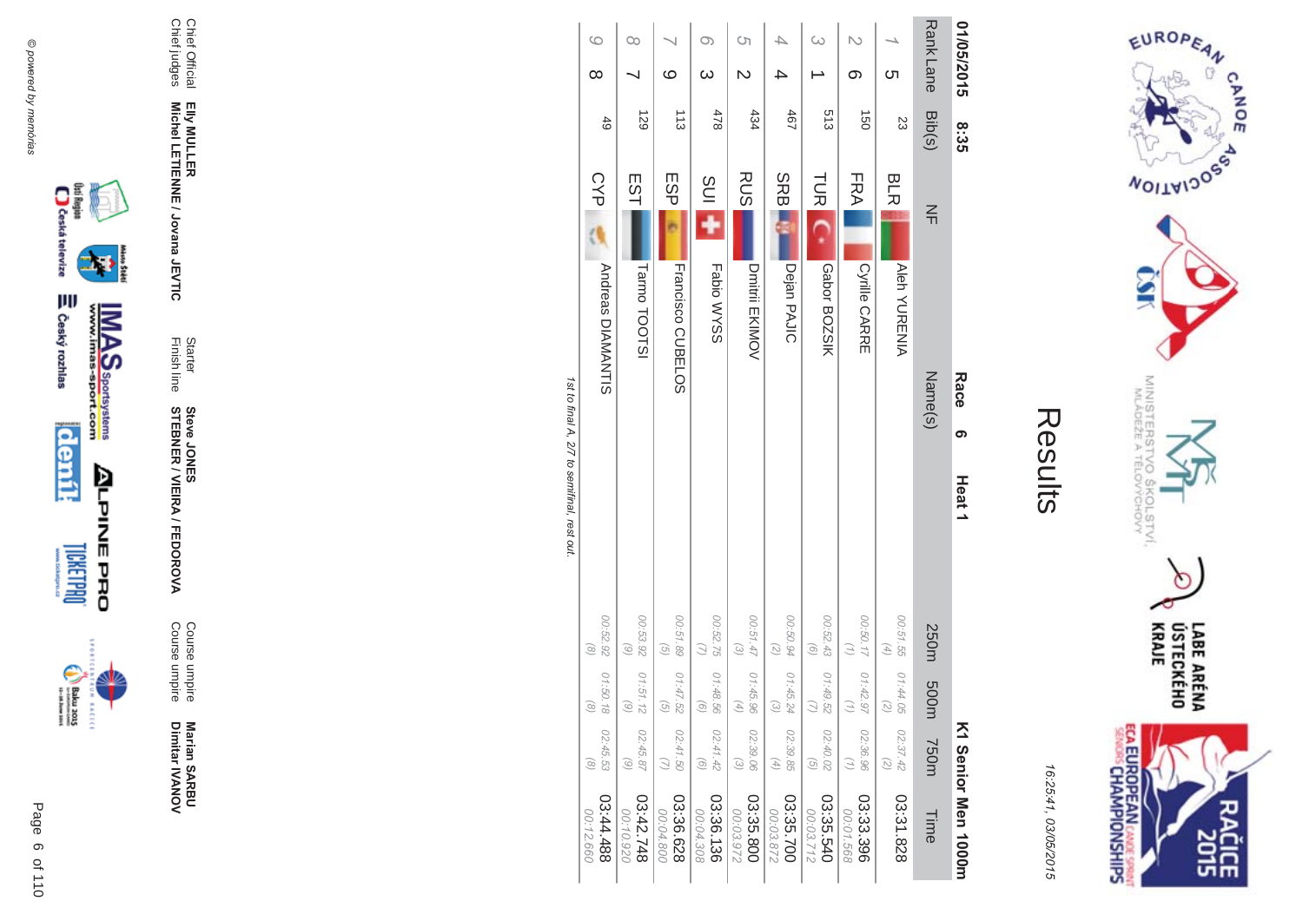



16:25:41, 03/05/2015

| 01/05/2015                    | <u>တိုး</u><br>၁၁     |                  |                          | Race<br>თ | Heat <sub>1</sub> |                                                     |                                |                               | K1 Senior Men 1000m    |
|-------------------------------|-----------------------|------------------|--------------------------|-----------|-------------------|-----------------------------------------------------|--------------------------------|-------------------------------|------------------------|
| <b>RankLane</b>               | Bib(s)                | $\leq$           |                          | Name(s)   |                   | 250m                                                | m003                           | <b>750m</b>                   | Time                   |
| <u>ဟ</u>                      | 23                    | <b>BLR</b>       | <b>Aleh YURENIA</b>      |           |                   | 00:51.55<br>$\left( \frac{4}{7} \right)$            | 01:44.05<br>5                  | 02:37.42                      | 03:31.828              |
| N<br>တ                        | $\overrightarrow{50}$ | FRA              | <b>Cyrille CARRE</b>     |           |                   | 00:50.17   01:42.97<br>$\left( \frac{1}{2} \right)$ | Ξ                              | 02:36.96<br>(1)               | 03:33.396<br>00:01.568 |
| $\omega$                      | 513                   | <b>TUR</b>       | Gabor BOZSIK             |           |                   | 00:52.43<br>$\left( 9\right)$                       | 01:49.52                       | 02:40.02<br>$\widehat{G}$     | 03:35.540<br>00:03.712 |
|                               | 467                   | <b>SRB</b>       | Dejan PAJIC              |           |                   | 00:50.94<br>$\left( 2\right)$                       | 01:45.2<br>$\widehat{\omega}$  | 02:39.85<br>$\left( 4\right)$ | 03:35.700<br>00:03.872 |
| S)<br>$\overline{\mathsf{c}}$ | 434                   | <b>RUS</b>       | Dmitrii EKIMOV           |           |                   | 00:51.47<br>$\odot$                                 | 01:45.96<br>F)                 | 02:39.06<br>$\odot$           | 03:35.800<br>00:03.972 |
| $\infty$<br>$\infty$          | 478                   | SUI <sub>1</sub> | Fabio WYSS               |           |                   | 00:52.75   01:48.56<br>$\bigcirc$                   | $\widehat{g}$                  | 02:41.42<br>$\odot$           | 03:36.136<br>00:04.308 |
| $\circ$                       | $\frac{1}{3}$         | ESP              | <b>Francisco CDBELOS</b> |           |                   | 00:51.89<br>$\left( 5\right)$                       | 01:47.52<br>$\widehat{\sigma}$ | 02:41.50<br>$\bigcirc$        | 03:36.628<br>00:04.800 |
| œ                             | 129                   | EST              | Tarmo TOOTSI             |           |                   | 00:53.92<br>(6)                                     | 01:51.12<br>$\widehat{\omega}$ | 02:45.87<br>$\odot$           | 842.748<br>00:10.920   |
| $\circ$<br>$\infty$           | $rac{4}{5}$           | CYP              | <b>Andreas DIAMANTIS</b> |           |                   | 00:52.92<br>$\circledcirc$                          | 01:50.18<br>$\odot$            | 02:45.53<br>$\odot$           | 884.44.88<br>00:12.660 |

1st to final A, 2/ to semifinal, rest out.





Page 6 of 110





₩

Elly MULLER<br>Michel LETIENNE / Jovana JEVTIC

Starter<br>Finish line

**Steve JONER / VIEIRA / FEDOROVA** 

Course umpire<br>Course umpire

Marian SARBU<br>Dimitar IVANOV

Chief Official<br>Chief judges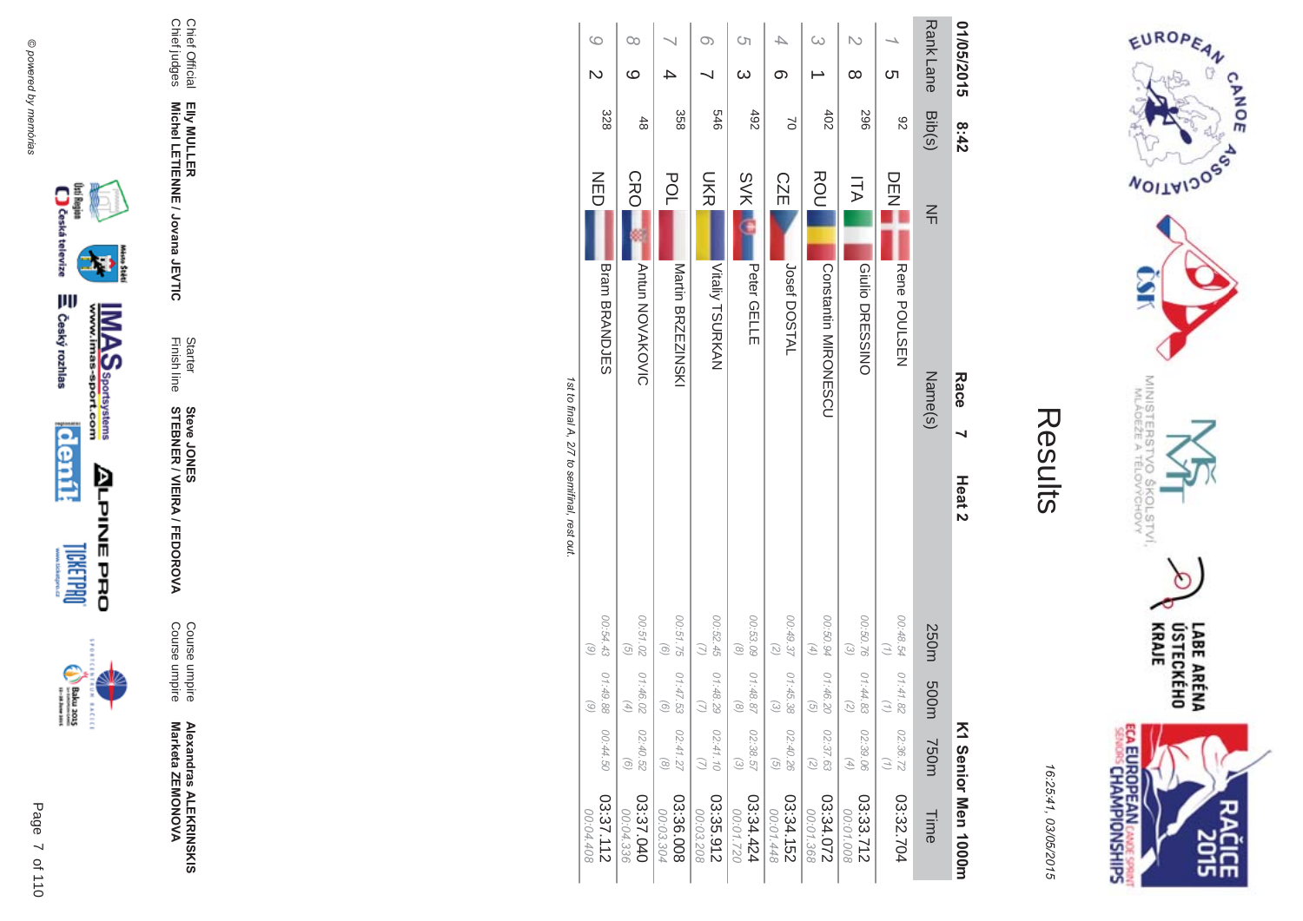



| 01/05/2015                         | 8:42        |            | Race                        | Heat <sub>2</sub>                                          |                                |                                          | <b>K1 Senior Men 1000H</b> |
|------------------------------------|-------------|------------|-----------------------------|------------------------------------------------------------|--------------------------------|------------------------------------------|----------------------------|
| <b>RankLane</b>                    | Bib(s)      | $\leq$     | Name(s)                     |                                                            | 250m 500m                      | <b>750m</b>                              | Time                       |
| <u>ဟ</u>                           | 82          | DEN        | Rene POULSEN                | 00:48.54                                                   | 01:41.82<br>$\mathcal{L}$      | 02:36.72<br>$\left(\frac{1}{2}\right)$   | 03:32.704                  |
| N<br>$\infty$                      | 967         | コム         | Giulio DRESSINO             | 00:50.76<br>$\begin{pmatrix} 2 \end{pmatrix}$              | 01:44.83<br>$\overline{z}$     | 02:39.06<br>$(4)$                        | 03:33.712<br>00:01.008     |
|                                    | 402         | ROU        | <b>Constantin MIRONESCU</b> | 00:50.94<br>$\left( \begin{matrix} 4 \end{matrix} \right)$ | 01:46.20<br>G                  | 02:37.63<br>$\binom{2}{2}$               | 23:34.072<br>00:01.368     |
| တ                                  | $\geq$      | <b>CZE</b> | Josef DOSTAL                | 00:49.37<br>$\binom{2}{2}$                                 | 01:45.38<br>્રિ                | 02:40.26<br>$\left( \frac{1}{2} \right)$ | 03:34.152<br>00:01.448     |
| Ċη<br>$\infty$                     | 492         | <b>SVK</b> | Peter GELLE                 | 00:53.09<br>$\circledcirc$                                 | 01:48.87<br>$\widehat{\infty}$ | 02:38.57<br>$\odot$                      | 03:34.424<br>00:01.720     |
| თ                                  | 979         | <b>SKR</b> | Vitaliy TSURKAN             | 00:52.45<br>$\left( \right)$                               | 01:48.29                       | 02:41.10                                 | 03:35.912<br>00:03.208     |
| 4                                  | 358         | POL        | Martin BRZEZINSKI           | 00:51.75<br>$\odot$                                        | 01:47.53<br>ි                  | 02:41.27<br>$\circledcirc$               | 03:36.008<br>00:03.304     |
| 00<br>ဖ                            | $rac{4}{8}$ | CRO        | <b>Antun NOVAKOVIC</b>      | 00:51.02<br>$\overline{G}$                                 | 01:46.02<br>F)                 | 02:40.52<br>$\odot$                      | 03:37.040<br>00:04.336     |
| $\circ$<br>$\overline{\mathsf{C}}$ | 328         | NED        | <b>Bram BRANDJES</b>        | 00:54.43<br>$\odot$                                        | 01:49.88<br>$\widehat{\omega}$ | 00:44.50                                 | 03:37.112<br>00:04.408     |

1st to final A, 2/7 to semifinal, rest out. st to final A, 2/7 to semifinal, rest out.

()si Region<br>Caska televize **E** Český rozhlas **MAS**<br>Walla Sportsystems **deník ALPINE PRO DRETPRO** 31045



Page

 $\overline{a}$ 7 of 110

**Alexandras ALEKR Alexandras ALEKRINSKIS<br>Marketa ZEMONOVA** Marketa ZEMONOVA

Course umpire

A/FEDOR

**STEBNER \$ -**

**EIIy MULLER** 

Chief Official<br>Chief judges Chief judges Chief Official

@ powered by memórias @ powered by memórias

Course umpire<br>Course umpire Course umpire

**MA** 

Finish line Starter **Steve JONES** 

Elly MULLER<br>Michel LETIENNE / Jovana JEVTIC **Michel LETIENNE / Jovana JEVTIC**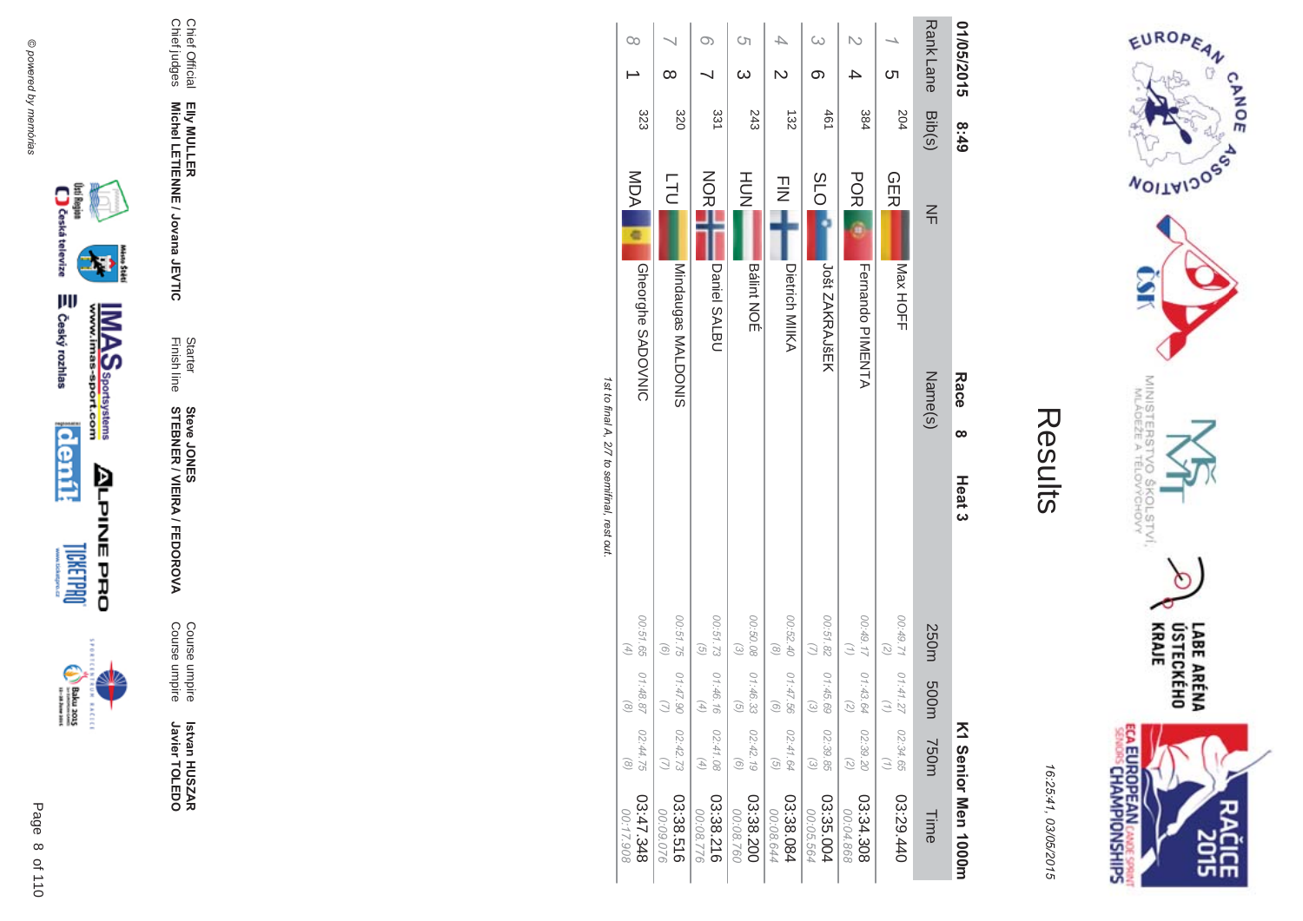

Results

16:25:41 03/05/201  $\overline{(\overline{n})}$ 

| 01/05/2015              | 8:49   | Race                                   | $\infty$ | Heat <sub>3</sub>                           |                                                            |                                                                   |                                                            | K1 Senior Men 1000H    |
|-------------------------|--------|----------------------------------------|----------|---------------------------------------------|------------------------------------------------------------|-------------------------------------------------------------------|------------------------------------------------------------|------------------------|
| <b>Rank Lane</b>        | Bib(s) | $\leq$                                 | Name(s)  |                                             | 250m 500m                                                  |                                                                   | 750m                                                       | Time                   |
| ຕ                       | 204    | <b>GER</b><br>Max HOFF                 |          |                                             | 126700<br>$\overline{z}$                                   | 01:41.27<br>$\binom{n}{2}$                                        | 02:34.65<br>$\binom{7}{2}$                                 | 03:29.440              |
|                         | 384    | <b>POR</b><br><b>Heriando PINENTA</b>  |          |                                             | 00:49.17 01:43.64<br>$\binom{7}{1}$                        | $\left(\begin{matrix} 7 \end{matrix}\right)$                      | 02:39.20<br>$\left( \frac{1}{\zeta}\right)$                | 03:34.308<br>00:04.868 |
|                         | 461    | 300<br>Jošt ZAKRAJŠEK                  |          |                                             | 00:51.82                                                   | 01:45.69<br>$\begin{pmatrix} 2 \end{pmatrix}$                     | 02:39.85<br>$\omega$                                       | 03:35.004<br>00:05.564 |
| $\overline{\mathsf{c}}$ | 132    | $\frac{1}{2}$<br><b>Dietrich MIIKA</b> |          |                                             | 00:52.40<br>$\left( \circ \right)$                         | 01:47.56<br>$\begin{pmatrix} 0 \end{pmatrix}$                     | 02:41.64<br>$\left(\frac{1}{2}\right)$                     | 03:38.084<br>00:08.644 |
| S)<br>$\omega$          | 243    | HOH<br><b>Bálint NOÉ</b>               |          |                                             | 00:50.08<br>$\odot$                                        | 01:46.33<br>$\begin{array}{c} \textcircled{\small 2} \end{array}$ | 02:42.19<br>$\odot$                                        | 03:38.200<br>00:08.760 |
|                         | 331    | NORM<br>Daniel SALBU                   |          |                                             | 00:51.73 01:46.16<br>$\overline{G}$                        | $\left( 4\right)$                                                 | 02:41.08<br>$\left( \begin{matrix} 4 \end{matrix} \right)$ | 03:38.216<br>00:08.776 |
| ∞                       | 320    | <b>LTU</b><br>Mindaugas MALDONIS       |          |                                             | 00:51.75<br>$\left( 9\right)$                              | 01:47.90<br>$\bigcirc$                                            | 02:42.73                                                   | 03:38.516<br>00:09.076 |
| $\infty$                | 323    | <b>MDA</b><br><b>Gheorghe SADOVNIC</b> |          |                                             | 00:51.65<br>$\left( \begin{matrix} 4 \end{matrix} \right)$ | 01:48.87<br>$\circledcirc$                                        | 02:44.75<br>$\odot$                                        | 842.348<br>00:17.908   |
|                         |        |                                        |          | 1st to final A, 2/7 to semifinal, rest out. |                                                            |                                                                   |                                                            |                        |

st to final A, 2/7 to semifinal, rest out.







 **Betvan HUSZAR** Istvan HUSZAR<br>Javier TOLEDO Javier TOLEDO

Course umpire<br>Course umpire Course umpire Course umpire

A/FEDOR **MA** 

Finish line Starter **STEBNER \$ -Steve JONES** 

**EIIy MULLER** Elly MULLER<br>Michel LETIENNE / Jovana JEVTIC **Michel LETIENNE / Jovana JEVTIC** 

Chief Official<br>Chief judges Chief judges Chief Official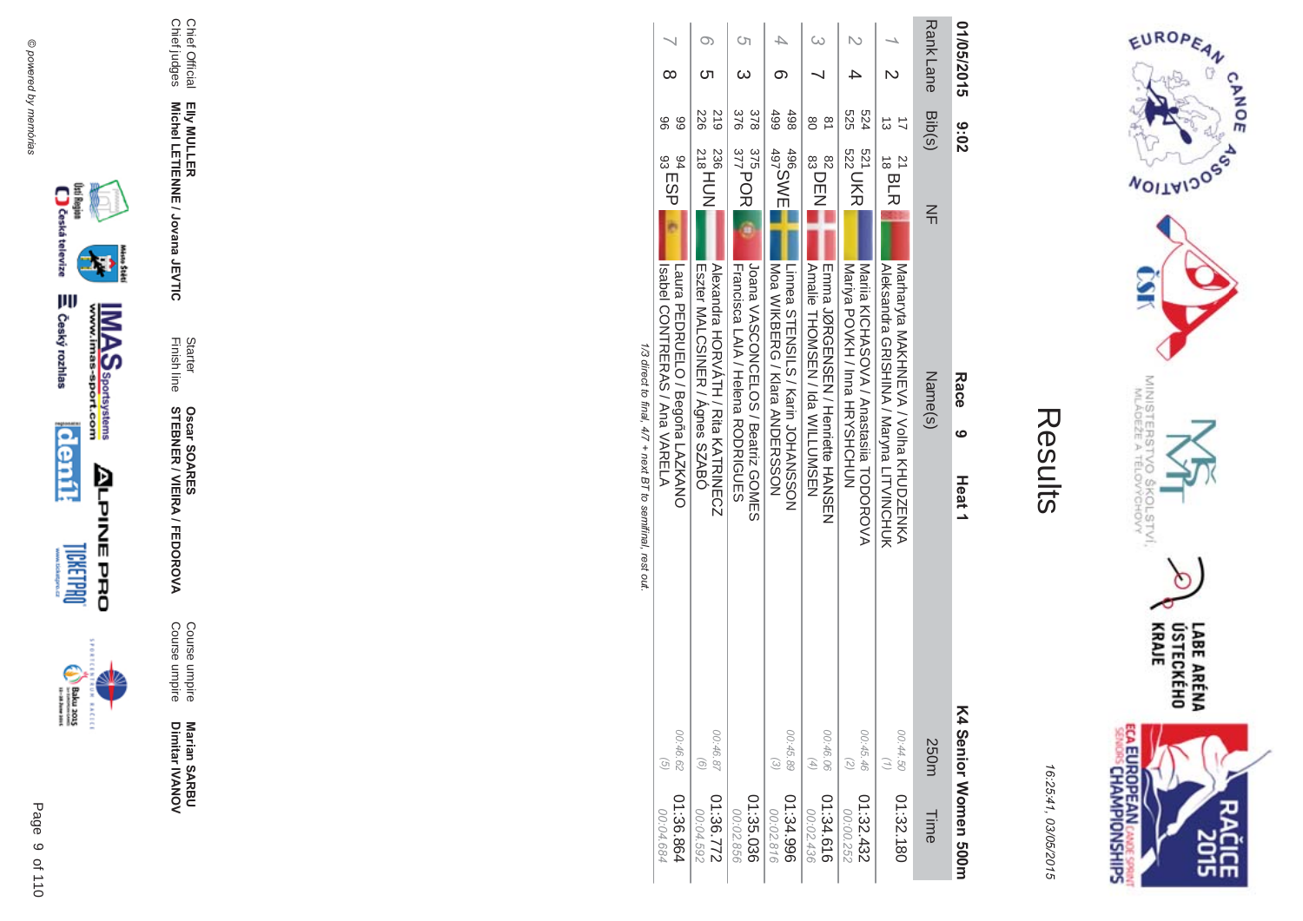



| ŗ. |
|----|
|    |
|    |
|    |
|    |

| 01/05/2015      | <b>8:02</b>                                                     | Race<br>ဖ<br>Heat <sub>1</sub>                                                                                        | K4 Senior Momen 500H             |
|-----------------|-----------------------------------------------------------------|-----------------------------------------------------------------------------------------------------------------------|----------------------------------|
| <b>RankLane</b> | Bib(s)<br>$\leq$                                                | Name(s)                                                                                                               | 250m                             |
|                 | $^{21}_{18}$ BLR                                                | Matharyta MAKHME/A / Volta KHUDZENKA <br>Aleksandra GRISHINA / Maryna LITVINCHUK                                      | 00:44.50                         |
|                 | 525<br>524<br>521 UKR                                           | Nariia KICHASOVA / Anastasiia HODOROVA<br>Mariya POVKH / Inna HRYSHOHUN                                               | 00:45.46                         |
|                 | 80<br>$\frac{\infty}{\infty}$<br>82<br>83<br>83<br>83           | Amaile THOMSEN / Ida WILLUMSEN<br>mmma JQRGmNSmN / Henriette HANSMN                                                   | 00:46.06<br>$(4)$                |
|                 | 499<br>498<br>496<br>497<br>497                                 | Linnea STENSILS / Karin JOHANSSON<br>  Moa WIKBERG / Klara AMDERSSOM                                                  | 00:45.89<br>$\widetilde{\omega}$ |
| Ċη              | 378<br>376<br>$\frac{375}{377}$ POR                             | Loana VASCONCELOS / Beatriz GOMES<br>Francisca LAIA / Hehaa RODRIGUES                                                 |                                  |
|                 | 612<br>226<br>$^{236}_{218}$ HDN                                | Alexandra HORVALH / Kita KALKINECN<br>Eszter MALCSINER / Agnes SZABO                                                  | 00:46.87<br>$\widehat{\circ}$    |
|                 | 88<br>96<br>$^{94}_{93}$ ESP $\overline{\phantom{0}^{94}_{92}}$ | Laura PEDRUELO / Begoña LANKANO<br>Isabel CONTRERAS / Ana VARELA                                                      | 00:46.62<br>$\circ$              |
|                 |                                                                 | <b>1/2 / 1/2 / 1/2 / 1/2 / 1/2 / 1/2 / 1/2 / 1/2 / 1/2 / 1/2 / 1/2 / 1/2 / 1/2 / 1/2 / 1/2 / 1/2 / 1/2 / 1/2 / 1/</b> |                                  |

1/3 direct to final,  $4/7$  + next B  $\prime$  to semitinal, rest out. /3 direct to final,  $4/7 +$  next BT to semifinal, rest out







**Marian SAR Marian SARBU**<br>Dimitar IVANOV Dimitar **IVANOV** 

**MA** Course umpire<br>Course umpire Course umpire Course umpire

**STEBNER \$ -**A/FEDOR **Oscar SOAR** 55

Finish line Starter

Chief Official<br>Chief judges Chief judges Chief Official

Elly MULLER<br>Michel LETIENNE / Jovana JEVTIC **Michel LETIENNE / Jovana JEVTIC** 

**EIIy MULLER**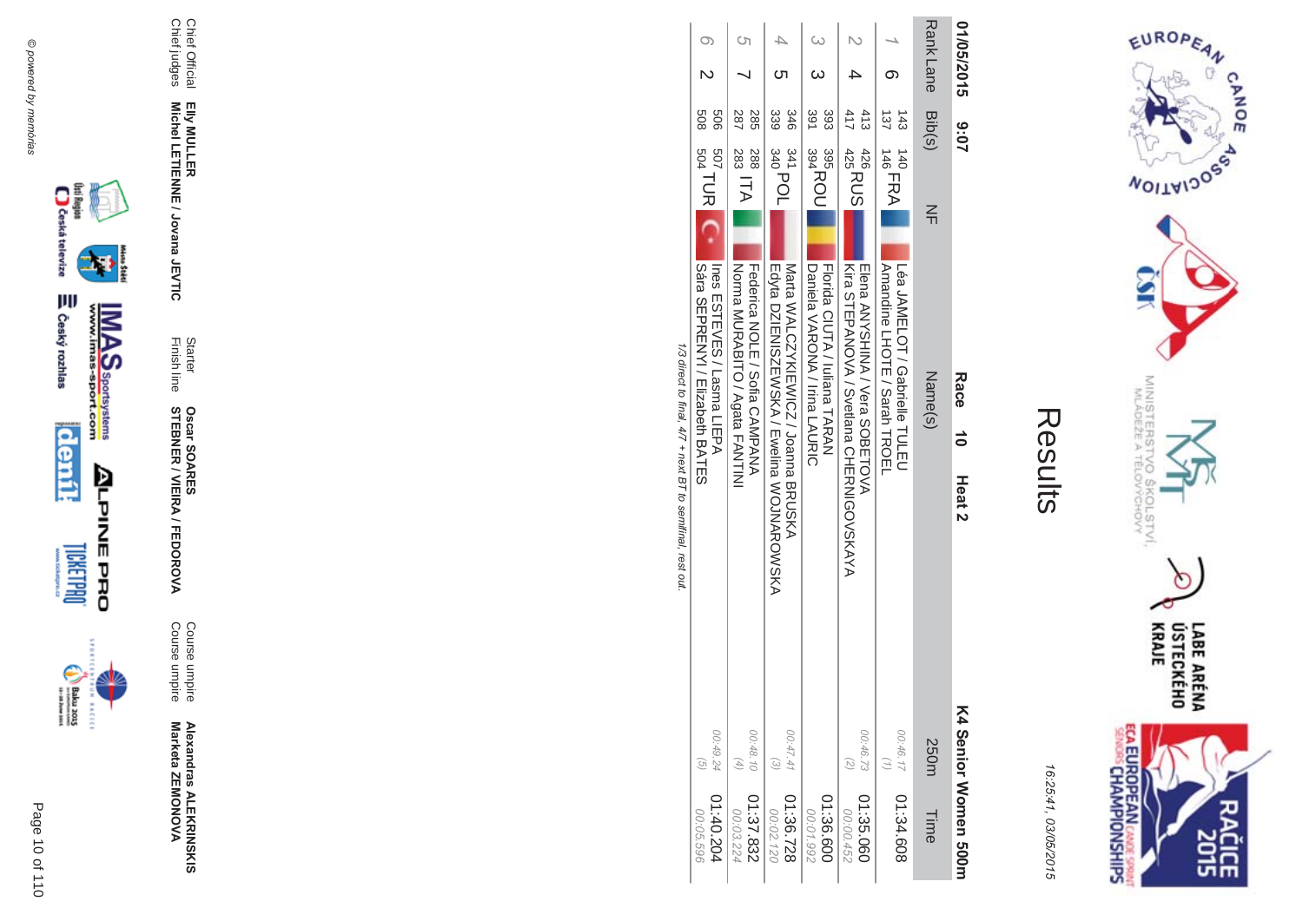



16:25:41, 03/05/2015

| 01/05/2015       | 3:07                                                   | Race<br>$\frac{1}{\sigma}$<br>Heat 2                                            |                           | K4 Senior Momen 200m   |
|------------------|--------------------------------------------------------|---------------------------------------------------------------------------------|---------------------------|------------------------|
| <b>Rank Lane</b> | Bib(s)<br>$\leq$                                       | Name(s)                                                                         | 250m                      | Time                   |
|                  | 137<br>143<br>$140$ FRA                                | Amandine LHOTE / Sarah TRQEL<br>Lea CANELOT / Caprielle LOLU                    | 00:46.17                  | 01:34.608              |
|                  | 411<br>413<br>426<br>425<br>425<br>425                 | <b>FIGNA VANINA / Vera SOBETO/V</b><br>Kira SHEPANOVA / Svetlana CHERNIGO/SKAYA | 00:46.73                  | 01:35.060<br>00:00.452 |
|                  | 391<br>393<br>395<br>394<br>394<br>394                 | Daniela VARONA / Irina LACRIC<br>Florida CIUTA / Icliana TARAN                  |                           | 01:36.600<br>00:01.992 |
|                  | 339<br>346<br>$^{341}_{340}$ POL                       | Eqyta DZIEZISZEWAKA / Ewelina WOJNAROWSKA<br>Mata WALCZYKIEWICZ / Joanna BRUSKA | 00:47.41                  | 01:36.728<br>00:02.120 |
|                  | 287<br>285<br>$\frac{1}{283}$ ITA $\mathbf{k}$<br>882  | NOLININ SURABITO / Agata LANTINI<br>Tederica NOLE / Sofia CANPANA               | 00:48.10<br>$(4)$         | 01:37.832<br>00:03.224 |
|                  | 809<br>909<br>$\frac{507}{504}$ TUR $\boxed{\text{C}}$ | Odra OEPAENYI / Elizabeth BAHES<br>Ines ESTEVES / Lasma LIEPA                   | 00:49.24<br>$\widehat{G}$ | 01:40.204<br>00:05.596 |

1/3 direct to final, 4/7 + next BT to semifinal, rest out.







Page 10 of 110

Starter<br>Finish line

Chief Official<br>Chief judges

Elly MULLER<br>Michel LETIENNE / Jovana JEVTIC

Course umpire<br>Course umpire

**Oscar SOARES<br>STEBNER / VIEIRA / FEDOROVA** 

Alexandras ALEKRINSKIS<br>Marketa ZEMONOVA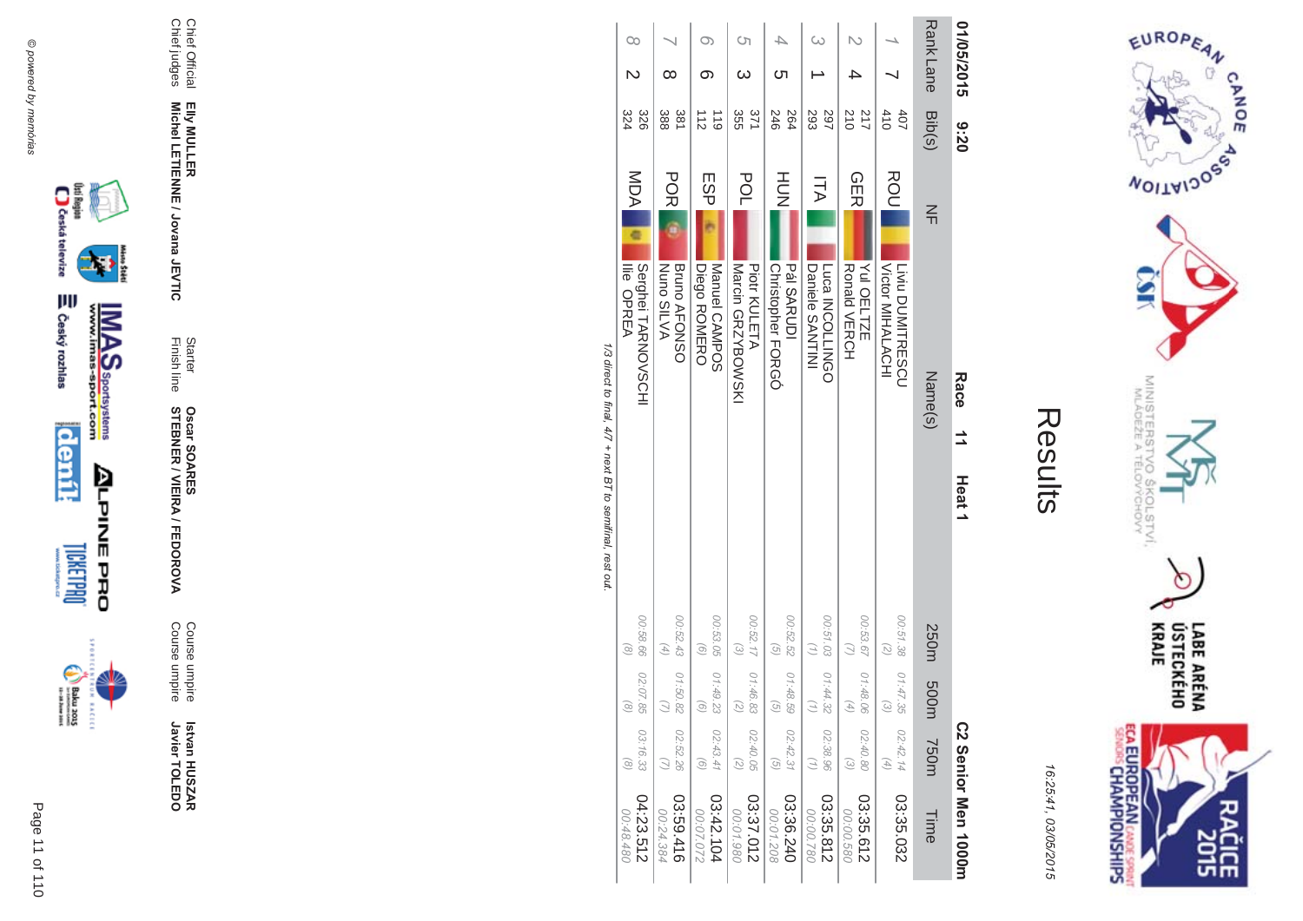













**EIIy MULLER** Elly MULLER<br>Michel LETIENNE / Jovana JEVTIC **Michel LETIENNE / Jovana JEVTIC** 

Finish line Starter

**STEBNER** 

**Oscar SOAR** 

55

**\$ -**

A/FEDOR

**MA** 

Course umpire

Course umpire

Course umpire<br>Course umpire

 **Betvan HUSZAR** Istvan HUSZAR<br>Javier TOLEDO

Javier TOLEDO

Chief Official<br>Chief judges Chief judges Chief Official

Results

EUROPEAN

**MOITAIDOS** 

MINISTERS<br>MINISTERS

°C

 $rac{50}{60}$ 

COLSTVI.<br><sup>CCHOVY</sup>

 $\circ$ 

LABE ARÉNA<br>ÚSTECKÉHO<br>KRAJE

**SHS** 

CANOE

16:25:41

**ECA EUROPEAN CANE SPRING** 

03/05/201

 $\overline{(\overline{n})}$ 

| 01/05/2015       | 07:0                           | Race<br>$\overline{1}$<br>Heat <sub>1</sub>                |                                                                                              | C2 Senior Men 1000m    |
|------------------|--------------------------------|------------------------------------------------------------|----------------------------------------------------------------------------------------------|------------------------|
| <b>Rank Lane</b> | Bib(s)                         | $\leq$<br>Name(s)                                          | 250m<br>m003<br><b>750m</b>                                                                  | Time                   |
|                  | 410<br>40 <sub>7</sub>         | <b>ROU</b><br>Victor MIHALACHI<br>Liviu DUMITRESCU         | 00:51.38<br>(7)<br>01:47.35<br>$\widehat{\omega}$<br>02:42.14<br>$(4)$                       | 03:35.032              |
|                  | 210<br>217                     | CHE<br>Yul OELTZE<br>Ronald VERCH                          | 00:53.67<br>01:48.06<br>G)<br>02:40.80<br>$\odot$                                            | 03:35.612<br>00:00.580 |
|                  | 293<br>297                     | ITA<br>Daniele SANTINI<br>Luca INCOLLINGO                  | 00:51.03<br>01:44.32<br>Ξ<br>02:38.96<br>$\binom{7}{2}$                                      | 03:35.812<br>087.00:00 |
| ഗ                | 246<br>264                     | HOH<br><b>Pál SARUDI</b><br>Christopher FORGÓ              | 00:52.52<br>$\overline{G}$<br>01:48.59<br>ତି<br>02:42.31<br>$\overline{G}$                   | 03:36.240<br>00:01.208 |
| Ċη               | 350<br>371                     | POL<br>Marcin GRZYBOWSKI<br>Piotr KULETA                   | 00:52.17<br>$\widetilde{\omega}$<br>01:46.83<br>Ω,<br>02:40.05<br>$\binom{2}{2}$             | 03:37.012<br>00:01.980 |
| σ.               | $\frac{1}{2}$<br>$\frac{1}{6}$ | ESPI<br>Diego ROMERO<br>Manuel CAMPOS                      | 00:53.05<br>$\left( 9\right)$<br>01:49.23<br>G<br>02:43.41<br>$\left( 9\right)$              | 03:42.104<br>00:07.072 |
| ∞                | 388<br>381                     | <b>POR</b><br><b>Nuno SILVA</b><br><b>Bruno AFONSO</b>     | 00:52.43<br>$\begin{pmatrix} + & - \\ - & - \end{pmatrix}$<br>01:50.82<br>02:52.26           | 03:59.416<br>00:24.384 |
| $\infty$         | 324<br>328                     | <b>MDA</b><br>ā<br>Serghei TARNOVSCHI<br><b>Ilie OPREA</b> | 00:58.66<br>$\widehat{\alpha}$<br>02:07.85<br>$\odot$<br>03:16.33<br>$\widehat{\mathcal{S}}$ | 04:23.512<br>06:48.480 |

1/3 direct to final, 4/7 + next BT to semifinal, rest out. /3 direct to final,  $4/7 +$  next BT to semifinal, rest out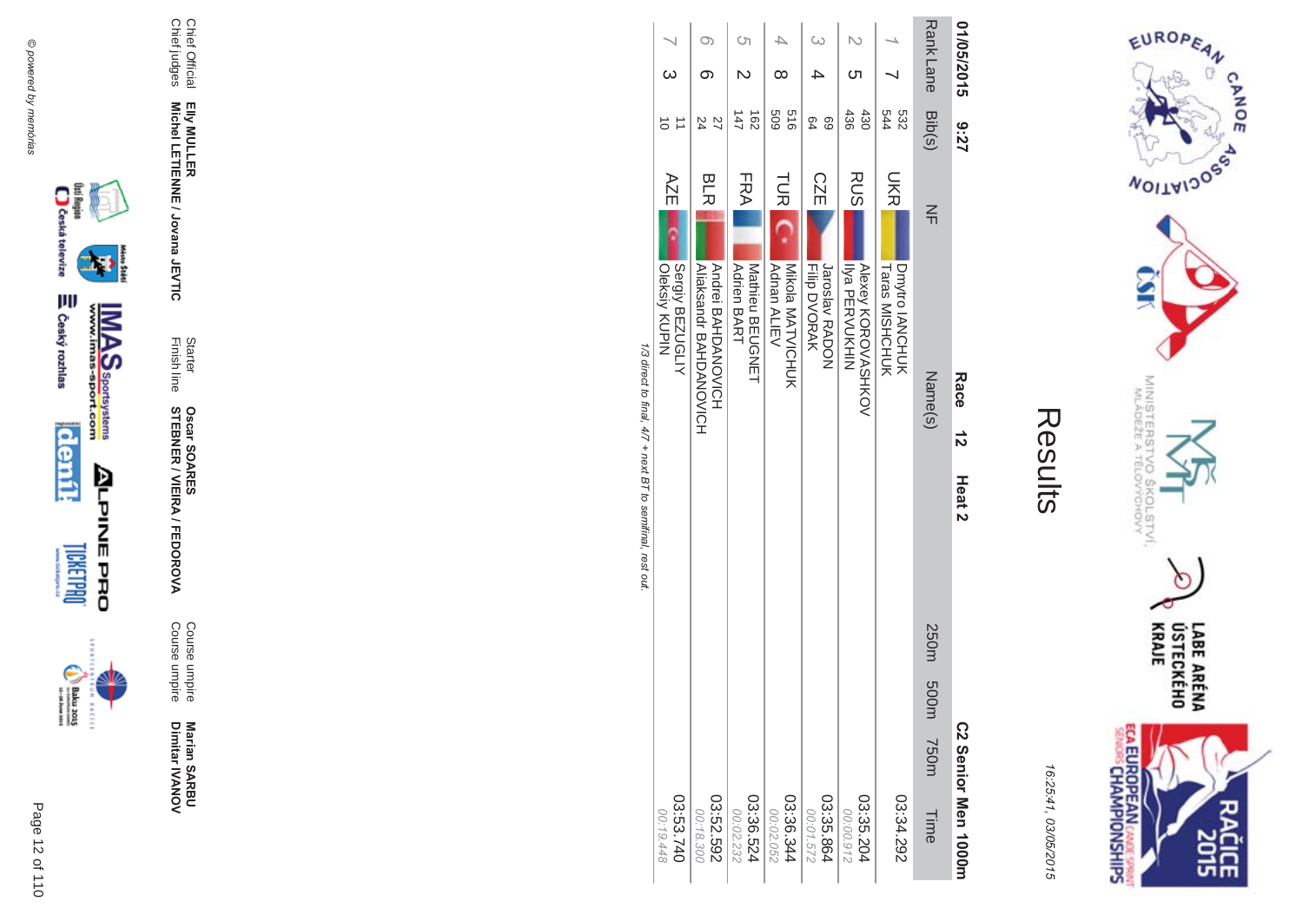



16:25:41, 03/05/2015

| 01/05/2015               |           | 27.6                   | Race<br>$\frac{1}{2}$<br>Heat <sub>2</sub>                           | C2 Senior Men 1000rr             |
|--------------------------|-----------|------------------------|----------------------------------------------------------------------|----------------------------------|
|                          |           | RankLane<br>RankLane   | $\leq$<br>Name(s)                                                    | 250m 500m<br><b>750m</b><br>Time |
|                          |           | 544<br>532             | こくこ<br><b>Taras MISHCHUK</b><br>Dmytro IANCHUK                       | 03:34.292                        |
|                          | ্য        | 436<br>430             | RUS<br>Alexey XOROVASHXOV<br><b>Ilya PERVUKHIN</b>                   | 03:35.204<br>00:00.912           |
|                          |           | 69<br>64               | <b>CZE</b><br>Jaroslav RADON<br><b>Filp DVORAK</b>                   | 03:35.864<br>00:01.572           |
|                          | $^\infty$ | 919<br>609             | <b>TUR</b><br>Nikola NATVICHOTCK<br>Adnan ALIEV                      | 03:36.344<br>00:02.052           |
| Ċη                       |           | $\overline{62}$<br>147 | FRA<br>Natrieu BEOSZEH<br><b>Adrien BART</b>                         | 03:36.524<br>00:02.232           |
|                          |           | 27<br>24               | <b>BLR</b><br>Andrei BAHDANOVICH<br><b>AIIRESBIOLENT BAHDANOVICH</b> | 03:52.592<br>00:18.300           |
| $\overline{\phantom{0}}$ |           |                        | AZE<br>Oleksiy KUPIN<br>Sergiy BEZUGLIY                              | 03:53.740<br>00:19.448           |
|                          |           |                        | 1/3 out to final, $4/7 +$ next B T to semifinal, rest out.           |                                  |

−.







Marian SARBU<br>Dimitar IVANOV

Course umpire<br>Course umpire

**Oscar SOARES<br>STEBNER / VIEIRA / FEDOROVA** 

Starter<br>Finish line

Chief Official<br>Chief judges

Elly MULLER<br>Michel LETIENNE / Jovana JEVTIC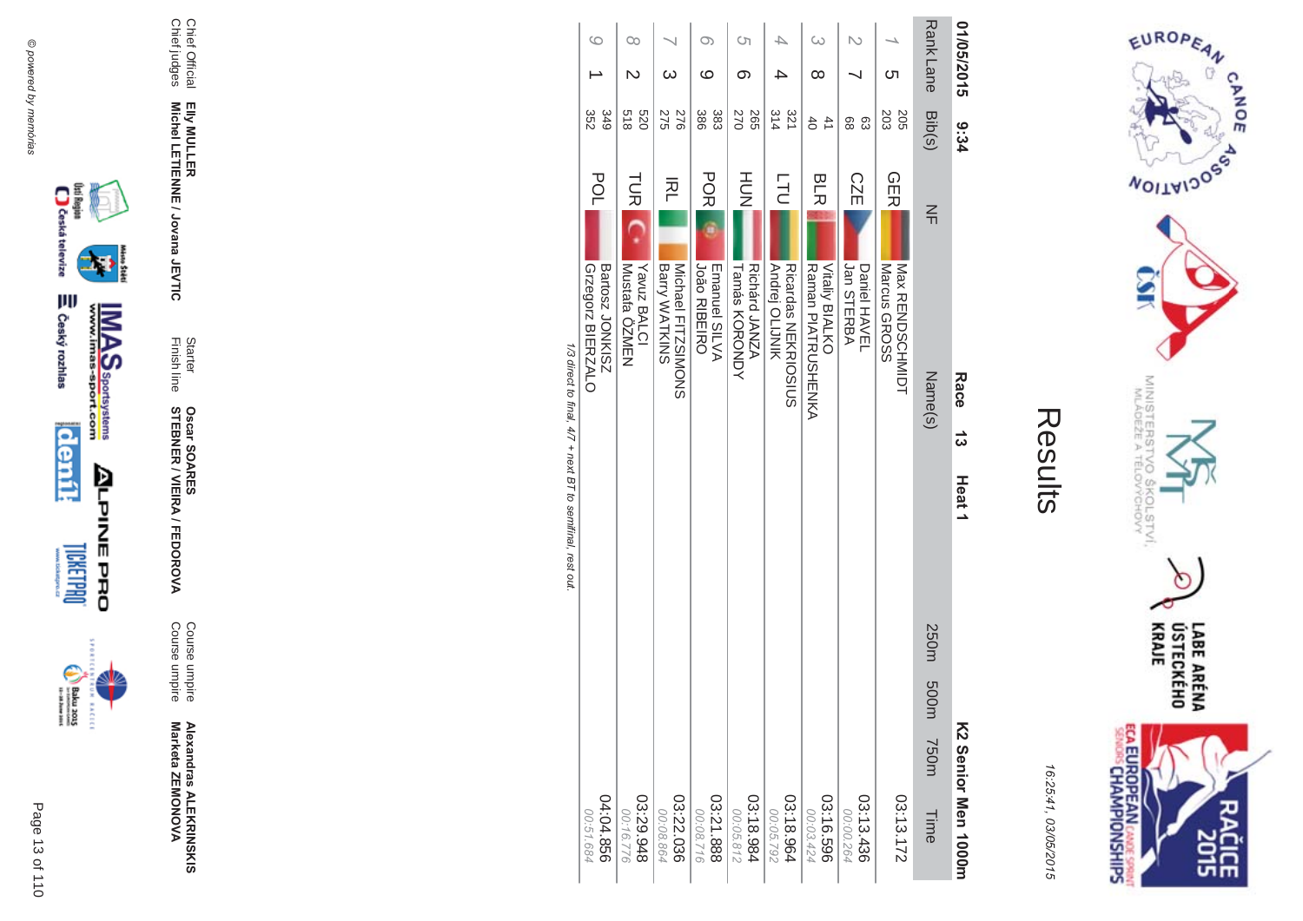$\begin{picture}(20,5) \put(0,0) {\put(0,0){\line(1,0){15}} \put(0,0){\line(1,0){15}} \put(0,0){\line(1,0){15}} \put(0,0){\line(1,0){15}} \put(0,0){\line(1,0){15}} \put(0,0){\line(1,0){15}} \put(0,0){\line(1,0){15}} \put(0,0){\line(1,0){15}} \put(0,0){\line(1,0){15}} \put(0,0){\line(1,0){15}} \put(0,0){\line(1,0){15}} \put(0,0){\line(1,0){15$ incon







Course umpire<br>Course umpire

Starter<br>Finish line **Oscar SOARES<br>STEBNER / VIEIRA / FEDOROVA** 

Chief Official<br>Chief judges Elly MULLER<br>Michel LETIENNE / Jovana JEVTIC



EUROPEAN

**WOILWIDOSS** 

MINISTERS<br>MINISTERS

°C

 $\overline{Q}_{qp}$ 

COLSTVI.<br><sup>CCHOVY</sup>

**ECA EUROPEAN CANDE SPRINT**<br>SENGIS CHAMPIONSHIPS

 $\circ$ 

LABE ARÉNA<br>ÚSTECKÉHO<br>KRAJE

**SHR** 

CANOE

| 01/05/2015       | 9:34                  | Race<br>ಕ<br>Heat <sub>1</sub>                                    | K2 Senior Men 1000m       |
|------------------|-----------------------|-------------------------------------------------------------------|---------------------------|
| <b>Rank Lane</b> | Bib(s)                | $\leq$<br>Name(s)                                                 | 250m 500m<br>750m<br>Time |
| <u>ဟ</u>         | 203<br>205            | <b>GER</b><br>Nax RENDSCHNIDH<br>Marcus GROSS                     | 03:13.172                 |
|                  | 88<br>ස               | <b>CZE</b><br>Jan STERBA<br>Daniel HAVEL                          | 03:13.436<br>00:00.264    |
| $\omega$<br>∞    | $\overline{41}$<br>40 | <b>BLR</b><br><b>Vitaliy BIALKO</b><br><b>Marran PIALECOHENAY</b> | 03:16.596<br>00:03.424    |
|                  | 314<br>321            | Ē<br>Andrej OLIJNIK<br><b>Ricardas NEKRIOSICS</b>                 | 03:18.964<br>00:05.792    |
| S<br>တ           | <b>265</b><br>270     | HOH<br>Richárd JANZA<br>Tamas KORONDA                             | 03:18.984<br>00:05.812    |
| O)<br>ဖ          | 386<br>383            | <b>PORI</b><br><b>João RIBEIRO</b><br>Emanuel SILVA               | 03:21.888<br>00:08.716    |
| $\omega$         | 927<br>275            | 짇<br>Michael FITZSIMONS<br><b>Barry WATKINS</b>                   | 03:22.036<br>00:08.864    |
| œ<br>N           | 218<br>0Z9            | <b>TUR</b><br>Yavuz BALCI<br>Mustafa ÖZMEN                        | 876'6230<br>00:16.776     |
| $\circ$          | 349<br>352            | POL<br>Grzegorz<br>BIERZALO<br><b>SINOL</b><br>Sartosz<br>JONKISZ | 04:04.856<br>00:51.684    |

1/3 direct to final, 4/7 + next BT to semifinal, rest out.

**MAS**<br>Wall **S** Sportsystems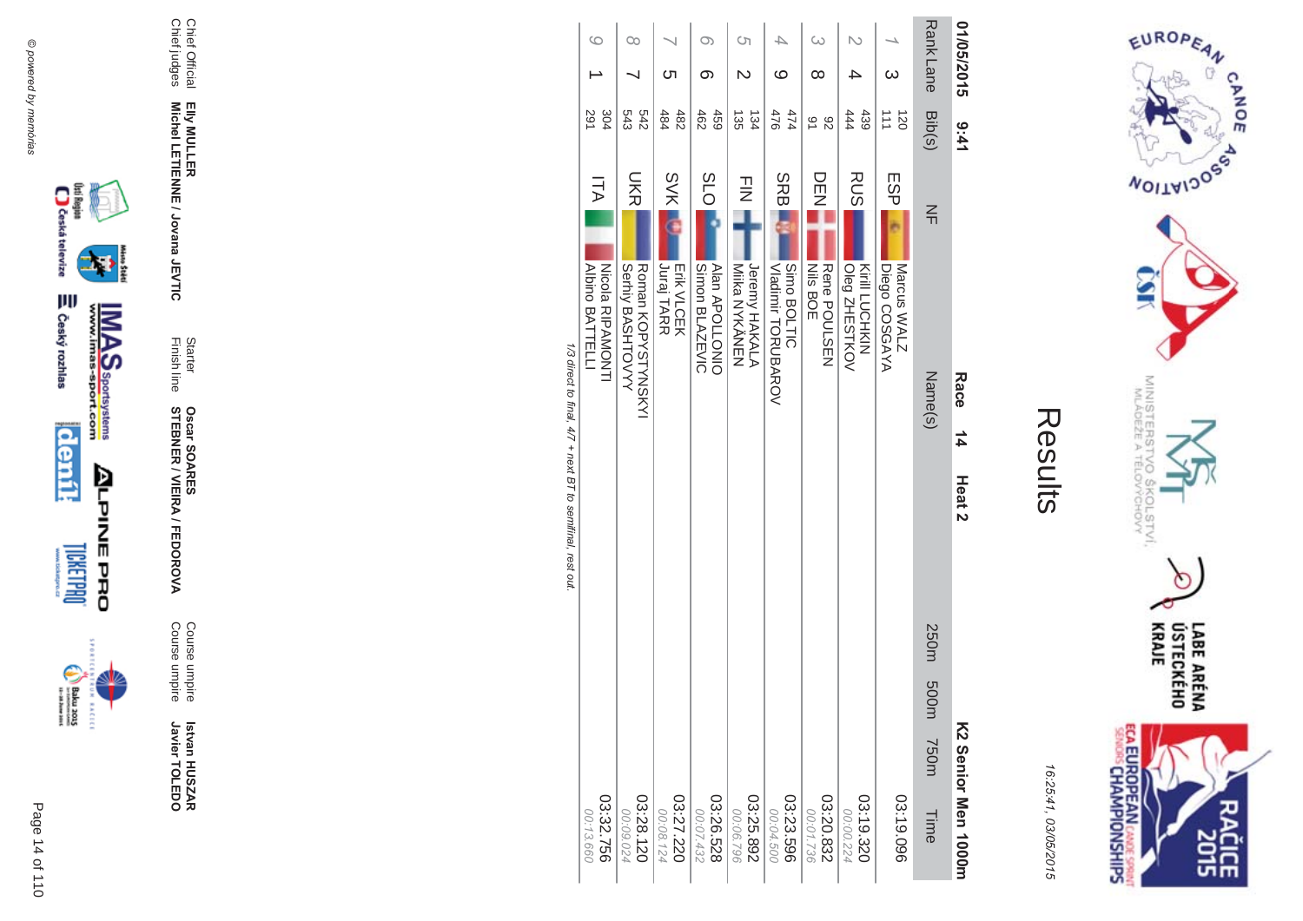

incon



Course umpire<br>Course umpire

Starter<br>Finish line **Oscar SOARES<br>STEBNER / VIEIRA / FEDOROVA** 

Chief Official<br>Chief judges Elly MULLER<br>Michel LETIENNE / Jovana JEVTIC

| 3:41                             |                           | Race<br>$\frac{1}{4}$                 | Heat 2 |               | K2 Senior |
|----------------------------------|---------------------------|---------------------------------------|--------|---------------|-----------|
| $\frac{1}{2}$ jb $\frac{1}{2}$   | $\leq$                    | Name(s)                               |        | 250m 50m 750m |           |
| $\overline{=}$<br>$\overline{8}$ | ESP                       | Diego COSGAYA<br>Marcus WALZ          |        |               |           |
| 요 4                              | <b>RUS</b>                | Oleg ZHESTKOV<br><b>Xiril LCOHXIX</b> |        |               |           |
| 91<br>82                         | ロロア                       | <b>Nils BOE</b><br>Rene POULSEN       |        |               |           |
| $\overline{5}$<br>$\overline{2}$ | SRB.                      | Simo BOLTIC<br>Vladimir TORUBAROV     |        |               |           |
| 35<br>134                        | $\overline{\overline{z}}$ | <b>Jeremy HAKALA</b><br>NIIKa NYKYNEN |        |               |           |

Rank Lane 01/05/2015

1/3 direct to final, 4/7 + next BT to semifinal, rest out.

 $\circ$ 

 $\rightarrow$ 

304 543 242

**ITA** 

Nicola RIPAMONTI<br>Albino BATTELLI

 $\infty$ 

 $\overline{\phantom{0}}$ 

**DKR** 

Roman KOPYSTYNSKYI<br>Serhiy BASHTOVYY

 $\infty$ 

တ

 $459$ <br> $462$ 

 $SO<sub>2</sub>$ 

Alan APOLLONIO<br>Simon BLAZEVIC

 $\overline{\phantom{0}}$ 

ຕ

484  $482$ 

**SVK** 

Erik VLCEK<br>Juraj TARR

 $\circ$ 

 $\mathbb N$ 

 $\overline{\rightarrow}$ 

 $\circ$ 

 $\sim$ 

 $\omega$ 

 $\infty$ 

 $\mathbb N$ 

 $\overline{\phantom{a}}$ 

 $\overline{\phantom{a}}$ 

 $\infty$ 



EUROPEAN

**VOITAIJOSS** 

MINISTERS<br>MLÁDEŽE A

COLSTVI.<br>CHOVY

 $\sigma$ 

**CANOE** 

16:25:41, 03/05/2015

Results

03:19.096 03:20.832 03:19.320 Men 1000m 00:00 Time 00:01 ξ 20 982  $754$ 

03:32.756

00:13.660

03:25.892<br>268.35.80 03:28.120 03:23.596 03:27.220 03:26.528 3 80.0C ïs, 60. 432 124 ÖO. 24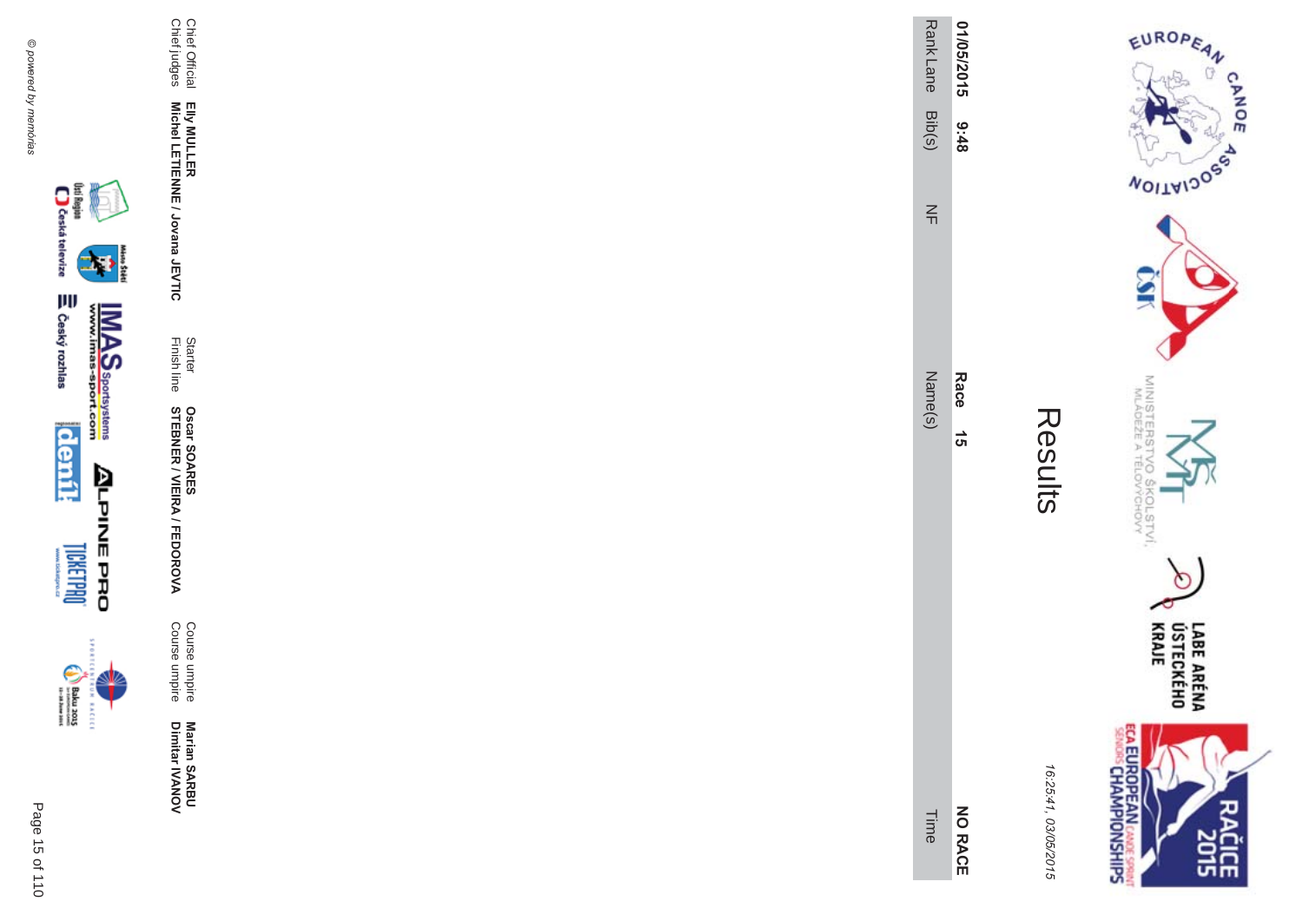Chief Official<br>Chief judges

Elly MULLER<br>Michel LETIENNE / Jovana JEVTIC

Starter<br>Finish line

**Oscar SOARES<br>STEBNER / VIEIRA / FEDOROVA** 

Course umpire<br>Course umpire

Marian SARBU<br>Dimitar IVANOV



incon

| Rank Lane Bib(s) |
|------------------|
|                  |
| $\leq$           |
| Name(s)          |
| Time             |

01/05/2015

87:6

Race

 $\vec{5}$ 

**NO RACE** 

| ١<br>٠<br>່ເ |  |
|--------------|--|
| ç<br>õ       |  |

Results



EUROPEAN

**WOILWIDOSS** 

MINISTERS<br>MINISTERS

c  $Q_{qp}$ 

COLSTVI.<br><sup>CCHOVY</sup>

 $\circ$ 

CANOE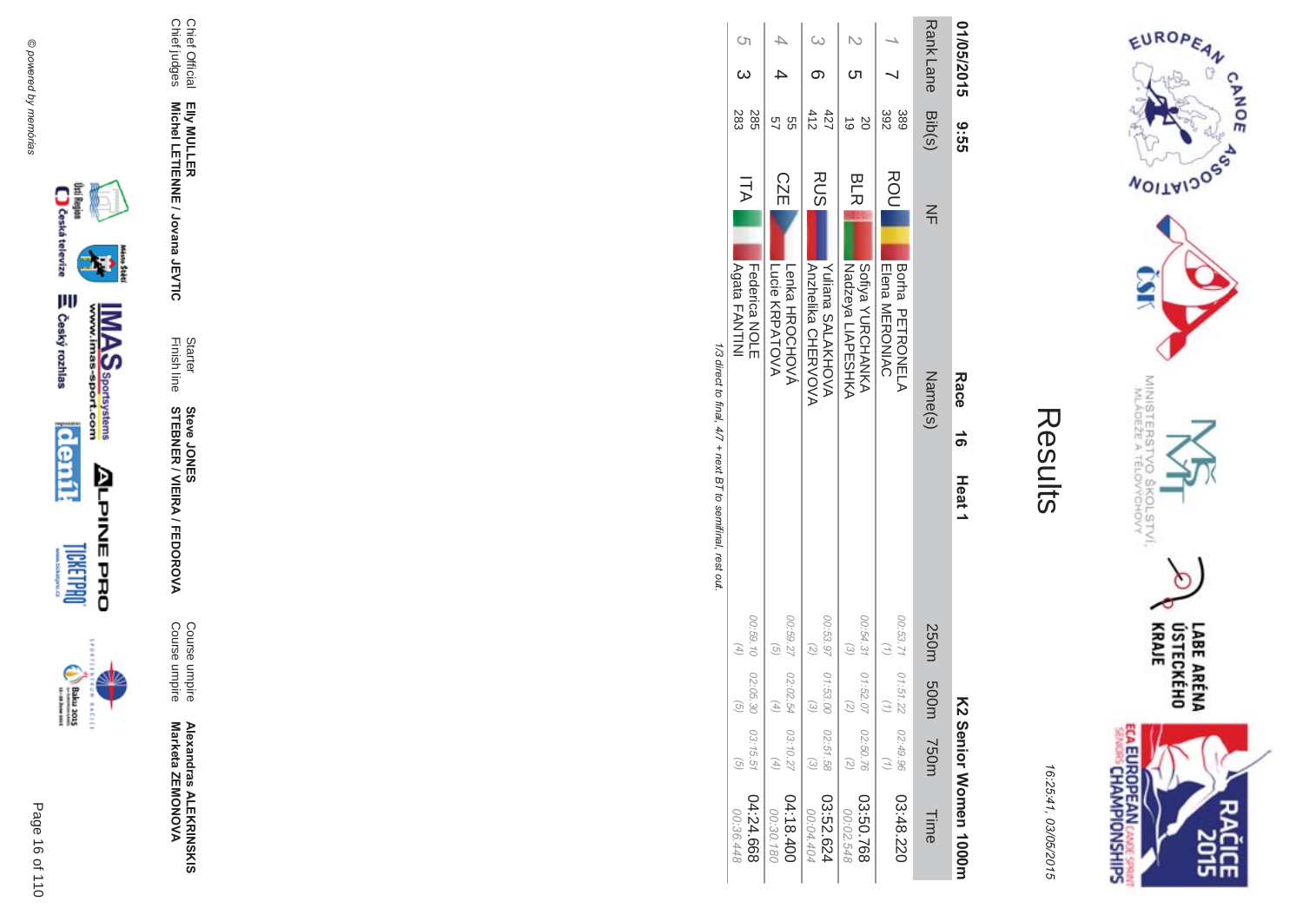



| Î. |
|----|
|    |
|    |
|    |
|    |
|    |

| 01/05/2015 9:55  |            |            | Race <sub>16</sub><br>Heat 1                               |                                            |                    |                                  | KS Senior Momen 1000m  |
|------------------|------------|------------|------------------------------------------------------------|--------------------------------------------|--------------------|----------------------------------|------------------------|
| Rank Lane Bib(s) |            | $\leq$     | Name(s)                                                    | 250m                                       | 500m 750m          |                                  | Time                   |
|                  | 392<br>389 | ROU        | <b>BOTR PETRONELY</b><br><b>Elena MERONIAC</b>             | 00:53.71   01:51.22                        |                    | 02:49.96                         | 03:48.220              |
|                  |            | <b>BLR</b> | Sofiya YURCHANKA<br>Nadzeya LIAPESHKA                      | 00:54.31   01:52.0<br>$\widehat{\epsilon}$ |                    | 02:50.76                         | 03:50.768<br>00:02.548 |
|                  | 412<br>427 | RUS        | <b>NOHNANTO</b><br><b>Anzheilka CHERVOVA</b>               | 00:53.97   01:53.00<br>$\binom{2}{2}$      | $\widehat{\omega}$ | 02:51.58<br>$\widetilde{\omega}$ | 23.52.624<br>00:04.404 |
|                  | 9g<br>5)   | <b>CZE</b> | Lucie KRPATOVA<br>Lenka HROCHOVÁ                           | 00:59.27 02:02.54<br>$\mathcal{G}$         | $\overline{4}$     | 03:10.27                         | 04:18.40<br>00:30.180  |
| S)               | 283<br>285 | ITA I      | Agata FANTINI<br>Federica<br>NOLE                          | 00:59.10 02:05.30<br>$(4)$                 | $\widehat{g}$      | 03:15.51                         | 04:24.668<br>00:36.448 |
|                  |            |            | 1/3 direct to final. 4/7 + next BT to semifinal. rest out. |                                            |                    |                                  |                        |

 $\tilde{\pi}$ ்க





**BACECE** 

**Steve JONER / VIEIRA / FEDOROVA** 

Starter<br>Finish line

Chief Official<br>Chief judges Elly MULLER<br>Michel LETIENNE / Jovana JEVTIC

Alexandras ALEKRINSKIS<br>Marketa ZEMONOVA

Course umpire<br>Course umpire

Page 16 of 110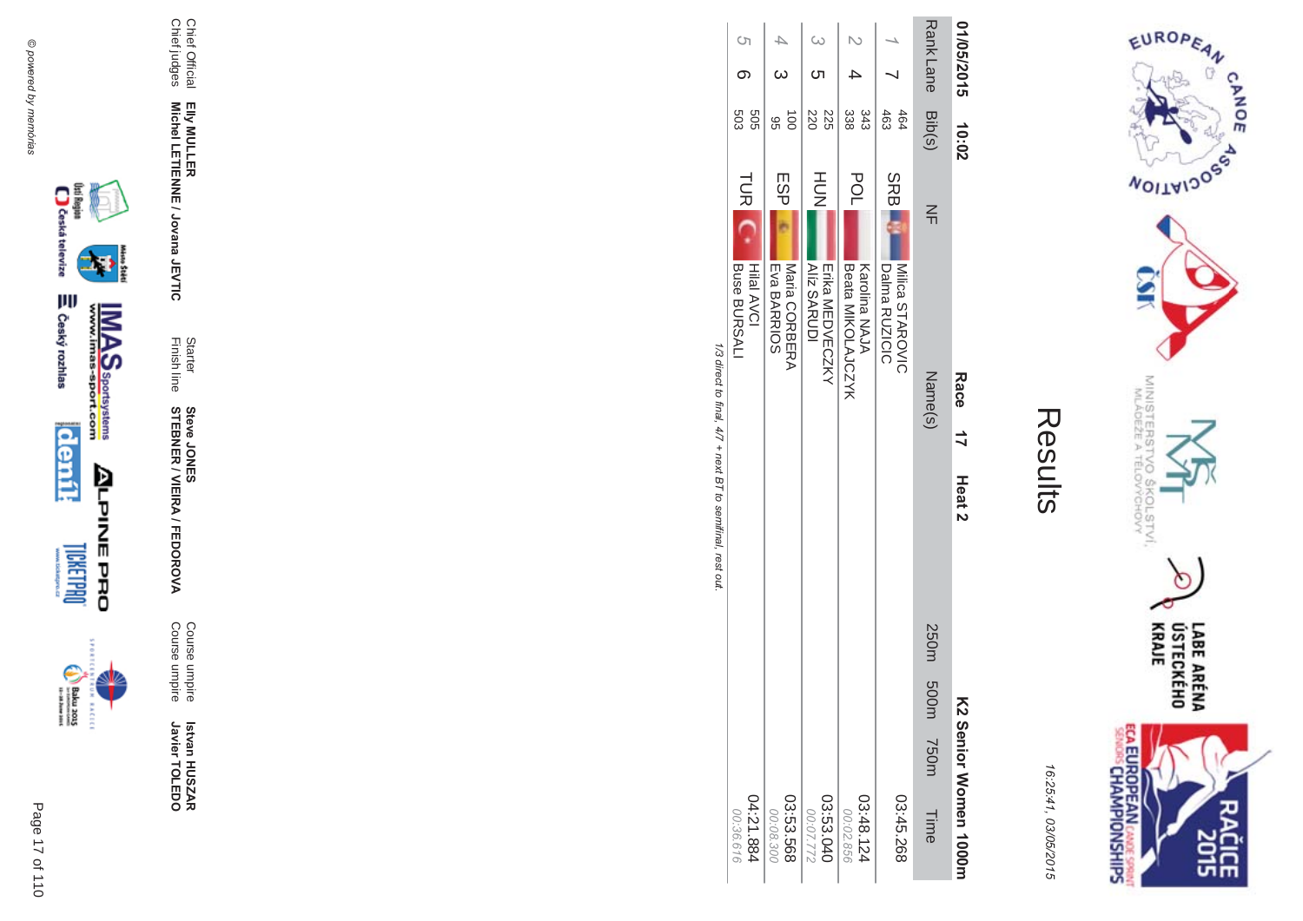Chief Official<br>Chief judges

Elly MULLER<br>Michel LETIENNE / Jovana JEVTIC

Starter<br>Finish line

**Steve JONER / VIEIRA / FEDOROVA** 

Course umpire<br>Course umpire

Istvan HUSZAR<br>Javier TOLEDO



incon



LABE ARÉNA<br>ÚSTECKÉHO<br>KRAJE **EUROPEAN** CASOE SPORTS Ë ዸቘ

EUROPEAN

**WOILWIDOSS** 

MINISTERS<br>MINISTERS

COLSTVI.<br>CHOVY

CANOE

 $\sigma$ 

16:25:41, 03/05/2015

Results

|                                 | Race<br>$\frac{1}{2}$                    | Heat 2 |  |                | K2 Senior Momen 1000m    |
|---------------------------------|------------------------------------------|--------|--|----------------|--------------------------|
| $\leq$                          | Name(s)                                  |        |  | 2001 0001 7505 | Time                     |
| DS<br>■                         | Milica STAROVIC<br>Dalma RUZICIC         |        |  |                | 03:45.268                |
| $\frac{\mathsf{O}}{\mathsf{L}}$ | <b>Beata MIKOLAJCXX</b><br>Karolina NAJA |        |  |                | 421.48.124<br>00:02.856  |
| ş                               | Erika MEDVECZKY<br><b>Alíz SARUDI</b>    |        |  |                | 03:53.040<br>277.772     |
| SP<br>L                         | Eva BARRIOS<br>Maria CORBERA             |        |  |                | 03:53.568<br>00:08.300   |
| UR <sub>L</sub>                 | ■ Rire RI IRのAI I<br><b>Hilal AVCI</b>   |        |  |                | 188.121.884<br>シァツ シロ・フワ |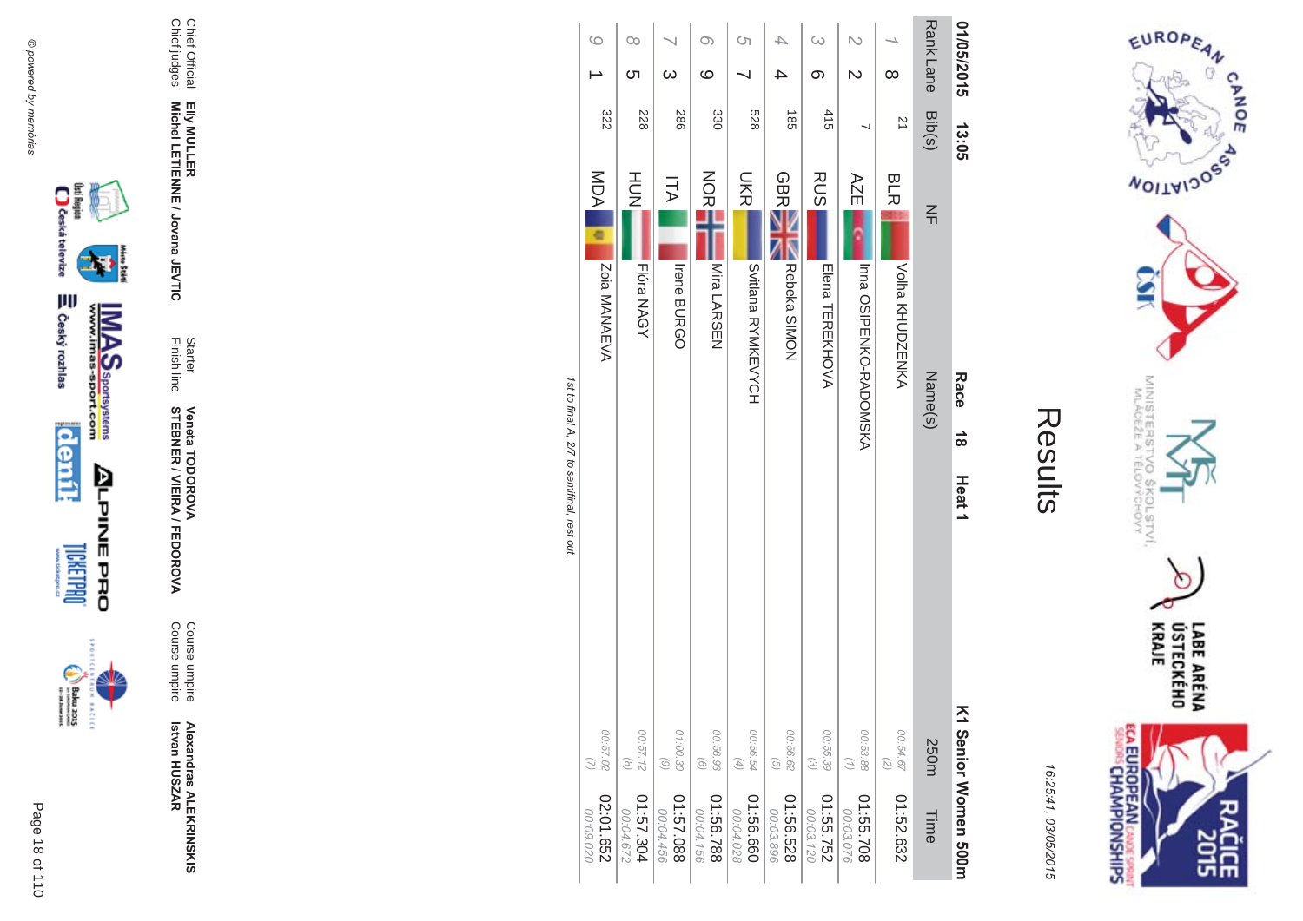

incon



Starter<br>Finish line

Elly MULLER<br>Michel LETIENNE / Jovana JEVTIC

Course umpire<br>Course umpire

**Veneta TODOROVA<br>STEBNER / VIEIRA / FEDOROVA** 

Chief Official<br>Chief judges

Results

EUROPEAN

**WOILWIDOSS** 

MINISTERS<br>MINISTERS

c  $6\sigma$ 

COLSTVI.<br><sup>CCHOVY</sup>

**ECA EUROPEAN CANE SPRING** 

LABE ARÉNA<br>ÚSTECKÉHO<br>KRAJE

**SHR** 

CANOE

16:25:41, 03/05/2015

| 01/05/2015    | 13:05            | Race<br>$\frac{1}{8}$                                                                                                                             | Heat <sub>1</sub>                                                       | K1 Senior Women 500H    |
|---------------|------------------|---------------------------------------------------------------------------------------------------------------------------------------------------|-------------------------------------------------------------------------|-------------------------|
| Rank Lane     | Bib(s)           | $\leq$<br>Name(s)                                                                                                                                 | 250m                                                                    | Time                    |
| $\infty$      | $\overline{z}$   | <b>BLR</b><br>Volha KHUDZENKA                                                                                                                     | 00:54.67<br>$\binom{2}{3}$                                              | 01:52.632               |
|               |                  | AZE<br>Inna OSIPENKO-RADONSKA                                                                                                                     | 00:53.88<br>(1)                                                         | 01:55.708<br>00:03.076  |
| $\omega$<br>ග | 415              | <b>RUS</b><br><b>FIGOS HEREKHOVA</b>                                                                                                              | 00:55.39<br>$\odot$                                                     | 01:55.752<br>00:03.120  |
|               | $\frac{185}{25}$ | <b>GBR</b><br>Rebeka SIMON                                                                                                                        | 00:56.62<br>$\begin{array}{c} \textcircled{\scriptsize{1}} \end{array}$ | 82999:10<br>00:03.896   |
| S)            | 528              | <b>SKR</b><br>Sittana RYNKE <yoh< td=""><th>00:56.54<br/><math display="block">\left( 4\right)</math></th><td>01:56.660<br/>00:04.028</td></yoh<> | 00:56.54<br>$\left( 4\right)$                                           | 01:56.660<br>00:04.028  |
| O)<br>ဖ       | 330              | NOR<br><b>Nira LARSEN</b>                                                                                                                         | 00:56.93<br>$\odot$                                                     | 887.56.788<br>00:04.156 |
| $\omega$      | <b>286</b>       | ITA<br><b>Irene BURGO</b>                                                                                                                         | 01:00.30<br>$\begin{pmatrix} 6 \end{pmatrix}$                           | 880.57.0<br>00:04.456   |
| O0<br>Cл      | 228              | HU<br>N<br>Flóra NAGY                                                                                                                             | 00:57.12<br>$\circledcirc$                                              | 01:57.304<br>00:04.672  |
| $\circ$       | 322              | MDA <sub>1</sub><br>ē<br>Zoia MANAEVA                                                                                                             | 00:57.02<br>$\overline{(\overline{z})}$                                 | 02:01.652<br>020.09.020 |

1st to final A, 2/7 to semifinal, rest out.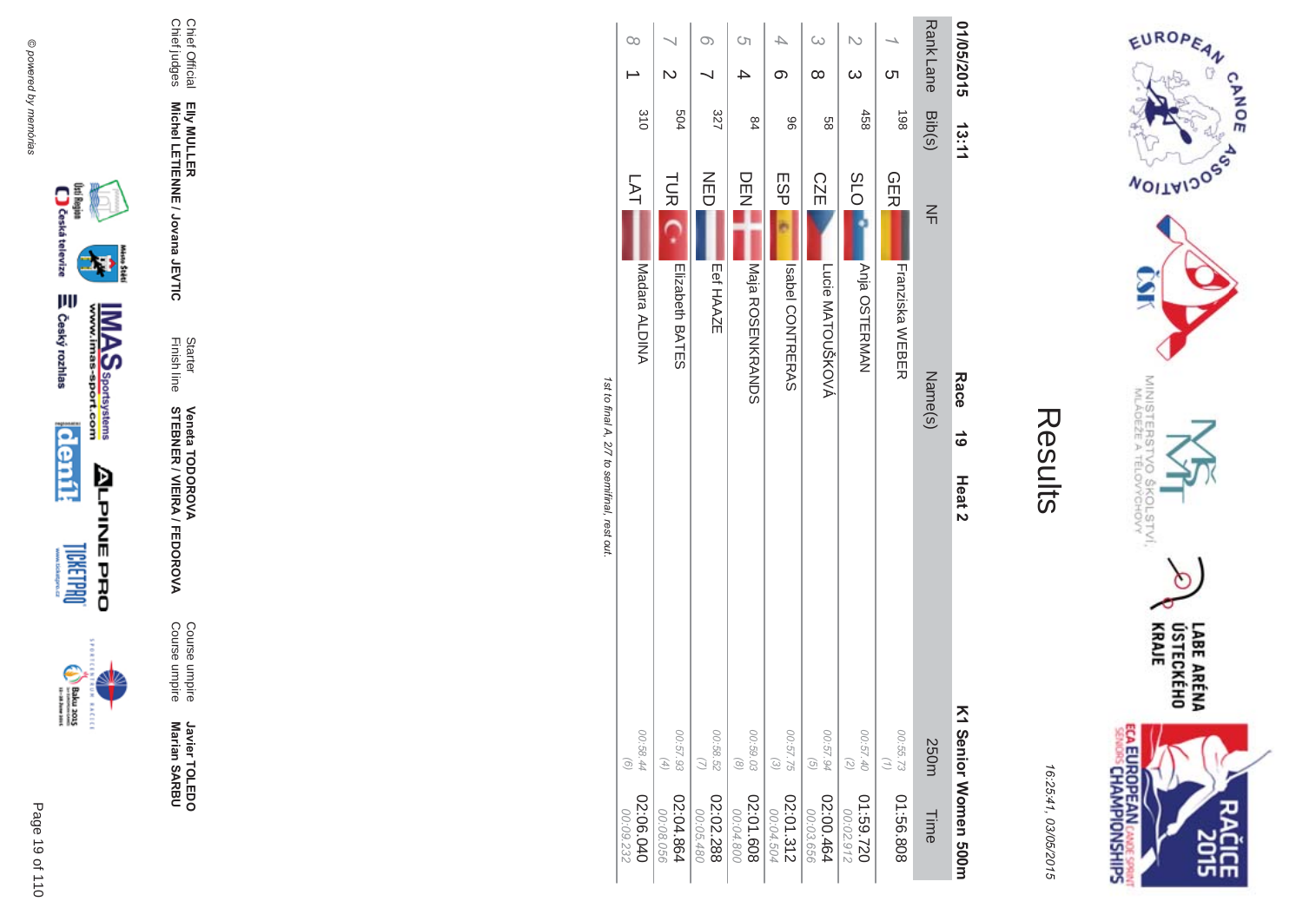



|                                             | $\infty$               | Z                                                          |                        | Ċη                         | 4<br>တ                | $\infty$<br>$\infty$                     | N<br>$\infty$              | <u>(</u>                                 | Rank Lane | 01/05/2015               |
|---------------------------------------------|------------------------|------------------------------------------------------------|------------------------|----------------------------|-----------------------|------------------------------------------|----------------------------|------------------------------------------|-----------|--------------------------|
|                                             | 310                    | 504                                                        | 327                    | 84                         | 96                    | 88                                       | 458                        | 198                                      | Bib(s)    | 13:11                    |
|                                             | LAT<br>Madara ALDINA   | <b>TUR</b>                                                 | NED<br>D<br>Eef HAAZE  | DE<br>N                    | ESP                   | <b>CZE</b>                               | <b>SLO</b>                 | <b>GER</b>                               | $\leq$    |                          |
|                                             |                        | Elizabeth BATES                                            |                        | Maja ROSENKRANDS           | <b>ISBO CONTRERAS</b> | Lucie MATOUŠKOVÁ                         | Anja OSTERMAN              | Franziska WEBER                          | Name(s)   | <b>Race</b><br>$\vec{6}$ |
| 1st to final A, 2/7 to semifinal, rest out. |                        |                                                            |                        |                            |                       |                                          |                            |                                          |           | Heat <sub>2</sub>        |
|                                             | 00:58.44<br>$\odot$    | 00:57.93<br>$\left( \begin{matrix} 4 \end{matrix} \right)$ | 00:58.52               | 00:59.03<br>$\circledcirc$ | 00:57.75<br>$\odot$   | 00:57.94<br>$\left( \frac{1}{2} \right)$ | 00:57.40<br>$\binom{2}{2}$ | 00:55.73<br>$\left( \frac{1}{2} \right)$ | 250m      |                          |
|                                             | 02:06.040<br>00:09.232 | 02:04.864<br>00:08.056                                     | 02:02.288<br>00:05.480 | 80910:20<br>00:04.800      | 2:01.312<br>00:04.504 | 02:00.464<br>00:03.656                   | 022'69:10<br>00:02.912     | 01:56.808                                | Time      | K1 Senior Momen 500m     |







Javier TOLEDO<br>Marian SARBU

Course umpire<br>Course umpire

Starter Veneta TODOROVA<br>Finish line STEBNER / VIEIRA / FEDOROVA

Chief Official<br>Chief judges

Elly MULLER<br>Michel LETIENNE / Jovana JEVTIC

Page 19 of 110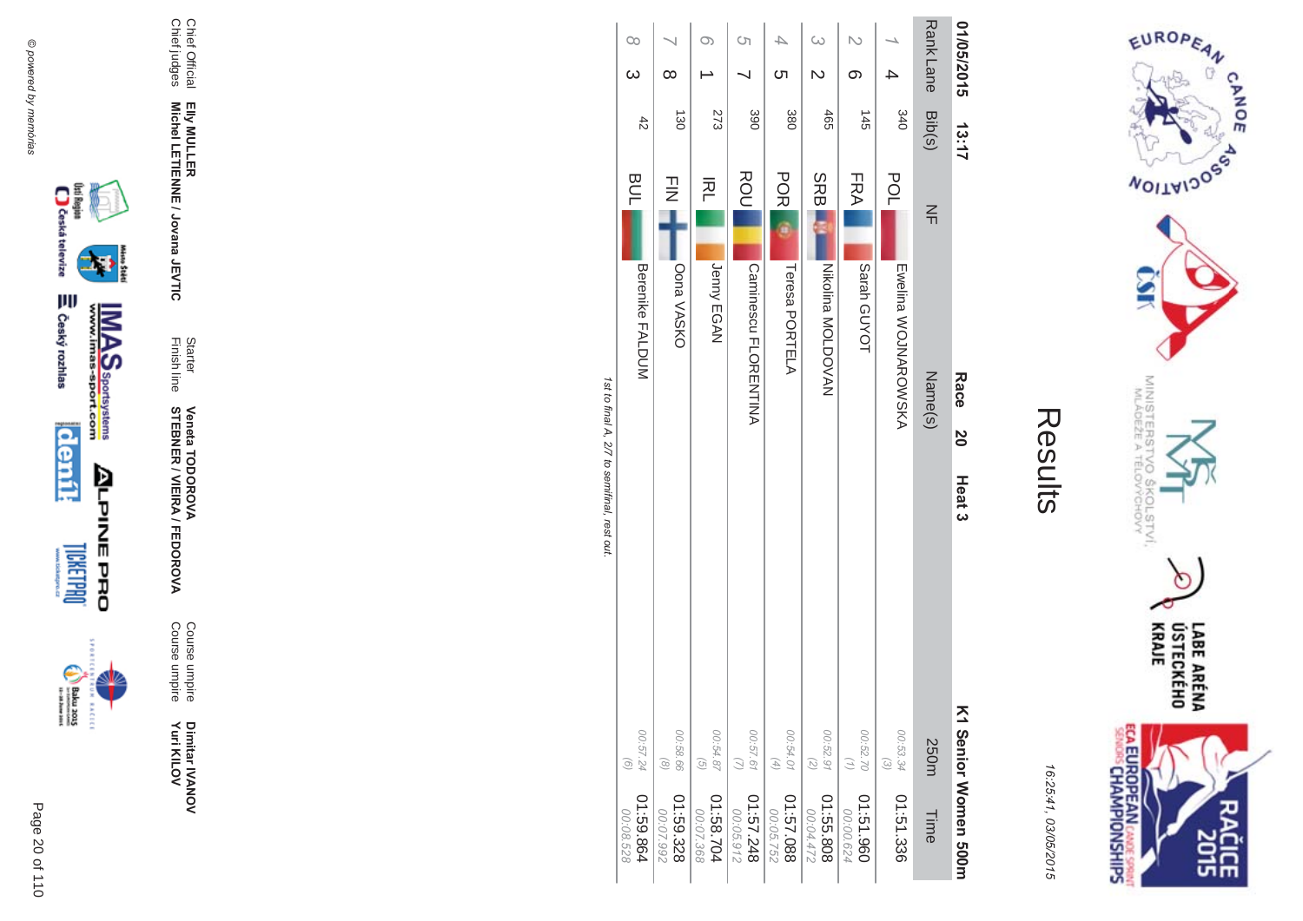



| i. |
|----|
|    |
|    |
|    |
|    |

|                                             | $\infty$<br>$\omega$                         | $\infty$                                      | O)                                                              | Ċη                                              | 4<br>ഗ                                                                               | G                                                    | N<br>ග                                                                                          |                                             | <b>Rank Lane</b> | 01/05/2015                      |
|---------------------------------------------|----------------------------------------------|-----------------------------------------------|-----------------------------------------------------------------|-------------------------------------------------|--------------------------------------------------------------------------------------|------------------------------------------------------|-------------------------------------------------------------------------------------------------|---------------------------------------------|------------------|---------------------------------|
|                                             | $rac{4}{5}$                                  | $\vec{8}$                                     | 273                                                             | 390                                             | 380                                                                                  | 465                                                  | $\frac{45}{2}$                                                                                  | 340                                         | Bib(s)           | 13:17                           |
|                                             | <b>BUL</b>                                   | コミ                                            | 주                                                               | ROU                                             | <b>POR</b>                                                                           | <b>SRBI</b>                                          | FRA                                                                                             | <b>POL</b>                                  | $\leq$           |                                 |
| 1st to final A, 2/7 to semifinal, rest out. | <b>Berenike FALDUM</b>                       | Oona VASKO                                    | Jenny EGAN                                                      | Ouncoscor FLORENTINA                            | Teresa PORTELA                                                                       | Nikolina MOLDOVAN                                    | Sarah GUYOT                                                                                     | <b>Exempla SOUNDOSOXA</b>                   | Name(s)          | Race<br>20<br>Heat <sub>3</sub> |
|                                             | 00:57.24<br>$\odot$<br>1:59.864<br>00:08.528 | 00:58.66<br>$\odot$<br>01:59.328<br>00:07.992 | 00:54.87<br>$\left(\frac{1}{2}\right)$<br>1:58.704<br>00:07.368 | 00:57.61<br>$\bigcirc$<br>842.7348<br>00:05.912 | 00:54.01<br>$\left( \begin{matrix} 4 \end{matrix} \right)$<br>880.73:10<br>00:05.752 | 00:52.91<br>$\overline{z}$<br>01:55.808<br>00:04.472 | 00:52.70<br>$\left(\begin{smallmatrix} 1\\ 1\end{smallmatrix}\right)$<br>01:51.960<br>00:00.624 | 00:53.34<br>$\widehat{\omega}$<br>01:51.336 | 250m<br>Time     | K1 Senior Momen 500m            |





Dimitar IVANOV<br>Yuri KILOV

Course umpire<br>Course umpire

Starter Veneta TODOROVA<br>Finish line STEBNER / VIEIRA / FEDOROVA

Elly MULLER<br>Michel LETIENNE / Jovana JEVTIC

Chief Official<br>Chief judges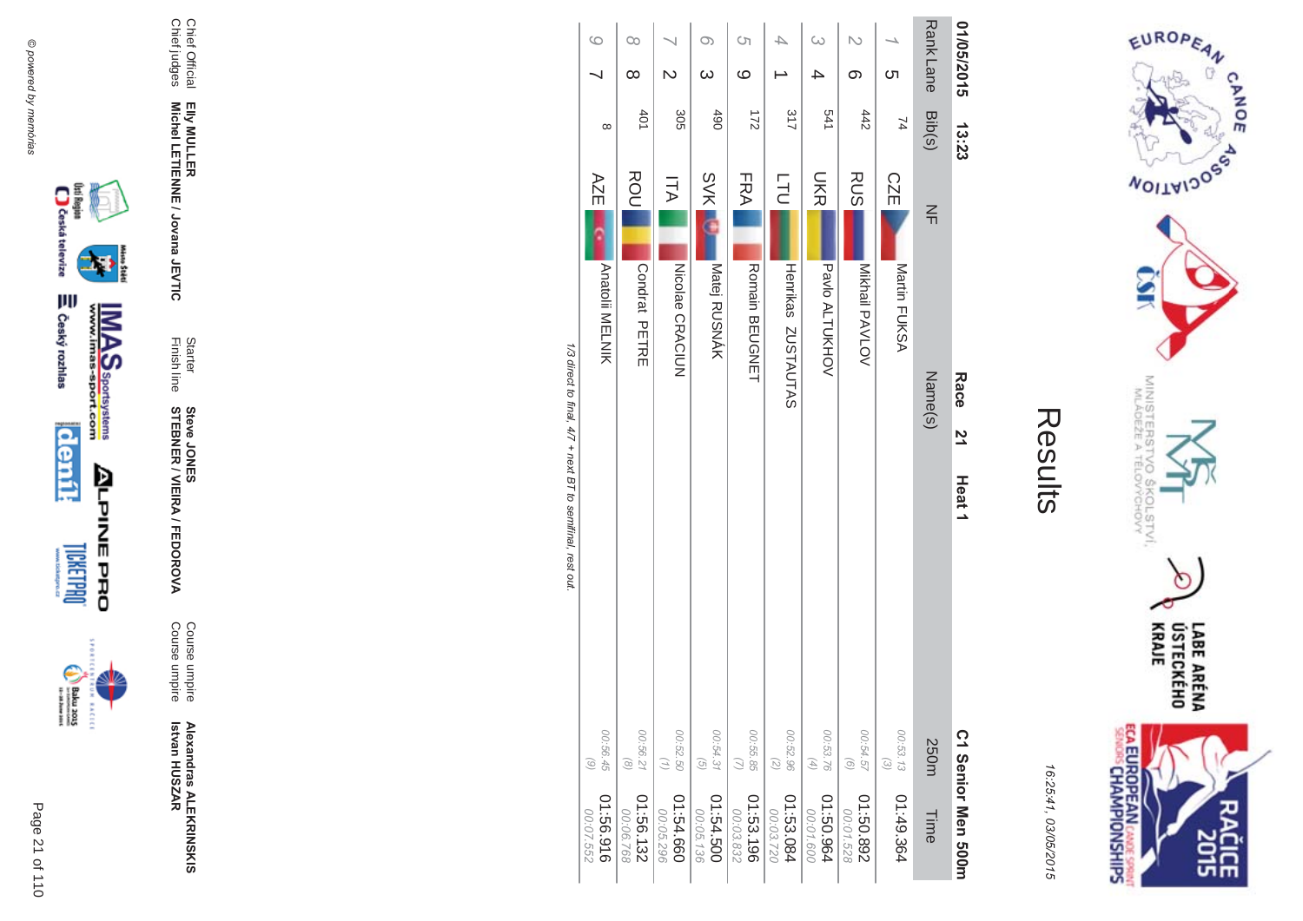

**KACECE** 



Chief Official<br>Chief judges Elly MULLER<br>Michel LETIENNE / Jovana JEVTIC

**Alexandras ALEKRINSKIS**<br>Istvan HUSZAR

Starter<br>Finish line

Course umpire<br>Course umpire

**Steve JONERA / FEDOROVA**<br>STEBNER / VIEIRA / FEDOROVA

| $\circ$      | S)                    | 4                  | $\omega$       | $\overline{C}$ |              |                  |                   |         | EUROPEAN                                        |
|--------------|-----------------------|--------------------|----------------|----------------|--------------|------------------|-------------------|---------|-------------------------------------------------|
| $\infty$     | ဖ                     |                    | 4              | တ              | <u>(</u>     | <b>Rank Lane</b> | 01/05/2015        |         | <b>CANOE</b>                                    |
| 490          | $\frac{21}{2}$        | 317                | 541            | 442            | 74           | Bib(s)           | 13:23             |         |                                                 |
| <b>SVK</b>   | FRA                   | <b>LLO</b>         | <b>DKR</b>     | <b>RUS</b>     | <b>CZE</b>   | $\leq$           |                   |         | <b>VOITAIJOSS</b>                               |
|              |                       |                    |                |                |              |                  |                   |         |                                                 |
| Matej RUSNÁK | <b>Romain BEUGNET</b> | Henrikas ZUSTAUTAS | Pavlo ALTUKHOV | Mikhail PAVLOV | Martin FUKSA |                  |                   |         |                                                 |
|              |                       |                    |                |                |              | Name(s)          | Race              |         |                                                 |
|              |                       |                    |                |                |              |                  | $\overline{2}$    | Results |                                                 |
|              |                       |                    |                |                |              |                  | Heat <sub>1</sub> |         | MINISTERSTVO ŠKOLSTVÍ.<br>MLÁDEŽE A TĚLOVÝCHOVY |
|              |                       |                    |                |                |              |                  |                   |         |                                                 |
|              |                       |                    |                |                |              |                  |                   |         |                                                 |
|              |                       |                    |                |                |              |                  |                   |         | ÚSTECKÉHO<br>Kraje<br><b>LABE ARÉNA</b>         |

CANOE

 $(2)$ <br>S8.85.00

01:53.196

00:54.31

01:54.500

00:05.136

 $\odot$ 

00:52.96<br>00:52.96

01:53.084

50

00:53.76<br>(4)

009

00:54.57<br>00:54.57

268'09:10

00:01

.528

00:53.13<br>(3)

01:49.364

250m

Time

 $\circ$ 

 $\overline{\phantom{0}}$ 

 $\infty$ 

AZE

Anatolii MELNIK

1/3 direct to final, 4/7 + next BT to semifinal, rest out.

 $00.56.45$ 

916'99'10

00:07.552

00:56.21

 $\odot$ 

01:56.132<br>00:06.768

00:52.50

 $\left(\frac{1}{2}\right)$ 

01:54.660<br>01:54.660

 $\infty$ 

 $\infty$ 

 $401$ 

ROU

Condrat PETRE

 $\overline{\phantom{0}}$ 

 $\mathbb N$ 

305

 $\overline{\mathbb{H}}$ 

Nicolae CRACIUN

16:25:41, 03/05/2015

ECA EUROPEAN CANDES SPRING

**CLE**<br>2015

C1 Senior Men 500m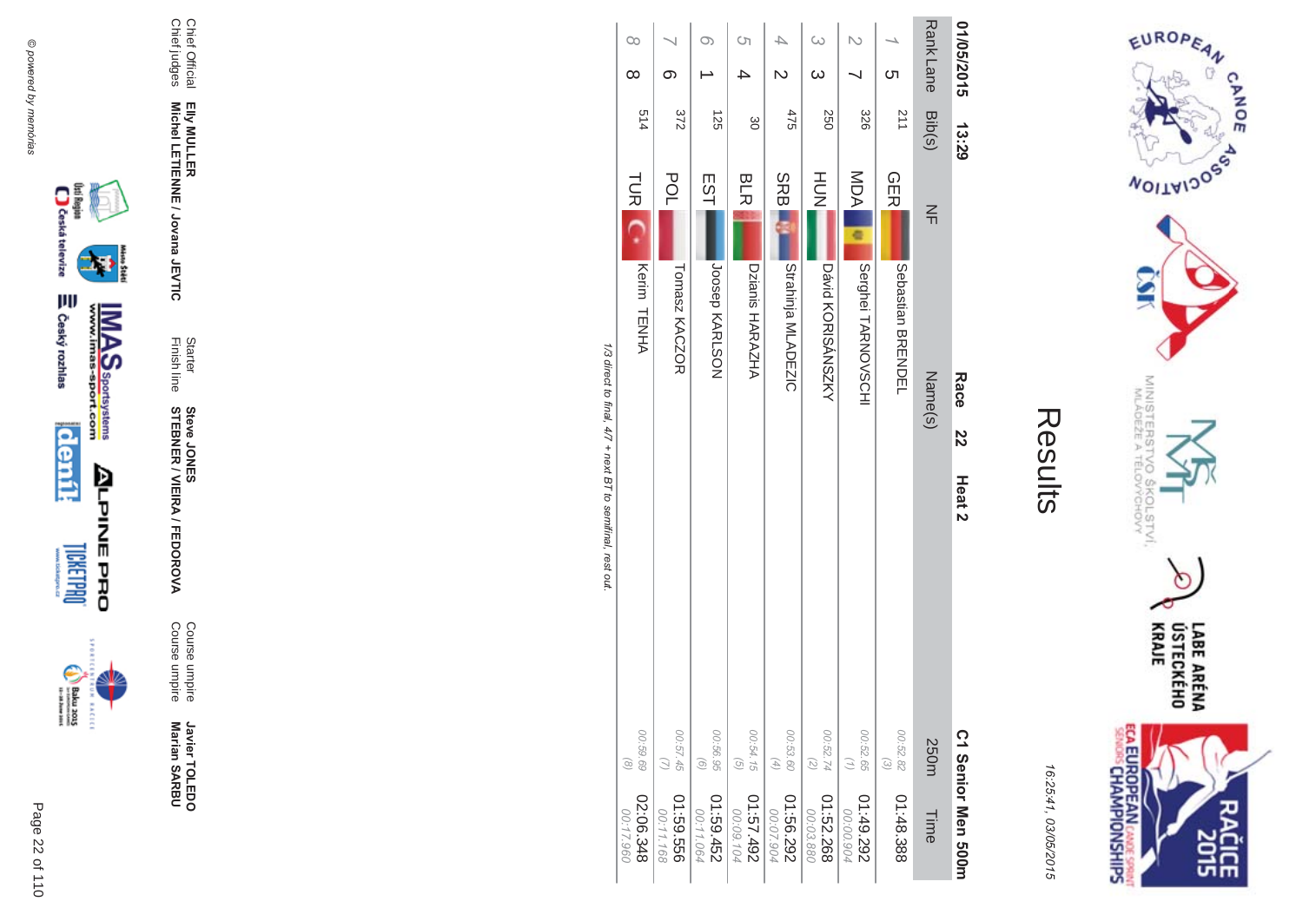



| Ĩ. |
|----|
|    |
|    |
|    |

|                                                           | $\infty$<br>$\infty$   | ග                      | O)                     | Ċη                         | $\overline{\mathsf{c}}$       | ω<br>$\omega$              |                                                                       | ဟ                        | <b>RankLane</b> | 01/05/2015              |
|-----------------------------------------------------------|------------------------|------------------------|------------------------|----------------------------|-------------------------------|----------------------------|-----------------------------------------------------------------------|--------------------------|-----------------|-------------------------|
|                                                           | 514                    | 372                    | 125                    | gδ                         | 475                           | 250                        | 326                                                                   | 112                      | Bib(s)          | 13:29                   |
|                                                           | <b>TUR</b>             | <b>POL</b>             | EST                    | <b>BLR</b>                 | <b>SRBI</b>                   | HUT<br>N                   | MOA                                                                   | <b>GER</b>               | $\leq$          |                         |
|                                                           | Kerim TENHA            | Tomasz KACZOR          | JOSSPY KARLSON         | Dzianis HARAZHA            | Strahinja MLADEZIC            | David XORISANSNAY          | Serghei TARNOVSCHI                                                    | <b>Sepastian BRENDEL</b> | Name(s)         | Race                    |
| 1/3 direct to final, 4/7 + next BT to semifinal, rest out |                        |                        |                        |                            |                               |                            |                                                                       |                          |                 | 22<br>Heat <sub>2</sub> |
|                                                           |                        |                        |                        |                            |                               |                            |                                                                       |                          |                 |                         |
|                                                           | 00:59.69<br>$\odot$    | 00:57.45               | 00:56.95<br>$\odot$    | 00:54.15<br>$\overline{G}$ | 00:53.60<br>$\left( 4\right)$ | 00:52.74<br>$\binom{2}{2}$ | 00:52.65<br>$\left(\begin{smallmatrix} 1\\ 1\end{smallmatrix}\right)$ | 00:52.82<br>$\odot$      | 250m            |                         |
|                                                           | 02:06.348<br>00:17.960 | 01:59.556<br>00:11.168 | 01:59.452<br>00:11.064 | 267.57.492<br>00:09.104    | 01:56.292<br>00:07.904        | 01:52.268<br>00:03.880     | 01:49.292<br>00:00.904                                                | 01:48.388                | Time            | C 1 Senior Men 2001     |





Page 22 of 110

Javier TOLEDO<br>Marian SARBU

Chief Official<br>Chief judges

**Steve JONER / VIEIRA / FEDOROVA** 

Course umpire<br>Course umpire

Starter<br>Finish line

Elly MULLER<br>Michel LETIENNE / Jovana JEVTIC

16:25:41, 03/05/2015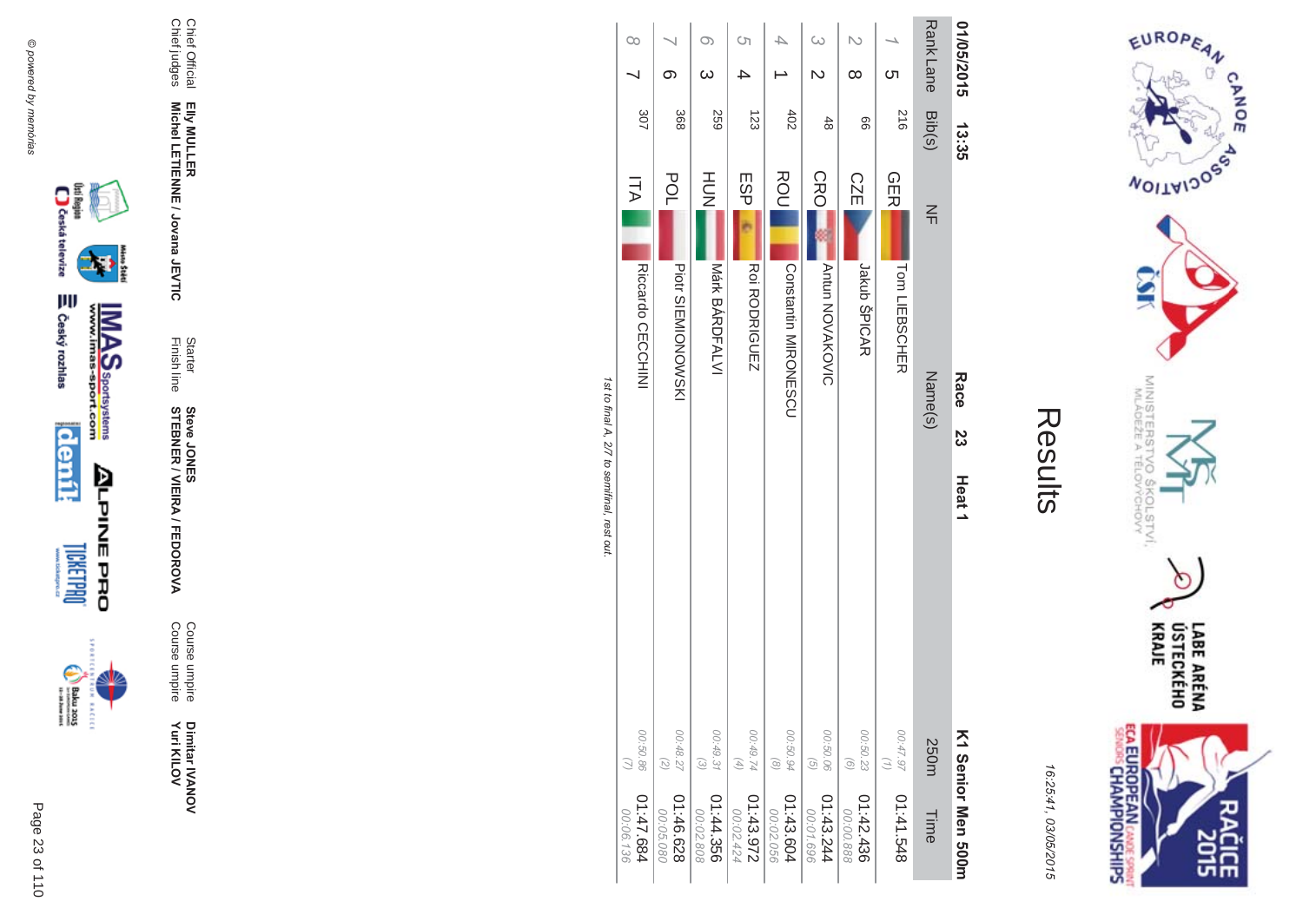



|                                             | $\infty$                 | တ                                              | O)<br>$\omega$         | Cη                     |                             | ω<br>N                        | $\infty$               | <u>(</u>        | <b>RankLane</b> | 01/05/2015         |
|---------------------------------------------|--------------------------|------------------------------------------------|------------------------|------------------------|-----------------------------|-------------------------------|------------------------|-----------------|-----------------|--------------------|
|                                             | 307                      | 368                                            | <b>259</b>             | 123                    | $402$                       | $rac{4}{8}$                   | 99                     | 516             | Bib(s)          | 13.35              |
|                                             | <b>ITA</b>               | <b>POL</b>                                     | H <sub>DH</sub>        | ESP                    | ROU                         | <b>CRO</b>                    | <b>CZE</b>             | <b>GER</b>      | $\leq$          |                    |
|                                             | <b>Riccardo CECCHINI</b> | Piotr SIENIONOWSKI                             | Mark BARDFALVI         | <b>Roi RODRIGUEZ</b>   | <b>Constantin MIROZESCO</b> | <b>Antun NOVAKOVIC</b>        | Jakub ŠPICAR           | Tom LIEBSCHER   |                 | Race               |
|                                             |                          |                                                |                        |                        |                             |                               |                        |                 | Name(s)         | 23                 |
| 1st to final A, 2/7 to semifinal, rest out. |                          |                                                |                        |                        |                             |                               |                        |                 |                 | Heat <sub>1</sub>  |
|                                             | 00:50.86                 | 00:48.27<br>$\left( \frac{2}{\sqrt{2}}\right)$ | 00:49.31<br>$\odot$    | 00:49.74<br>$(4)$      | 00:50.94<br>$\circledcirc$  | 00:50.06<br>$\left( 5\right)$ | 00:50.23<br>$\odot$    | 00:47.97<br>(1) | 250m            |                    |
|                                             | 11:47.684<br>00:06.136   | 01:46.628<br>00:05.080                         | 01:44.356<br>00:02.808 | 01:43.972<br>00:02.424 | 01:43.604<br>00:02.056      | 01:43.244<br>00:01.696        | 01:42.436<br>00:00.888 | 01:41.548       | Time            | K1 Senior Men 200m |





Dimitar IVANOV<br>Yuri KILOV

Course umpire<br>Course umpire

Starter<br>Finish line **Steve JONER / VIEIRA / FEDOROVA** 

Elly MULLER<br>Michel LETIENNE / Jovana JEVTIC

Chief Official<br>Chief judges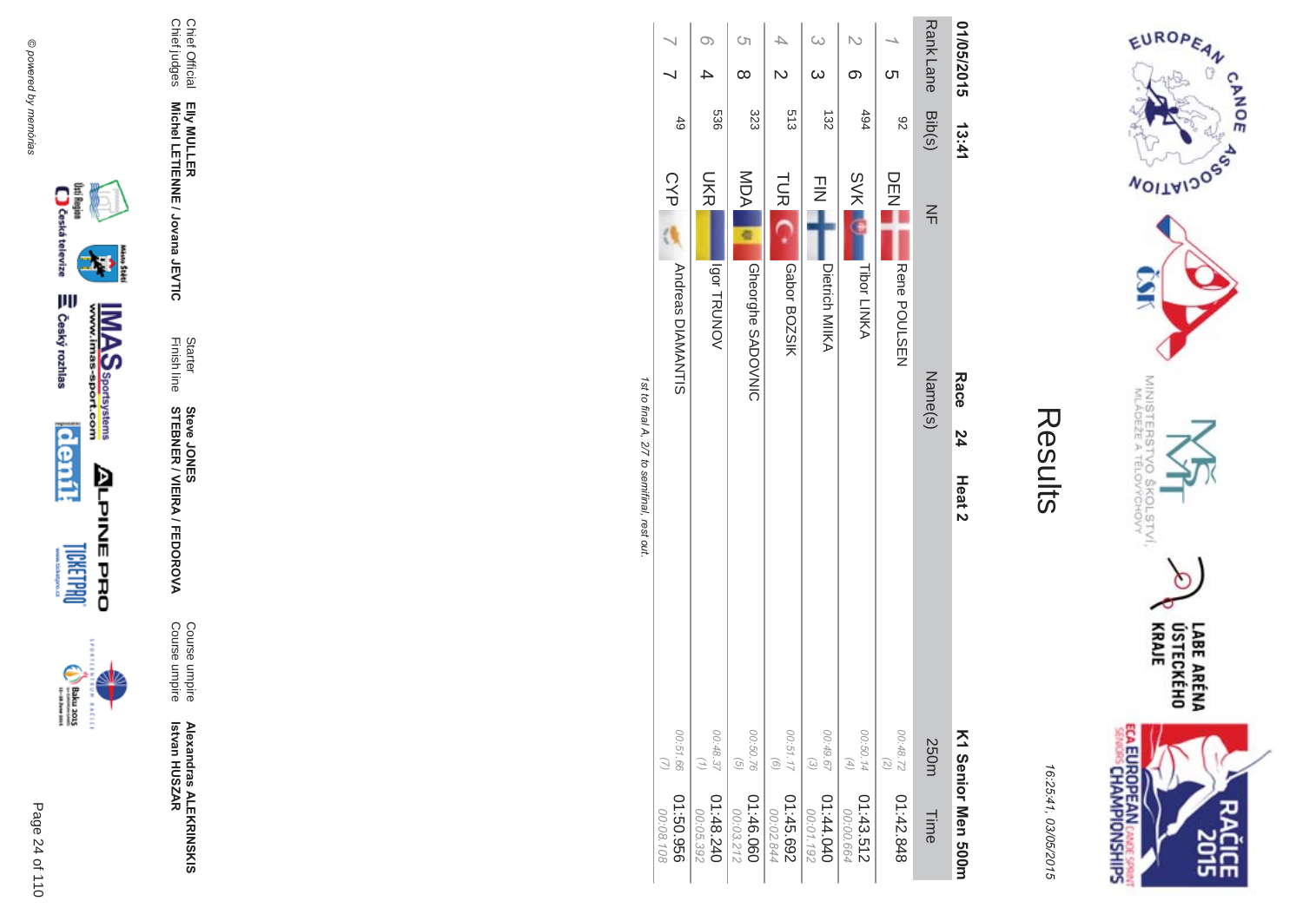



16:25:41 03/05/201  $\overline{(\overline{n})}$ 

| ŗ.<br>Ι. |
|----------|
|          |
|          |
| Ĺ        |
|          |
|          |

|                                             |                                    |                                           | ຕ<br><br>$\infty$                                       |                                               | $\omega$<br>$\omega$                           | ග                                                                                    | Cл                           | <b>Rank Lane</b>  | 01/05/2015                      |
|---------------------------------------------|------------------------------------|-------------------------------------------|---------------------------------------------------------|-----------------------------------------------|------------------------------------------------|--------------------------------------------------------------------------------------|------------------------------|-------------------|---------------------------------|
|                                             | 49                                 | 536                                       | 323                                                     | 513                                           | 132                                            | 494                                                                                  | 82                           | Bib(s)            | 13:41                           |
| 1st to final A, 2/7 to semifinal, rest out. | CYP<br>Andreas DIAMANTIS           | <b>DKR</b><br>VONURTE                     | MDA<br><b>Gheorghe SADOVNIC</b>                         | <b>TUR</b><br>Gabor BOZSIK                    | $\frac{1}{2}$<br>Dietrich MIIKA                | <b>SVK</b><br><b>Tibor LINKA</b>                                                     | DEEN<br>Rene POULSEN         | $\leq$<br>Name(s) | Race<br>24<br>Heat <sub>2</sub> |
|                                             | 00:51.66<br>956'03:00<br>00:08.108 | 00:48.37<br>(1)<br>04:48.240<br>00:05.392 | 00:50.76<br>$\left( 9\right)$<br>01:46.060<br>00:03.212 | 00:51.17<br>$\odot$<br>01:45.692<br>00:02.844 | 00:49.67<br>$\omega$<br>04:44.040<br>00:01.192 | 00:50.14<br>$\left( \begin{matrix} 4 \end{matrix} \right)$<br>01:43.512<br>00:00.664 | 00:48.72<br>(2)<br>01:42.848 | 250m<br>Time      | K1 Senior Men 2001              |





Page

 $\overline{a}$ 24 of 110

**Alexandras ALEKR INSKIS Betvan HUSZAR** 

**MA** Course umpire<br>Course umpire Course umpireCourse umpire

**STEBNER \$ -**A/FEDOR **Steve JONES** 

Finish line Starter

**EIIy MULLER** Elly MULLER<br>Michel LETIENNE / Jovana JEVTIC **Michel LETIENNE / Jovana JEVTIC** 

Chief Official<br>Chief judges Chief judges Chief Official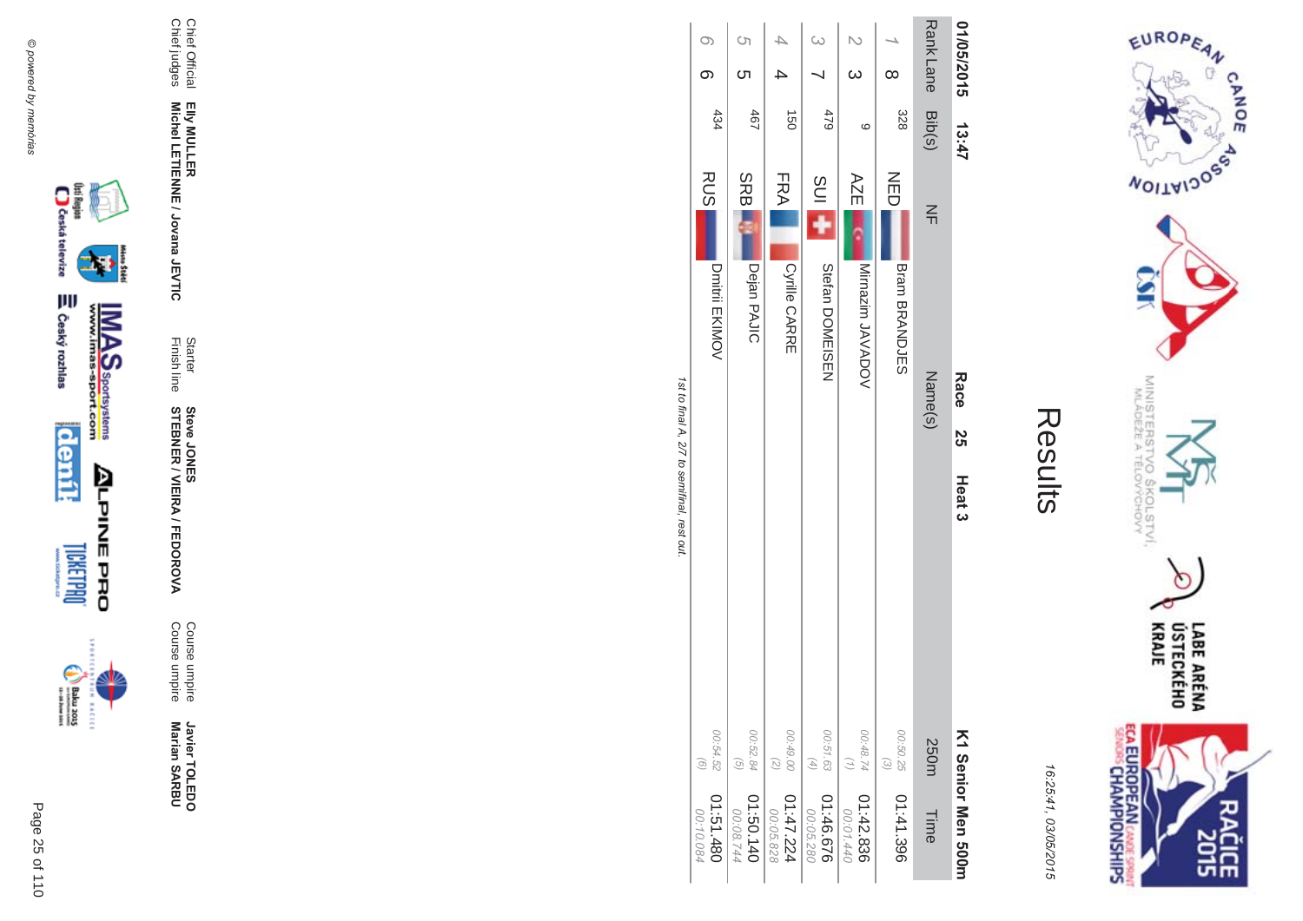

Results

16:25:41, 03/05/2015

|                   | <b>Race</b><br><b>ა</b><br>თ<br>Heat 3 | K1 Senior Men 500m                   |                        |
|-------------------|----------------------------------------|--------------------------------------|------------------------|
| $\leq$            | Name(s)                                | 250m Time                            |                        |
| 乙口                | Bram BRANDJES                          | 00:50.25<br>$\binom{3}{2}$           | 01:41.396              |
| AZE I             | Mirnazim JAVADOV                       | 00:48.74 01:42.836<br>$\binom{7}{7}$ | 00:01.440              |
| SUI <sub>11</sub> | Stefan DOMEISEZ                        | 00:51.63<br>(4)                      | 01:46.676<br>00:05.280 |
| FRA               | <b>Cyrille CARRE</b>                   | 00.49.00 01:47.224<br>(2) 00:05.828  |                        |

Rank Lane 01/05/2015

13:47

1st to final A, 2/7 to semifinal, rest out.

 $\infty$ 

 $\infty$ 

434

**RUS** 

Dmitrii EKIMOV

 $\circ$ 

ת

 $467$ 

**SRB** 

Dejan PAJIC

00:52.84<br>(5)

01:50.140

S  $SO<sub>o</sub>$ 

744

00:54.52<br>(6)

01:51.480

00:10.084

 $\overline{\mathcal{A}}$ 

 $\rightarrow$ 

091

 $\omega$ 

 $\overline{\phantom{0}}$ 

 $62<sup>†</sup>$ 

 $\mathbb N$ 

 $\omega$ 

 $\circ$ 

 $\overline{\phantom{a}}$ 

 $\infty$ 

328 Bib(s)





Chief Official<br>Chief judges

Elly MULLER<br>Michel LETIENNE / Jovana JEVTIC

Starter<br>Finish line

**Steve JONES<br>STEBNER / VEIRA / FEDOROVA** 

Course umpire<br>Course umpire

Javier TOLEDO<br>Marian SARBU

Page 25 of 110

 $\begin{picture}(20,5) \put(0,0){\vector(0,1){30}} \put(15,0){\vector(0,1){30}} \put(15,0){\vector(0,1){30}} \put(15,0){\vector(0,1){30}} \put(15,0){\vector(0,1){30}} \put(15,0){\vector(0,1){30}} \put(15,0){\vector(0,1){30}} \put(15,0){\vector(0,1){30}} \put(15,0){\vector(0,1){30}} \put(15,0){\vector(0,1){30}} \put(15,0){\vector(0,1){30}} \put(15,0){\vector(0,$ incon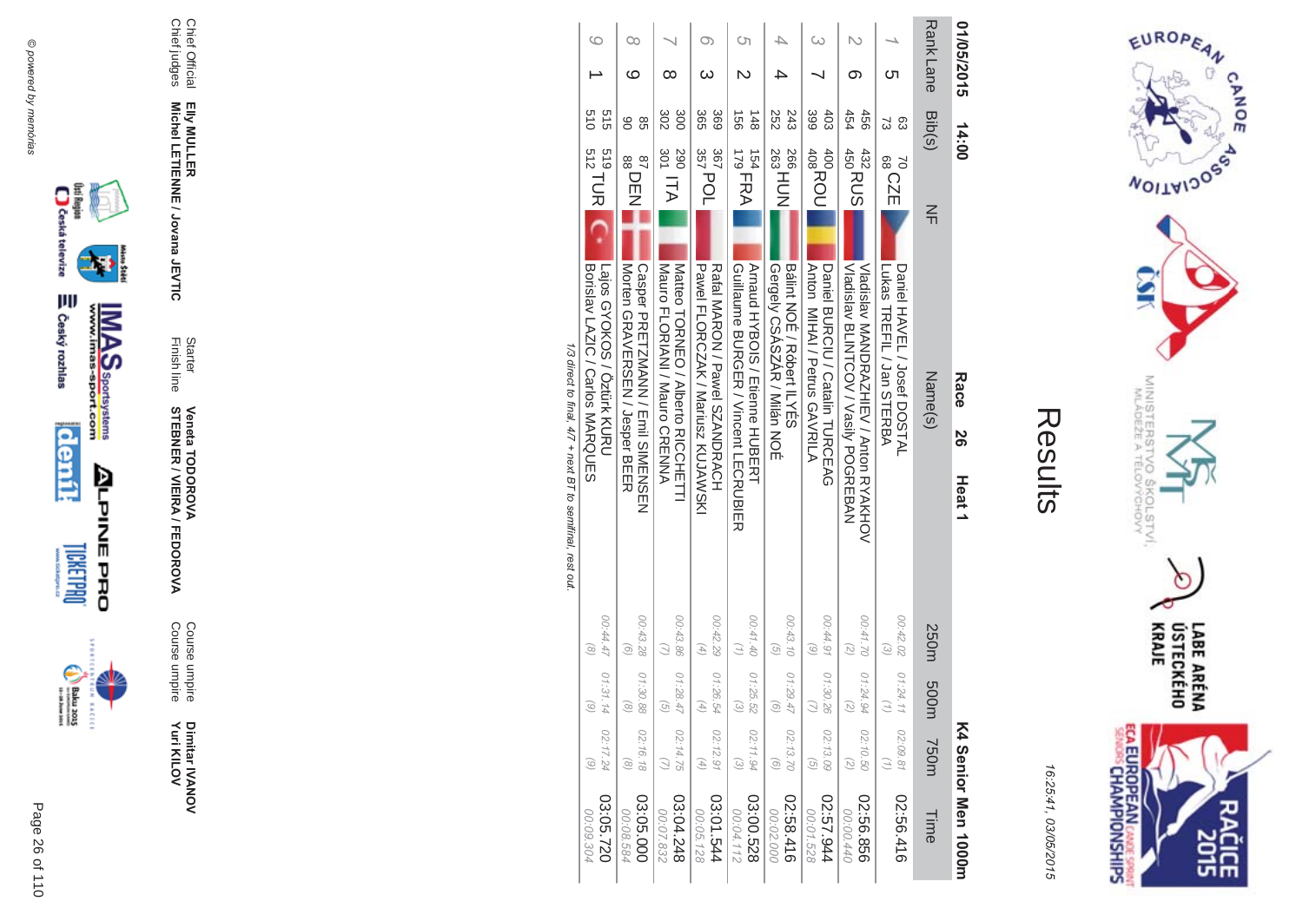



16:25:41 03/05/201  $\overline{(\overline{n})}$ 

| 01/05/2015       | 14:00                                    |                                                                                                            | Race    | 50 | Heat <sub>1</sub> |                                        |                                |                                          | K4 Senior Men 1000m    |
|------------------|------------------------------------------|------------------------------------------------------------------------------------------------------------|---------|----|-------------------|----------------------------------------|--------------------------------|------------------------------------------|------------------------|
| <b>Rank Lane</b> | Bib(s)                                   | $\leq$                                                                                                     | Name(s) |    |                   | 250m                                   | m003                           | <b>750m</b>                              | Time                   |
| Cл               | සි<br>ವ                                  | 70<br>88<br>88<br>88<br>Lukas HREFIL / Jan SHERBA<br>Daniel HAVEL / Josef DOSTAL                           |         |    |                   | 00:42.02<br>$\widehat{\omega}$         | 01:24.1                        | 02:09.81                                 | 02:56.416              |
| ග                | 454<br>456                               | 432<br>450<br>450<br>Vladislav MANDRAZHIEV / Anton RYAKHOV<br>VIBRIS AND DON VASSINT COVA VIBRIS AND       |         |    |                   | 00:41.70<br>$\overline{z}$             | 01:24.94                       | 02:10.50<br>$\overline{z}$               | 02:56.856<br>00:00.440 |
| ω                | 399<br>403                               | 400<br>408<br>408<br>408<br>Anton MIHAI / Petrus GAVRILA<br>Daniel BURCIU / Catalin HURCEAG                |         |    |                   | 00:44.91<br>$\odot$                    | 01:30.26                       | 02:13.09<br>$\overline{G}$               | 45.57.944<br>00:01.528 |
| △                | 252<br>243                               | 266<br>268<br>263<br>Bajint NOE / Kobert ILYES<br>Gergely CSASZAR / Milán NOÉ                              |         |    |                   | 00:43.10<br>$\widehat{G}$              | 01:29.47                       | 02:13.70<br>$\circ$                      | 02:58.416<br>00:02.000 |
| Cη               | $\overrightarrow{50}$<br>$\frac{148}{1}$ | $179$ FRA<br>154<br>Arnaud HYBOIS / Etienne HUBEKH<br>Guillaume BURGEK / Vincent LECKUBIEK                 |         |    |                   | 00:41.40                               | 01:25.52                       | 02:11.94<br>$\odot$                      | 03:00.528<br>00:04.112 |
| Oා<br>ω          | 369<br>365<br>367                        | $357$ POL<br>Pawel FLORCZAK / Maricsz KUJAWSZI<br>Katal MAKON / Pawel SZANDKACH                            |         |    |                   | 00:42.29<br>$\left(\frac{4}{2}\right)$ | 01:26.54                       | 02:12.91<br>$\left( 4\right)$            | 13:01.544<br>00:05.128 |
| $^\infty$        | 300<br>302<br>067                        | $\frac{1}{301}$ ITA $\blacksquare$<br>Matteo LOKNEO / Yiperto KICOHELLI<br>Mauro FLORIANI / Mauro CRENNA   |         |    |                   | 00:43.86                               | 01:28.4<br>G                   | 02:14.75                                 | 03:04.248<br>00:07.832 |
| Оo<br>ဖ          | 8<br>88                                  | 87<br>BBDEN<br>Casper PRETZMANN / Emil SIMENSEN<br>Morten GRAVERSEN / Jesper BEER                          |         |    |                   | 00:43.28<br>$\widehat{\Theta}$         | 01:30.88                       | 02:16.18<br>$\left( \frac{8}{2} \right)$ | 03:05.000<br>00:08.584 |
| $\circ$          | 019<br>915                               | $\frac{519}{512}$ TUR $\qquad \qquad C$<br>I Lajos GYOKOS / Öztürk KURU<br>Borislav LAZIC / Carlos MARQUES |         |    |                   | 00:44.47<br>$\odot$                    | 01:31.14<br>$\widehat{\omega}$ | 02:17.24<br>$\binom{6}{ }$               | 03:05.720<br>00:09.304 |

1/3 direct to final, 4/7 + next BT to semifinal, rest out. /3 direct to final,  $4/7 +$  next BT to semifinal, rest out





Page

 $\overline{a}$ 26 of 110 **Yuri KILOV** 

Dimitar IVANOV<br>Yuri KILOV Dimitar **IVANOV** 

**MA** Course umpire<br>Course umpire Course umpire Course umpire

**STEBNER \$ -**A/FEDOR **Veneta TODOR \*\$'**

Finish line Starter

**EIIy MULLER** Elly MULLER<br>Michel LETIENNE / Jovana JEVTIC **Michel LETIENNE / Jovana JEVTIC** 

Chief Official<br>Chief judges Chief judges Chief Official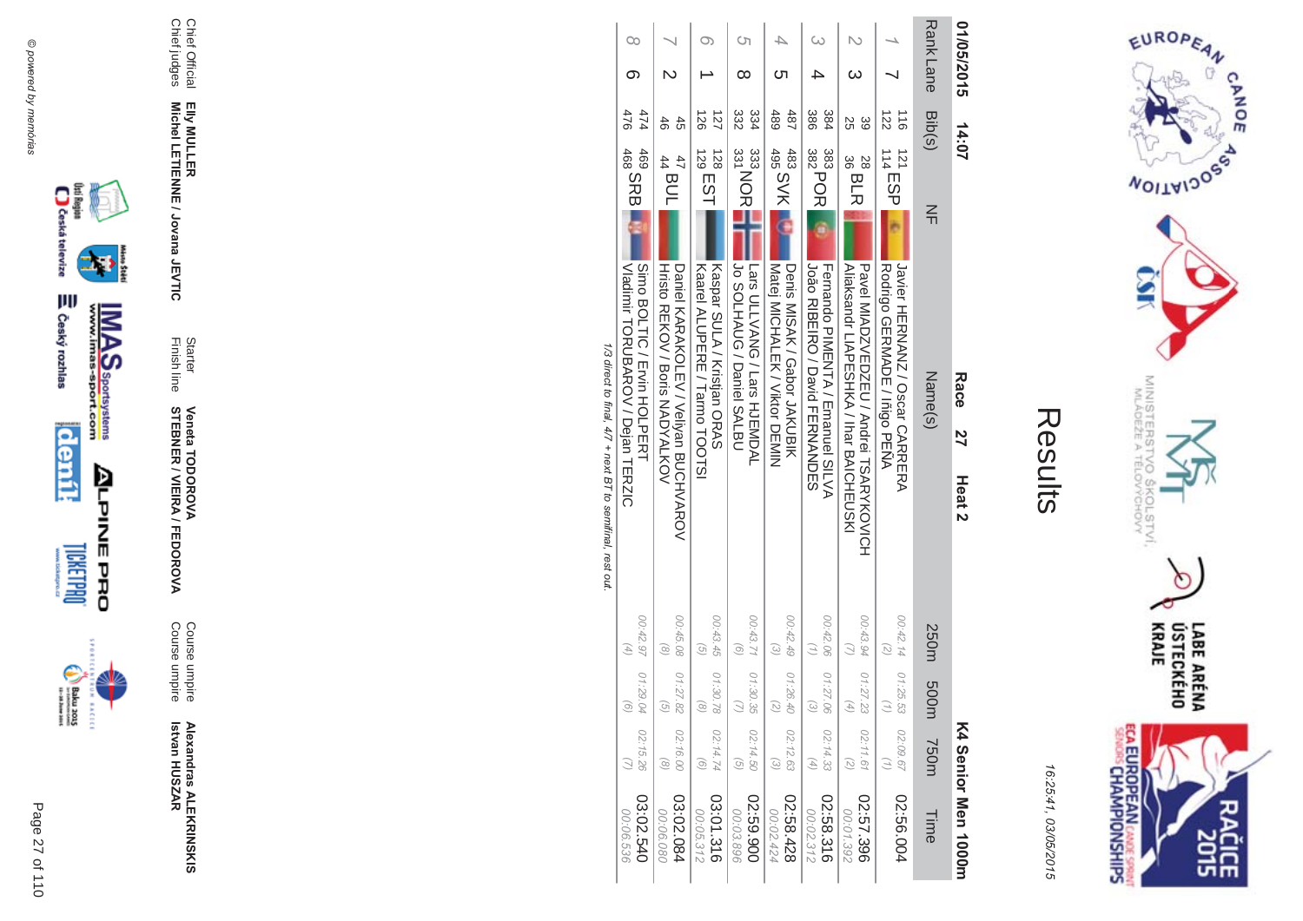



16:25:41 03/05/201  $\overline{(\overline{n})}$ 

| ŗ.<br>L |
|---------|
|         |
|         |
|         |
|         |

| 01/05/2015      | 14:07                                                | Race<br>27<br>Heat <sub>2</sub>                                               |                                          |                                |                                               | K4 Senior Men 1000m    |
|-----------------|------------------------------------------------------|-------------------------------------------------------------------------------|------------------------------------------|--------------------------------|-----------------------------------------------|------------------------|
| Rank Lane       | Bib(s)<br>$\leq$                                     | Name(s)                                                                       | 250m                                     | m003                           | <b>750m</b>                                   | Time                   |
|                 | $\overline{22}$<br>$\frac{1}{9}$<br>$114$ ESP<br>121 | Javier HEKNANZZ / Oscar CAKERA<br>Rodrigo GERMADE / Inigo PENA                | 00:42.14<br>$\overline{z}$               | 01:25.53                       | 02:09.67<br>$\binom{7}{1}$                    | 02:56.004              |
|                 | SS<br>39<br>$\frac{1}{36}$ BLR<br>28                 | Niakandr LIAPESHKA / Far BAICHEUSKI<br>Pavel MIADZVEDZEN / Andrei H2ARXKOVICH | 00:43.94 01:27.23                        | G,                             | 02:11.61<br>(5)                               | 02:57.396<br>00:01.392 |
|                 | 386<br>384<br>$\frac{1}{382}$ POR<br>383             | João RIBEIRO / David FERNANDES<br>Ternando PIMENTA / Emanuel SILVA            | 00:42.06                                 | 01:27.06<br>$\widehat{\omega}$ | 02:14.33<br>$\begin{pmatrix} 4 \end{pmatrix}$ | 02:58.316<br>00:02.312 |
| Cл              | 489<br>487<br>195 SVK<br>483                         | Denis MISAK / Gabor JAKUBIK<br>Matej MICHALLEX / Viktor DEMIN                 | 00:42.49<br>$\widehat{\epsilon}$         | 01:26.40                       | 02:12.63<br>$\widehat{\epsilon}$              | 82+89.50<br>00:02.424  |
| S)<br>$^\infty$ | 334<br>332<br>333<br>333<br>331<br>OBL               | JOS DIANUG / Duniel SALBU<br>Tars CLIVANG / Lars HJENDAL                      | 00:43.71<br>$\widehat{g}$                | 01:30.39                       | 02:14.50<br>$\widehat{G}$                     | 02:59.900<br>00:03.896 |
|                 | $\overline{126}$<br>127<br>$129$ EST<br>128          | Kaspar SULY / Kristian ORAS<br>Kasiel ALUPERE / Tarmo TOOTS]                  | 00:43.45<br>$\left( 5 \right)$           | 01:30.78<br>$\widehat{\alpha}$ | 02:14.74<br>$\odot$                           | 03:01.316<br>00:05.312 |
|                 | 46<br>45<br>$\frac{47}{44}$ BUL                      | Hristo REKOV / Boris NADYALKOV<br>Daniel KARAKOLEV / Veliyan BUCHVAROV        | 00:45.08<br>$\widehat{\alpha}$           | 01:27.82<br>G                  | 02:16.00<br>$\circledcirc$                    | 03:02.084<br>00:06.080 |
| $\infty$<br>ග   | 474<br>476<br>69<br>468<br>468                       | Simo BOLTIO / Evin HOLPERH<br>VIaqinir 10RCBAROV / Dejan 1HERZIC              | 00:42.97<br>$\left( \frac{4}{7} \right)$ | 01:29.04<br>G                  | 02:15.26                                      | 03:02.540<br>00:06.536 |
|                 |                                                      | 1/3 direct to final 47 + next BT to semitinal rest out                        |                                          |                                |                                               |                        |

 $\rightarrow$ /3 direct to final,  $4/7 +$  next BT to semifinal, rest out f.  $\overline{z}$  $\frac{1}{4}$ Ę  $\overline{c}$ 





**Alexandras ALEKR Betvan HUSZAR** 

**INSKIS** 

**MA** Course umpire<br>Course umpire Course umpireCourse umpire

Finish line Starter **STEBNER \$ -**A/FEDOR **Veneta TODOR \*\$'**

Chief Official<br>Chief judges Chief judges Chief Official

**EIIy MULLER** Elly MULLER<br>Michel LETIENNE / Jovana JEVTIC **Michel LETIENNE / Jovana JEVTIC** 

Page  $\overline{a}$ 27 of 110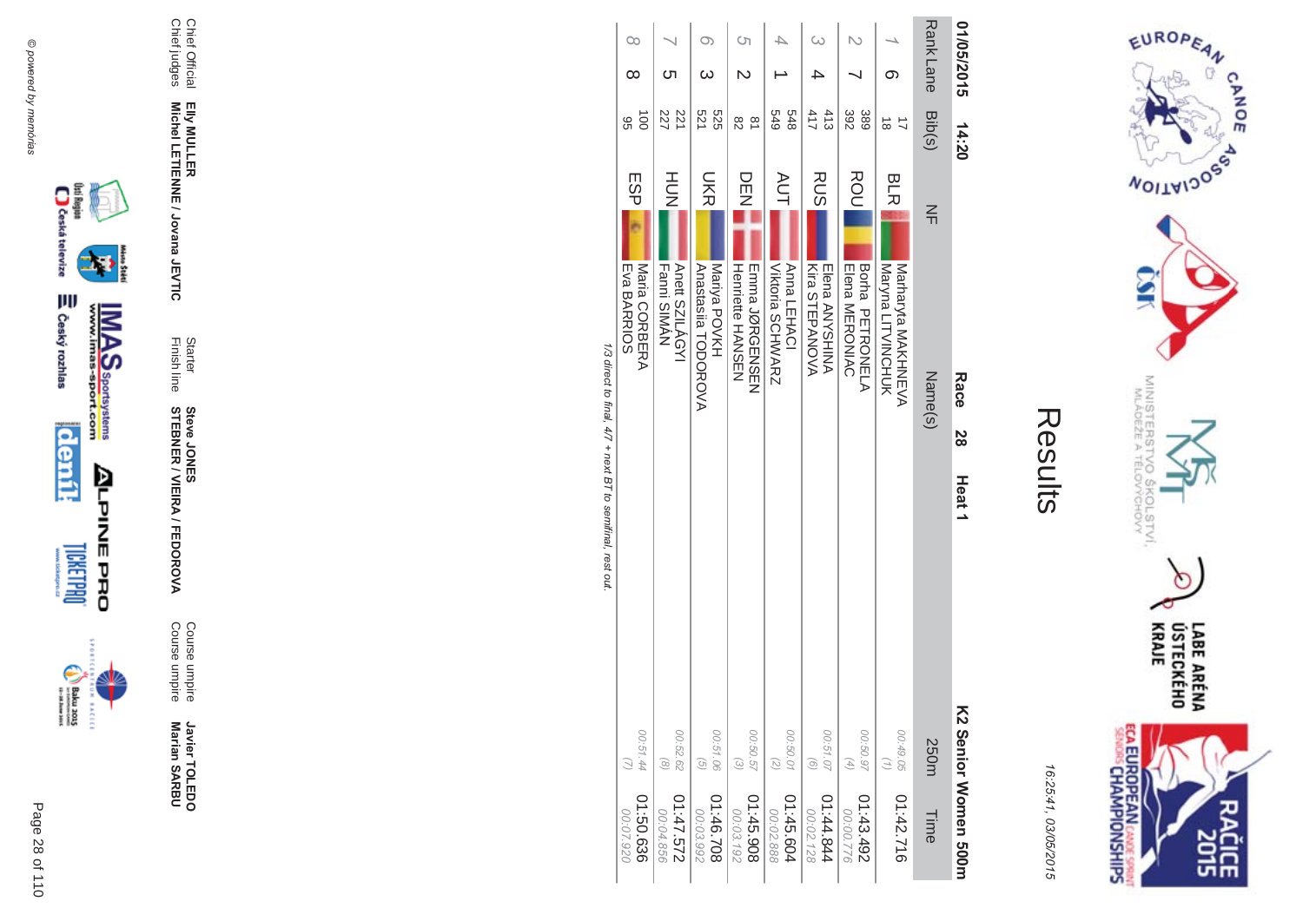



**Contract Contract** 

| 01:50.636<br>02.07.920 | 00:51.44                      |                             | Maria CORBERA<br>Eva BARRIOS                | ESP        | $\vec{0}$<br>96 | ∞          | $\infty$ |
|------------------------|-------------------------------|-----------------------------|---------------------------------------------|------------|-----------------|------------|----------|
| 01:47.572<br>00:04.856 | 00:52.62<br>$\circ$           |                             | Anett SZILÁGYI<br>Fanni SIMAN               | HU<br>N    | 227<br>221      | ပာ         |          |
| 01:46.708<br>00:03.992 | 00:51.06<br>$\left( 9\right)$ |                             | Mariya POVKH<br>Anastasila TODOROVA         | <b>DKR</b> | 521<br>525      |            | O)       |
| 01:45.908<br>00:03.192 | 00:50.57<br>$\omega$          |                             | Henriette HANSUN<br><b>THIND LORGEZONEN</b> | DEN        | 82<br>$\approx$ |            | Cη       |
| 01:45.604<br>00:02.888 | 00:50.01<br>$\binom{2}{2}$    |                             | Viktoria SCHWARZ<br>Anna LEHACI             | <b>AUT</b> | 649<br>848      |            |          |
| 44.844<br>00:02.128    | 00:51.07<br>$\left( 9\right)$ |                             | Kira STEPANOVA<br>Elena ANYSHINA            | <b>RUS</b> | 413<br>411      |            | $\infty$ |
| 01:43.492<br>00:00.776 | 00:50.97<br>$(4)$             |                             | Borha PETRONELA<br>Elena MERONIAC           | ROU        | 392<br>389      |            |          |
| 01:42.716              | 00:49.05                      |                             | Maryna LITVINCHUK<br>Narharyta NAKHZEVA     | <b>BLR</b> | $\vec{8}$<br>コ  | ග          |          |
| Time                   | 250m                          |                             | Name(s)                                     | 즊          | Bib(s)          | Rank Lane  |          |
| K2 Senior Momen 500H   |                               | 2<br>8<br>Heat <sub>1</sub> | Race                                        |            | 14:20           | 01/05/2015 |          |

1/3 direct to final, 4/7 + next BT to semifinal, rest out.





Javier TOLEDO<br>Marian SARBU

Course umpire<br>Course umpire

Starter<br>Finish line **Steve JONER / VIEIRA / FEDOROVA** 

Elly MULLER<br>Michel LETIENNE / Jovana JEVTIC

Chief Official<br>Chief judges

Page 28 of 110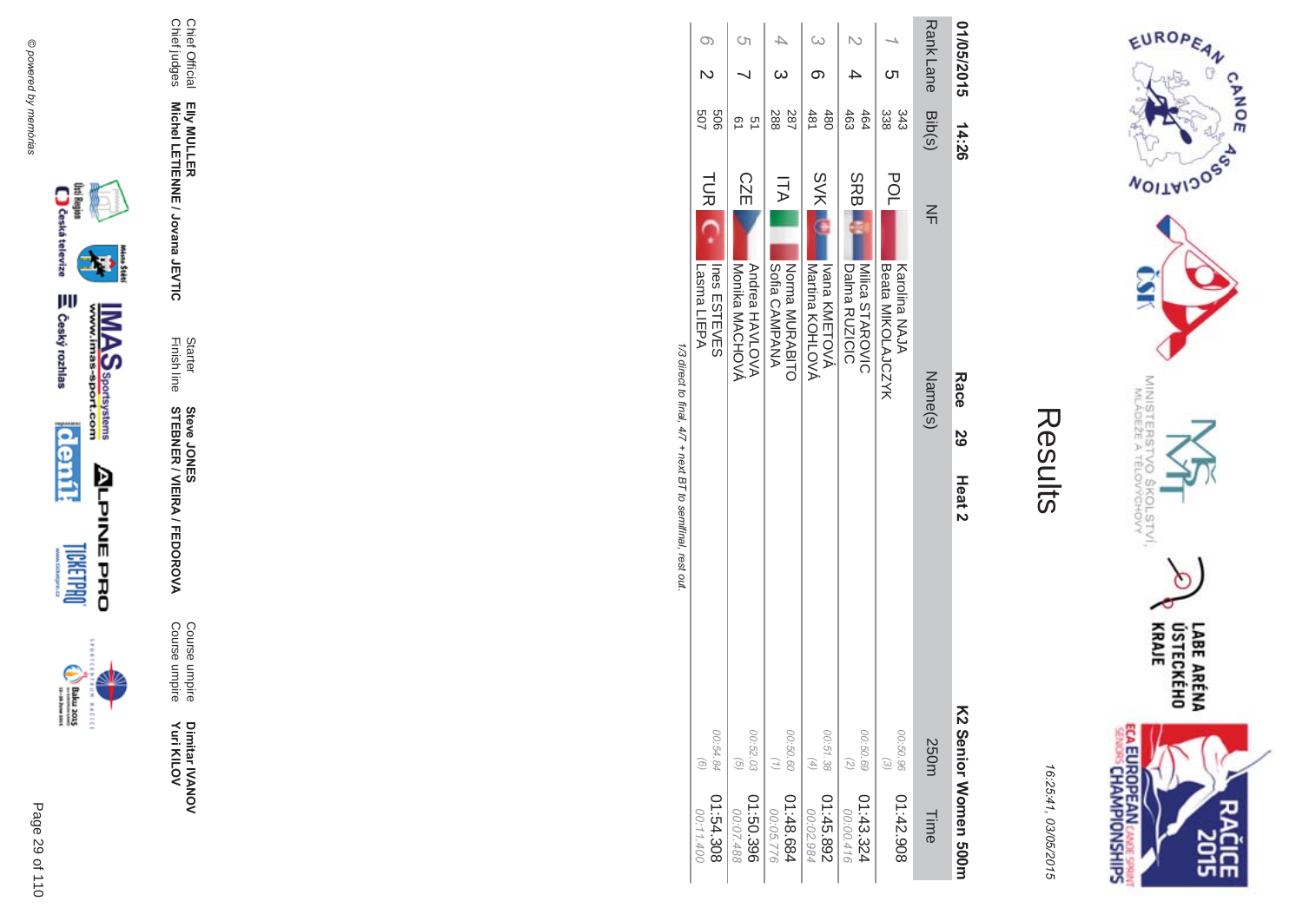



| 01:54.308<br>00:11.400 | 00:54.84<br>$\widehat{G}$      |                   |                   | <b>TURI</b><br>Lasma<br>LIEPA<br>Ines ESTEVES   | 909<br>507   |                  |    |
|------------------------|--------------------------------|-------------------|-------------------|-------------------------------------------------|--------------|------------------|----|
| 01:50.396<br>00:07.488 | 00:52.03<br>$\left( 9\right)$  |                   |                   | <b>CZE</b><br>Monika MACHOVA<br>Andrea HAVLOVA  | 51<br>o<br>2 |                  | S) |
| 1:48.684<br>00:05.776  | 00:50.60                       |                   |                   | ITA<br>Sofia CAMPANA<br>Norma MURABITO          | 287<br>288   |                  |    |
| 01:45.892<br>00:02.984 | 00:51.38<br>$(4)$              |                   |                   | <b>SVK</b><br>Martina KOHLOVA<br>Ivana KMETOVA  | 481<br>480   |                  |    |
| 01:43.324<br>00:00.416 | 00:50.69<br>$\binom{2}{2}$     |                   |                   | <b>SRB</b><br>Milica STAROVIC<br>Dalma RUZICIC  | 464<br>463   |                  |    |
| 01:42.908              | 00:50.96<br>$\widehat{\omega}$ |                   |                   | <b>POL</b><br>Beata MIKOLANCXX<br>Karolina NAJA | 338<br>343   | cл               |    |
| Time                   | 250m                           |                   | Name(s)           | $\leq$                                          | Bib(s)       | <b>Rank Lane</b> |    |
| KS Senior Momen 2001   |                                | Heat <sub>2</sub> | Race<br><b>29</b> |                                                 | 14:26        | 01/05/2015       |    |

1/3 direct to final, 4/7 + next BT to semifinal, rest out.



Chief Official<br>Chief judges

Elly MULLER<br>Michel LETIENNE / Jovana JEVTIC

Starter<br>Finish line

**Steve JONER / VIEIRA / FEDOROVA** 

Course umpire<br>Course umpire

Dimitar IVANOV<br>Yuri KILOV



 $\begin{picture}(20,5) \put(0,0) {\put(0,0){\line(1,0){15}} \put(0,0){\line(1,0){15}} \put(0,0){\line(1,0){15}} \put(0,0){\line(1,0){15}} \put(0,0){\line(1,0){15}} \put(0,0){\line(1,0){15}} \put(0,0){\line(1,0){15}} \put(0,0){\line(1,0){15}} \put(0,0){\line(1,0){15}} \put(0,0){\line(1,0){15}} \put(0,0){\line(1,0){15}} \put(0,0){\line(1,0){15$ **BACECE** 

Page 29 of 110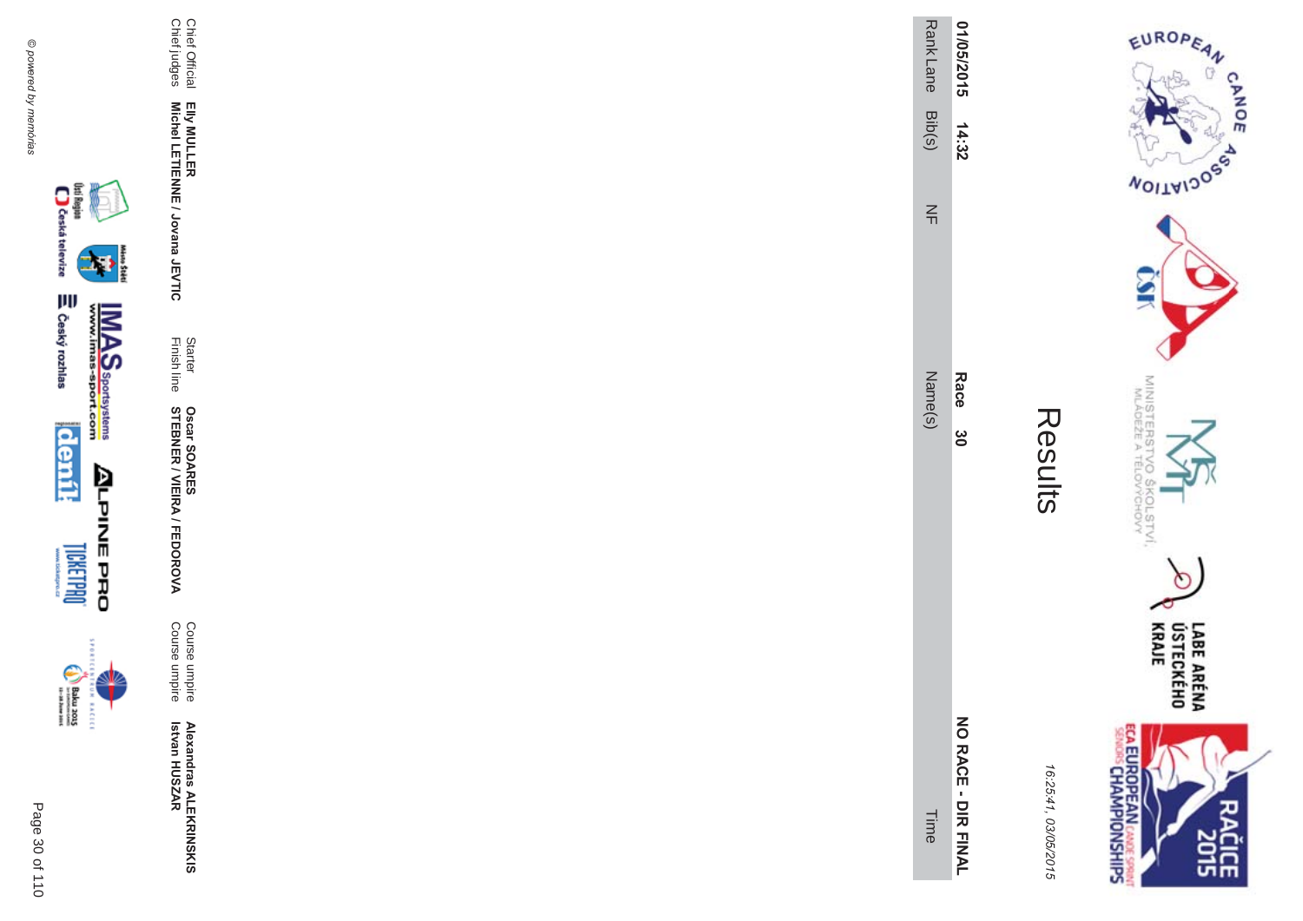

inter



Course umpire<br>Course umpire

Starter<br>Finish line **Oscar SOARES<br>STEBNER / VIEIRA / FEDOROVA** 

Elly MULLER<br>Michel LETIENNE / Jovana JEVTIC

Chief Official<br>Chief judges

| Ĩ. |
|----|
|    |
|    |
|    |
|    |
|    |

| ٧<br>,<br>ŧ |
|-------------|
| l           |

| Rank Lane Dip(s)<br>$\frac{2}{1}$<br>Vame(s) | 14:32<br>Race 30       |
|----------------------------------------------|------------------------|
| Time                                         | <b>NO RACE - DIR F</b> |

COLSTVI.<br><sup>COLSTVI</sup>  $\circ$ LABE ARÉNA<br>ÚSTECKÉHO<br>KRAJE **ECA EUROPEAN** CANDE SPRINT **SH** 

MINISTERS<br>MINISTERS

'd  $Q_{0}$ 

EUROPEAN

**NOILWIDOS** 

CANOE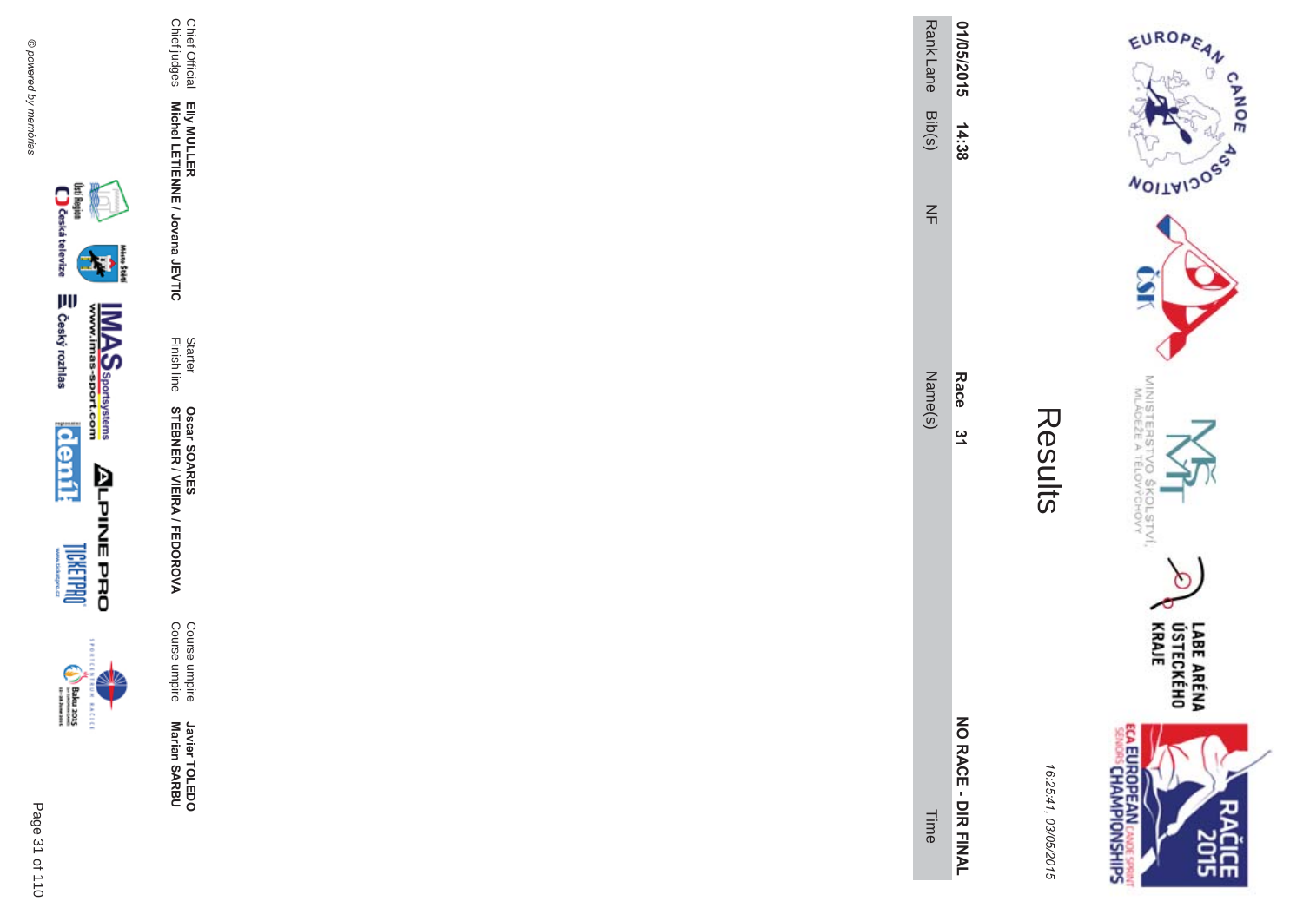Chief Official<br>Chief judges

Elly MULLER<br>Michel LETIENNE / Jovana JEVTIC

Starter<br>Finish line

**Oscar SOARES<br>STEBNER / VIEIRA / FEDOROVA** 

Course umpire<br>Course umpire

Javier TOLEDO<br>Marian SARBU



**BACECE** 

| 01/05/2015       | 14:38  |        | Race<br>ِ<br>پ | NO RACE - DIR FINAL |
|------------------|--------|--------|----------------|---------------------|
| <b>Rank Lane</b> | Bib(s) | $\leq$ | Name(s)        | Time                |
|                  |        |        |                |                     |

ECA EUROPEAN CANDES SPRING

Results

EUROPEAN

**NOILWIDOS** 

MINISTERS'<br>MLÁDEŽE A

erov<br>S

COLSTVI.<br><sup>CCHOVY</sup>

 $\circ$ 

LABE ARÉNA<br>ÚSTECKÉHO<br>KRAJE

**CLEE** 

**CANOE** 

16:25:41, 03/05/2015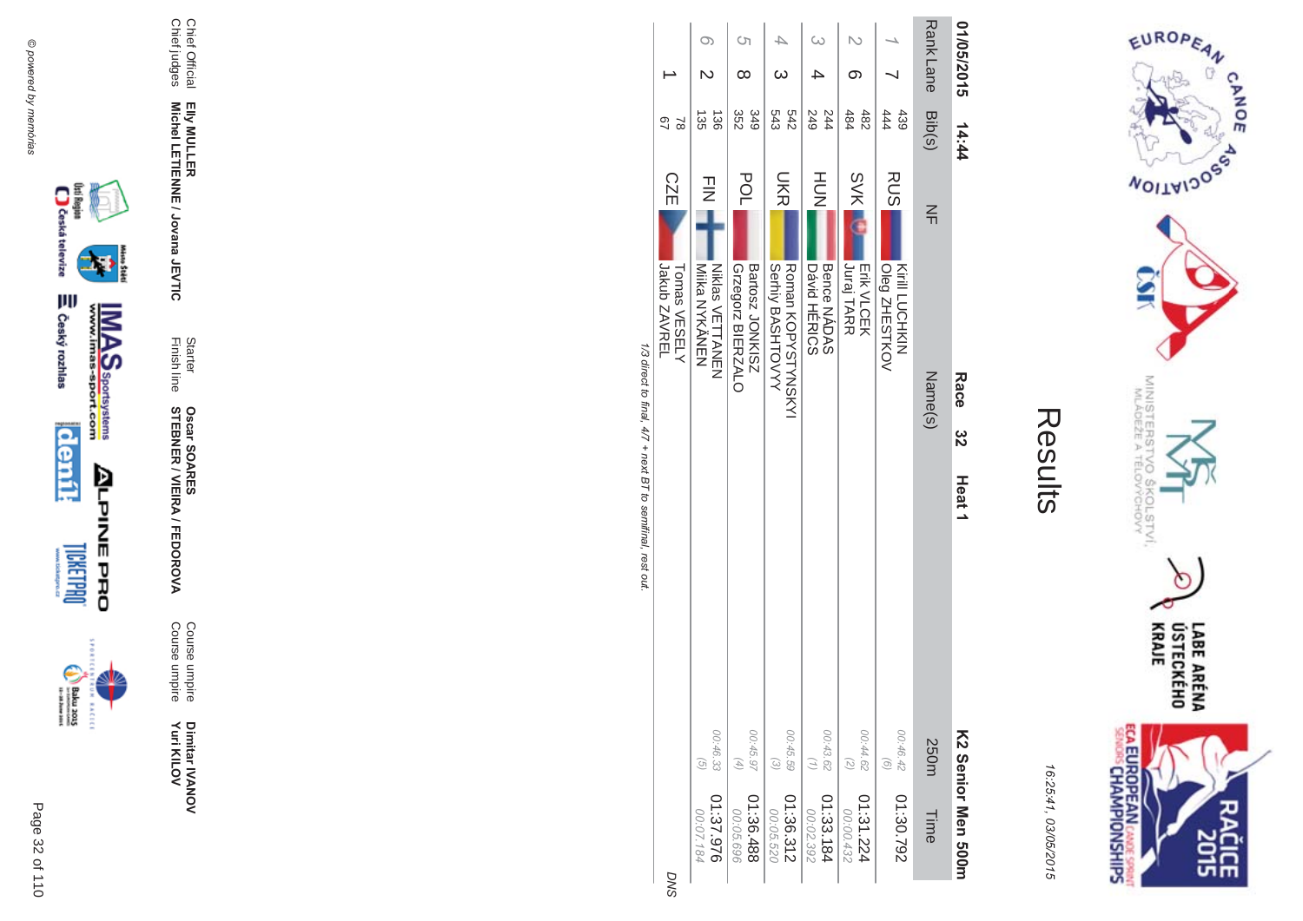



|                        |                                               | 1/3 direct to final 4/7 + next BT to earnifinal rest out |               |                                        |               |                  |            |            |
|------------------------|-----------------------------------------------|----------------------------------------------------------|---------------|----------------------------------------|---------------|------------------|------------|------------|
|                        |                                               |                                                          |               | Jakub ZAVREL<br>Tomas VESELY           | <b>CZE</b>    | 29<br>2          |            |            |
| 01:37.976<br>00:07.184 | 00:46.33<br>$\widehat{G}$                     |                                                          |               | <b>Niklas VETTANEN</b><br>Mika NYKÄNEN | $\frac{1}{2}$ | J36<br>કે        |            |            |
| 01:36.488<br>00:05.696 | 00:45.97<br>$(4)$                             |                                                          |               | Grzegorz BIERZALO<br>SINNOT zsoneg     | POL           | 349<br>352       | ∞          | <b>(</b> ၂ |
| 01:36.312<br>00:05.520 | 00:45.59<br>$\begin{pmatrix} 2 \end{pmatrix}$ |                                                          |               | Roman KOPYSHYNSKY<br>Serhiy BASHTOVYY  | <b>UKR</b>    | 242<br>543       |            |            |
| 01:33.184<br>00:02.392 | 00:43.62<br>$\binom{7}{1}$                    |                                                          |               | Bence NADAS<br><b>Dávid HÉRICS</b>     | HUH<br>N      | 249<br>244       |            |            |
| 01:31.224<br>00:00.432 | 00:44.62<br>$\binom{2}{3}$                    |                                                          |               | <b>Juraj TARR</b><br><b>Erik VLCEK</b> | <b>SVK</b>    | 484<br>482       |            |            |
| 01:30.792              | 00:46.42<br>$\circ$                           |                                                          |               | Kirill LUCHKIN<br>Oleg ZHESTKOV        | RUS           | 444<br>439       |            |            |
| Time                   | 250m                                          |                                                          |               | Name(s)                                | $\leq$        | Rank Lane Bib(s) |            |            |
| KS Seuror Men 2001     |                                               | Heat <sub>1</sub>                                        | <b>ယ</b><br>လ | Race                                   |               | 14:44            | 01/05/2015 |            |

T/3 alrect to final,  $\frac{4}{3}$  $11100$ 

 $+$  next j ā  $\overline{g}$  $\frac{1}{2}$ 

> **SNC** л.







Page 32 of 110

Course umpire<br>Course umpire Dimitar IVANOV<br>Yuri KILOV

**Oscar SOARES<br>STEBNER / VIEIRA / FEDOROVA** 

Elly MULLER<br>Michel LETIENNE / Jovana JEVTIC Starter<br>Finish line

Chief Official<br>Chief judges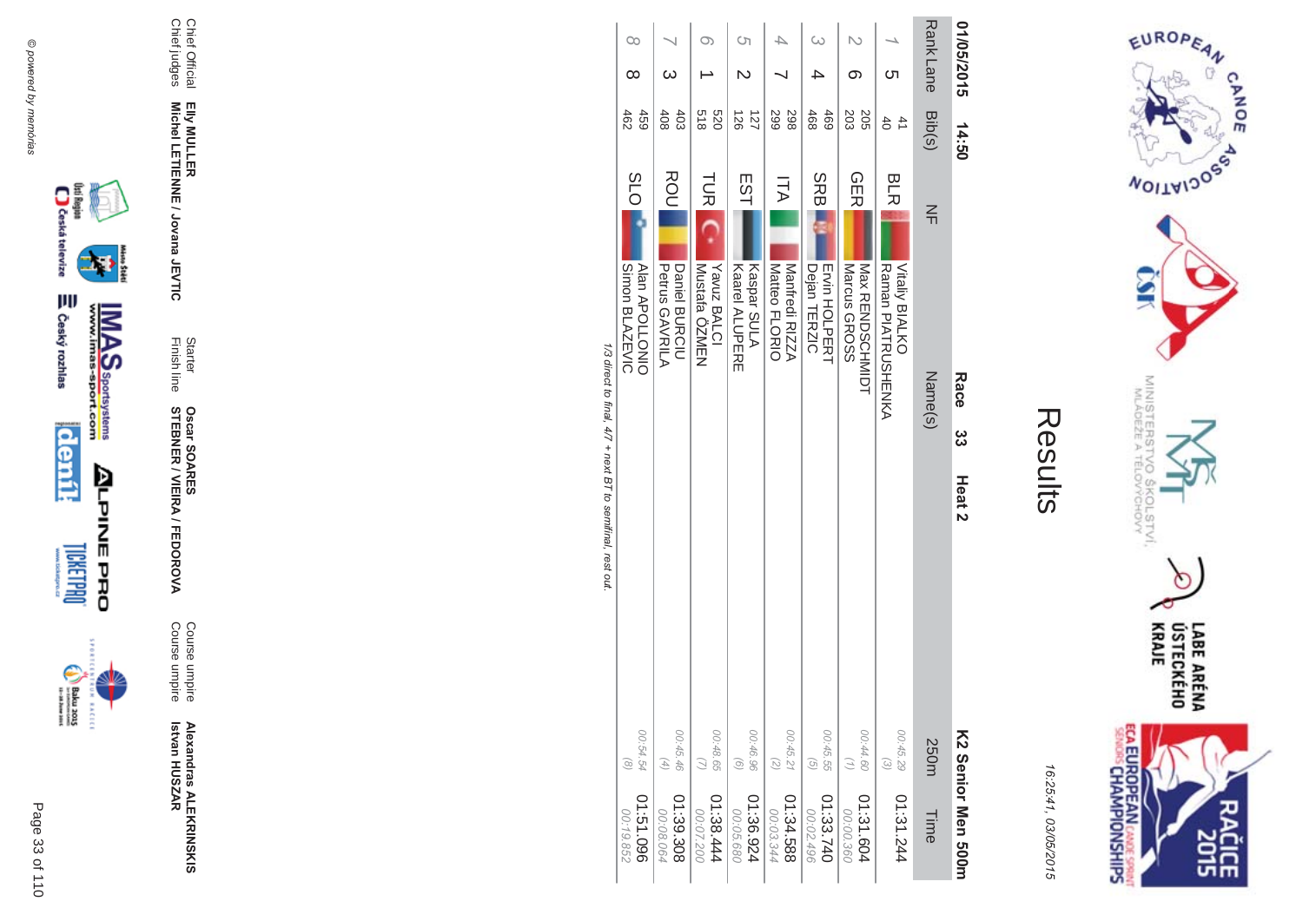



|                                                            | $\infty$<br>∞                                         | ယ                                             |                                            | Ċη                                          |                                        | ω                                                     | ග                                             | Cл                                                               | <b>Rank Lane</b>          | 01/05/2015                       |
|------------------------------------------------------------|-------------------------------------------------------|-----------------------------------------------|--------------------------------------------|---------------------------------------------|----------------------------------------|-------------------------------------------------------|-----------------------------------------------|------------------------------------------------------------------|---------------------------|----------------------------------|
|                                                            | 459<br>462                                            | 403<br>408                                    | 0Z9<br>218                                 | 127<br>126                                  | 299<br>298                             | 468<br>469                                            | 203<br>205                                    | $\ddot{4}$<br>$\overline{6}$                                     | Bib(s)                    | 14:50                            |
| 1/3 direct to final, 4/7 + next BT to semifinal, rest out. | <b>SLO</b><br>Simon BLAZEVIC<br><b>Alan APOLLONIO</b> | ROU<br>Daniel BURCIU<br><b>Petrus GAVRILA</b> | <b>TUR</b><br>Yavuz BALCI<br>Mustafa ÖZMEN | EST<br>Kaspar SULA<br><b>Kaarel ALUPERE</b> | ITA<br>Matteo FLORIO<br>Manfredi RIZZA | <b>SRB</b><br><b>Ervin HOLPERT</b><br>Dejan<br>TERZIC | <b>GER</b><br>Nax RENDSCHNIDH<br>Marcus GROSS | <b>BLR</b><br><b>Maman PIALACOHENKA</b><br><b>Vitaliy BIALKO</b> | $\frac{2}{11}$<br>Name(s) | Race<br>ယ္က<br>Heat <sub>2</sub> |
|                                                            | 00:54.54<br>$\infty$                                  | 00:45.46<br>$\begin{pmatrix} 4 \end{pmatrix}$ | 00:48.65<br>$\overline{z}$                 | 00:46.96<br>$\left( 9\right)$               | 00:45.21<br>(5)                        | 00:45.55<br>$\overline{G}$                            | 00:44.60<br>$\binom{7}{2}$                    | 00:45.29<br>$\widehat{\epsilon}$                                 | 250m                      |                                  |
|                                                            | 960191:0<br>00:19.852                                 | 01:39.308<br>00:08.064                        | 01:38.444<br>00:07.200                     | 01:36.924<br>00:05.680                      | 885.545<br>00:03.344                   | 01:33.740<br>00:02.496                                | 01:31.604<br>00:00.360                        | 01:31.244                                                        | Time                      | KS Senior Men 500m               |







Page 33 of 110

Elly MULLER<br>Michel LETIENNE / Jovana JEVTIC

Chief Official<br>Chief judges

**Alexandras ALEKRINSKIS**<br>Istvan HUSZAR

**Oscar SOARES<br>STEBNER / VIEIRA / FEDOROVA** 

Course umpire<br>Course umpire

Starter<br>Finish line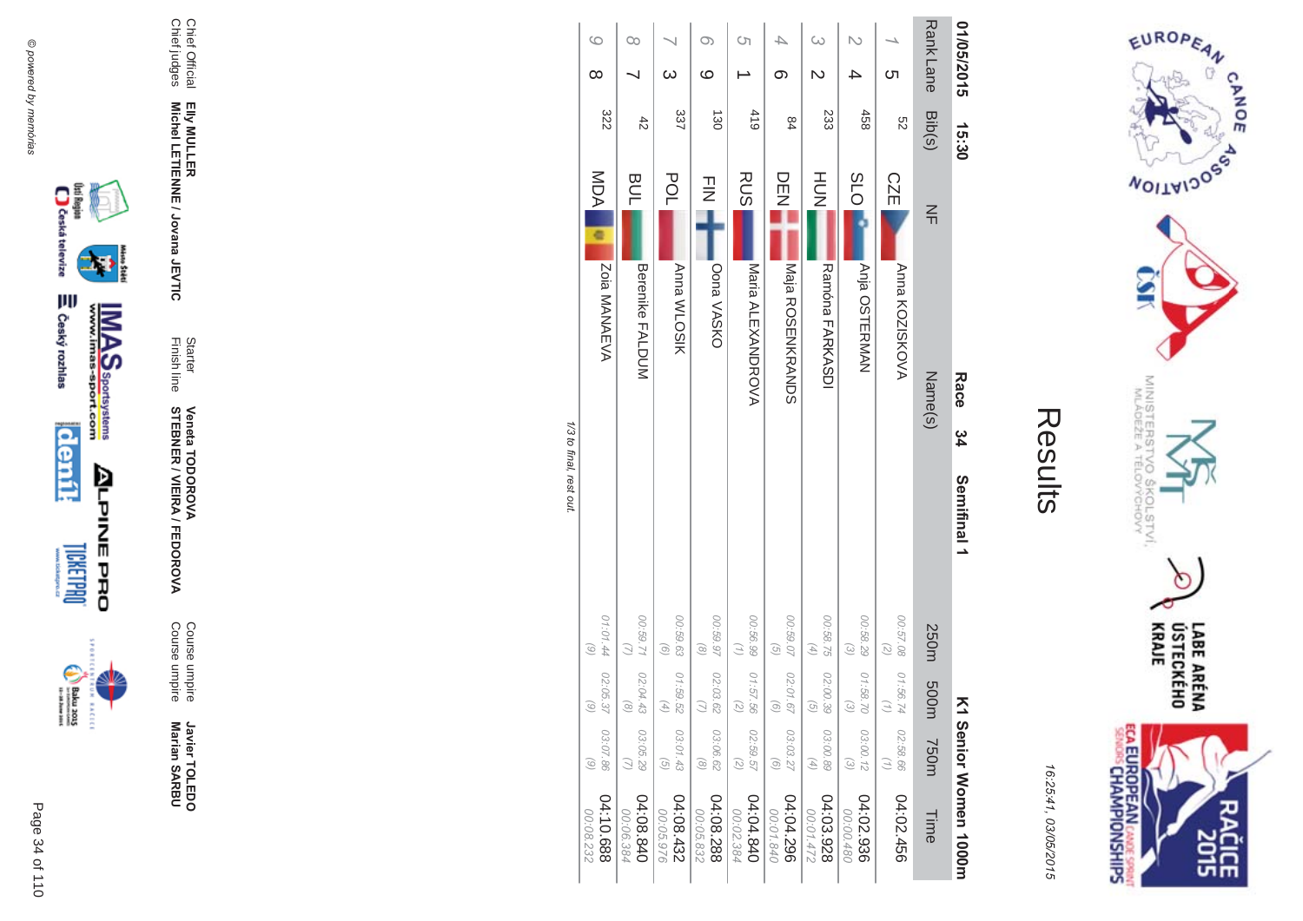

incon



Chief Official<br>Chief judges Elly MULLER<br>Michel LETIENNE / Jovana JEVTIC

Javier TOLEDO<br>Marian SARBU

Course umpire<br>Course umpire

**Veneta TODOROVA<br>STEBNER / VIEIRA / FEDOROVA** 

Starter<br>Finish line



EUROPEAN

**WOILWIDOSS** 

MINISTERS<br>MINISTERS

c

 $\sigma_{\sigma}$ 

COLSTVI.<br><sup>CCHOVY</sup>

 $\circ$ 

LABE ARÉNA<br>ÚSTECKÉHO<br>KRAJE

**SHR** 

CANOE

16:25:41, 03/05/2015

**ECA EUROPEAN CANDE SPRINT**<br>SENORS CHAMPIONSHIPS

| 01/05/2015          | 15:30       | Race                                 | ು<br>34<br>Semifinal 1 |                                                        | Σ                                                                         |                                                 | Senior Monner 1000m    |
|---------------------|-------------|--------------------------------------|------------------------|--------------------------------------------------------|---------------------------------------------------------------------------|-------------------------------------------------|------------------------|
| Rank Lane           | Bib(s)      | $\leq$<br>Name(s)                    |                        | 250m                                                   | 500m                                                                      | <b>750m</b>                                     | Time                   |
| Cл                  | S2          | <b>CZE</b><br>Anna KOZISKOVA         |                        | 00:57.08<br>$\overline{z}$                             | 01:56.74<br>$\left( \begin{smallmatrix} 1 \\ 1 \end{smallmatrix} \right)$ | 02:58.66<br>$\left( \frac{1}{2} \right)$        | 04:02.456              |
|                     | 458         | <b>PO</b><br>Anja OSTERMAN           |                        | 00:58.29<br>$\omega$                                   | 01:58.70<br>$\begin{pmatrix} 2 \end{pmatrix}$                             | 03:00.12<br>$\widehat{\epsilon}$                | 04:02.936<br>00:00.480 |
| ω                   | 233         | HU<br>N<br>Ramóna FARKASDI           |                        | 00:58.75<br>$\left( \frac{4}{7} \right)$               | 02:00.39<br>$\begin{pmatrix} 0 \end{pmatrix}$                             | 03:00.89<br>$\left( \frac{4}{\sqrt{2}} \right)$ | 04:03.928<br>00:01.472 |
|                     | 84          | ロロコ<br>NONDRANDO                     |                        | 00:59.07<br>$\left( 9\right)$                          | 02:01.67<br>$\odot$                                                       | 03:03.27<br>$\odot$                             | 04:04.296<br>00:01.840 |
| Ċ'n                 | 410         | <b>RUS</b><br>Naria ALEXANDROVA      |                        | 00:56.99<br>$\left(\frac{1}{2}\right)$                 | 01:57.56<br>$\left( \frac{2}{\zeta }\right)$                              | 02:59.57<br>$\left( 2\right)$                   | 04:04.840<br>00:02.384 |
| ဖ                   | 130         | $\frac{1}{2}$<br>Oona VASKO          |                        | 20.59.97<br>$\circ$                                    | 02:03.62<br>$\bigcirc$                                                    | 03:06.62<br>$\circledcirc$                      | 04:08.288<br>00:05.832 |
|                     | 337         | POL<br><b>Anna WLOSIK</b>            |                        | 00:59.63<br>$\odot$                                    | 01:59.52<br>$\left( 4\right)$                                             | 03:01.43<br>$\overline{G}$                      | 24:08.432<br>00:05.976 |
| $\infty$            | $\ddot{42}$ | <b>BUL</b><br><b>Berenike FALDUM</b> |                        | 129.59.71<br>$\overline{C}$                            | 02:04.43<br>$\circledcirc$                                                | 03:05.29                                        | 04:08.840<br>00:06.384 |
| $\circ$<br>$\infty$ | 322         | MDA<br>Zoia MANAEVA                  |                        | 01:01.44 02:05.37<br>$\begin{pmatrix} 6 \end{pmatrix}$ | $\textcircled{\scriptsize 6}$                                             | 03:07.86<br>$\odot$                             | 04:10.688<br>00:08.232 |

1/3 to final, rest out.

 $04:10.688$ <br> $00:08.232$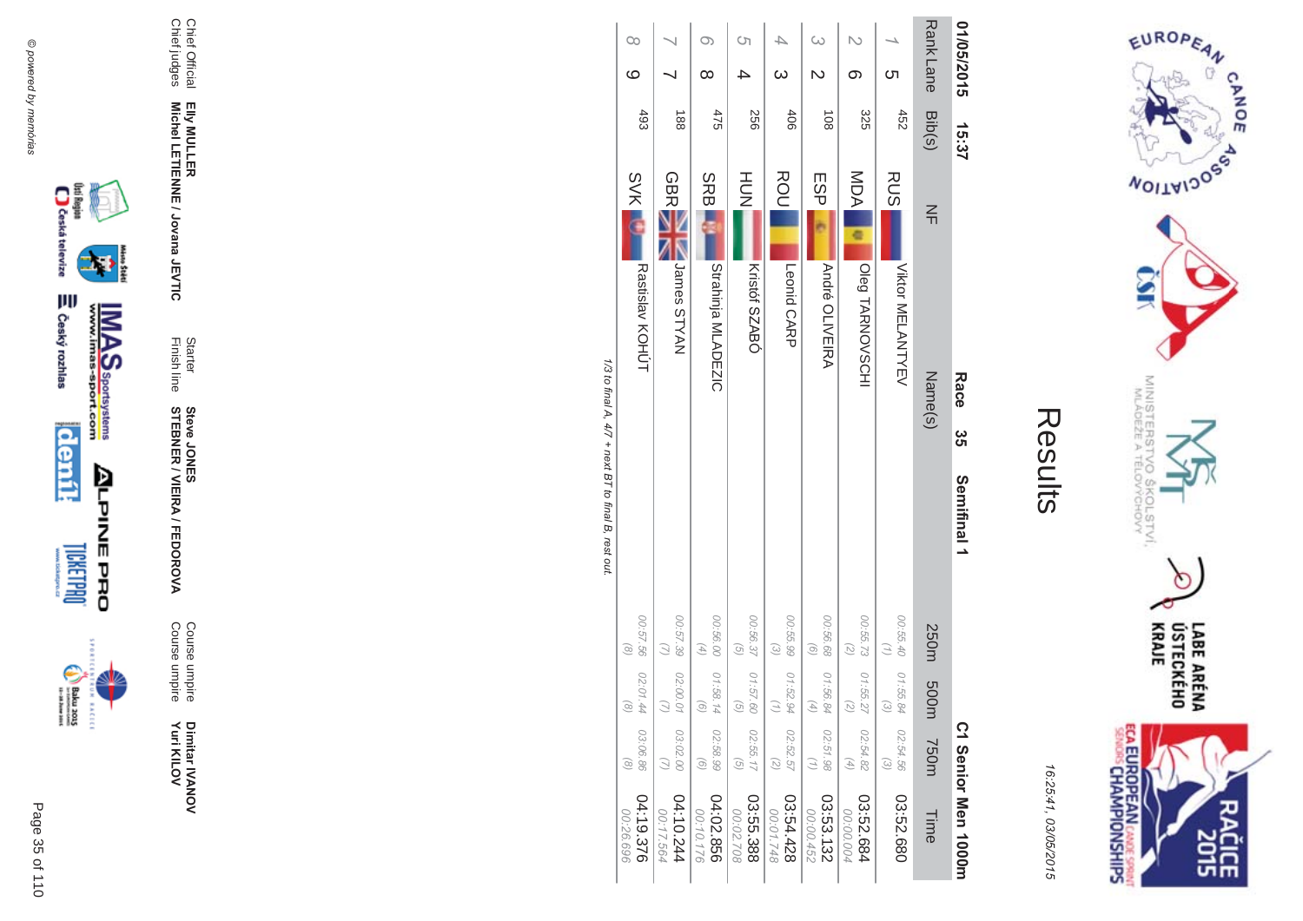



16:25:41 03/05/201  $\overline{(\overline{n})}$ 

| í |
|---|
|   |
|   |

|                                                     | $\infty$<br>ဖ                  |                     | $\infty$                                        | Ćη                                       | 4<br>$\omega$              |                               | ග                          | <u>(</u>                       | <b>RankLane</b> | 01/05/2015                      |
|-----------------------------------------------------|--------------------------------|---------------------|-------------------------------------------------|------------------------------------------|----------------------------|-------------------------------|----------------------------|--------------------------------|-----------------|---------------------------------|
|                                                     | 493                            | 188                 | 475                                             | 256                                      | 406                        | $\frac{108}{2}$               | 325                        | 452                            | Bib(s)          | 15:37                           |
|                                                     | <b>SVK</b>                     | <b>GBR</b>          | <b>SRBI</b>                                     | HUH<br>N                                 | ROU<br>Leonid CARP         | ESP                           | MDA                        | <b>RUS</b>                     | $\frac{2}{1}$   |                                 |
|                                                     | Rastislav KOHÚT                | James STYAN         | Strahinja MLADEZIC                              | Kristóf SZABÓ                            |                            | <b>André OLIVEIRA</b>         | Oleg TARNOVSCHI            | Viktor MELANTYEV               | Name(s)         | Race<br>ပ္ပ<br>ဟ                |
| 1/3 to final A, 4/7 + next BT to final B, rest out. |                                |                     |                                                 |                                          |                            |                               |                            |                                |                 | Semifinal 1                     |
|                                                     | 00:57.56<br>$\circ$            | 00:57.39            | 00:56.00<br>$\left( \frac{4}{\sqrt{2}} \right)$ | 00:56.37<br>$\overline{G}$               | 00:55.99<br>$\omega$       | 00:56.68<br>$\left( 9\right)$ | 00:55.73<br>$\binom{2}{2}$ | 00:55.40                       |                 |                                 |
|                                                     | 02:01.44<br>$\widehat{\alpha}$ | 02:00.0             | 01:58.14<br>ō                                   | 01:57.60<br>ତ                            | 01:52.94                   | 01:56.84                      | 01:55.27<br>R              | 01:55.84<br>ದ                  | 250m 500m       |                                 |
|                                                     | 03:06.86<br>$\odot$            | 03:02.00            | 02:58.99<br>$\odot$                             | 02:55.17<br>$\left( \frac{1}{2} \right)$ | 02:52.57<br>$\binom{2}{2}$ | 02:51.98                      | 02:54.82<br>$(4)$          | 02:54.56<br>$\widehat{\omega}$ | 750m            |                                 |
|                                                     | 04:19.376<br>00:26.696         | 10.244<br>00:17.564 | 04:02.856<br>00:10.176                          | 03:55.388<br>00:02.708                   | 03:54.428<br>00:01.748     | 03:53.132<br>00:00.452        | 03:52.684<br>00:00.004     | 03:52.680                      | Time            | C <sub>1</sub> Senior Men 1000m |





Page

 $\overline{a}$ 35 of 110 Dimitar IVANOV<br>Yuri KILOV **Yuri KILOV** Dimitar **IVANOV** 

**\$ -Steve JONES** 

Finish line Starter

Chief Official<br>Chief judges Chief judges Chief Official

**EIIy MULLER** 

**Michel LETIENNE / Jovana JEVTIC** 

Elly MULLER<br>Michel LETIENNE / Jovana JEVTIC

**MA** 

A/FEDOR

**STEBNER** 

Course umpire<br>Course umpire Course umpire Course umpire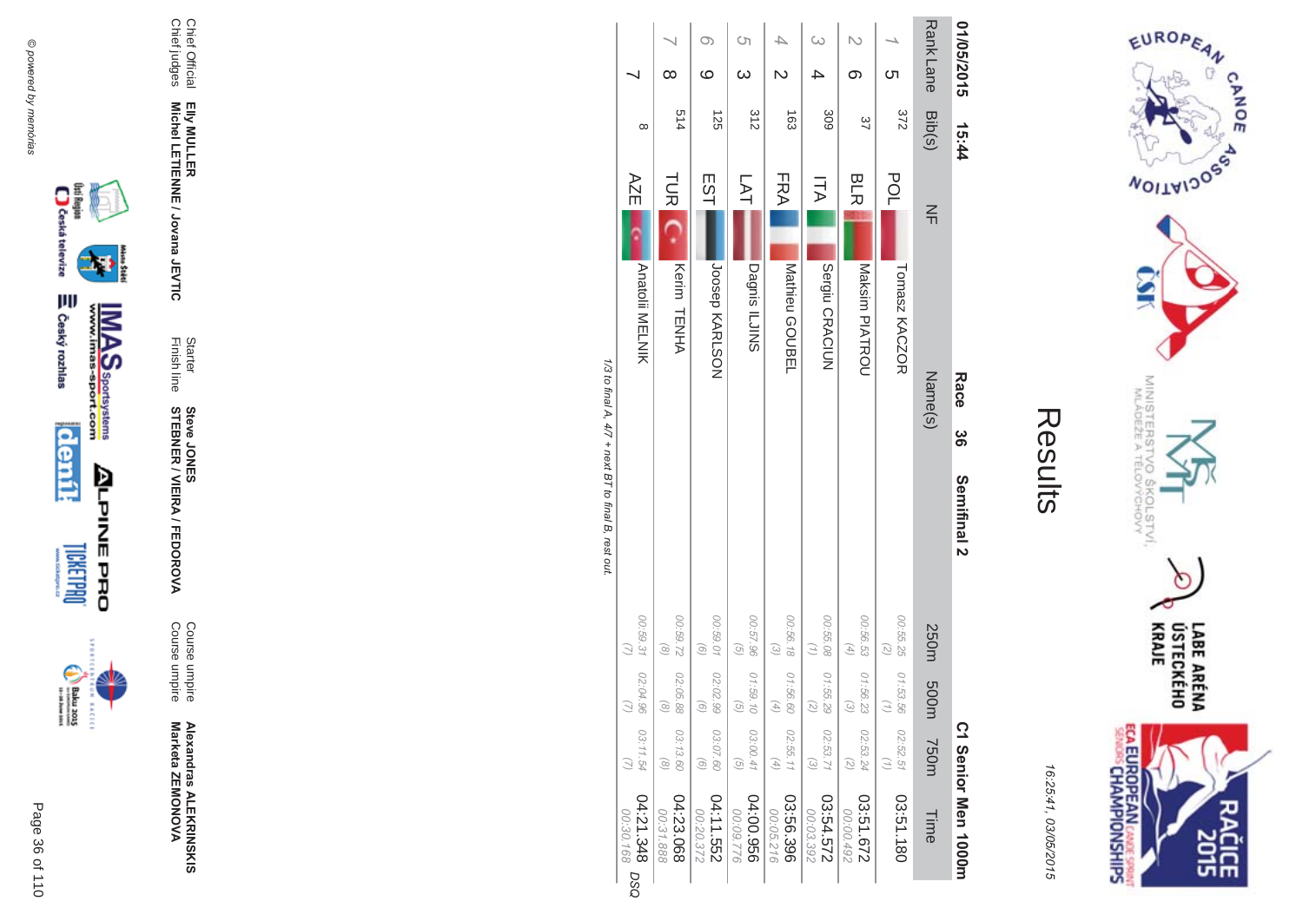



| Ĩ.<br>L |
|---------|
|         |
|         |
|         |
|         |
|         |

|                                                     |                                      | $\infty$                                 | ဖ                             | Ċη<br>ယ                    | 4<br>N                        | ω                                        | თ                                                          | <u>ဟ</u>                   | <b>RankLane</b> | 01/05/2015                      |
|-----------------------------------------------------|--------------------------------------|------------------------------------------|-------------------------------|----------------------------|-------------------------------|------------------------------------------|------------------------------------------------------------|----------------------------|-----------------|---------------------------------|
|                                                     | $\infty$                             | 514                                      | 125                           | 312                        | $\frac{1}{63}$                | 309                                      | 37                                                         | 372                        | Bib(s)          | 15:44                           |
|                                                     | AZE                                  | <b>TUR</b>                               | EST                           | 习                          | FRA                           | Ξ                                        | <b>BLR</b>                                                 | <b>POL</b>                 | $\leq$          |                                 |
|                                                     | Anatolii MELNIK                      | Kerim TENHA                              | JOSPH KARLSON                 | Dagnis ILJINS              | Mathieu GOUBEL                | Sergiu CRACIUN                           | Maksim PIATROU                                             | Tomasz KACZOR              |                 |                                 |
|                                                     |                                      |                                          |                               |                            |                               |                                          |                                                            |                            | Name(s)         | Race                            |
|                                                     |                                      |                                          |                               |                            |                               |                                          |                                                            |                            |                 | မ္တ                             |
| 1/3 to final A, 4/7 + next BT to final B, rest out. |                                      |                                          |                               |                            |                               |                                          |                                                            |                            |                 | Semifinal 2                     |
|                                                     | 00:59.31                             | 22,69.72<br>$\left( \frac{8}{2} \right)$ | 00:59.01<br>$\left( 9\right)$ | 00:57.96<br>$\overline{G}$ | 00:56.18<br>$\omega$          | 00:55.08<br>$\left( \frac{1}{2} \right)$ | 00:56.53<br>$\left( \begin{matrix} 4 \end{matrix} \right)$ | 00:55.25<br>$\binom{2}{2}$ | 250m            |                                 |
|                                                     | 02:04.96                             | 02:05.88<br>ಾ                            | 02:02.99<br>G                 | 01:59.10<br>୕ୖ             | 01:56.6<br>A,                 | 01:55.29<br>Ñ                            | 01:56.23<br>ત્વિ                                           | 01:53.56                   | m005            |                                 |
|                                                     | 03:11.54                             | 03:13.60<br>$\odot$                      | 03:07.60<br>$\widehat{S}$     | 03:00.41<br>$\overline{G}$ | 02:55.11<br>$\left( 4\right)$ | 02:53.71<br>$\omega$                     | 02:53.24<br>$\overline{z}$                                 | 02:52.51<br>$\binom{7}{1}$ | <b>750m</b>     |                                 |
|                                                     | 84:21.348<br>00:30.168<br><b>DSO</b> | 04:23.068<br>00:31.888                   | 04:11.552<br>00:20.372        | 956'00:50<br>00:09.776     | 03:56.396<br>00:05.216        | 03:54.572<br>00:03.392                   | 27.61.672<br>00:00.492                                     | 03:51.180                  | Time            | C <sub>1</sub> Senior Men 1000m |





Page 36 of 110

Chief Official<br>Chief judges

Alexandras ALEKRINSKIS<br>Marketa ZEMONOVA

**Steve JONER / VIEIRA / FEDOROVA** 

Starter<br>Finish line

Elly MULLER<br>Michel LETIENNE / Jovana JEVTIC

Course umpire<br>Course umpire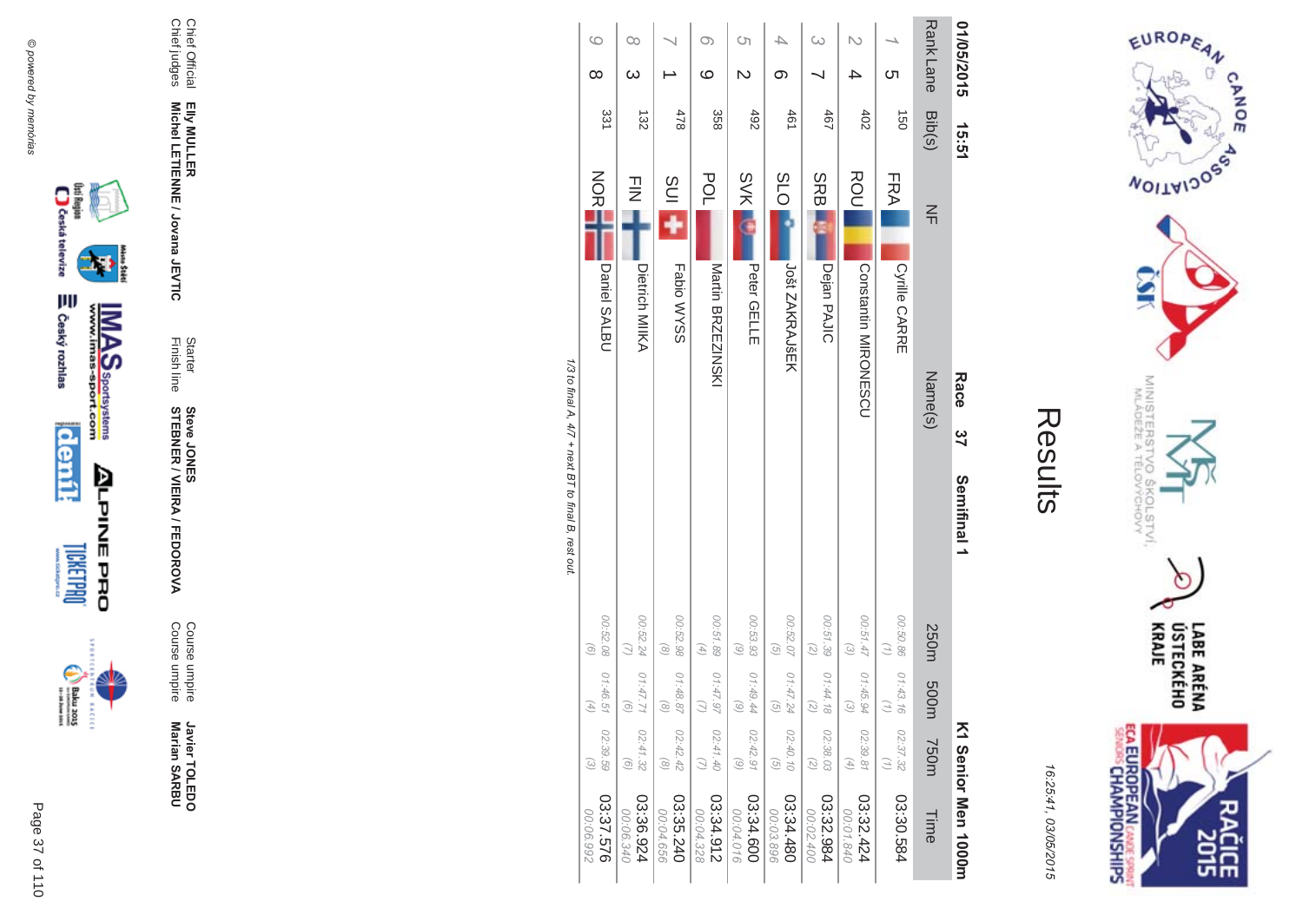

EUROPEAN

**MOITAIDOS** 

CANOE

ECA EUROPEAN CANDES SPRING

16:25:41 03/05/201  $\overline{(\overline{n})}$ 

| ŗ.<br>L |
|---------|
|         |
|         |
|         |
|         |
|         |

| 01/05/2015                    | 15:51                |                   |                      | Race<br>37 | Semifinal 1 |                                               |                               |                                               | K1 Serior Men 1000m    |
|-------------------------------|----------------------|-------------------|----------------------|------------|-------------|-----------------------------------------------|-------------------------------|-----------------------------------------------|------------------------|
| <b>RankLane</b>               | Bib(s)               | $\frac{2}{1}$     |                      | Name(s)    |             | 250m                                          | m005                          | <b>750m</b>                                   | Time                   |
| <u>ဟ</u>                      | $\overrightarrow{0}$ | FRA               | Cyrille CARRE        |            |             | 00:50.86                                      | 01:43.16                      | 02:37.32                                      | 03:30.584              |
|                               | 402                  | ROU               | Opistantin MIRONESCO |            |             | 00:51.47<br>$\odot$                           | 01:45.94<br>્રિ               | 02:39.81<br>$\begin{pmatrix} 4 \end{pmatrix}$ | 03:32.424<br>00:01.840 |
| ω                             | 467                  | <b>SRBI</b>       | Dejan PAJIC          |            |             | 00:51.39<br>(5)                               | 01:44.18<br>Ñ                 | 02:38.03<br>$\widetilde{\mathcal{E}}$         | 03:32.984<br>00:02.400 |
| თ                             | 461                  | <b>SLO</b>        | Jošt ZAKRAJŠEK       |            |             | 00:52.07<br>$\left( 9\right)$                 | 01:47.24<br>$\widehat{G}$     | 02:40.10<br>$\overline{G}$                    | 03:34.480<br>00:03.896 |
| S)<br>$\overline{\mathsf{C}}$ | 492                  | <b>SVK</b>        | Peter GELLE          |            |             | 00:53.93<br>$\begin{pmatrix} 6 \end{pmatrix}$ | 01:49.44<br>િ                 | 02:42.91<br>$\odot$                           | 03:34.600<br>00:04.016 |
| O)<br>ဖ                       | 358                  | POL               | Martin BRZEZINSKI    |            |             | 00:51.89<br>$\left( 4\right)$                 | 01:47.9<br>Ξ                  | 02:41.40<br>$\omega$                          | 03:34.912<br>00:04.328 |
|                               | 478                  | $\frac{1}{2}$ ins | Fabio WYSS           |            |             | 00:52.98<br>$\circledcirc$                    | 01:48.8<br>$\widehat{\infty}$ | 02:42.42<br>$\circledcirc$                    | 03:35.240<br>00:04.656 |
| 00<br>$\omega$                | 132                  | $\frac{1}{2}$     | Dietrich MIIKA       |            |             | 00:52.24 01:47.7<br>$\omega$                  | $\widehat{\sigma}$            | 02:41.32<br>$\odot$                           | 03:36.924<br>00:06.340 |
| $\circ$<br>$\infty$           | 331                  | <b>NORT</b>       | Daniel SALBU         |            |             | 00:52.08<br>$\odot$                           | 01:46.5<br>$\widehat{4}$      | 02:39.59<br>$\widehat{\omega}$                | 03:37.576<br>00:06.992 |

1/3 to final A,  $4/7$  + next BT to final B, rest out. /3 to final A,  $4/7$  + next BT to final B, rest out.





Page

 $\overline{a}$ 37 of 110



Javier TOLEDO **Marian SAR Javier TOLEDO**<br>Marian SARBU

Course umpire<br>Course umpire Course umpire Course umpire

**MA** 

Finish line Starter **STEBNER \$ -**A/FEDOR **Steve JONES** 

Chief Official<br>Chief judges Chief judges Chief Official Elly MULLER<br>Michel LETIENNE / Jovana JEVTIC **Michel LETIENNE / Jovana JEVTIC EIIy MULLER** 

▓

**MAS**<br>Walla Sportsystems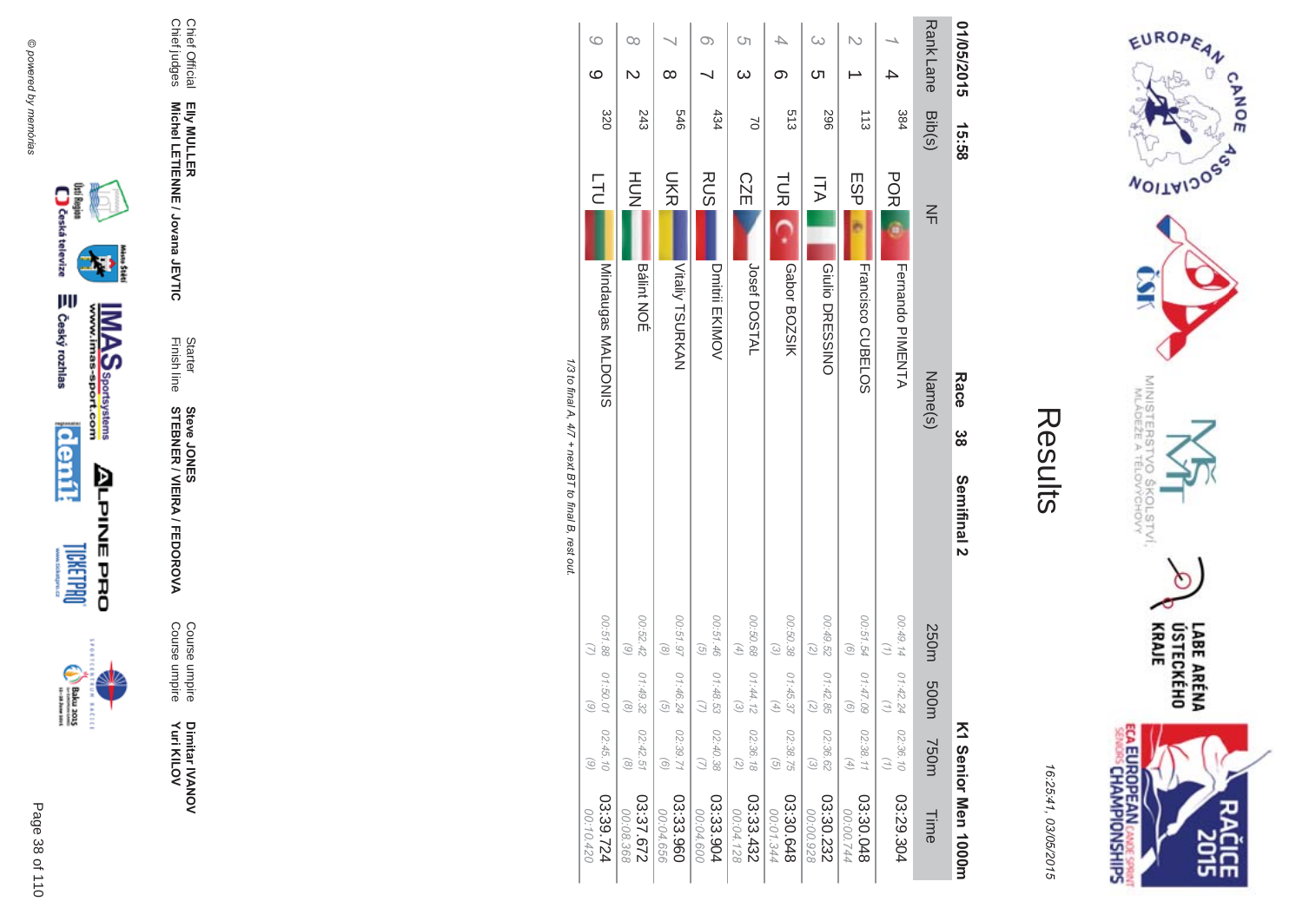

**ECA EUROPEAN** CANDE SPRINT 긊 m

16:25:41 03/05/201  $\overline{(\overline{n})}$ 

| 01/05/2015          | 15:58         |            | Race                     | ဗ္ဗ | Semifinal 2 |                                                            |                                               |                                                                           | K1 Senior Men 1000H    |
|---------------------|---------------|------------|--------------------------|-----|-------------|------------------------------------------------------------|-----------------------------------------------|---------------------------------------------------------------------------|------------------------|
| <b>RankLane</b>     | Bib(s)        | $\leq$     | Name(s)                  |     |             | 250m                                                       | m005                                          | <b>750m</b>                                                               | Time                   |
|                     | 384           | <b>POR</b> | Fernando PIMENTA         |     |             | 00:49.14<br>$\binom{n}{2}$                                 | 01:42.24<br>$\omega$                          | 02:36.10<br>$\left(\frac{1}{2}\right)$                                    | 03:29.304              |
|                     | $\frac{1}{3}$ | ESP        | <b>Francisco CDBELOS</b> |     |             | 00:51.54<br>$\odot$                                        | 01:47.09<br>$\odot$                           | 02:38.11<br>$\left( \begin{smallmatrix} 4 \\ 4 \end{smallmatrix} \right)$ | 03:30.048<br>00:00.744 |
| $\omega$<br>Cл      | 967           | ΠA         | Giulio DRESSINO          |     |             | 00:49.52<br>$(\mathcal{Z})$                                | 01:42.85<br>$\overline{z}$                    | 02:36.62<br>$\mathcal{E}$                                                 | 03:30.232<br>00:00.928 |
| တ                   | 513           | <b>TUR</b> | Gabor BOZSIK             |     |             | 00:50.38<br>$\omega$                                       | 01:45.37<br>$\begin{pmatrix} 4 \end{pmatrix}$ | 02:38.75<br>$\odot$                                                       | 03:30.648<br>00:01.344 |
| Ċη<br>$\omega$      | $\approx$     | <b>CZE</b> | Josef DOSTAL             |     |             | 00:50.68<br>$\left( \begin{matrix} 4 \end{matrix} \right)$ | 01:44.12<br>$\widehat{\omega}$                | 02:36.18<br>$\binom{2}{2}$                                                | 03:33.432<br>00:04.128 |
|                     | 434           | <b>RUS</b> | Dmitril EKIMOV           |     |             | 00:51.46<br>$\left( 5\right)$                              | 01:48.53                                      | 02:40.38<br>$\omega$                                                      | 03:33.904<br>00:04.600 |
| ∞                   | 979           | <b>DKR</b> | Vitaliy TSURKAN          |     |             | 00:51.97<br>$\begin{pmatrix} 0 \\ 0 \end{pmatrix}$         | 01:46.24<br>$\odot$                           | 02:39.71<br>$\odot$                                                       | 03:33.960<br>00:04.656 |
| œ<br>$\overline{C}$ | 243           | HUH<br>N   | <b>Bálint NOÉ</b>        |     |             | 00:52.42<br>$\odot$                                        | 01:49.32<br>$\odot$                           | 02:42.51<br>$\circledcirc$                                                | 27.57.672<br>00:08.368 |
| $\circ$<br>$\circ$  | 320           | <b>TL</b>  | Mindaugas<br>Muriquo MV  |     |             | 00:51.88                                                   | 01:50.01<br>$\odot$                           | 02:45.10<br>$\odot$                                                       | 03:39.724<br>00:10.420 |
|                     |               |            |                          |     |             |                                                            |                                               |                                                                           |                        |

1/3 to final A, 4/7 + next BT to final B, rest out. /3 to final A,  $4/7$  + next BT to final B, rest out.





Dimitar IVANOV<br>Yuri KILOV **Yuri KILOV** Dimitar **IVANOV** 

Course umpire<br>Course umpire Course umpire Course umpire

**MA** 

**STEBNER \$ -**A/FEDOR **Steve JONES** 

Elly MULLER<br>Michel LETIENNE / Jovana JEVTIC **Michel LETIENNE / Jovana JEVTIC** Finish line Starter

Chief Official<br>Chief judges Chief judges Chief Official **EIIy MULLER** 

Page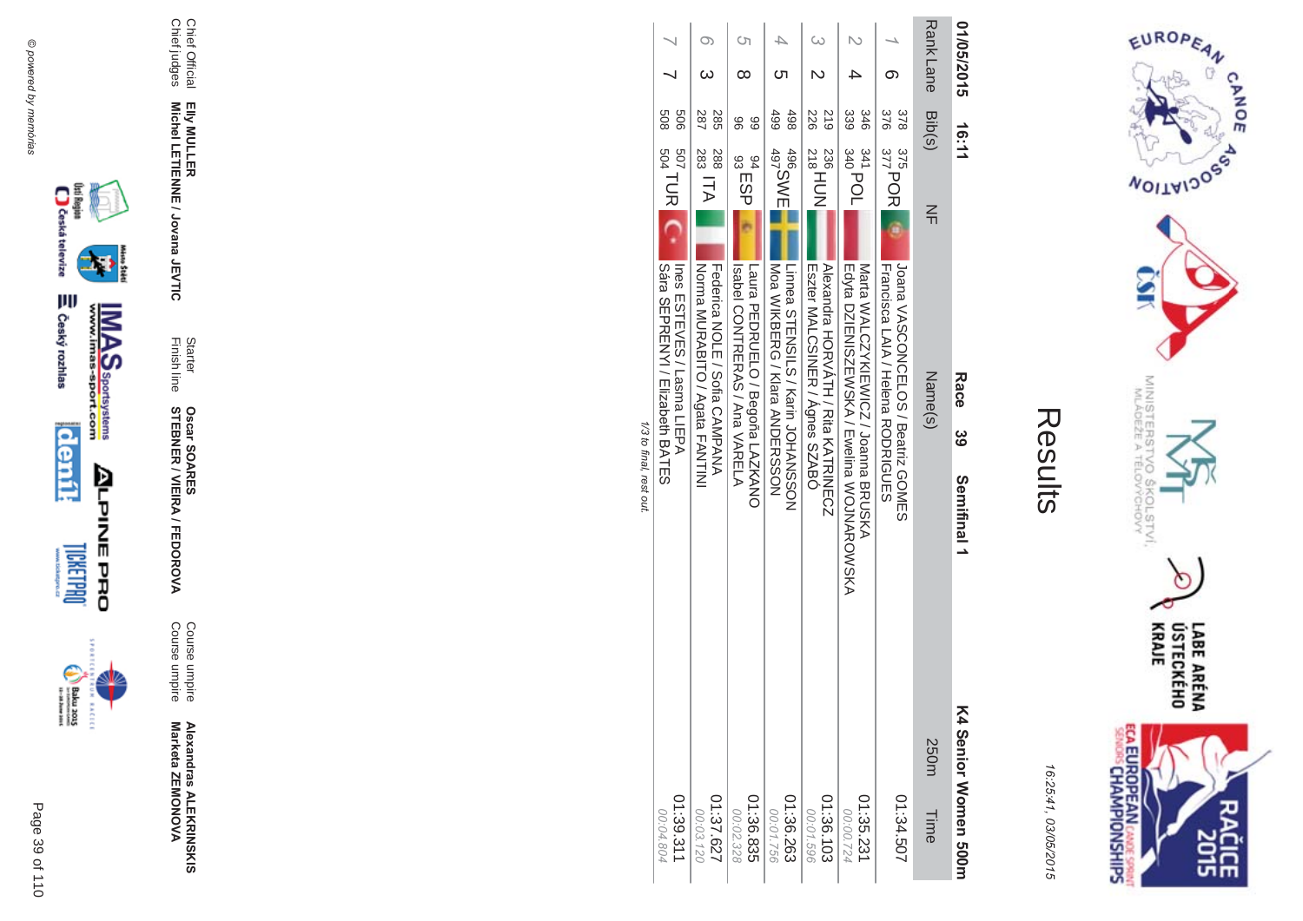



| L<br>L |
|--------|
|        |
|        |
|        |
|        |

| 01/05/2015 | 16:11      |                                       | Race<br>ပ္က                                                                     | Semifinal 1           | K4 Senior Momen 500m   |
|------------|------------|---------------------------------------|---------------------------------------------------------------------------------|-----------------------|------------------------|
| Rank Lane  | Bib(s)     | $\frac{2}{1}$                         | Name(s)                                                                         |                       | 250m<br>Time           |
|            | 376<br>378 | $377$ POR<br>375                      | Joana VASCONCELOS / Beatriz GOMES<br><b>Francisca LAIA / Helena RODRIGOLES</b>  |                       | 1:34.507               |
|            | 339<br>346 | $^{341}_{340}$ POL                    | Edyta DZIENISZEWSKA / Ewelina WOJNAROWSKA<br>Mata WALONYKIEWION / Joanna BRUSKA |                       | 01:35.23<br>00:00.724  |
|            | 226<br>617 | $^{236}_{218}$ HDN                    | Eszter MALCSINER / Agnes SZABO<br>Mexandra HORVATH / Kita KATKINECZ             |                       | 01:36.103<br>00:01.596 |
|            | 499<br>498 | 496<br>497<br>497                     | Moa WIKBERG / Klara AMDERSSOM <br>Linnea STENSILS / Karin JOHANSSON             |                       | 01:36.263<br>00:01.756 |
|            | 96<br>89   | <sup>94</sup><br>93 ESP               | Isspel CONTREAS / Ana VASENT<br>Laura PEDROLELO / Begoña LAZANO                 |                       | 01:36.835<br>00:02.328 |
|            | 287<br>285 | $\frac{383}{283}$ ITA<br>288          | NOTIAL Agata FANTINI<br>Tederica NOLE / Sofia CAMPANA                           |                       | 01:37.627<br>00:03.120 |
|            | 809<br>909 | $_{504}^{507}$ TUR $\left[$ C $\cdot$ | ILEPA<br>Lues Liens<br>11EPA<br><b>Sara SEPRENTIVI Elizabeth BAILES</b>         |                       | 01:39.311<br>00:04.804 |
|            |            |                                       |                                                                                 | 1/3 to final rect out |                        |

 $\ddot{\tilde{}}$  $\ddot{\cdot}$ 



Chief Official<br>Chief judges

Elly MULLER<br>Michel LETIENNE / Jovana JEVTIC

Starter<br>Finish line

**Oscar SOARES<br>STEBNER / VIEIRA / FEDOROVA** 

Course umpire<br>Course umpire

Alexandras ALEKRINSKIS<br>Marketa ZEMONOVA





 $\begin{picture}(20,5) \put(0,0) {\put(0,0){\line(1,0){15}} \put(0,0){\line(1,0){15}} \put(0,0){\line(1,0){15}} \put(0,0){\line(1,0){15}} \put(0,0){\line(1,0){15}} \put(0,0){\line(1,0){15}} \put(0,0){\line(1,0){15}} \put(0,0){\line(1,0){15}} \put(0,0){\line(1,0){15}} \put(0,0){\line(1,0){15}} \put(0,0){\line(1,0){15}} \put(0,0){\line(1,0){15$ **BACECE** 

Page 39 of 110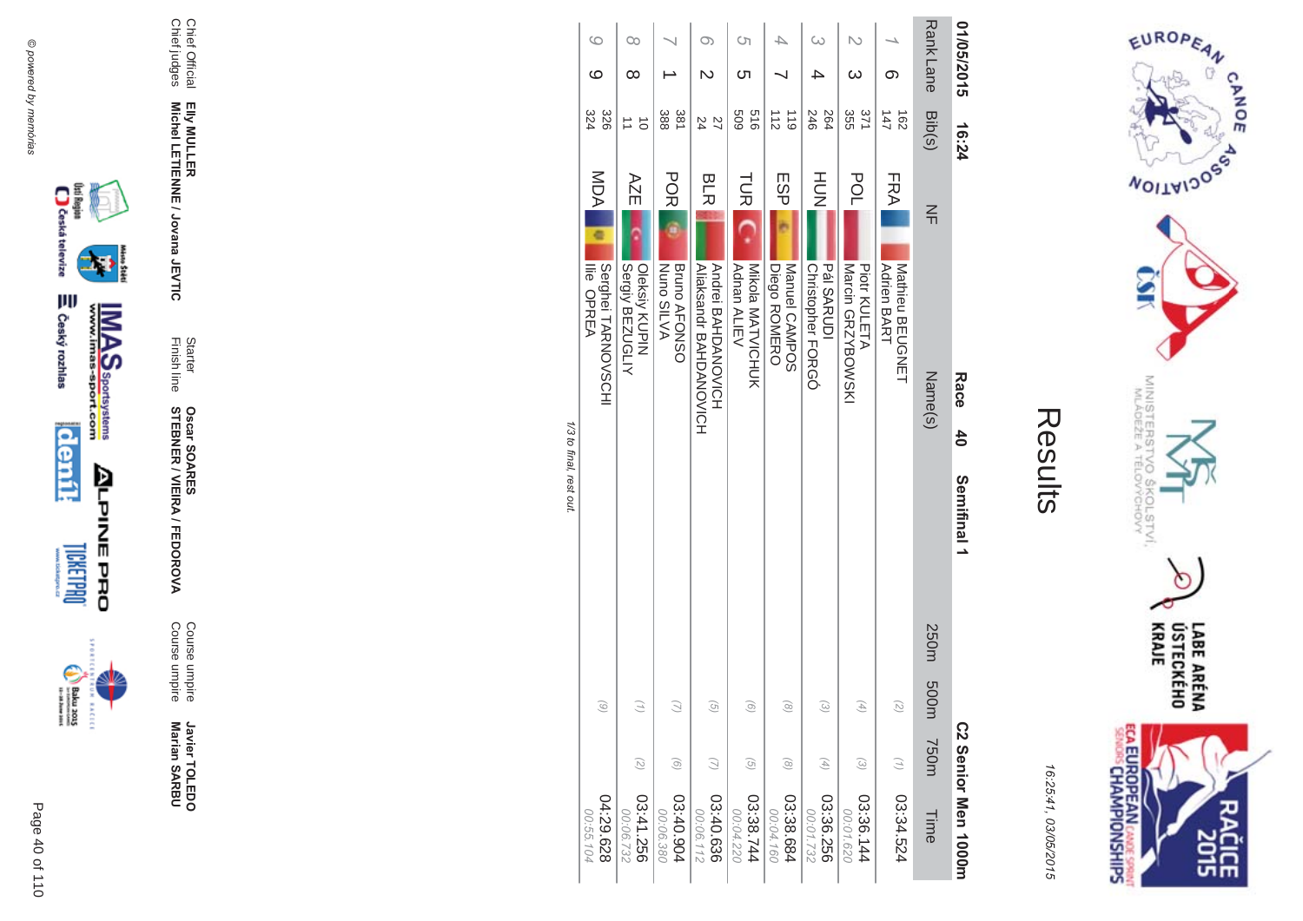



|                        |                    |                    |      | <b>インサ ひょうこう こうようこく</b> |             |                                                 |                 |                                |                  |    |
|------------------------|--------------------|--------------------|------|-------------------------|-------------|-------------------------------------------------|-----------------|--------------------------------|------------------|----|
| 04:29.628<br>00:55.104 |                    | $\widehat{\omega}$ |      |                         |             | Serghei TARNOVSCHI<br><b>lie OPREA</b>          | <b>MDA</b><br>¢ | 324<br>328                     | ဖ                | ဖ  |
| 03:41.256<br>00:06.732 | $\binom{2}{2}$     |                    |      |                         |             | Sergiy BEZUGLIY<br>Oleksiy KUPIN                | AZE             | $\vec{o}$                      | ∞                | Co |
| 03:40.904<br>00:06.380 | $\odot$            | G.                 |      |                         |             | Nuno SILVA<br><b>Bruno AFONSO</b>               | <b>PORI</b>     | 388<br>381                     |                  |    |
| 03:40.636<br>00:06.112 |                    | তি.                |      |                         |             | A DONDOVIONO<br><b>Aliaksandr BAHDANOVICH</b>   | <b>BLR</b>      | 22<br>24                       |                  | O) |
| 03:38.744<br>00:04.220 | G                  | ெ                  |      |                         |             | Nikola NATVICHOK<br><b>Adnan ALIEV</b>          | <b>TUR</b>      | 919<br>609                     | Cл               | S  |
| 03:38.684<br>00:04.160 | $\odot$            | $\widehat{\infty}$ |      |                         |             | Manuel CAMPOS<br><b>Diego ROMERO</b>            | ESP             | $\frac{1}{2}$<br>$\frac{1}{6}$ |                  |    |
| 03:36.256<br>00:01.732 | A)                 | ದ                  |      |                         |             | <b>Pál SARUDI</b><br>Christopher FORGÓ          | HUH<br>N        | 264<br>246                     |                  | ω  |
| 03:36.144<br>00:01.620 | $\widehat{\omega}$ | A,                 |      |                         |             | <b>Narcin GRZYBOWSKI</b><br><b>Piotr KULETA</b> | POL             | 355<br>371                     |                  |    |
| 03:34.524              |                    | G,                 |      |                         |             | Mathieu BEUGNET<br><b>Adrien BART</b>           | FRA             | 147<br>$\frac{162}{2}$         | თ                |    |
| Time                   | <b>750m</b>        | m005               | 250m |                         |             | Name(s)                                         | $\leq$          | Bib(s)                         | <b>Rank Lane</b> |    |
| C2 Senior Men 1000m    |                    |                    |      | Semifinal 1             | $rac{4}{5}$ | Race                                            |                 | 16:24                          | 01/05/2015       |    |

1/3 to final, rest out.





Javier TOLEDO<br>Marian SARBU

Course umpire<br>Course umpire

Starter<br>Finish line **Oscar SOARES<br>STEBNER / VIEIRA / FEDOROVA** 

Elly MULLER<br>Michel LETIENNE / Jovana JEVTIC

Chief Official<br>Chief judges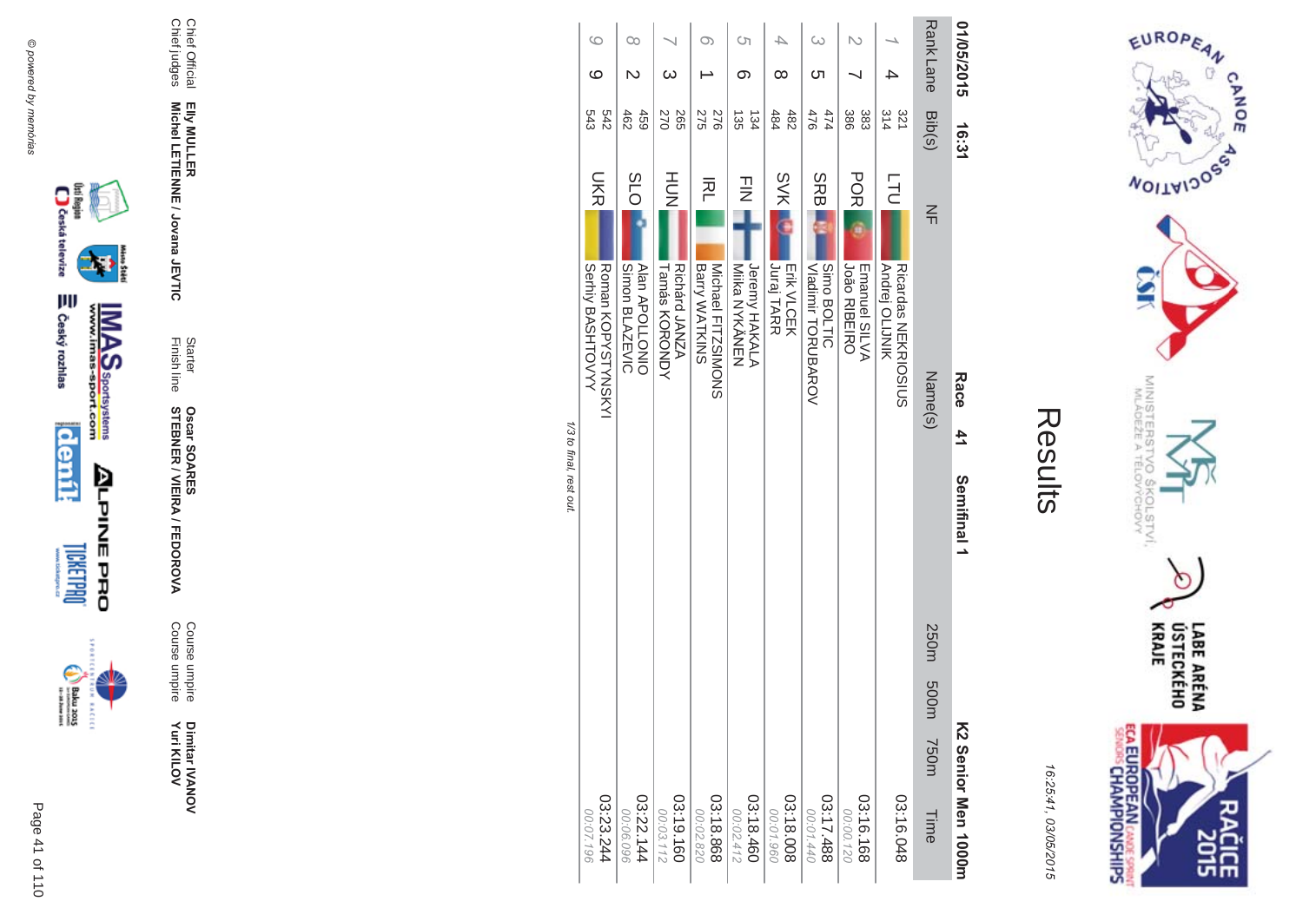

incon



Course umpire<br>Course umpire

Starter<br>Finish line **Oscar SOARES<br>STEBNER / VIEIRA / FEDOROVA** 

Chief Official<br>Chief judges Elly MULLER<br>Michel LETIENNE / Jovana JEVTIC

| G<br>ဖ                                              | $\infty$                                              | ယ                                                | O)                                              | Cη<br>ග                                    | ∞                                       | ω                                               |                                                     |                                                                  | <b>Rank Lane</b>          | 01/05/2015                |
|-----------------------------------------------------|-------------------------------------------------------|--------------------------------------------------|-------------------------------------------------|--------------------------------------------|-----------------------------------------|-------------------------------------------------|-----------------------------------------------------|------------------------------------------------------------------|---------------------------|---------------------------|
| 542<br>543                                          | 459<br>462                                            | 270<br>265                                       | 275<br>276                                      | 135<br>134                                 | 484<br>482                              | 474<br>476                                      | 386<br>383                                          | 314<br>321                                                       | Bib(s)                    | 16:31                     |
| <b>UKR</b><br>Serhiy BASHTOVYY<br>Roman KOPYSTYNSKY | <b>SLO</b><br>Simon BLAZEVIC<br><b>Alan APOLLONIO</b> | HU<br>N<br>Richárd JANZA<br><b>Tamás KORONDY</b> | 주<br>Michael FITZSIMONS<br><b>Barry WATKINS</b> | コミ<br>Jeremy HAKALA<br><b>Mika NYKÄNEN</b> | <b>SVKI</b><br>Juraj TARR<br>Erik VLCEK | <b>SRB</b><br>Simo BOLTIC<br>Vladimir TORUBAROV | <b>PORI</b><br><b>João RIBEIRO</b><br>Emanuel SILVA | <b>LTU</b><br><b>Andrej OLIJNIK</b><br><b>Ricardas NEKROSIOS</b> | $\leq$<br>Name(s)         | Race<br>41<br>Semifinal 1 |
| 03:23.244<br>00:07.196                              | 03:22.144<br>00:06.096                                | 03:19.160<br>00:03.112                           | 03:18.868<br>00:02.820                          | 03:18.460<br>00:02.412                     | 03:18.008<br>00:01.960                  | 03:17.488<br>00:01.440                          | 03:16.168<br>00:00.120                              | 03:16.048                                                        | 250m 500m<br>T50m<br>Time | K2 Senior Men 1000rr      |

EUROPEAN

**WOILWIDOSS** 

MINISTERS'<br>MLÁDEŽE A

**VOS** 

COLSTVI.<br><sup>CCHOVY</sup>

ECA EUROPEAN CANDES SPRING

 $\cap$ 

LABE ARÉNA<br>ÚSTECKÉHO<br>KRAJE

**SHS** 

Results

16:25:41, 03/05/2015

CANOE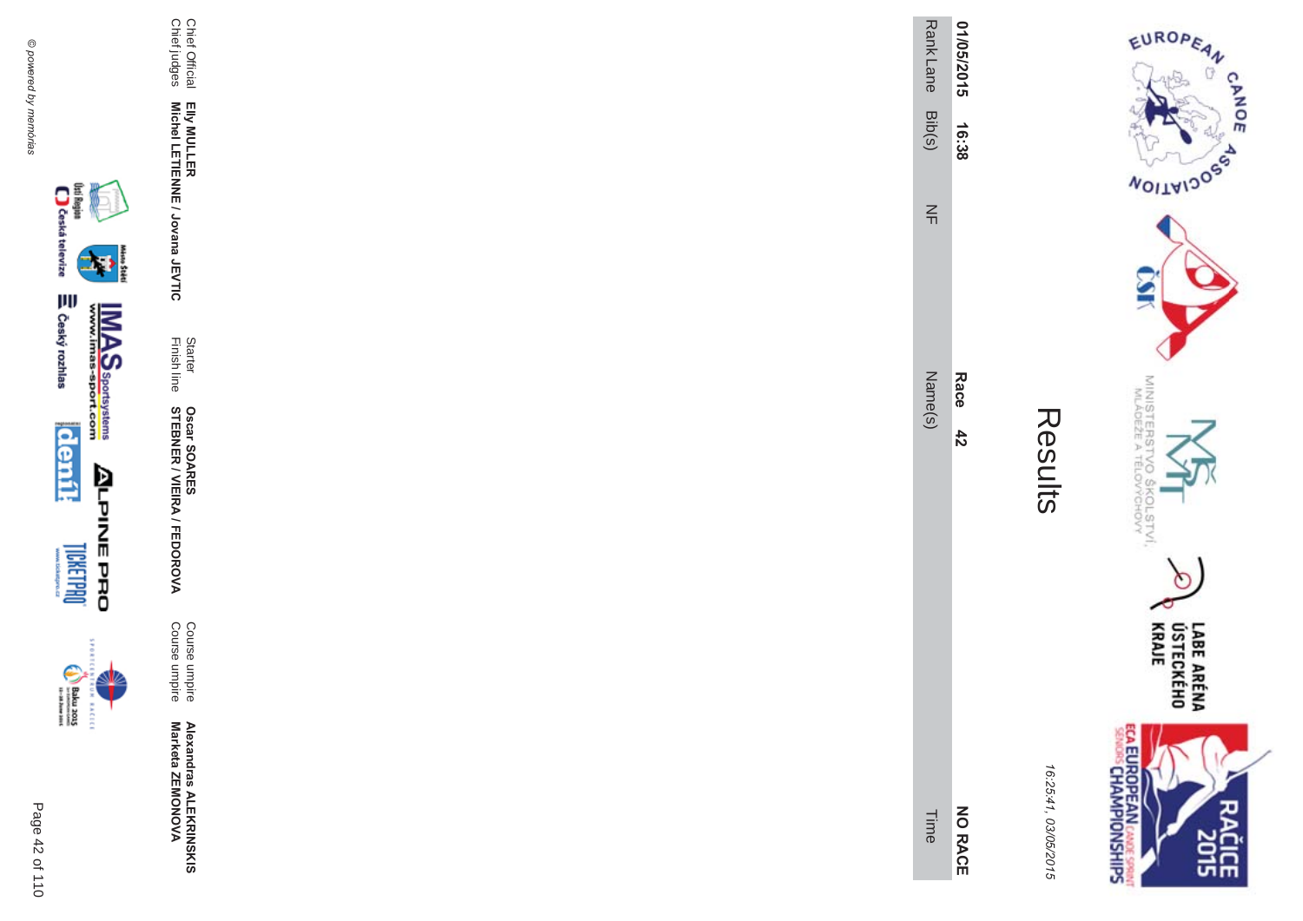

 $131244$ 

| ٦ |
|---|

Course umpire<br>Course umpire

Statter Oscar SOARES<br>Finish line STEBNER / VIEIRA / FEDOROVA

Elly MULLER<br>Michel LETIENNE / Jovana JEVTIC

Chief Official<br>Chief judges

| Ĺ.<br>C<br>Ö<br>ŕ |  |
|-------------------|--|

EUROPEAN

**NOILWIDOS** 

MINISTERS<br>MLÁDEŽE

'd  $\sigma_{\rm o}$ 

**COLSTVI,**<br>PCHOVY

 $\circ$ 

LABE ARÉNA<br>ÚSTECKÉHO<br>KRAJE

**SISCE** 

**CANOE** 

| ,<br>٠<br>, |
|-------------|
| ı<br>ï      |
|             |
| ,           |
| ١           |
|             |
| C<br>٦      |
|             |

| Rank Lane<br>Bib(s) | 01/05/2015<br>16:38 |
|---------------------|---------------------|
| $\frac{2}{1}$       |                     |
| Vame(s              | <b>Race</b><br>42   |
| Time                | <b>NO RACE</b>      |

**ECA EUROPEAN CANDE SPRINTS**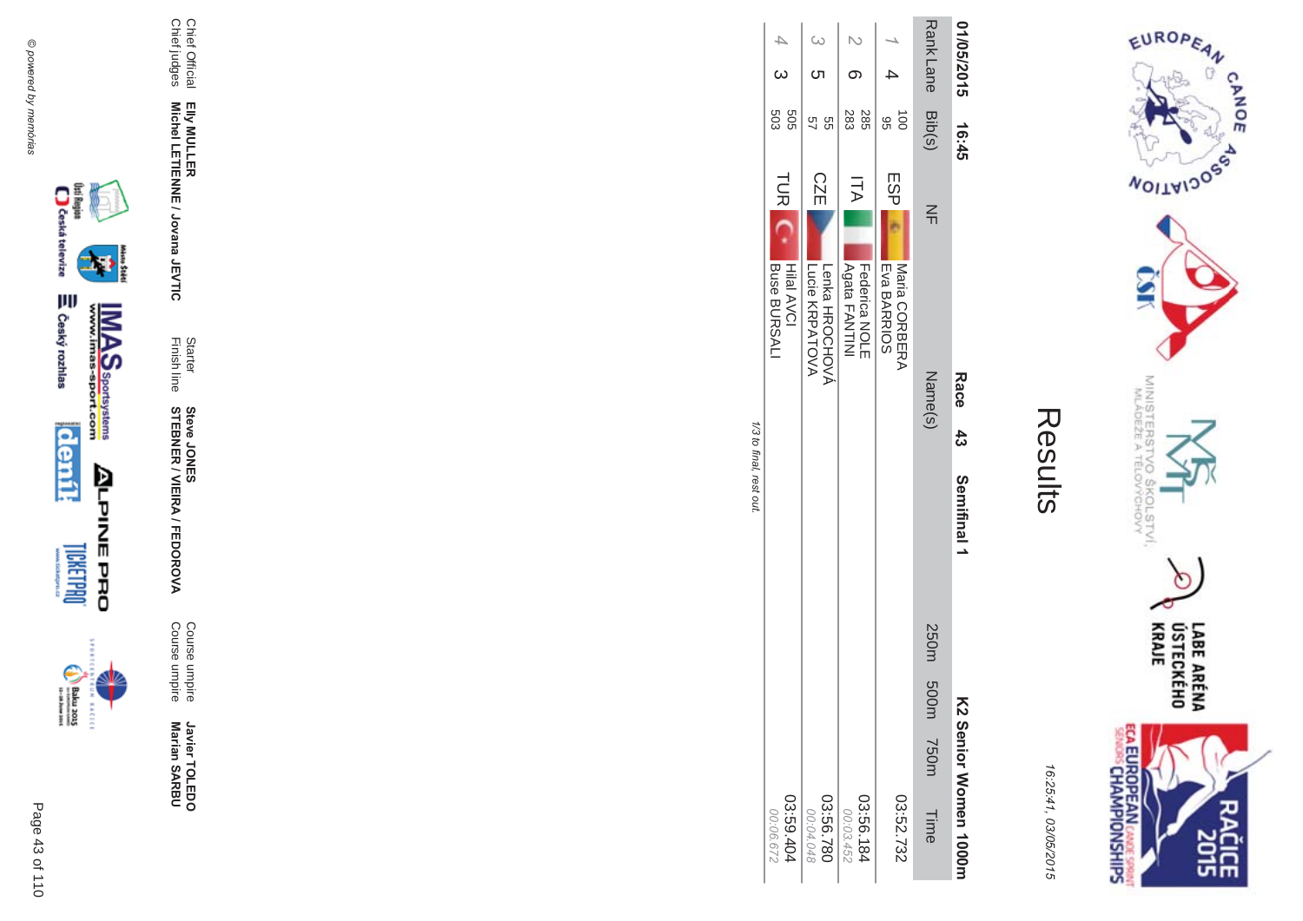Chief Official<br>Chief judges

Elly MULLER<br>Michel LETIENNE / Jovana JEVTIC

Starter<br>Finish line

**Steve JONER / VIEIRA / FEDOROVA**<br>STEBNER / VIEIRA / FEDOROVA

Course umpire<br>Course umpire

Javier TOLEDO<br>Marian SARBU



incon



**ELROPEAN CASES**<br>SENDIS CHAMPIONSHIPS 16:25:41, 03/05/2015

Results

LABE ARÉNA<br>ÚSTECKÉHO<br>KRAJE ዸቘ

EUROPEAN

**NOILWIDOSS** 

MINISTERS'<br>MLADEŽE A

CHOW<br>CHOW

 $\sigma$ 

**CANOE**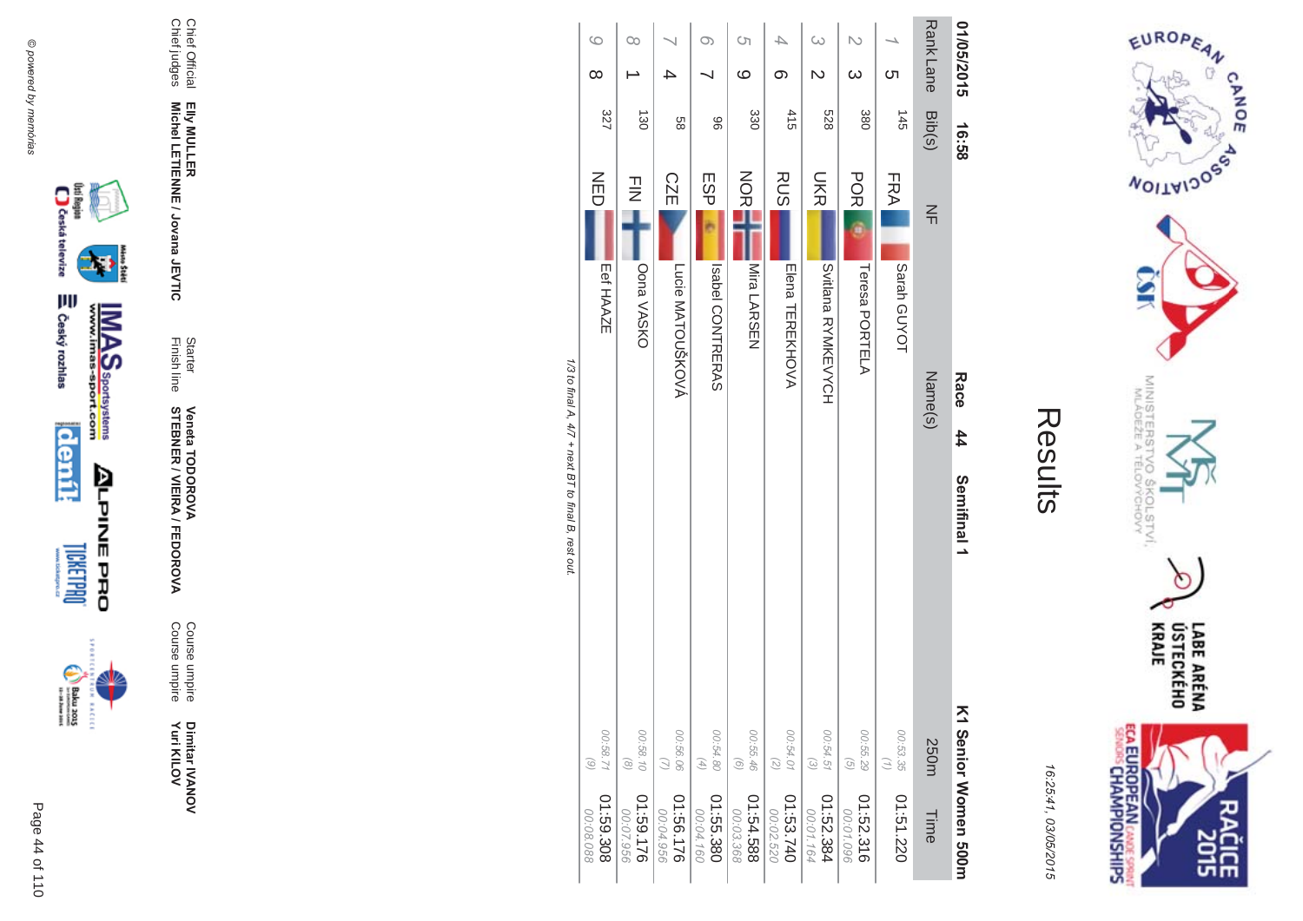Chief Official<br>Chief judges

Elly MULLER<br>Michel LETIENNE / Jovana JEVTIC

Starter<br>Finish line

**Veneta TODOROVA<br>STEBNER / VIEIRA / FEDOROVA** 

Course umpire<br>Course umpire

**Dimitar IVANOV**<br>Yuri KILOV



istore



160

99

368

02

164

1/3 to final A, 4/7 + next BT to final B, rest out.

 $\circ$ 

 $\infty$ 

 $\infty$ 

 $\overline{\phantom{0}}$ 

 $\circ$ 

 $\overline{\mathcal{A}}$ 

 $\omega$ 

 $\mathbb N$ 

 $\overline{\phantom{a}}$ 

Results Semifinal 1 K1 Senior Women 500m 16:25:41, 03/05/2015 01:52.316 01:51.220 Time

EUROPEAN

**NOILWIDOSS** 

MINISTERS<br>MLÁDEŽE A

CHOVY

ECA EUROPEAN CANCE SPRINT

LABE ARÉNA<br>ÚSTECKÉHO<br>KRAJE

ᅄ

**CANOE**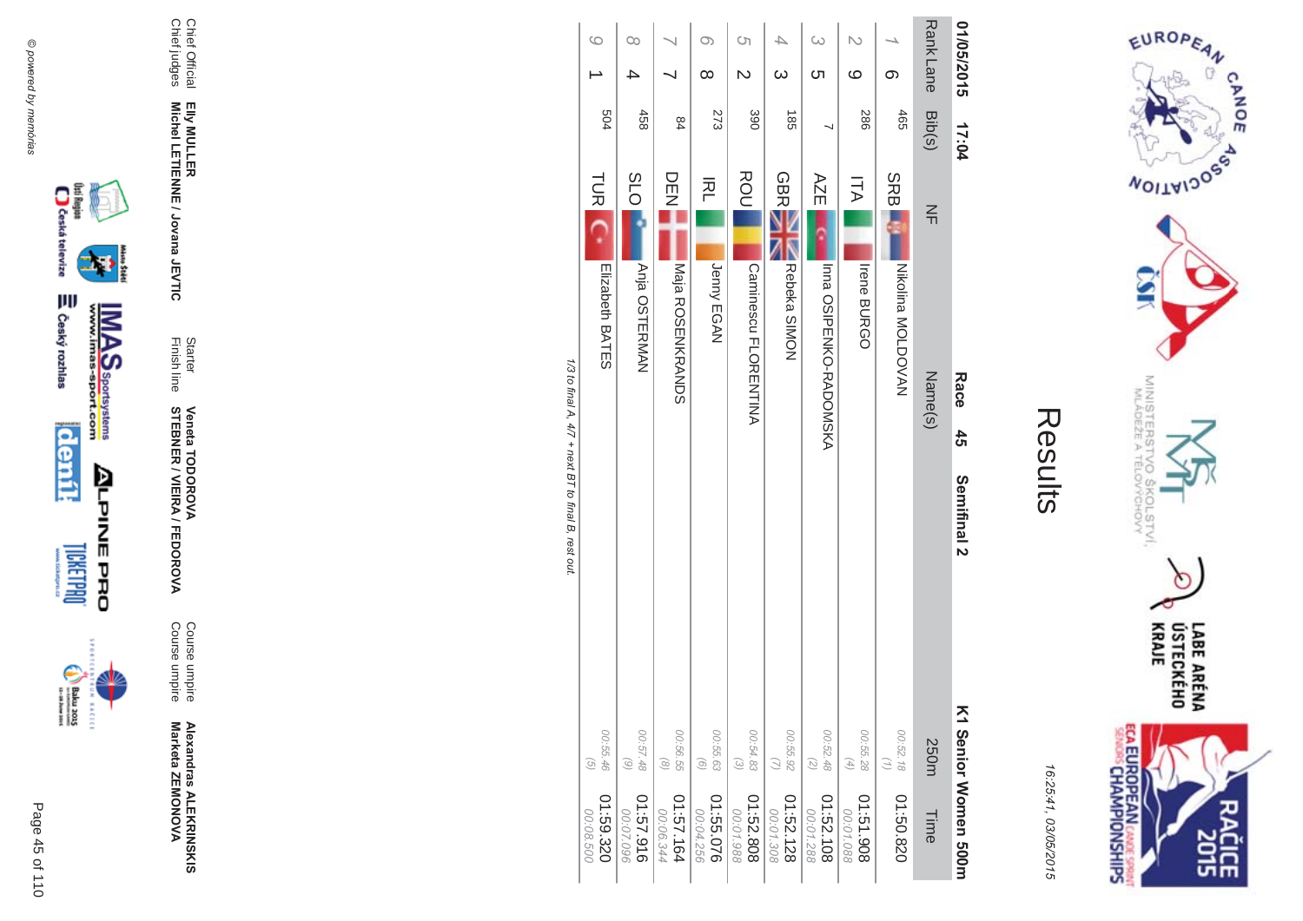



| ĩ. |
|----|
|    |
|    |
|    |
|    |

| Rank Lane<br>Bib(s) | $\leq$<br>Name(s)              | 250m                                                                    | Time                   |
|---------------------|--------------------------------|-------------------------------------------------------------------------|------------------------|
| 465                 | SRBI<br>NY OOLDOVAN            | 00:52.18<br>$\binom{n}{2}$                                              | 01:50.820              |
| <b>286</b>          | ΠA<br><b>Irene BURGO</b>       | 00:55.28<br>$\left( 4\right)$                                           | 806151.90<br>00:01.088 |
|                     | AZE<br>Inna OSIPENKO-RADOMSKA  | 00:52.48<br>$\left( \mathcal{L}\right)$                                 | 01:52.108<br>00:01.288 |
| 38                  | Rebeka SIMON                   | 00:55.92<br>$\omega$                                                    | 01:52.128<br>00:01.308 |
| 390                 | <b>Commesco FLORENTINA</b>     | 00:54.83<br>$\odot$                                                     | 01:52.808<br>00:01.988 |
| 273                 | 적<br>Jenny EGAN                | 00:55.63<br>$\begin{pmatrix} 0 \end{pmatrix}$                           | 01:55.076<br>00:04.256 |
| 84                  | DEN<br><b>Naja ROSENKRYNDS</b> | 00:56.55<br>$\odot$                                                     | 01:57.164<br>00:06.344 |
| 458                 | <b>SLO</b><br>Anja OSTERMAN    | 00:57.48<br>$\odot$                                                     | 916'25:10<br>00:07.096 |
| 504                 | Elizabeth<br>BATES             | 00:55.46<br>$\widehat{G}$                                               | 01:59.320<br>00:08.500 |
|                     | 17:04                          | ROU<br><b>GBR</b><br><b>TUR</b><br>Race<br>$\frac{4}{5}$<br>Semifinal 2 | V1 Senior Momen 500m   |

1/3 to final A, 4/7 + next BT to final B, rest out.

@ powered by memórias





**BACECE** 

Page 45 of 110





Chief Official<br>Chief judges

**Veneta TODOROVA<br>STEBNER / VIEIRA / FEDOROVA** 

Starter<br>Finish line

Elly MULLER<br>Michel LETIENNE / Jovana JEVTIC

Course umpire<br>Course umpire

Alexandras ALEKRINSKIS<br>Marketa ZEMONOVA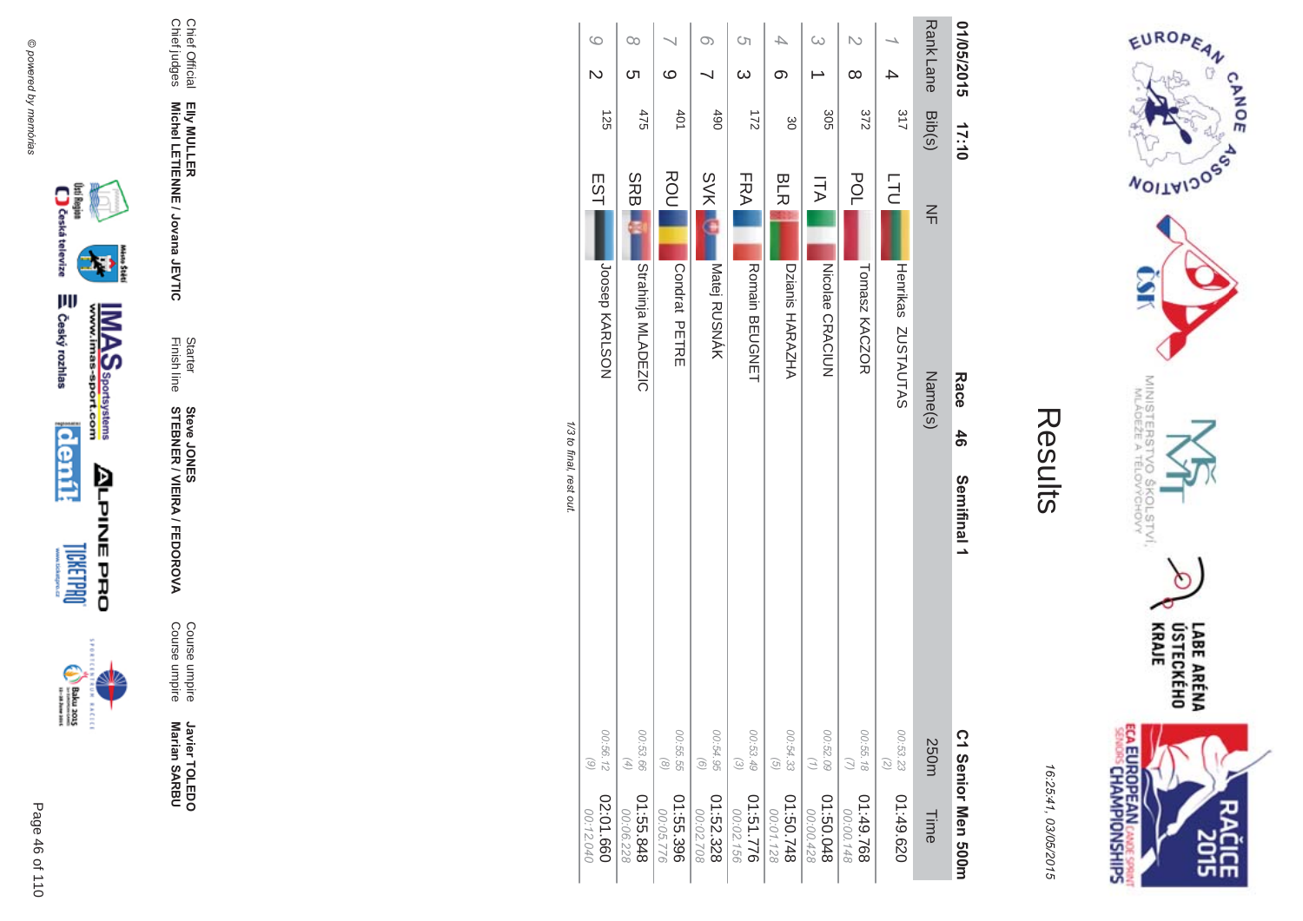

incon



Course umpire<br>Course umpire Course umpire Course umpire

**\$ -**A/FEDOR **MA** 

Finish line Starter **STEBNER Steve JONES** 

Chief Official<br>Chief judges Chief judges Chief Official Elly MULLER<br>Michel LETIENNE / Jovana JEVTIC **Michel LETIENNE / Jovana JEVTIC EIIy MULLER** 

| 01/05/2015                         | 17:10      | Race<br>46<br>Semifinal 1           |                                                                           | C1 Senior Men 500m     |
|------------------------------------|------------|-------------------------------------|---------------------------------------------------------------------------|------------------------|
| <b>RankLane</b>                    | Bib(s)     | $\leq$<br>Name(s)                   | 250m                                                                      | Time                   |
|                                    | 317        | <b>LTU</b><br>Henrikas<br>ZOSTAUTAS | 00:53.23                                                                  | 01:49.620              |
| N<br>$\infty$                      | 372        | <b>POL</b><br>Tomasz KACZOR         | 00:55.18<br>$\mathcal{Q}$                                                 | 01:49.768<br>00:00.148 |
| ω                                  | 305        | コマ<br><b>Nicolae CRACIUN</b>        | 00:52.09<br>$\left( 1\right)$                                             | 840.0510<br>00:00.428  |
| თ                                  | 8          | <b>BLR</b><br>Dzianis HARAZHA       | 00:54.33<br>$\odot$                                                       | 847.03:10<br>00:01.128 |
| $\circ$<br>$\omega$                | 211        | FRA <br><b>Romain BEUGNET</b>       | 00:53.49<br>$\odot$                                                       | 01:51.776<br>00:02.156 |
| O)                                 | <b>490</b> | <b>SVK</b><br>Matej RUSNÁK          | 00:54.95<br>$\odot$                                                       | 01:52.328<br>00:02.708 |
| $\circ$                            | 401        | ROU<br>Condrat PETRE                | 00:55.55<br>$\odot$                                                       | 01:55.396<br>00:05.776 |
| Co<br><u>(</u>                     | 475        | <b>SRBI</b><br>Strahinja MLADEZIC   | 00:53.66<br>$\left( \begin{smallmatrix} 4 \\ 4 \end{smallmatrix} \right)$ | 848.55.10<br>00:06.228 |
| $\circ$<br>$\overline{\mathsf{C}}$ | 125        | EST<br>JOSSPO KARLSON               | 00:56.12<br>$\begin{pmatrix} 0 \\ 0 \end{pmatrix}$                        | 02:01.660<br>00:12.040 |

1/3 to final, rest out. /3 to final, rest out.

> LABE ARÉNA<br>ÚSTECKÉHO<br>KRAJE ECA EUROPEAN CANDES SPRING čičE

EUROPEAN

**MOITAIDOS** 

MINISTERS<br>MINISTERS

°C

 $rac{50}{60}$ 

COLSTVI.<br><sup>CCHOVY</sup>

 $\cap$ 

CANOE

16:25:41 03/05/201  $\overline{(\overline{n})}$ 

Results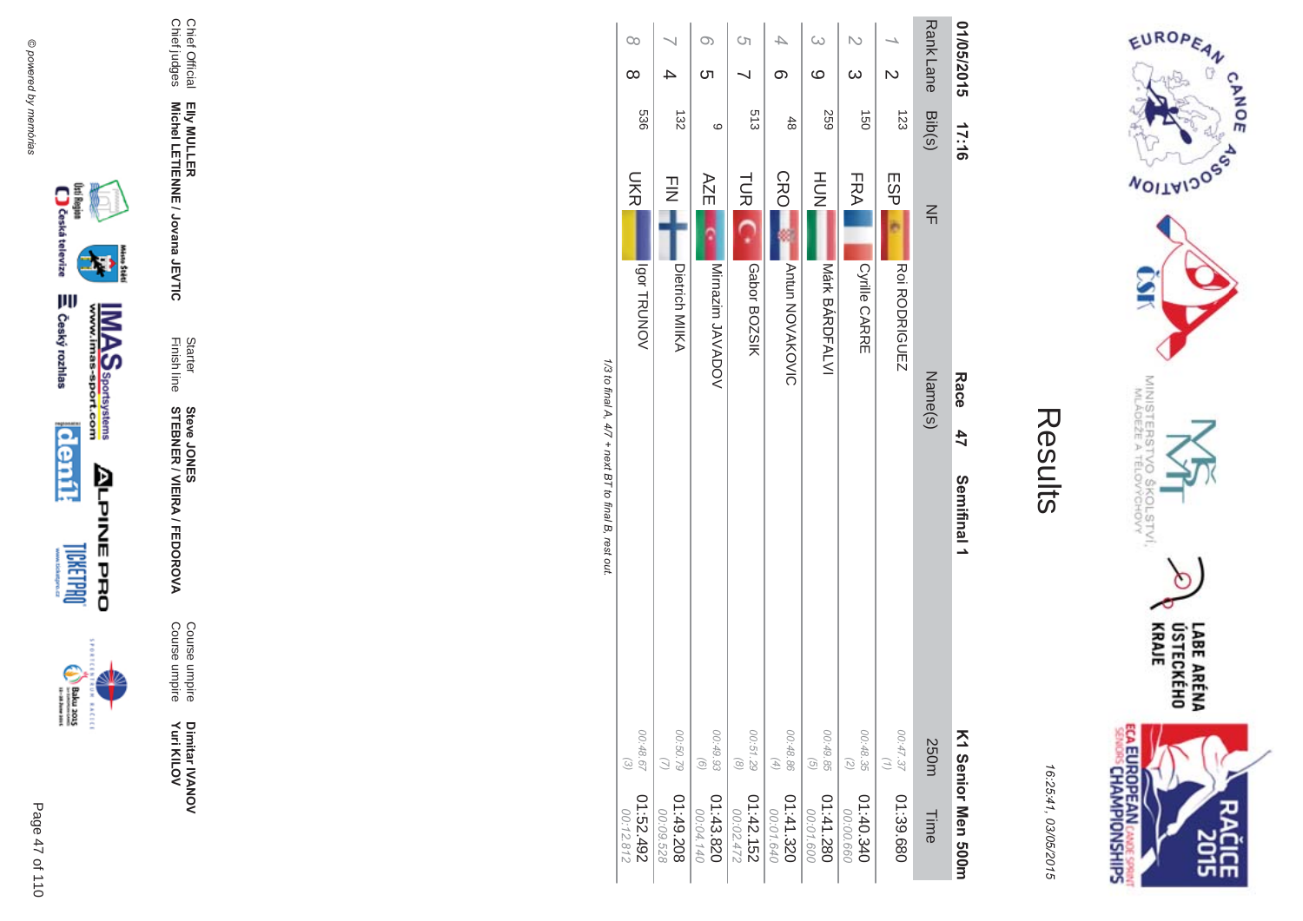









Elly MULLER<br>Michel LETIENNE / Jovana JEVTIC

Starter<br>Finish line

**Steve JONER / VIEIRA / FEDOROVA** 

Course umpire<br>Course umpire

Dimitar IVANOV<br>Yuri KILOV

Chief Official<br>Chief judges

16:25:41, 03/05/2015

| U<br>J<br>d |
|-------------|
| C<br>D<br>1 |
| Ö           |
|             |
| ŕ.          |

EUROPEAN

**WOILWIDOSS** 

MINISTERS<br>MINISTERS

'O SKOLSTVI.<br>ELOVYCHOVY

ECA EUROPEAN CANDES SPRING

LABE ARÉNA<br>ÚSTECKÉHO<br>KRAJE

ĉ 유난

CANOE

| 01/05/2015              | 17:16            | Race<br>47<br>Semifinal 1                     |                                                                   | K1 Senior Men 2001       |
|-------------------------|------------------|-----------------------------------------------|-------------------------------------------------------------------|--------------------------|
| <b>Rank Lane</b>        | Bib(s)           | $\leq$<br>Name(s)                             | 250m                                                              | Time                     |
| $\overline{\mathsf{C}}$ | 123              | ESP<br>Roi RODRIGUEZ                          | 00:47.37<br>$\left(\frac{1}{2}\right)$                            | 01:39.680                |
| $\infty$                | $\overline{150}$ | FRA <br>Cyrille CARRE                         | 00:48.35<br>$\overline{z}$                                        | 04:00.340<br>00:00.660   |
| $\circ$                 | <b>259</b>       | HUH<br>N<br>Márk BÁRDFALVI                    | 00:49.85<br>$\overline{G}$                                        | 082.141.280<br>00:01.600 |
| 4<br>တ                  | $rac{4}{8}$      | CRO<br><b>Antun NOVAKOVIC</b>                 | 00:48.86<br>$(4)$                                                 | 01:41.320<br>00:01.640   |
| S)                      | 513              | <b>TUR</b><br>Gabor BOZSIK                    | 00:51.29<br>$\circledcirc$                                        | 01:42.152<br>00:02.472   |
| O)<br><u>(</u>          | $\circ$          | AZE<br>Mirnazim JAVADOV                       | 00:49.93<br>$\left( 9\right)$                                     | 01:43.820<br>00:04.140   |
|                         | 132              | $\frac{1}{2}$<br>Dietrich MIIKA               | 00:50.79<br>$\omega$                                              | 01:49.208<br>00:09.528   |
| $\infty$<br>$\infty$    | 536              | <b>UKR</b><br><b>VONUBLE</b><br>ミニュー コート ココード | 00:48.67<br>$\begin{array}{c} \textcircled{\small 2} \end{array}$ | 267:52.192<br>00:12.812  |

1/3 to final A, 4/7 + next BT to final B, rest out.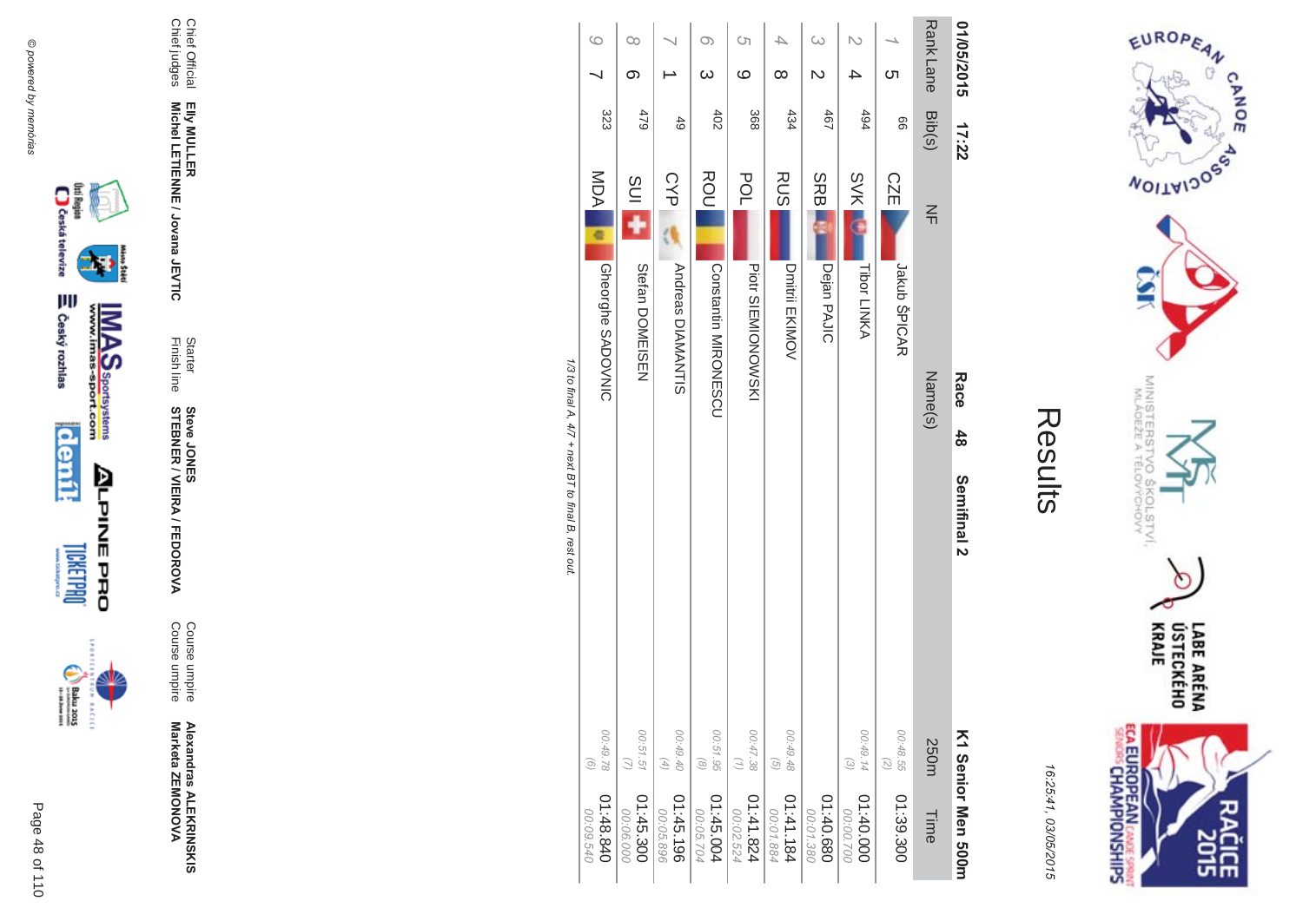

incon



**Alexandras ALEKR** 

**MA** Course umpire<br>Course umpire Course umpire Course umpire

Finish line Starter **STEBNER \$ -**A/FEDOR **Steve JONES** 

Chief Official<br>Chief judges Chief judges Chief Official Elly MULLER<br>Michel LETIENNE / Jovana JEVTIC **Michel LETIENNE / Jovana JEVTIC EIIy MULLER** 

| 04:48.840<br>00:09.540   | 00:49.78<br>$\odot$                                        |             |                        | <b>Gheorghe SADOVNIC</b>  | MDA         | 323             |                 | $\circ$  |
|--------------------------|------------------------------------------------------------|-------------|------------------------|---------------------------|-------------|-----------------|-----------------|----------|
| 01:45.300<br>00.06.000   | 00:51.51                                                   |             |                        | Stefan DOMEISEN           | <b>SUI</b>  | 479             | ග               | $\infty$ |
| 01:45.196<br>00:05.896   | 00:49.40<br>$\left( \begin{matrix} 4 \end{matrix} \right)$ |             |                        | <b>Andreas DIAMANTIS</b>  | <b>CYP</b>  | 49              |                 |          |
| 01:45.004<br>00:05.704   | 00:51.95<br>$\circledcirc$                                 |             |                        | <b>CONSTRUMENTS</b>       | ROU         | 402             | $\infty$        | Oා       |
| 01:41.824<br>00:02.524   | 00:47.38<br>$\binom{n}{2}$                                 |             |                        | <b>Piott SIENIONOVSKI</b> | <b>POL</b>  | 368             | ဖ               | Ċη       |
| 181.141.184<br>00:01.884 | 00:49.48<br>$\left(\frac{1}{2}\right)$                     |             |                        | Dmitrii EKIMOV            | <b>RUS</b>  | 434             | $\infty$        |          |
| 080.440<br>00:01.380     |                                                            |             |                        | Dejan PAJIC               | <b>SRBI</b> | 19 <sub>1</sub> | Z               | $\omega$ |
| 01:40.000<br>00:00.700   | 00:49.14<br>$\widetilde{\varepsilon}$                      |             |                        | Tibor LINKA               | <b>SVKL</b> | 494             |                 |          |
| 01:39.300                | 00:48.55<br>(5)                                            |             |                        | Jakub ŠPICAR              | <b>CZE</b>  | 99              | <u>(</u>        |          |
| Time                     | 250m                                                       |             | Name(s)                |                           | $\leq$      | Bib(s)          | <b>RankLane</b> |          |
| K1 Senior Men 2001       |                                                            | Semifinal 2 | Race<br>$\frac{48}{2}$ |                           |             | 17:22           | 01/05/2015      |          |

1/3 to tinal A, 4// + next B1 to tinal B, rest out. /3 to final A,  $4/7$  + next BT to final B, rest out.



EUROPEAN

**MOITAIDOS** 

MINISTERS<br>MINISTERS

FLOV<br>ELOV

COLSTVI.<br><sup>CCHOVY</sup>

CANOE

16:25:41 03/05/201  $\overline{(\overline{n})}$ 

Results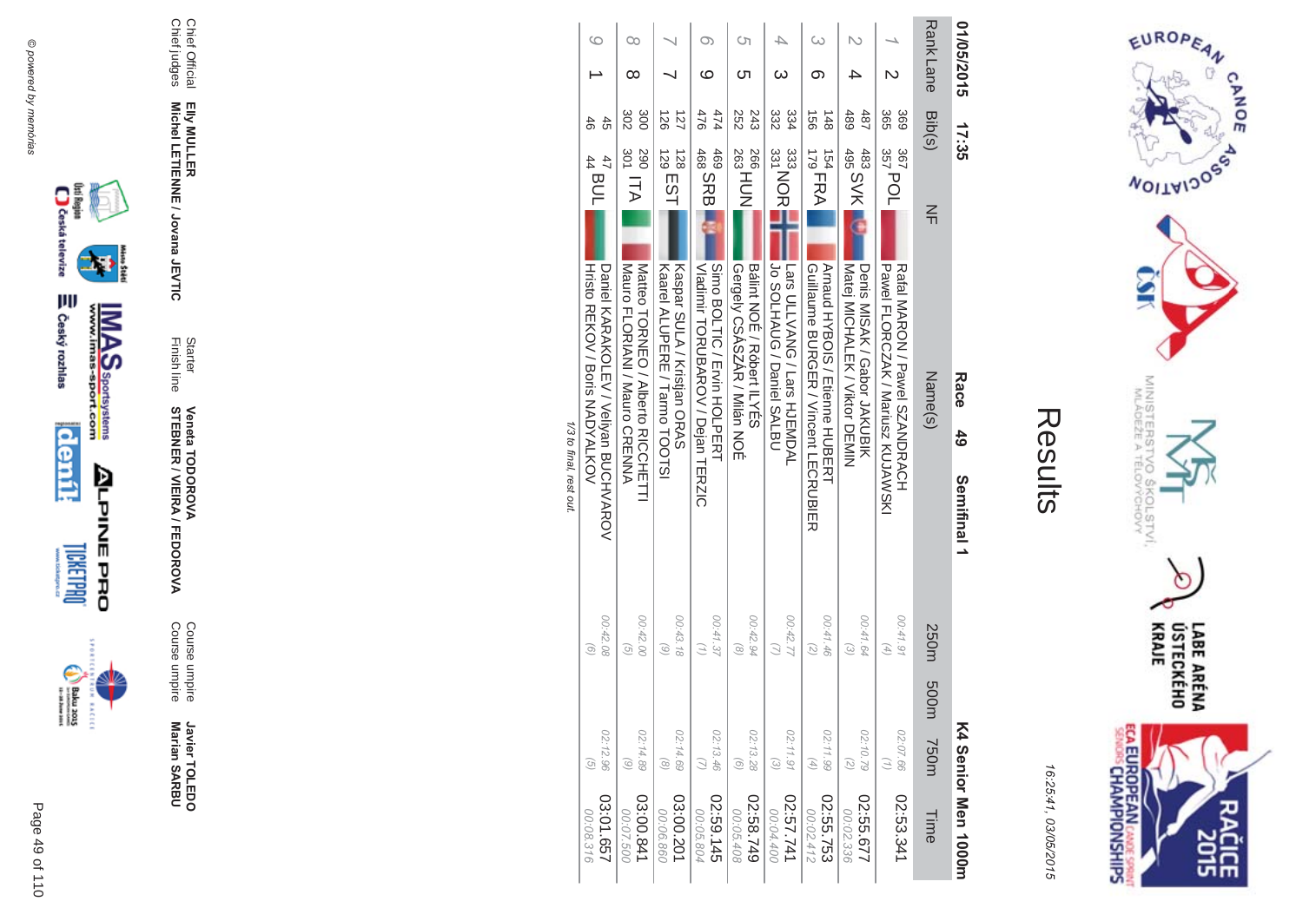



16:25:41 03/05/201  $\overline{(\overline{n})}$ 

| í |
|---|
|   |
|   |

|                         |                                                |                                        | そうじゅつ こうこう                                                             |                                                |                       |                  |
|-------------------------|------------------------------------------------|----------------------------------------|------------------------------------------------------------------------|------------------------------------------------|-----------------------|------------------|
| 759103:01<br>00:08.316  | 02:12.96<br>G                                  | 00:42.08<br>$\circ$                    | Hristo REKOV / Boris NADYALKOV<br>Daniel KARAKOLEV / Veliyan BUCHVAROV | $\begin{bmatrix} 47 \\ 44 \\ 44 \end{bmatrix}$ | 46<br>45              | 6                |
| 03:00.841               | 02:14.89                                       | 00:42.00                               | Mauro FLORIANI / Mauro CRENNA                                          | 301 ITA                                        | 302                   | Оc               |
| 00:07.500               | $\odot$                                        | $\widehat{G}$                          | Matteo HORNEO / Alberto KICOHEILI                                      | 067                                            | 300                   | ∞                |
| 03:00.201               | 02:14.69                                       | 00:43.18                               | Kaspar SULA / Kristian ORAS                                            | $129$ EST                                      | 127                   |                  |
| 00:06.860               | $\circledcirc$                                 | 6                                      | Kaarel ALUPERE / Tarmo HOOLS)                                          | 128                                            | $\frac{25}{20}$       |                  |
| 02:59.145               | 02:13.46                                       | 00:41.37                               | Oimo BOLTIO / Evin HOLPERH                                             | 469                                            | 474                   | O)               |
| 00:05.804               | $\omega$                                       | $\left( \frac{1}{2} \right)$           | Nadinir LORCBARON / Delan LIERZIC                                      | 468<br>468<br>468                              | 476                   | ဖ                |
| 02:58.749               | 02:13.28                                       | 00:42.94                               | Gergely CSASZÁR / Milán NOÉ                                            | <sup>263</sup> HUN                             | 243                   | Cл               |
| 00:05.408               | $\begin{pmatrix} 0 \end{pmatrix}$              | $\odot$                                | Balint NOE / Robert ILYES                                              | 266.                                           | 252                   | ת                |
| 147.57.741<br>00:04.400 | 02:11.91<br>$\odot$                            | 00:42.77                               | JOS PIPING / Daniel SALBU<br>Lars ULLVANG / Lars HJEMDAL               | 333<br>333<br>331<br>331                       | 334<br>332            |                  |
| 02:55.753               | 02:11.99                                       | 00:41.46                               | <b>Arnaud HYBOIS / Etienne HUBEKH</b>                                  | $\frac{179}{179}$ FRA                          | $\overrightarrow{95}$ | ග                |
| 00:02.412               | $\left( \begin{matrix} 4 \end{matrix} \right)$ | $\binom{2}{2}$                         | Guillaume BURGER / Vincent LECRUBIER                                   | 154                                            | $\frac{148}{1}$       |                  |
| 755.677                 | 02:10.79                                       | 00:41.64                               | Denis MISAK / Gabor JAKUBIK                                            | 495 SVK                                        | 487                   | 4                |
| 00:02.336               | (5)                                            | $\omega$                               | Matej MICHALEK / Viktor DEMIN                                          | 483                                            | 489                   |                  |
| 02:53.341               | 02:07.66<br>$\binom{7}{1}$                     | 00:41.91<br>$\left(\frac{4}{2}\right)$ | Pawel FLORCNAK / Mariusz KUJAWSKI<br>Katal MAKON / Pawel SZANDKACH     | 357 POL<br>367                                 | 365<br>369            |                  |
| Time                    | m005<br><b>750m</b>                            | 250m                                   | $\leq$<br>Name(s)                                                      |                                                |                       | Rank Lane Bib(s) |
| K4 Senior Men 1000m     |                                                |                                        | Race<br>$\frac{4}{9}$<br>Semifinal 1                                   | 17:35                                          |                       | 01/05/2015       |

1/3 to final, rest out. /3 to final, rest out.

Chief Official

Chief Official<br>Chief judges

Chief judges

**EIIy MULLER** 

Elly MULLER<br>Michel LETIENNE / Jovana JEVTIC

**Michel LETIENNE / Jovana JEVTIC** 

Finish line

**Starter** 

**STEBNER** 

**Veneta TODOR** 

**\*\$'**

Course umpire

Course umpire

Course umpire<br>Course umpire

Javier TOLEDO

**Marian SAR Javier TOLEDO**<br>Marian SARBU

**\$ -**

A/FEDOR

**MA** 



Page

**BACECE** 

 $\overline{a}$ 110 49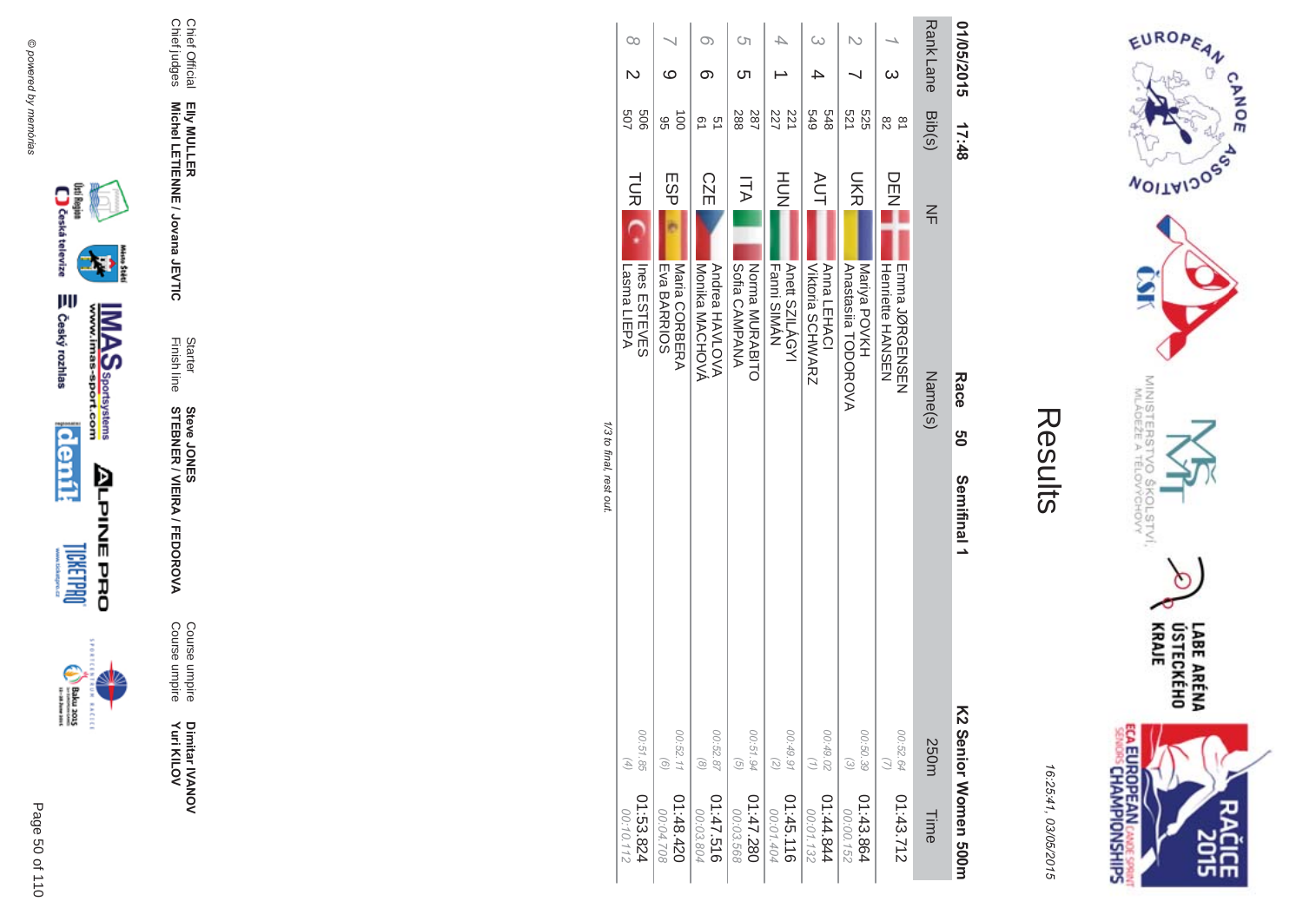



| <b>Rank Lane</b><br>01/05/2015<br>$\omega$ | Bib(s)<br>679<br>848<br>521<br>525<br>$\approx$<br>82<br>17:48 | <b>AUT</b><br><b>UKR</b><br>DEN<br>Z<br>$\frac{2}{1}$<br>Anna LEHACI<br>Mariya POVKH<br>Anastasiia TODOROVA<br><b>Henriette HANSEN</b><br><b>EINDRODNSEINSEIN</b><br>Name(s)<br>Race<br>ე<br>O<br>Semifinal 1 | K2 Senior Women 500m<br>00:49.02<br>00:52.64<br>00:50.39<br>250m<br>(1)<br>$\omega$ |
|--------------------------------------------|----------------------------------------------------------------|---------------------------------------------------------------------------------------------------------------------------------------------------------------------------------------------------------------|-------------------------------------------------------------------------------------|
|                                            |                                                                |                                                                                                                                                                                                               |                                                                                     |
|                                            |                                                                |                                                                                                                                                                                                               |                                                                                     |
|                                            |                                                                | <b>Viktoria SCHWARZ</b>                                                                                                                                                                                       |                                                                                     |
|                                            | 227<br>221                                                     | HOH<br>Fanni SIMAN<br>Anett SZILÁGYI                                                                                                                                                                          |                                                                                     |
| Ċη<br>Cл                                   | 787<br>288                                                     | ITA<br>Norma MURABITO<br>Sofia CAMPANA                                                                                                                                                                        |                                                                                     |
| $\infty$<br>ග                              | ςù<br>ഉ                                                        | <b>CZE</b><br>Andrea HAVLOVA<br>Monika MACHOVA                                                                                                                                                                |                                                                                     |
| ဖ                                          | $\vec{5}$<br>96                                                | ESP<br>Maria CORBERA<br>Eva BARRIOS                                                                                                                                                                           |                                                                                     |
| $\infty$                                   | 507<br>909                                                     | <b>TUR</b><br>Ines ESTEVES<br>Lasma LIEPA                                                                                                                                                                     |                                                                                     |
|                                            |                                                                | 1/3 to final. rest out                                                                                                                                                                                        |                                                                                     |

@ powered by memórias



Page 50 of 110







₩

Chief Official<br>Chief judges

Elly MULLER<br>Michel LETIENNE / Jovana JEVTIC

Starter<br>Finish line

**STEBNER / VIEIRA / FEDOROVA**<br>STEBNER / VIEIRA / FEDOROVA

Course umpire<br>Course umpire

Dimitar IVANOV<br>Yuri KILOV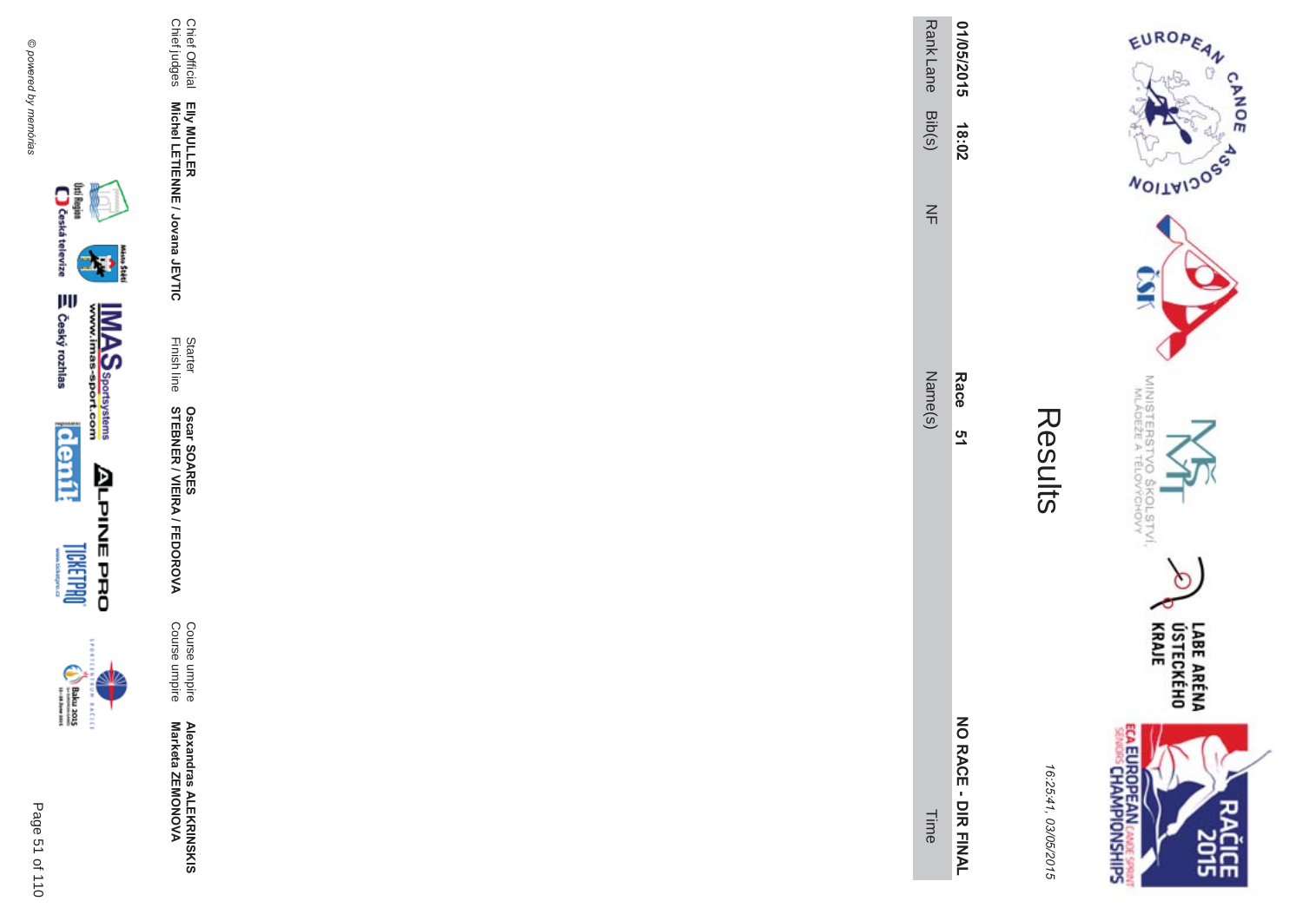

inter i

| n.<br>ؚ |  |
|---------|--|
|         |  |

Course umpire<br>Course umpire

Statter Oscar SOARES<br>Finish line STEBNER / VIEIRA / FEDOROVA

Elly MULLER<br>Michel LETIENNE / Jovana JEVTIC

Chief Official<br>Chief judges

 $\overline{\phantom{a}}$ 

EUROPEAN

**NOILWIDOS** 

MINISTERS<sup>T</sup><br>MLÁDEŽE A

**VOS** 

**COLSTVI.**<br>PCHOVY

 $\circ$ 

**SISCE** 

**CANOE** 

| 0.25.47 |
|---------|
|         |
|         |
| ī       |
|         |
|         |
|         |
|         |
|         |

| Race<br><u>ღ</u><br>NO RACE - DIR FII |        | 18:02 | Rank Lane<br>1/05/2015 |
|---------------------------------------|--------|-------|------------------------|
|                                       | Vame(s | 즊     | Bib(s)                 |

LABE ARÉNA<br>ÚSTECKÉHO<br>KRAJE **ECA EUROPEAN CANDE SPRINTS** 

16.75.41 , 03/05/2015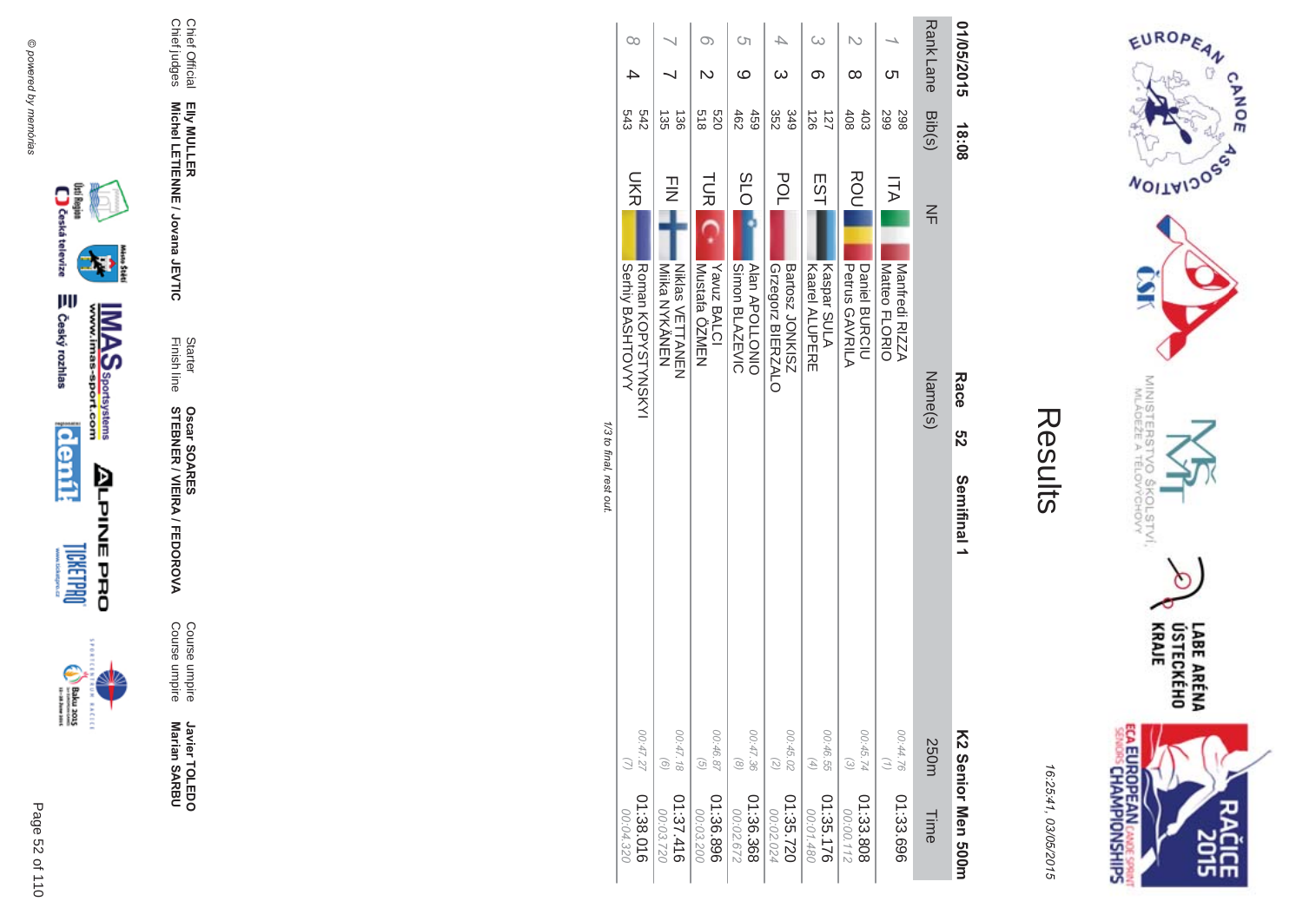



|                         | $\infty$                              |                                                |                                         | Cη<br>ဖ                                 | 4<br>ယ                                         | ග                                          | ∞                                                          | ഗ                                       | <b>RankLane</b> | 01/05/2015         |
|-------------------------|---------------------------------------|------------------------------------------------|-----------------------------------------|-----------------------------------------|------------------------------------------------|--------------------------------------------|------------------------------------------------------------|-----------------------------------------|-----------------|--------------------|
|                         | 542<br>543                            | 135<br>$\frac{38}{2}$                          | 0Z9<br>$\frac{2}{8}$                    | 462<br>459                              | 352<br>349                                     | 121<br>$\frac{25}{26}$                     | 403<br>408                                                 | 299<br>298                              | Bib(s)          | 18:08              |
|                         | <b>NR</b>                             | コミ                                             | TUR                                     | <b>SLO</b>                              | POL                                            | EST                                        | ROU                                                        | ITA                                     | $\frac{2}{11}$  |                    |
|                         | Roman KOPYSTYNSKY<br>Serhiy BASHTOVYY | <b>Niklas VETTANEN</b><br><b>Niika NYYANEN</b> | Mustafa ÖZMEN<br>Yavuz BALCI            | <b>Alan APOLLONIO</b><br>Simon BLAZEVIC | Grzegorz<br>BIERZALO<br><b>Bartosz JONKISZ</b> | Kaspar SULA<br><b>Kaarel ALUPERE</b>       | Petrus GAVRILA<br>Daniel BURCIU                            | Matteo FLORIO<br>Manfredi RIZZA         |                 |                    |
|                         |                                       |                                                |                                         |                                         |                                                |                                            |                                                            |                                         | Name(s)         | Race<br>8<br>22    |
| 1/3 to final, rest out. |                                       |                                                |                                         |                                         |                                                |                                            |                                                            |                                         |                 | Semifinal 1        |
|                         | 00:47.27<br>01:38.016                 | 00:47.18<br>$\left( 9\right)$<br>01:37.416     | 00:46.87<br>$\overline{G}$<br>01:36.896 | 00:47.36<br>$\circledcirc$<br>01:36.368 | 00:45.02<br>$\overline{z}$<br>01:35.720        | 00:46.55<br>$\left( 4\right)$<br>01:35.176 | 00:45.74<br>$\begin{pmatrix} 2 \end{pmatrix}$<br>01:33.808 | 00:44.76<br>$\binom{7}{1}$<br>01:33.696 | 250m<br>Time    | KS Seuior Men 200h |
|                         | 00:04.320                             | 00:03.720                                      | 00:03.200                               | 00:02.672                               | 00:02.024                                      | 00:01.480                                  | 00:00.112                                                  |                                         |                 |                    |





Javier TOLEDO<br>Marian SARBU

Course umpire<br>Course umpire

Starter<br>Finish line **Oscar SOARES<br>STEBNER / VIEIRA / FEDOROVA** 

Elly MULLER<br>Michel LETIENNE / Jovana JEVTIC

Chief Official<br>Chief judges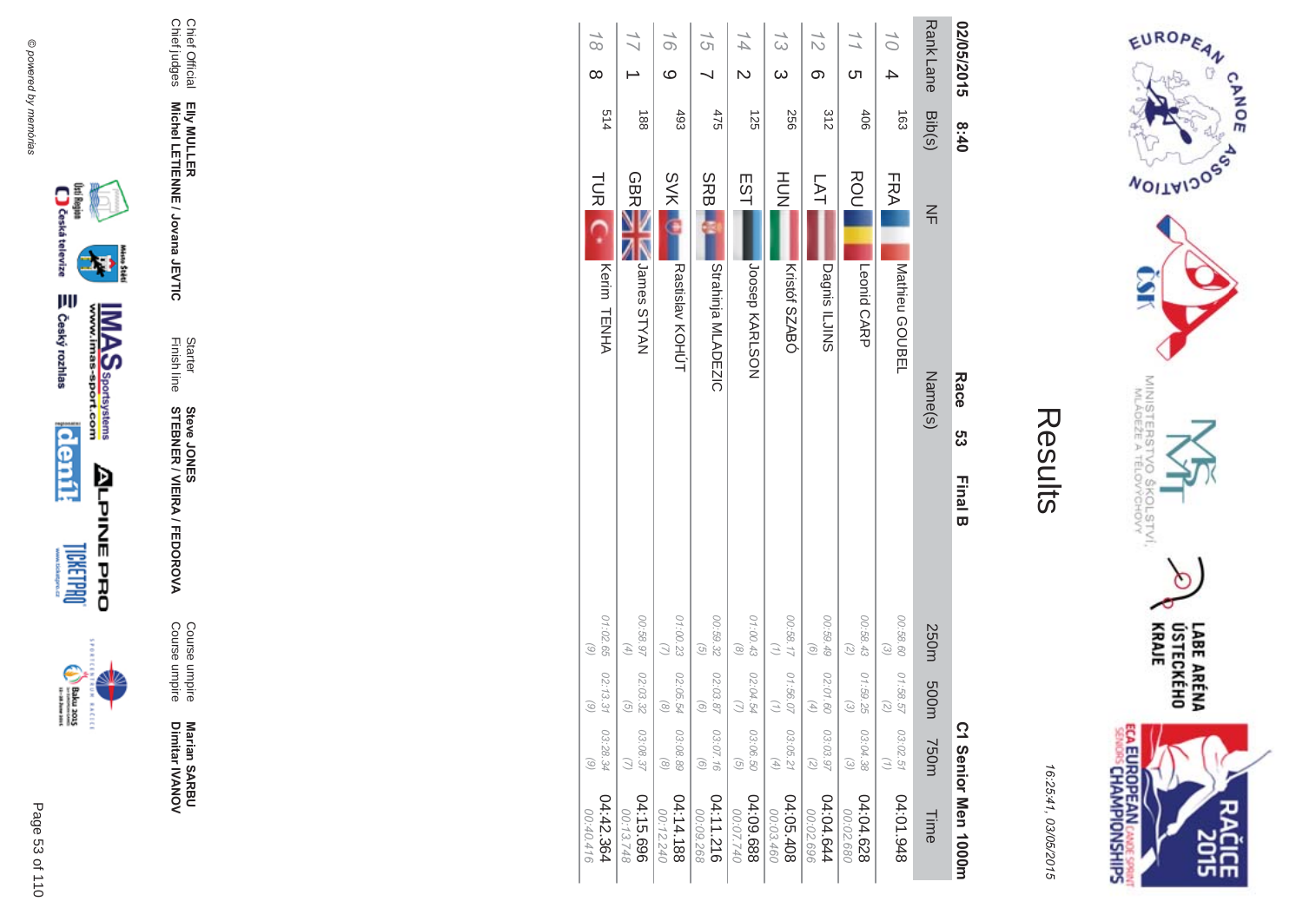



| 02/05/2015                    | 8:40          |            |                      | Race    | ပ္ပ | <b>Final B</b> |                                                                         |                                |                                                            | C1 Senior Men 1000m     |
|-------------------------------|---------------|------------|----------------------|---------|-----|----------------|-------------------------------------------------------------------------|--------------------------------|------------------------------------------------------------|-------------------------|
| <b>Rank Lane</b>              | Bib(s)        | $\leq$     |                      | Name(s) |     |                | 250m                                                                    | m005                           | <b>750m</b>                                                | Time                    |
| 10<br>4                       | $\frac{1}{2}$ | FRA        | Mathieu GOUBEL       |         |     |                | 00:58.60<br>$\omega$                                                    | 01:58.5<br>a,                  | 03:02.51                                                   | 84:01.948               |
| $\frac{1}{1}$<br><u>ဟ</u>     | 406           | ROU        | Leonid CARP          |         |     |                | 00:58.43<br>$\left(\begin{smallmatrix} 2 \\ 0 \end{smallmatrix}\right)$ | 01:59.25<br>િ                  | 03:04.38<br>$\begin{pmatrix} 2 \end{pmatrix}$              | 04:04.628<br>00:02.680  |
| 12<br>တ                       | 312           | <b>LAT</b> | <b>Dagnis ILJINS</b> |         |     |                | 00:59.49<br>$\odot$                                                     | 02:01.60                       | 03:03.97<br>$\overline{c}$                                 | 4:04.644<br>00:02.696   |
| $\frac{7}{3}$<br>$\omega$     | 922           | HUT<br>N   | Kristóf SZABÓ        |         |     |                | 00:58.17<br>$\left( \frac{1}{2} \right)$                                | 01:56.0                        | 03:05.21<br>$\left( \begin{matrix} 4 \end{matrix} \right)$ | 04:05.408<br>00:03.460  |
| 14<br>$\overline{\mathsf{c}}$ | 125           | EST        | <b>JOSPD KARLSON</b> |         |     |                | 01:00.43<br>$\circledcirc$                                              | 02:04.54                       | 03:06.50<br>$\widehat{g}$                                  | 889'09.688<br>00:07.740 |
| 15                            | 475           | <b>SRB</b> | Strahinja MLADEZIC   |         |     |                | 00:59.32<br>$\overline{G}$                                              | 02:03.8<br>$\widehat{c}$       | 03:07.16<br>$\odot$                                        | 04:11.216<br>00:09.268  |
| 16<br>$\circ$                 | 493           | <b>SVK</b> | Rastislav KOHÚT      |         |     |                | 01:00.23<br>$\omega$                                                    | 02:05.54<br>$\widehat{\infty}$ | 03:08.89<br>$\circledcirc$                                 | 04:14.188<br>00:12.240  |
|                               | 188           | <b>GBR</b> | NAYTS semel          |         |     |                | 76.88.00<br>$\left( 4\right)$                                           | 02:03.32<br>$\widehat{\sigma}$ | 03:08.37<br>$\omega$                                       | 04:15.696<br>00:13.748  |
| $\overline{6}$<br>$\infty$    | 514           |            | TUR Kerim TENHA      |         |     |                | 01:02.65<br>$\textcircled{\scriptsize{6}}$                              | 02:13.3<br>$\widehat{\omega}$  | 03:28.34<br>$\binom{6}{ }$                                 | 04:42.364<br>00:40.416  |





Marian SARBU<br>Dimitar IVANOV

Course umpire<br>Course umpire

Starter<br>Finish line **Steve JONER / VIEIRA / FEDOROVA** 

Chief Official<br>Chief judges

Elly MULLER<br>Michel LETIENNE / Jovana JEVTIC

₩

**MAS**<br>Walla Sportsystems

Page 53 of 110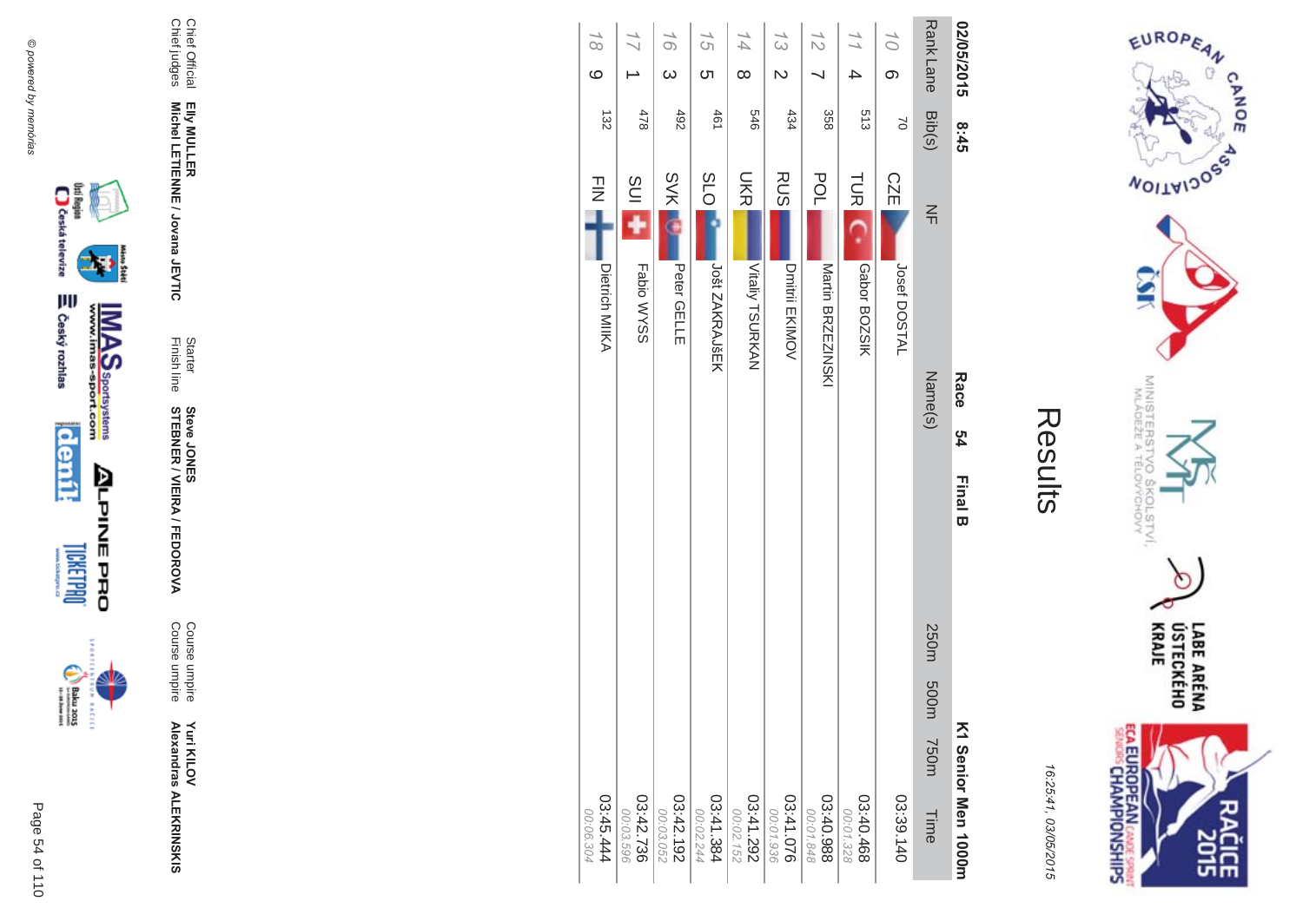

**EXCLC** 



Course umpire<br>Course umpire

Starter<br>Finish line **Steve JONER / VIEIRA / FEDOROVA** 

Chief Official<br>Chief judges Elly MULLER<br>Michel LETIENNE / Jovana JEVTIC

| 02/05/2015              | 8:45     | Race<br>24<br><b>Final B</b>    | K1 Senior Men 1000m              |
|-------------------------|----------|---------------------------------|----------------------------------|
| <b>RankLane</b>         | Bib(s)   | $\leq$<br>Name(s)               | 250m 500m<br><b>750m</b><br>Time |
| 10 <sup>1</sup><br>တ    | $\alpha$ | <b>CZE</b><br>Josef DOSTAL      | 03:39.140                        |
| $\frac{1}{1}$           | 513      | <b>TUR</b>                      | 03:40.468                        |
| 4                       |          | Gabor BOZSIK                    | 00:01.328                        |
| $\frac{1}{2}$           | 358      | <b>POL</b><br>Martin BRZEZINSKI | 03:40.988<br>00:01.848           |
| $\zeta$                 | 434      | <b>RUS</b>                      | 03:41.076                        |
| $\overline{\mathsf{C}}$ |          | Dmitril EKIMOV                  | 00:01.936                        |
| 14                      | $9+5$    | <b>SKR</b>                      | 03:41.292                        |
| $\infty$                |          | Vitaliy TSURKAN                 | 00:02.152                        |
| 15                      | 191      | <b>SLO</b>                      | 138.11.384                       |
| ທ                       |          | Jošt ZAKRAJŠEK                  | 00:02.244                        |
| 16                      | 492      | <b>SVK</b>                      | 03:42.192                        |
| $\omega$                |          | <b>Peter GELLE</b>              | 00:03.052                        |
| $\frac{1}{\sqrt{2}}$    | 478      | $\frac{1}{2}$ ins<br>Fabio WYSS | 03:42.736<br>00:03.596           |
| $\overline{6}$          | 132      | $\frac{1}{2}$                   | 444.444                          |
| $\circ$                 |          | Dietrich MIIKA                  | 00:06.304                        |



EUROPEAN

**WOILWIDOSS** 

MINISTERS<br>MINISTERS

**VO<sub>S</sub>** 

COLSTVI.<br><sup>CCHOVY</sup>

 $\circ$ 

**CANOE** 

16:25:41, 03/05/2015

Results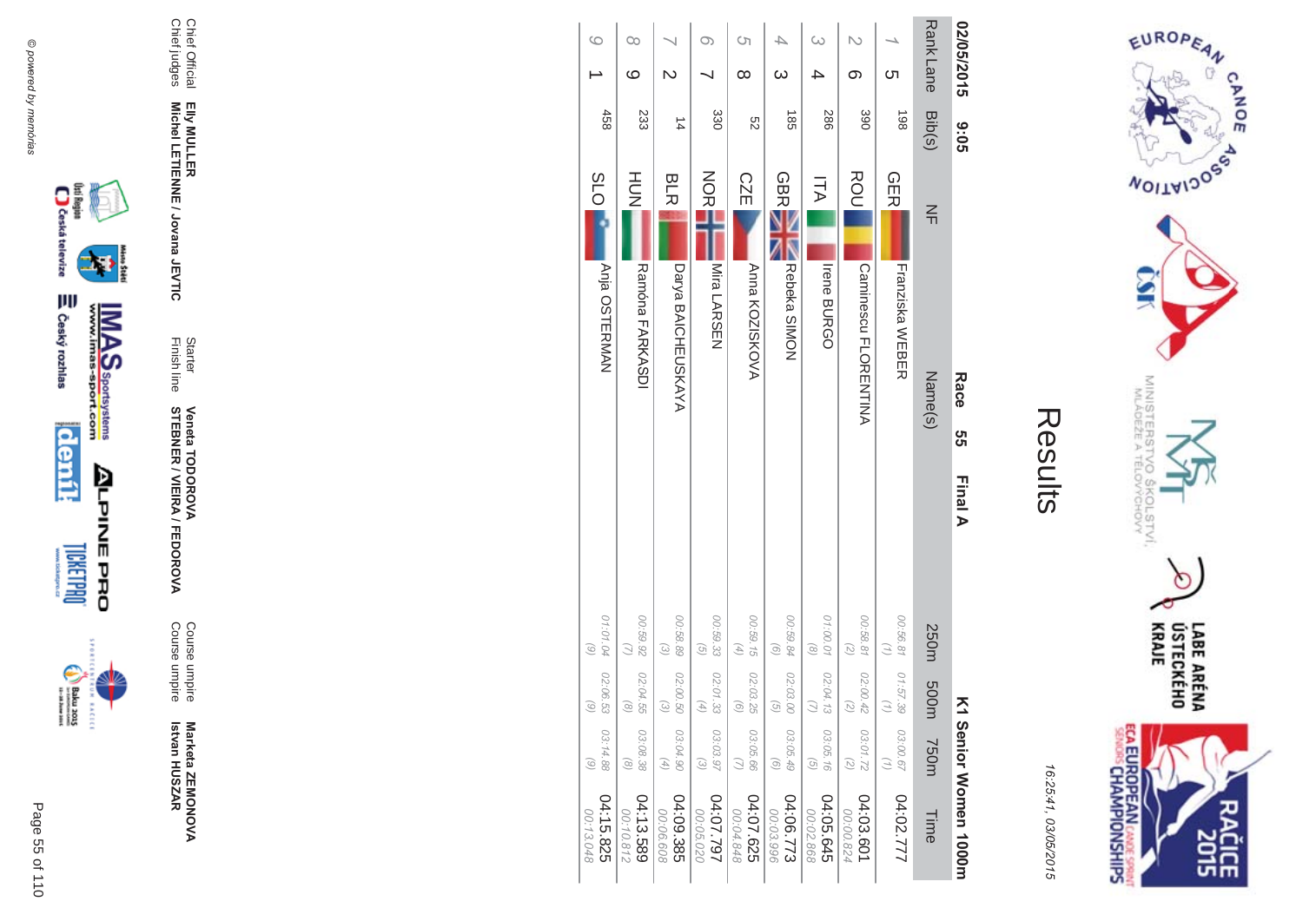



| 02/05/2015       | 90:6            | Race<br>ຕ<br>ຕ<br>Final A          | ⋝                                                                                       | 1 Senior Women 1000m    |
|------------------|-----------------|------------------------------------|-----------------------------------------------------------------------------------------|-------------------------|
| <b>Rank Lane</b> | Bib(s)          | $\frac{2}{1}$<br>Name(s)           | 250m<br>m005<br><b>750m</b>                                                             | Time                    |
| <b>C</b> h       | 198             | <b>GER</b><br>Franziska WEBER      | 00:56.81<br>01:57.39<br>03:00.67                                                        | 04:02.777               |
| N<br>တ           | 390             | ROU<br><b>Caminescu FLORENTINA</b> | 00:58.81<br>(5)<br>02:00.42<br>2<br>03:01.72<br>$\binom{2}{3}$                          | 04:03.601<br>00:00.824  |
| 4                | <b>286</b>      | コム<br><b>Irene BURGO</b>           | 01:00.01<br>$\binom{8}{ }$<br>02:04.13<br>03:05.16<br>$\mathcal{G}$                     | 04:05.645<br>00:02.868  |
| ω                | $\overline{35}$ | <b>GBR</b><br>Rebeka SIMON         | 00:59.84<br>$\odot$<br>02:03.00<br>ତି<br>03:05.49<br>$\odot$                            | 04:06.773<br>00:03.996  |
| Cη<br>$\infty$   | S2              | <b>CZE</b><br>Anna KOZISKOVA       | 00:59.15<br>$\left( \begin{matrix} 4 \end{matrix} \right)$<br>02:03.29<br>ි<br>03:05.66 | 04:07.625<br>848.94.848 |
| თ                | 330             | NORI<br>Mira LARSEN                | 00:59.33<br>$\overline{G}$<br>02:01.33<br>G,<br>03:03.97<br>$\odot$                     | 162.702<br>00:05.020    |
| $\overline{C}$   | $\frac{1}{4}$   | <b>BLR</b><br>Darya BAICHEUSKAYA   | 00:58.89<br>$\omega$<br>02:00.50<br>$\widehat{\omega}$<br>03:04.90<br>$(\mathcal{A})$   | 04:09.385<br>00:06.608  |
| $\infty$<br>ဖ    | 233             | HU<br>N<br>Ramóna FARKASDI         | 00:59.92<br>02:04.55<br>$\widehat{\infty}$<br>03:08.38<br>$\circledcirc$                | 04:13.589<br>00:10.812  |
| 0                | 458             | <b>PO</b><br>Anja OSTERMAN         | 01:01.04<br>(6)<br>02:06.53<br>$\widehat{\circ}$<br>03:14.88<br>$\odot$                 | 04:15.825<br>00:13.048  |

@ powered by memórias





Course umpire<br>Course umpire

Marketa ZEMONOVA<br>Istvan HUSZAR

**Veneta TODOROVA<br>STEBNER / VIEIRA / FEDOROVA** 

Starter<br>Finish line

Elly MULLER<br>Michel LETIENNE / Jovana JEVTIC

Chief Official<br>Chief judges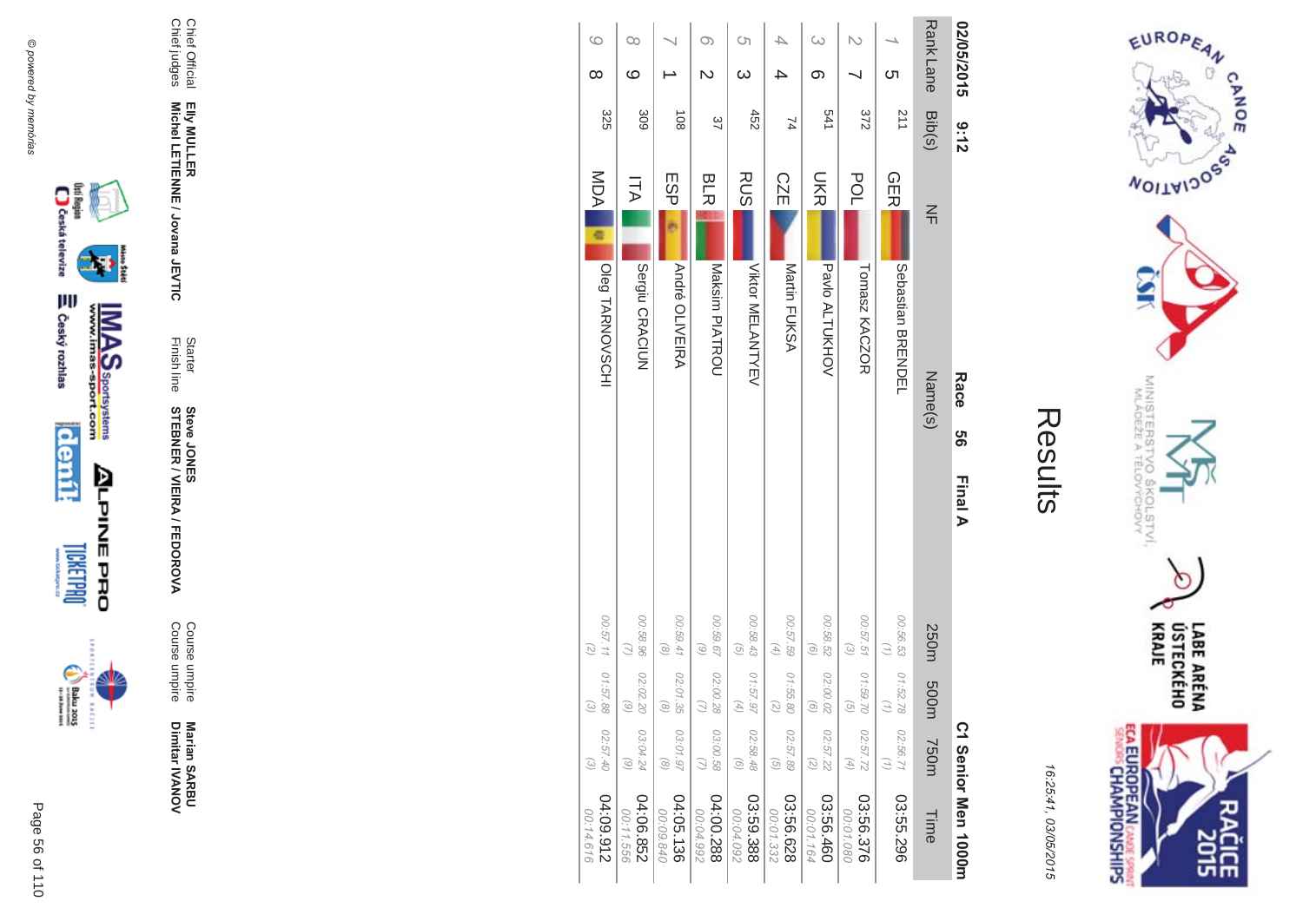



| 02/05/2015      |          | 3:12             |                 | Race                  | <u>თ</u> | Final A |                                          |                                |                                                            | C1 Senior Men 1000m    |
|-----------------|----------|------------------|-----------------|-----------------------|----------|---------|------------------------------------------|--------------------------------|------------------------------------------------------------|------------------------|
| <b>RankLane</b> |          | Bib(s)           | $\leq$          | Name(s)               |          |         | 250m                                     | m005                           | <b>750m</b>                                                | Time                   |
|                 | <u>ဟ</u> | $\overline{211}$ | <b>GER</b>      | Sebastian<br>BRENDEL  |          |         | 00:56.53                                 | 01:52.78                       | 02:56.71                                                   | 03:55.296              |
|                 |          | 372              | <b>POL</b>      | Tomasz KACZOR         |          |         | 00:57.51<br>$\omega$                     | 01:59.70<br>୕ୖ୦                | 02:57.72<br>$\left( \begin{matrix} 4 \end{matrix} \right)$ | 03:56.376<br>00:01.080 |
| ω               | တ        | 541              | <b>UKR</b>      | Pavlo ALTUKHOV        |          |         | 00:58.52<br>$\left( 9\right)$            | 02:00.02<br>$\circ$            | 02:57.22<br>$\binom{2}{2}$                                 | 03:56.460<br>00:01.164 |
|                 |          | $\overline{7}$   | <b>CZE</b>      | Martin FUKSA          |          |         | 00:57.59<br>$\left( \frac{4}{4} \right)$ | 01:55.80<br>$\widehat{\kappa}$ | 02:57.89<br>$\left( \frac{1}{2} \right)$                   | 03:56.628<br>00:01.332 |
| Ċη              | $\infty$ | 452              | <b>RUS</b>      | Viktor MELANTYEV      |          |         | 00:58.43<br>$\left( \frac{1}{2} \right)$ | 01:57.97                       | 02:58.48<br>$\odot$                                        | 03:59.388<br>00:04.092 |
| O)              | N        | 37               | <b>BLR</b>      | Maksim PIATROU        |          |         | 00:59.67<br>$\circ$                      | 02:00.28                       | 03:00.58<br>$\omega$                                       | 04:00.288<br>00:04.992 |
|                 |          | $\frac{108}{2}$  | ESP             | <b>André OLIVEIRA</b> |          |         | 00:59.41<br>$\circledcirc$               | 02:01.35<br>$\widehat{\infty}$ | 03:01.97<br>$\circledcirc$                                 | 04:05.136<br>00:09.840 |
| ೦೦              | ဖ        | 309              | コマ              | Sergiu CRACIUN        |          |         | 00:58.96<br>$\mathcal{Q}$                | 02:02.20<br>ි                  | 03:04.24<br>$\circ$                                        | 04:06.852<br>00:11.556 |
| $\circ$         | $\infty$ | 325              | <b>NDA</b><br>¢ | Oleg TARNOVSCHI       |          |         | 00:57.11<br>$(\gtrsim)$                  | 01:57.88<br>$\widehat{\omega}$ | 02:57.40<br>$\omega$                                       | 216'60:70<br>00:14.616 |







Marian SARBU<br>Dimitar IVANOV

Course umpire<br>Course umpire

**Steve JONER / VIEIRA / FEDOROVA** 

Elly MULLER<br>Michel LETIENNE / Jovana JEVTIC

Starter<br>Finish line

Chief Official<br>Chief judges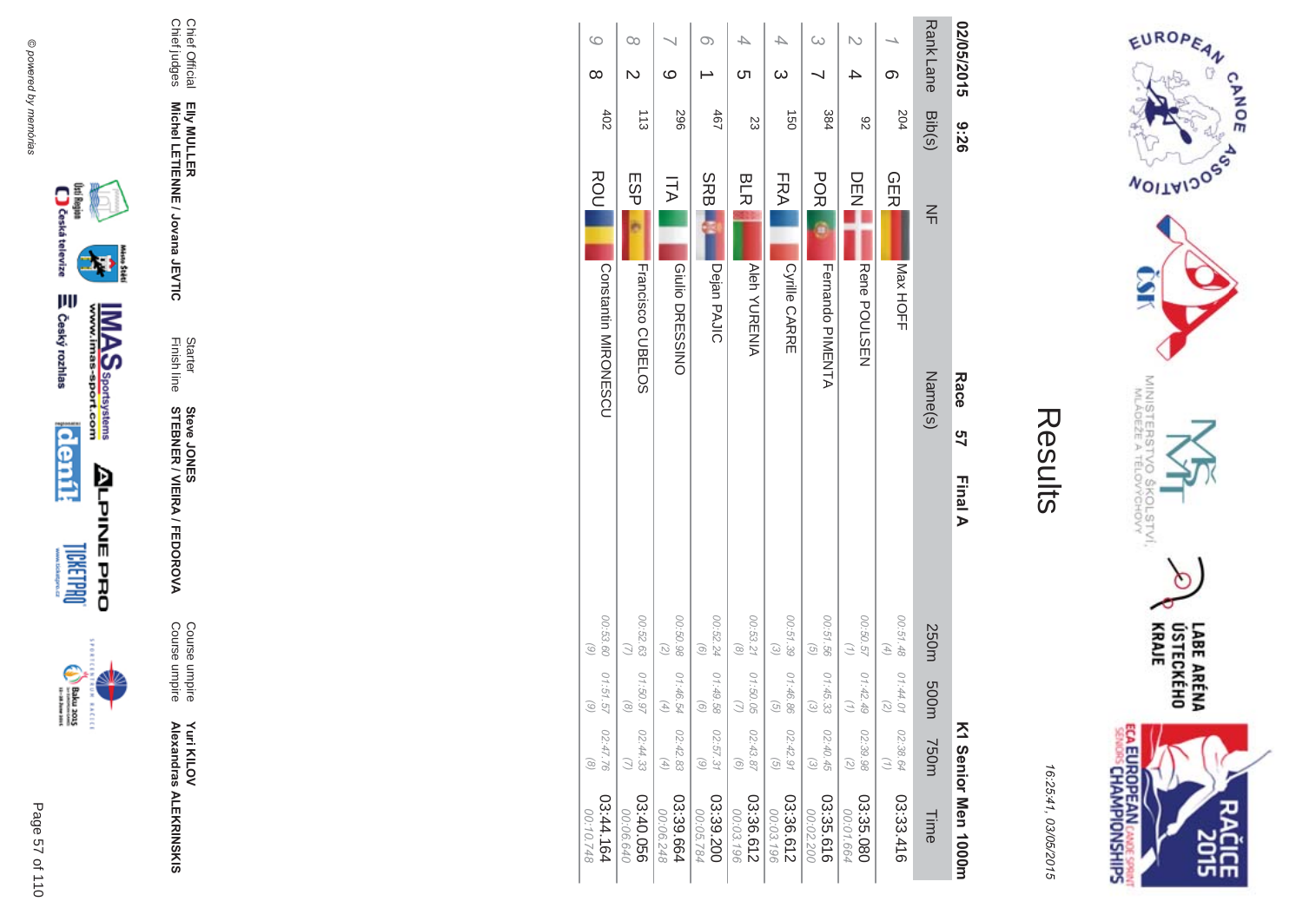

**EXCLC** 



Elly MULLER<br>Michel LETIENNE / Jovana JEVTIC

Chief Official<br>Chief judges

**Yuri KILOV<br>Alexandras ALEKRINSKIS** 

Course umpire<br>Course umpire

Starter<br>Finish line **Steve JONER / VIEIRA / FEDOROVA** 



EUROPEAN

**WOILWIDOSS** 

MINISTERS<br>MINISTERS

c  $\sigma_{\sigma}$ 

COLSTVI.<br><sup>CCHOVY</sup>

LABE ARÉNA<br>ÚSTECKÉHO<br>KRAJE

**SHR** 

CANOE

Results

16:25:41, 03/05/2015

| 02/05/2015       | 92:6             |            |                      | Race    | 9ገ<br>27 | Final A  |                                        |                                                                         |                                                            | K1 Senior Nen 1000H     |
|------------------|------------------|------------|----------------------|---------|----------|----------|----------------------------------------|-------------------------------------------------------------------------|------------------------------------------------------------|-------------------------|
| <b>Rank Lane</b> | Bib(s)           | $\leq$     |                      | Name(s) |          |          | 250m                                   | m005                                                                    | 750m                                                       | Time                    |
| တ                | 204              | <b>GER</b> | IMax HOFF            |         |          | 00:51.48 | $(4)$                                  | 01:44.01<br>$\left(\begin{matrix} 7 \\ 0 \end{matrix}\right)$           | 02:38.64<br>$\binom{n}{2}$                                 | 03:33.416               |
|                  | 82               | DE<br>N    | Rene POULSEN         |         |          | 00:50.57 | $\binom{7}{2}$                         | 01:42.49<br>$\left( \frac{1}{2} \right)$                                | 02:39.98<br>$\begin{pmatrix} 2 \end{pmatrix}$              | 03:35.080<br>00:01.664  |
| ω                | 384              | <b>POR</b> | Fernando PIMENTA     |         |          | 00:51.56 | $\overline{G}$                         | 01:45.33<br>$\begin{pmatrix} 2 \end{pmatrix}$                           | 02:40.45<br>$\odot$                                        | 03:35.616<br>00:02.200  |
| $\omega$         | $\overline{150}$ | FRA        | <b>Cyrille CARRE</b> |         |          | 00:51.39 | $\odot$                                | 01:46.86<br>$\begin{array}{c} \textcircled{\scriptsize{1}} \end{array}$ | 02:42.91<br>$\begin{array}{c} \textcircled{1} \end{array}$ | 03:36.612<br>00:03.196  |
| ת                | 23               | <b>BLR</b> | <b>Aleh YURENIA</b>  |         |          |          | 00:53.21   01:50.05<br>$\circledcirc$  | $\bigcirc$                                                              | 02:43.87<br>$\odot$                                        | 03:36.612<br>00:03.196  |
| O)               | 467              | SRB.       | Dejan PAJIC          |         |          | 00:52.24 | $\odot$                                | 01:49.58<br>$\begin{pmatrix} 0 \end{pmatrix}$                           | 02:57.31<br>$\odot$                                        | 03:39.200<br>00:05.784  |
| ဖ                | 967              | Ξ          | Giulio DRESSINO      |         |          | 00:50.98 | $\binom{2}{2}$                         | 01:46.54<br>$\left( 4\right)$                                           | 02:42.83<br>$\left( \frac{4}{\sqrt{2}} \right)$            | 03:39.664<br>00:06.248  |
| $\infty$         | $\frac{1}{3}$    | ESP        | Francisco CUBELOS    |         |          | 00:52.63 |                                        | 01:50.97<br>$\circledcirc$                                              | 02:44.33                                                   | 03:40.056<br>00:06.640  |
| ဖ<br>$\infty$    | 402              | ROU        | Constantin MIRONESCO |         |          | 00:53.60 | $\begin{pmatrix} 0 \\ 0 \end{pmatrix}$ | 01:51.57<br>$\odot$                                                     | 02:47.76<br>$\odot$                                        | 161.44.164<br>00:10.748 |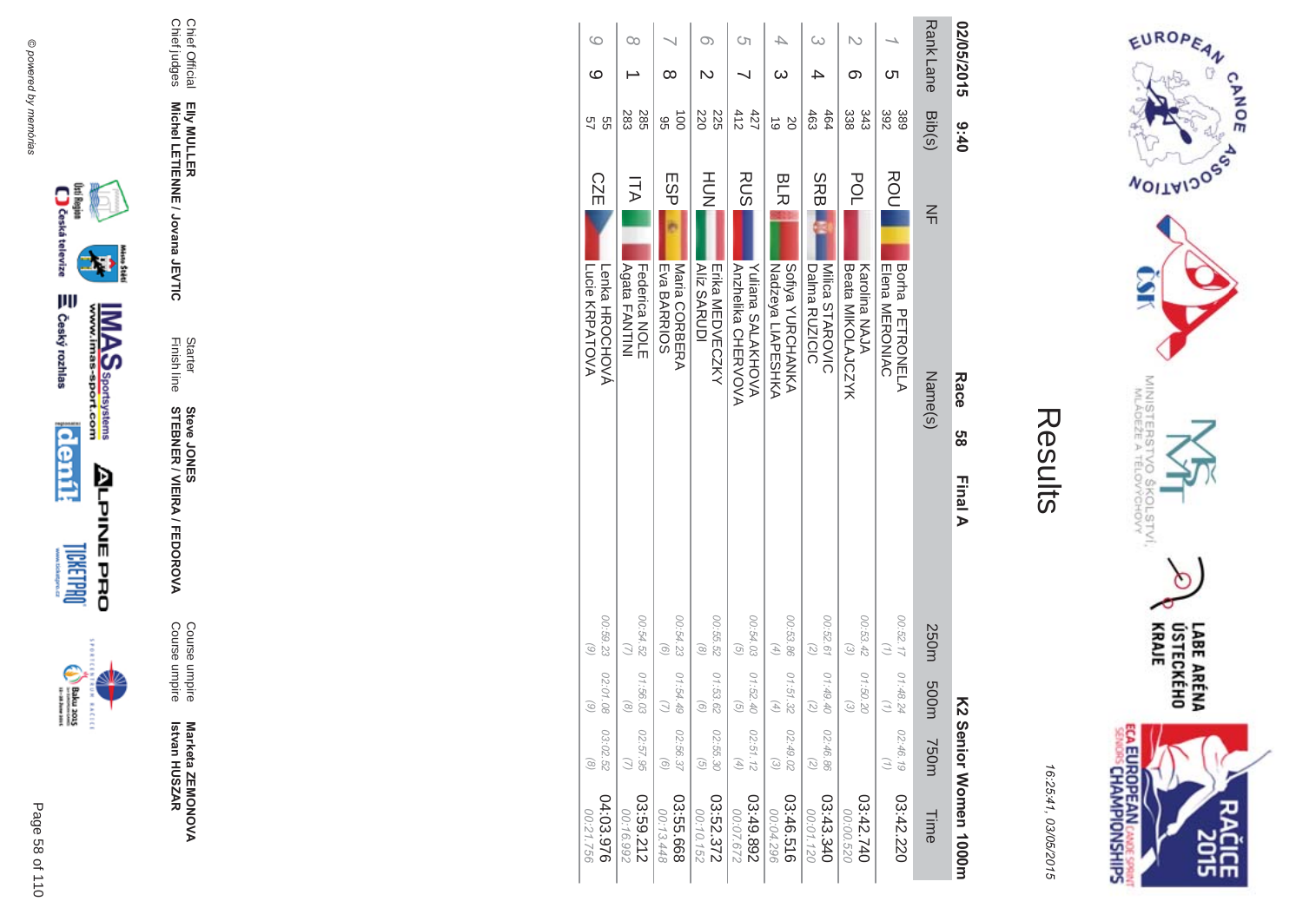



| 02/05/2015       | 0:40                        | Race<br><u>თ</u><br>Final A                                               | K2 Serior Momen 1000m                                                                               |                        |
|------------------|-----------------------------|---------------------------------------------------------------------------|-----------------------------------------------------------------------------------------------------|------------------------|
| <b>Rank Lane</b> | Bib(s)                      | $\frac{2}{11}$<br>Name(s)                                                 | 250m<br>m00d<br><b>750m</b>                                                                         | Time                   |
| Cл               | 392<br>389                  | ROU<br>Borha<br><b>Elena MERONIAC</b><br>PETRONELA                        | 00:52.17<br>01:48.24<br>Ξ<br>02:46.19                                                               | 03:42.220              |
| ග                | 343<br>338                  | POL<br>Beata MIKOLAJCZYK<br>Karolina NAJA                                 | 00:53.42<br>$\omega$<br>01:50.20<br>$\widehat{\omega}$                                              | 02:42.740<br>00:00.520 |
|                  | 463<br>464                  | <b>SRB</b><br>Milica STAROVIC<br>Dalma RUZICIC                            | 00:52.61<br>$\binom{2}{2}$<br>01:49.40<br>2<br>02:46.86<br>$\binom{2}{2}$                           | 03:43.340<br>00:01.120 |
| 4<br>ယ           | b <sub>2</sub><br>$\vec{0}$ | BLR<br><b>SIDENTANNAN</b><br>Nadzeya LIAPESHKA                            | 00:53.86<br>$\left( \begin{matrix} 4 \end{matrix} \right)$<br>01:51.32<br>F)<br>02:49.02<br>$\odot$ | 03:46.516<br>00:04.296 |
| Ċη               | 412<br>427                  | RUS<br><b>YURINUS SALAKHOVA</b><br><b>AVOVA<br/>ANDERIKE<br/>CHERYOVA</b> | 00:54.03<br>$\overline{G}$<br>01:52.40<br>ତି<br>02:51.12<br>$(4)$                                   | 268'63:40<br>00:07.672 |
| O)<br>N          | 220<br>225                  | HOH<br><b>Alíz SARUDI</b><br><b>Eixa MEDVECZXY</b>                        | 00:55.52<br>$\circledcirc$<br>01:53.62<br>ଚ<br>02:55.30<br>$\widehat{G}$                            | 03:52.372<br>00:10.152 |
| ∞                | $\overrightarrow{00}$<br>ၛၟ | ESP<br>Eva BARRIOS<br>Maria CORBERA                                       | 00:54.23<br>$\odot$<br>01:54.45<br>02:56.37<br>$\odot$                                              | 03:55.668<br>00:13.448 |
| ೦೦               | 283<br>285                  | コム<br>Agata FANTINI<br>Federica NOLE                                      | 00:54.52<br>01:56.03<br>$\widehat{\infty}$<br>02:57.95                                              | 03:59.212<br>00:16.992 |
| 6<br>ဖ           | 57<br>99                    | <b>CZE</b><br>Lucie KRPATOVA<br>Lenka HROCHOVÁ                            | 00:59.23<br>$\begin{pmatrix} 6 \end{pmatrix}$<br>02:01.08<br>$\odot$<br>03:02.52<br>$\circledcirc$  | 04:03.976<br>00:21.756 |



₩

**MAS**<br>Walla Sportsystems

**ALPINE PRO** 



Marketa ZEMONOVA<br>Istvan HUSZAR

Course umpire<br>Course umpire

Starter<br>Finish line **Steve JONER / VIEIRA / FEDOROVA** 

Elly MULLER<br>Michel LETIENNE / Jovana JEVTIC

Chief Official<br>Chief judges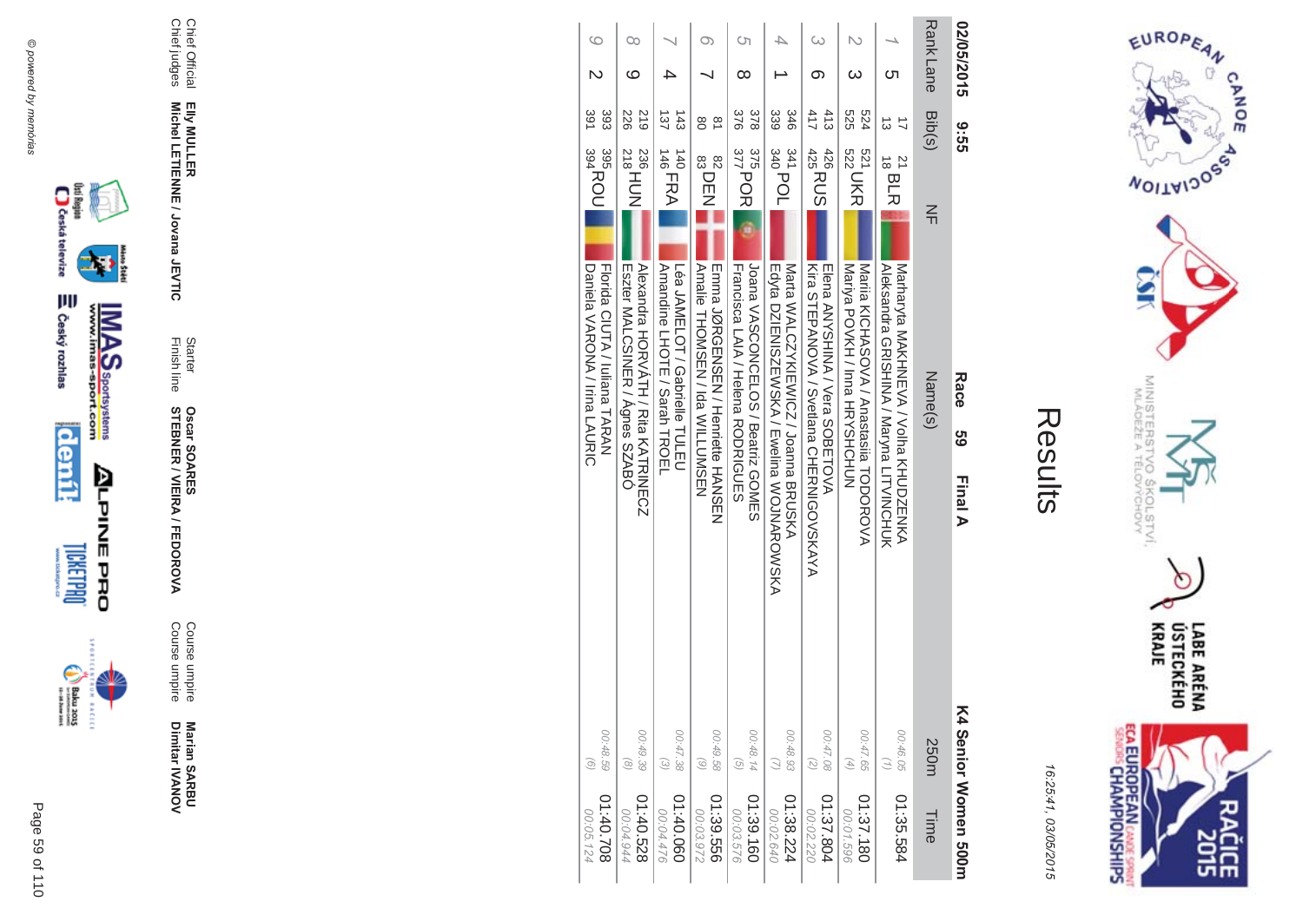



16:25:41 03/05/201  $\overline{(\overline{n})}$ 

| ĺ.<br>Ι. |
|----------|
|          |
|          |
|          |

| C٦<br>O)<br>∞<br>376<br>378<br>339<br>346<br>$\frac{8}{2}$<br>$\frac{375}{377}$ POR<br>341 POL<br>82<br>83<br>83<br>DEN<br>Frama JQROFNSFN / Henriette HANSFN<br>Joana VASCONCELOS / Beatriz GOMES<br><b>Trancisca LAIA / Helena RODRIGUES</b> | ω<br>$\mathcal{L}$<br>ω<br>ת<br>ග<br>411<br>413<br>525<br>524<br>ದ<br>$\frac{1}{425}$ RUS<br>426<br>521 UKR<br>$\frac{21}{18}$ BLR                                                                                                                  | <b>Rank Lane</b><br>02/05/2015<br>Bib(s)<br>ပ္ပ်က္<br>ဟ<br>$\leq$ |
|------------------------------------------------------------------------------------------------------------------------------------------------------------------------------------------------------------------------------------------------|-----------------------------------------------------------------------------------------------------------------------------------------------------------------------------------------------------------------------------------------------------|-------------------------------------------------------------------|
| Edyta DZIENISZEWSKA / Ewelina WOJNAROWSKA<br>Natta NALCZZKIEWICZ / Joanna BRUSKA                                                                                                                                                               | Kira SHEPANOVA / Svetlana CHERNIGOVSKAYA<br>Matharyta MAKHMEVA / Volha KHUDZENKA<br><b>Natila KICHASOVA / Anastasiia HODOROVA</b><br>Alexandra GRISHINA / Maryna LITVINCHUK<br><b>EIGNA VANINA / Vera SOBETOVA</b><br>Mariya POVKH / Inna HRYSHCHUN | Name(s)<br>Race<br>ვ<br>ს<br>Final A                              |
| 00:48.14<br>00:48.93<br>01:39.160<br>01:38.224<br>00:02.640                                                                                                                                                                                    | 00:47.65<br>00:46.05<br>00:47.08<br>$\binom{7}{1}$<br>$\binom{2}{2}$<br>$\left( \begin{matrix} 4 \end{matrix} \right)$<br>01:35.584<br>01:37.804<br>01:37.180<br>00:01.596<br>00:02.220                                                             | K4 Senior Momen 300H<br>250m<br>Time                              |







**Marian SAR Marian SARBU**<br>Dimitar IVANOV Dimitar **IVANOV** 

**MA** Course umpire<br>Course umpire Course umpire Course umpire

Finish line Starter **STEBNER \$ -**A/FEDOR **Oscar SOAR** 55

**EIIy MULLER** Elly MULLER<br>Michel LETIENNE / Jovana JEVTIC **Michel LETIENNE / Jovana JEVTIC** 

Chief Official<br>Chief judges Chief judges Chief Official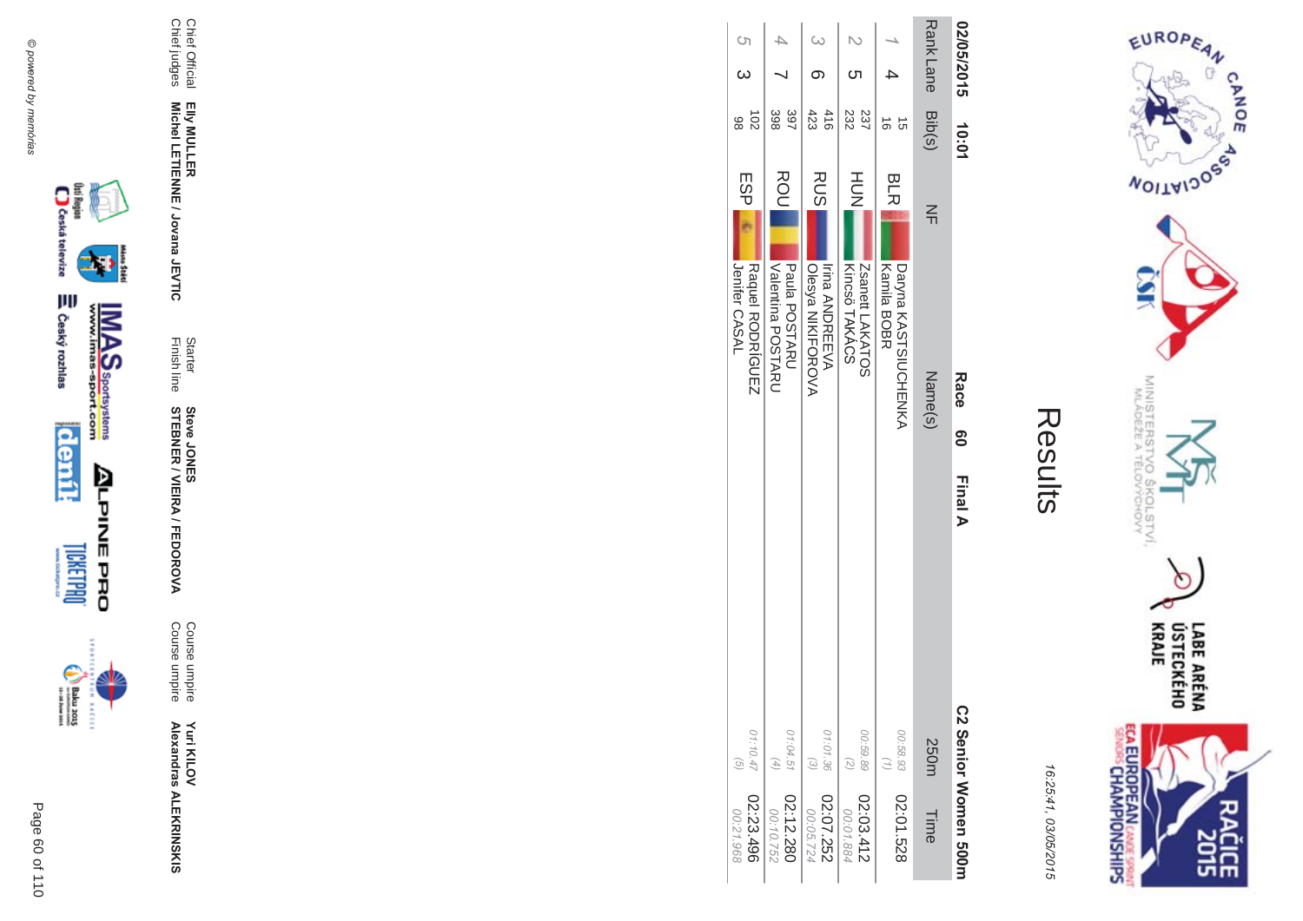$\begin{picture}(20,5) \put(0,0) {\put(0,0){\line(1,0){15}} \put(0,0){\line(1,0){15}} \put(0,0){\line(1,0){15}} \put(0,0){\line(1,0){15}} \put(0,0){\line(1,0){15}} \put(0,0){\line(1,0){15}} \put(0,0){\line(1,0){15}} \put(0,0){\line(1,0){15}} \put(0,0){\line(1,0){15}} \put(0,0){\line(1,0){15}} \put(0,0){\line(1,0){15}} \put(0,0){\line(1,0){15$ **EXCLC** 







Course umpire<br>Course umpire

Starter<br>Finish line **Steve JONER / VIEIRA / FEDOROVA** 

Chief Official<br>Chief judges Elly MULLER<br>Michel LETIENNE / Jovana JEVTIC



Results

EUROPEAN

**WOILWIDOSS** 

MINISTERS<br>MINISTERS

°C

 $\overline{Q}_{\mathcal{Q}}$ 

COLSTVI.<br><sup>CCHOVY</sup>

**ECA EUROPEAN CANE SPRING** 

 $\circ$ 

LABE ARÉNA<br>ÚSTECKÉHO<br>KRAJE

**SHR** 

CANOE

| 02/05/2015          | 10:01                |                  | Race<br>Race                               | <b>Final A</b>             | C2 Senior Women 500m   |
|---------------------|----------------------|------------------|--------------------------------------------|----------------------------|------------------------|
| <b>RankLane</b>     | <b>Bib(s)</b>        | $\leq$           | Name(s)                                    | 250m                       | Time                   |
|                     | ಕ<br>ີຕ              | <b>BLR</b>       | Kamila BOBR<br>Daryna KANTNIUCHENKA        | 00:58.93                   | 02:01.528              |
| ဟ                   | 232<br>237           | HUH<br>N         | Zsanett LAKATOS<br>Kincsö TAKÁCS           | 00:59.89<br>$\binom{2}{2}$ | 02:03.412<br>00:01.884 |
| $\omega$            | 423<br>416           | <b>RUS</b>       | Olesya NIKIFOROVA<br><b>Irina ANDREEVA</b> | 01:01.36<br>$\odot$        | 02:07.252<br>00:05.724 |
|                     | 397<br>398           | ROU              | Nalentina POSTARO<br>Paula POSTARU         | 01:04.51<br>$(4)$          | 02:12.280<br>00:10.752 |
| $\circ$<br>$\omega$ | $\overline{5}$<br>86 | ESP <sub>I</sub> | Jenifer CASAL<br>Raquel RODRÍGUEZ          | 01:10.47<br>$\widehat{G}$  | 02:23.496<br>00:21.968 |

**COLOR**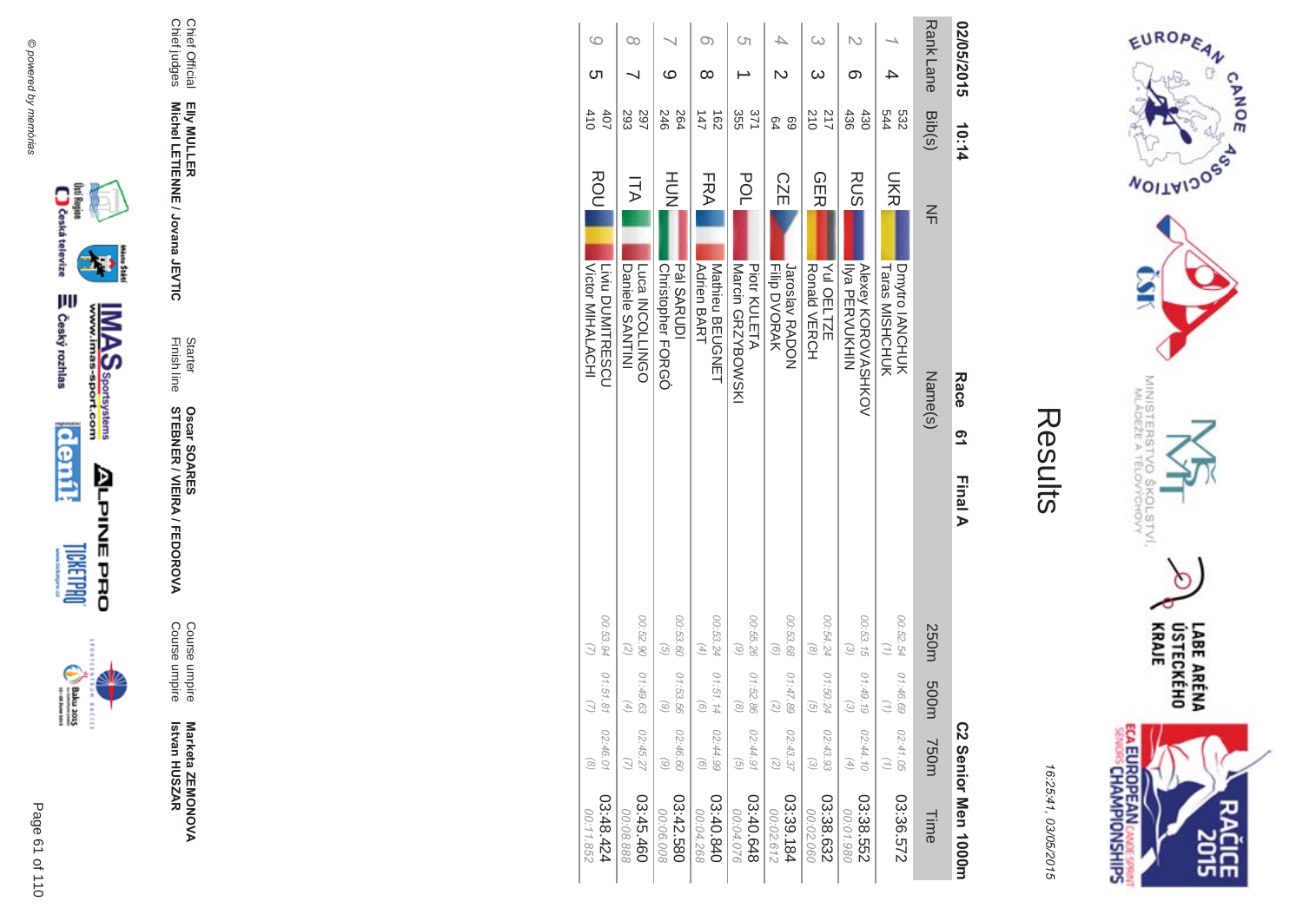



16:25:41 03/05/201  $\overline{(\overline{n})}$ 

| Ĭ.<br>Ι. |
|----------|
|          |
|          |
| k,       |
|          |
|          |

| 02/05/2015      | 10:14                  |                                                                  | Race    | <u>က</u> | Final A |                                  |                                |                                                            | C2 Senior Men 1000m    |
|-----------------|------------------------|------------------------------------------------------------------|---------|----------|---------|----------------------------------|--------------------------------|------------------------------------------------------------|------------------------|
| <b>RankLane</b> | Bib(s)                 | $\leq$                                                           | Name(s) |          |         | 250m                             | m003                           | 750m                                                       | Time                   |
|                 | 532<br>544             | <b>SHS</b><br><b>Taras MISHCHUK</b><br>Dmytro IANCHUK            |         |          |         | 00:52.54                         | 01:46.69                       | 02:41.05                                                   | 03:36.572              |
| თ               | 436<br>430             | <b>RUS</b><br><b>Alexey KOROVASHKOV</b><br><b>IIya PERVUKHIN</b> |         |          |         | 00:53.15<br>$\widetilde{\omega}$ | 01:49.19<br>$\widehat{\omega}$ | 02:44.10<br>$\left( \begin{matrix} 4 \end{matrix} \right)$ | 03:38.552<br>00:01.980 |
| ω<br>ω          | 217<br>210             | <b>GER</b><br>Yul OELTZE<br><b>Ronald VERCH</b>                  |         |          |         | 00:54.24<br>$\circ$              | 01:50.2<br>G)                  | 02:43.93<br>$\widehat{\omega}$                             | 03:38.632<br>00:02.060 |
| 4               | 69<br>64               | <b>CZE</b><br>Jaroslav RADON<br><b>Filip DVORAK</b>              |         |          |         | 00:53.68<br>$\odot$              | 01:47.89                       | 02:43.37<br>$\binom{2}{2}$                                 | 03:39.184<br>00:02.612 |
| Cη              | 355<br>371             | POL<br>Marcin GRZYBOWSKI<br><b>Piotr KULETA</b>                  |         |          |         | 00:55.26<br>$\odot$              | 01:52.86                       | 02:44.91<br>$\widehat{G}$                                  | 03:40.648<br>00:04.076 |
| O)<br>∞         | $\frac{162}{2}$<br>147 | FRA<br>Nathieu BEOGZET<br><b>Adrien BART</b>                     |         |          |         | 00:53.24<br>E)                   | 01:51.14                       | 02:44.99<br>$\odot$                                        | 02:40.840<br>00:04.268 |
| ဖ               | 246<br>264             | HU<br>N<br><b>Pál SARUDI</b><br>Christopher FORGO                |         |          |         | 00:53.60<br>$\widehat{g}$        | 01:53.56<br>ି                  | 02:46.60<br>6)                                             | 03:42.580<br>00:06.008 |
| $\infty$        | 297<br>293             | ITA<br>Luca INCOLLINGO<br>Daniele SANTINI                        |         |          |         | 00:52.90<br>2                    | 01:49.63                       | 02:45.27                                                   | 03:45.460<br>00:08.888 |
| G<br>ဟ          | 410<br>40 <sub>7</sub> | <b>ROU</b><br>Victor MIHALACHI<br><b>Livin DUMITRESCU</b>        |         |          |         | 00:53.94                         | 01:51.8                        | 02:46.01<br>$\odot$                                        | 42.48.424<br>00:11.852 |



₩

**MAS**<br>Walla Sportsystems

**ALPINE PRO** 





Marketa ZEMONOVA  **Betvan HUSZAR** Marketa ZEMONOVA<br>Istvan HUSZAR

**MA** Course umpire<br>Course umpire Course umpireCourse umpire

Finish line Starter **STEBNER \$ -**A/FEDOR **Oscar SOAR** 55

**EIIy MULLER** Elly MULLER<br>Michel LETIENNE / Jovana JEVTIC **Michel LETIENNE / Jovana JEVTIC** 

Chief Official<br>Chief judges Chief judges Chief Official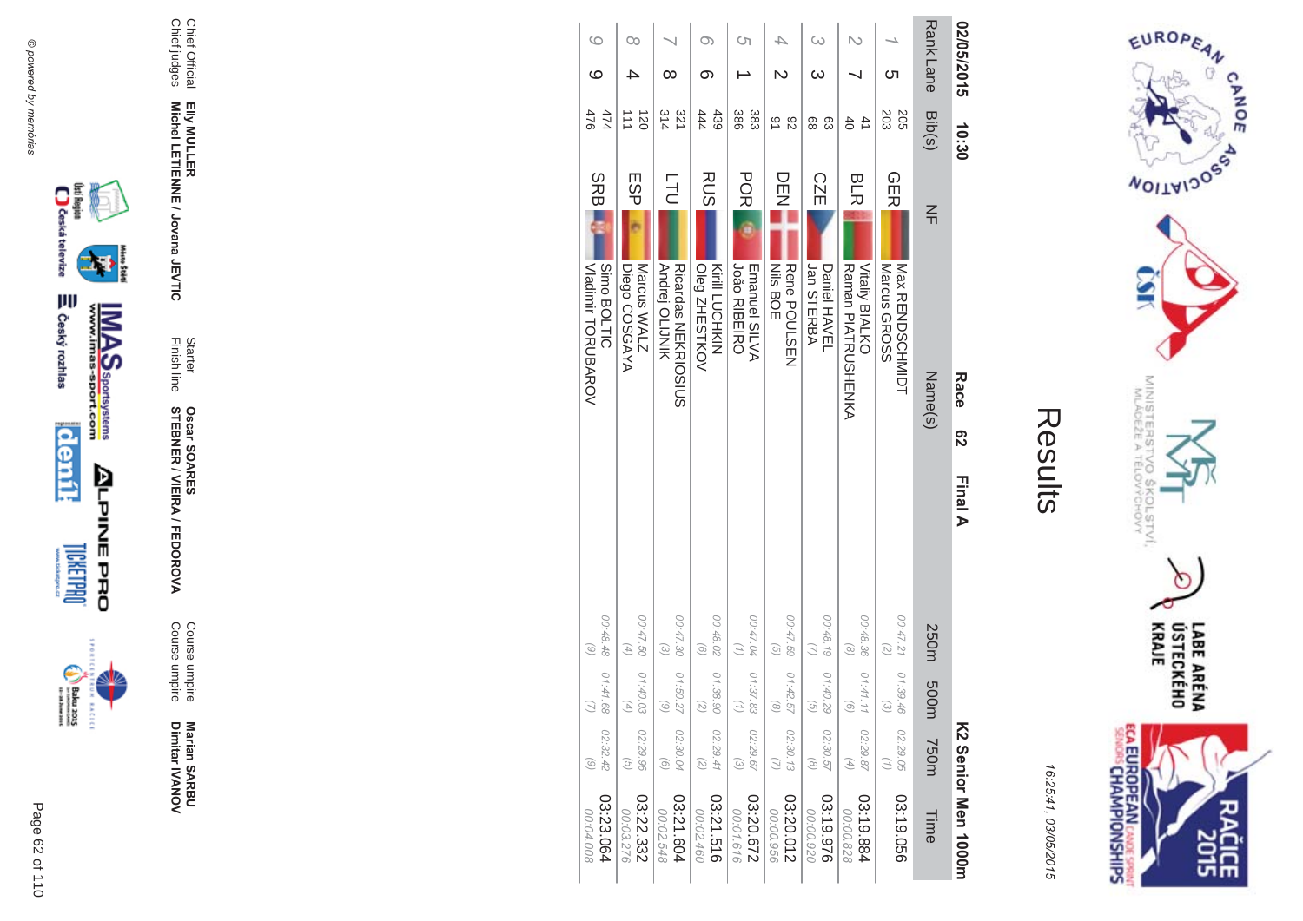



| 02/05/2015      |           | 10:30                 | Race<br>က္လ                                           | Final A                                  |                                |                                                            | K2 Senior Men 1000H    |
|-----------------|-----------|-----------------------|-------------------------------------------------------|------------------------------------------|--------------------------------|------------------------------------------------------------|------------------------|
| <b>RankLane</b> |           | Bib(s)                | $\leq$<br>Name(s)                                     | 250m                                     | m005                           | <b>750m</b>                                                | Time                   |
|                 | <b>ပာ</b> | 203<br>205            | <b>GER</b><br><b>Nax RENDSCHNIDH</b><br>Marcus GROSS  | 00:47.21<br>$\overline{z}$               | 01:39.46                       | 02:29.05                                                   | 03:19.056              |
|                 |           | 41<br>$\ddot{\rm 6}$  | BLR<br>Raman PIALRUSHENKA<br><b>Vitaliy BIALKO</b>    | 00:48.36<br>$\binom{8}{ }$               | 01.41.1                        | 02:29.87<br>$\left( \begin{matrix} 4 \end{matrix} \right)$ | 03:19.884<br>00:00.828 |
| ω               | ω         | 88<br>සි              | <b>CZE</b><br>Jan STERBA<br>Daniel HAVEL              | 00:48.19                                 | 01:40.29<br>G                  | 02:30.57<br>$\mathcal{S}$                                  | 03:19.976<br>00:00.920 |
|                 |           | 91<br>82              | DEE<br><b>Nils BOE</b><br>Rene POULSEN                | 00:47.59<br>$\widehat{G}$                | 01:42.57<br>$\widehat{\alpha}$ | 02:30.13                                                   | 03:20.012<br>00:00.956 |
| Ōп              |           | 386<br>383            | <b>POR</b><br><b>João RIBEIRO</b><br>Emanuel SILVA    | 00:47.04                                 | 01:37.83                       | 02:29.67<br>$\widehat{\omega}$                             | 03:20.672<br>00:01.616 |
| O)              | ග         | 439<br>444            | <b>RUS</b><br>Kirill LUCHKIN<br>Oleg ZHESTKOV         | 00:48.02<br>$\odot$                      | 01:38.90<br>$\widehat{\sim}$   | 02:29.41<br>$\overline{z}$                                 | 03:21.516<br>00:02.460 |
|                 | ∞         | 321<br>314            | <b>LTU</b><br>Andrej OLIJNIK<br>Ricardas NEKRIOSIUS   | 02.47.30<br>$\mathcal{E}$                | 01:50.2<br>ି                   | 02:30.04<br>$\odot$                                        | 03:21.604<br>00:02.548 |
| ೦೦              |           | $\overline{50}$<br>ニニ | ESP<br>Marcus WALZ<br>Diego COSGAYA                   | 00:47.50<br>$\left( \frac{4}{4} \right)$ | 01:40.03<br>G,                 | 02:29.96<br>$\overline{G}$                                 | 03:22.332<br>00:03.276 |
| G               | ဖ         | 474<br>476            | <b>SRBI</b><br>Simo BOLTIC<br><b>VIBRIT TOROBAROV</b> | 00:48.48<br>$\odot$                      | 01:41.68<br>Ω                  | 02:32.42<br>6)                                             | 03:23.064<br>00:04.008 |





Marian SARBU<br>Dimitar IVANOV

Course umpire<br>Course umpire

Starter<br>Finish line **Oscar SOARES<br>STEBNER / VIEIRA / FEDOROVA** 

Elly MULLER<br>Michel LETIENNE / Jovana JEVTIC

Chief Official<br>Chief judges

₩

**MAS**<br>Walla Sportsystems

Page 62 of 110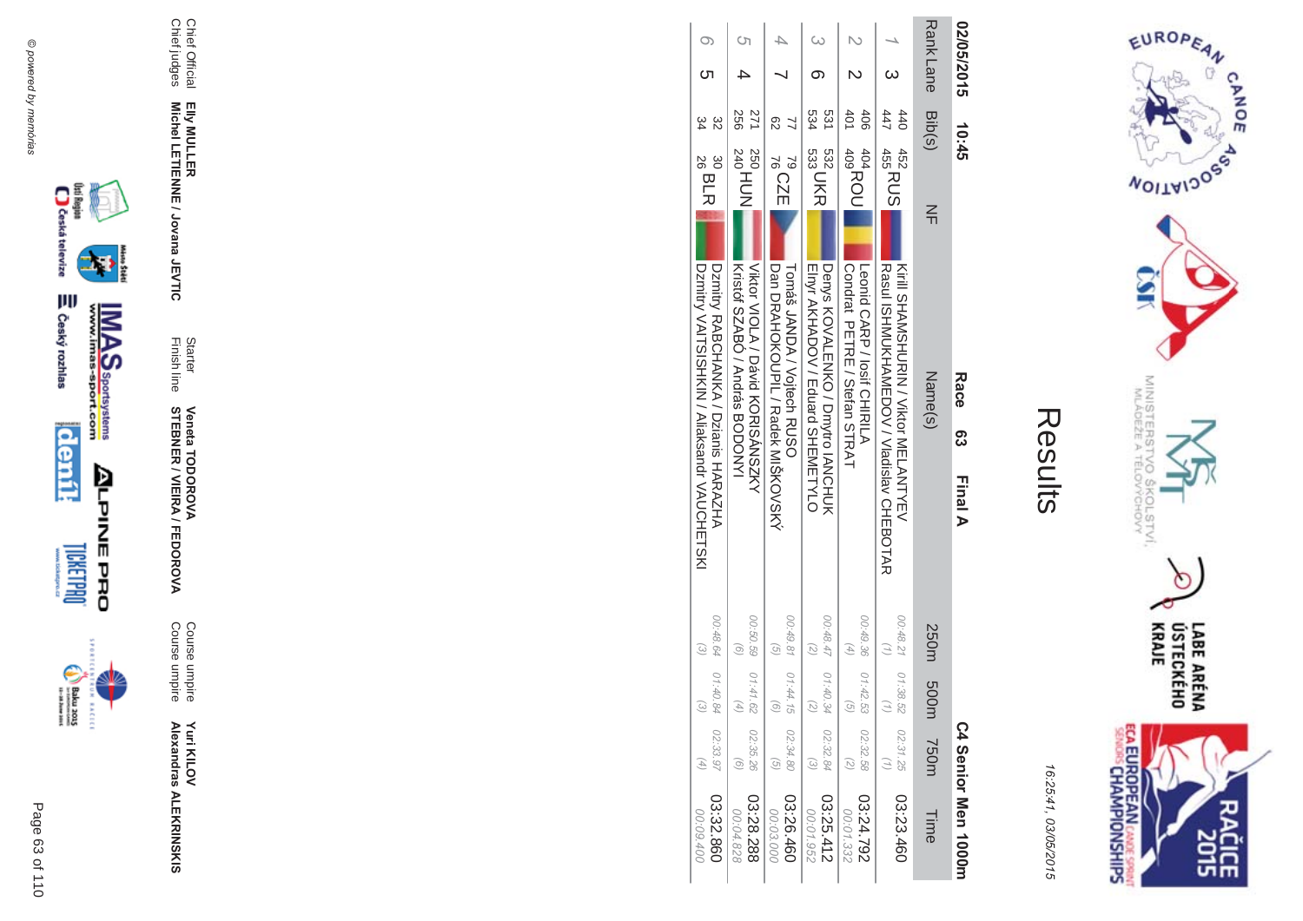



| 02/05/2015 | 10:45                                  | Race<br>Race<br>Final A                                                            |                                                |                    |                            | C4 Senior Men 1000m    |
|------------|----------------------------------------|------------------------------------------------------------------------------------|------------------------------------------------|--------------------|----------------------------|------------------------|
| Rank Lane  | Bib(s)                                 | $\leq$<br>Name(s)                                                                  | 250m                                           | n005               | <b>750m</b>                | <b>Time</b>            |
|            | 447<br>440<br>452<br>455<br>455<br>455 | Kirill SHAMSHURIN / Viktor MELANTYEV<br>Rasul ISHMUKHAMEDOV / Vladislav CHEBOTAR   | 00:48.21 01:38.52                              |                    | 02:31.25<br>(7)            | 03:23.460              |
|            | 401<br>406<br>404<br>409<br>409<br>409 | <b>Condrat PETRE/Stetan STRAT</b><br>Leonid CARP / losif CHIRILY                   | 00:49.36 01:42.53<br>$\overline{a}$            |                    | 02:32.58<br>$\overline{z}$ | 24.792<br>00:01.332    |
|            | 534<br>531<br>532 UKR                  | Denys KOVALENKO / Druytro IANCHUK<br>Ellyr AKHADOV / Eduard SHENETYLO              | 748.47<br>$\overline{C}$                       | 01:40.34           | 02:32.84                   | 03:25.412<br>00:01.952 |
|            | සි<br>79<br>76<br>76<br>76             | Dan DRAHOKOUPIL / Radek MISKOVSKY<br>Toma's JANDA / Voitech RUSO                   | 00:49.81 01:44.15<br>G                         | $\widehat{\sigma}$ | 02:34.80<br>$\widehat{G}$  | 03:26.460<br>00.03.000 |
|            | <b>256</b><br>271<br>250<br>240<br>240 | Viktor VIOLA / David KORISANSZKY<br>Kristor SNABO / Andras BODONYI                 | 00:50.59   01:41.62<br>G                       |                    | 02:35.26                   | 03:28.288<br>00:04.828 |
|            | 30<br>26 BLR                           | Dzmitry VAITSISHKIN / Aliaksandr VAUCHETSKI<br>Uzmitry RABCHANKA / Dzianis HARAZHA | 00:48.64 01:40.84<br>$\widetilde{\mathcal{C}}$ | $\widehat{\omega}$ | 02:33.97                   | 03:32.860<br>00:09.400 |





Page 63 of 110





Ø

Starter<br>Finish line **Veneta TODOROVA<br>STEBNER / VIEIRA / FEDOROVA** 

Course umpire<br>Course umpire

**Yuri KILOV<br>Alexandras ALEKRINSKIS** 

Elly MULLER<br>Michel LETIENNE / Jovana JEVTIC

Chief Official<br>Chief judges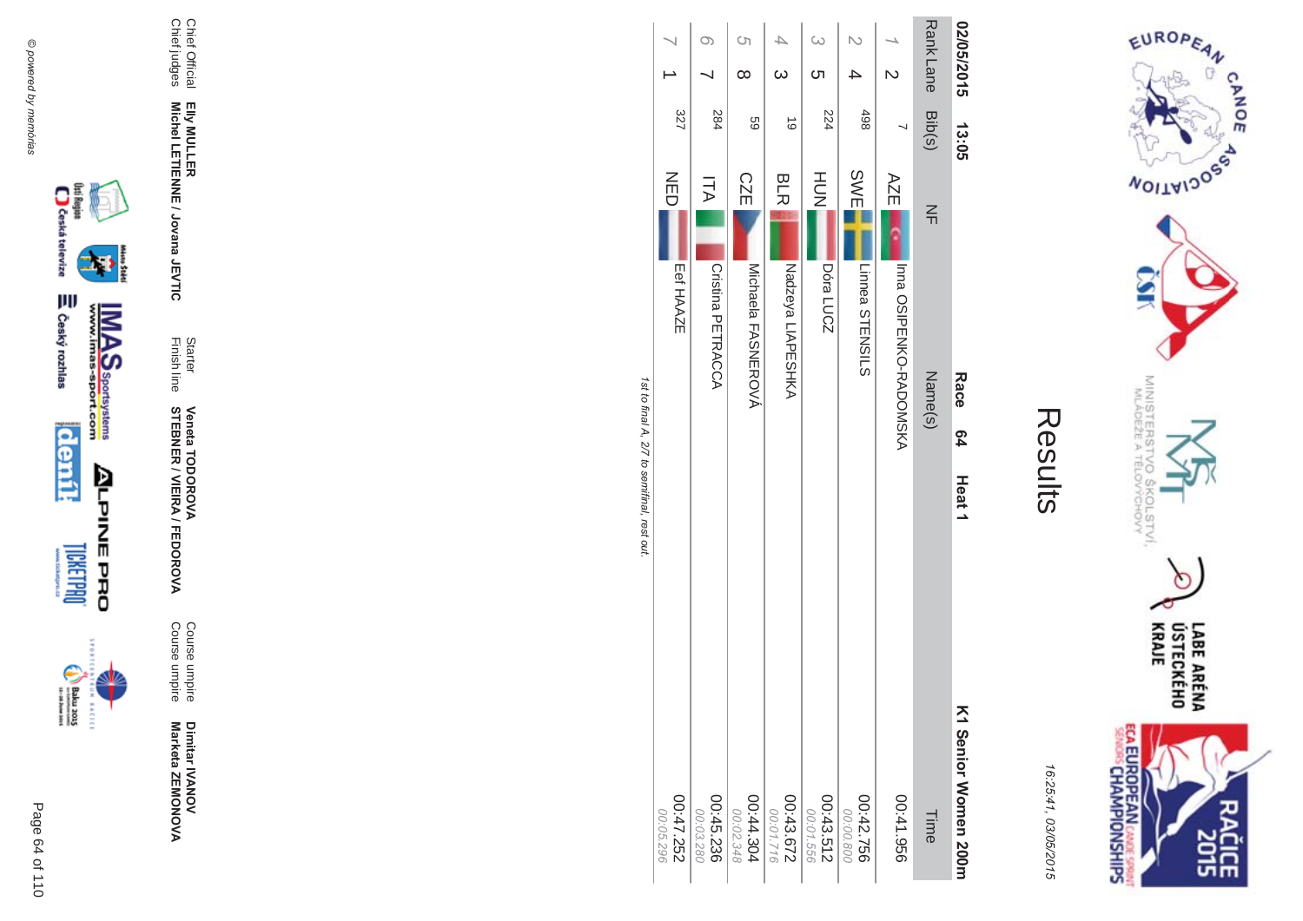



|                         |                          | Ċη<br>$\infty$                          | $\omega$                        |                        |                        |                               | Rank Lane Bib(s)  | 02/05/2015                     |
|-------------------------|--------------------------|-----------------------------------------|---------------------------------|------------------------|------------------------|-------------------------------|-------------------|--------------------------------|
| 327                     | 284                      | 69                                      | $\vec{0}$                       | 224                    | 498                    |                               |                   | 13.05                          |
| NED<br>Eef HAAZE        | ITA<br>Cristina PETRACCA | <b>CZE</b><br><b>Nichaela FASNEROVY</b> | <b>BLR</b><br>Nadzeya LIAPESHKA | HU<br>N<br>Dóra LUCZ   | SWE<br>Linnea STENSILS | AZE<br>Inna OSIPENKO-RADOMSKA | $\leq$<br>Name(s) | Race                           |
|                         |                          |                                         |                                 |                        |                        |                               |                   | <b>64</b><br>Heat <sub>1</sub> |
| 252'47.252<br>00:05.296 | 00:45.236<br>00:03.280   | 00:44.304<br>00:02.348                  | 00:43.672<br>00:01.716          | 00:43.512<br>00:01.556 | 00:42.756<br>00:00.800 | 956'17:00                     | Time              | K1 Senior Momen 200m           |





Page 64 of 110

Dimitar IVANOV<br>Marketa ZEMONOVA

Course umpire<br>Course umpire

Starter<br>Finish line **Veneta TODOROVA<br>STEBNER / VIEIRA / FEDOROVA** 

Elly MULLER<br>Michel LETIENNE / Jovana JEVTIC

Chief Official<br>Chief judges

₩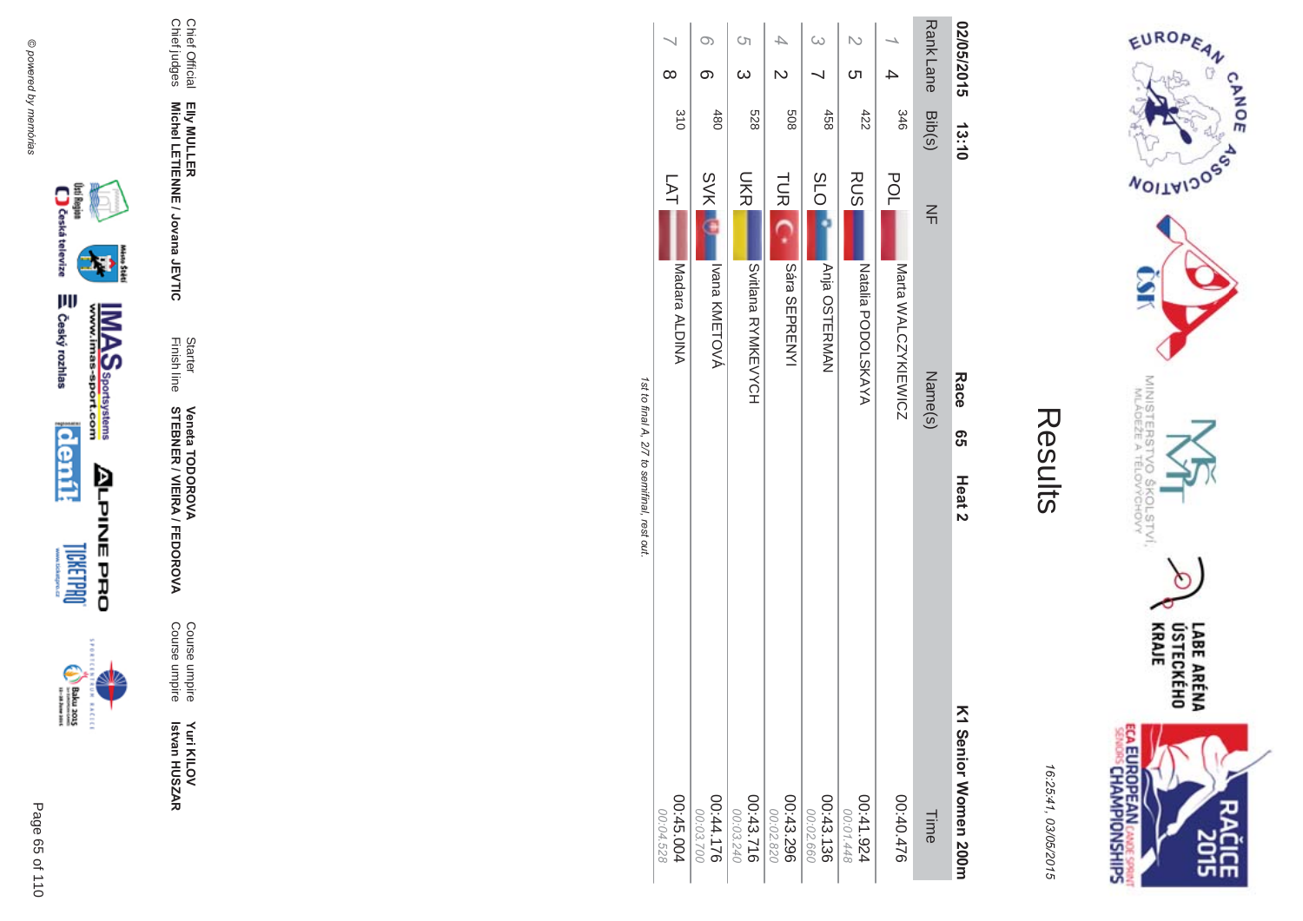



16:25:41 03/05/201  $\overline{(\overline{n})}$ 

| ŗ |
|---|
|   |
|   |
|   |
|   |

|                                             |                        |                             | S)                                      |                             | $\omega$               |                                    |                            |                   |                                     |
|---------------------------------------------|------------------------|-----------------------------|-----------------------------------------|-----------------------------|------------------------|------------------------------------|----------------------------|-------------------|-------------------------------------|
|                                             | $\infty$               |                             | $\omega$                                |                             |                        | ဟ                                  |                            |                   | 02/05/2015                          |
|                                             | 310                    | 480                         | 528                                     | 809                         | 458                    | 422                                | 346                        | Rank Lane Bib(s)  | 13:10                               |
| 1st to final A, 2/7 to semifinal, rest out. | LAT<br>Madara ALDINA   | <b>SVK</b><br>Ivana KMETOVÁ | <b>UKR</b><br><b>SALLANT HANNA HAND</b> | <b>TUR</b><br>Sára SEPRENYI | SOQ<br>Anja OSTERMAN   | <b>RUS</b><br>NAYAYATIa PODOLSKAYA | POL<br>Marta WALCZYKIEWICZ | $\leq$<br>Name(s) | Race<br>თ<br>თ<br>Heat <sub>2</sub> |
|                                             | 00:45.004<br>00:04.528 | 00:44.176<br>00:03.700      | 00:43.716<br>00:03.240                  | 00:43.296<br>00:02.820      | 00:43.136<br>00:02.660 | 41.924<br>00:01.448                | 00:40.476                  | Time              | K1 Senior Women 200m                |







**Yuri KILOV Betvan HUSZAR** Yuri KILOV<br>Istvan HUSZAR

Course umpire<br>Course umpire Course umpireCourse umpire

A/FEDOR **MA** 

Finish line **STEBNER \$ -Veneta TODOR \*\$'**

**Starter** 

Elly MULLER<br>Michel LETIENNE / Jovana JEVTIC **Michel LETIENNE / Jovana JEVTIC** 

Chief Official<br>Chief judges Chief judges Chief Official **EIIy MULLER**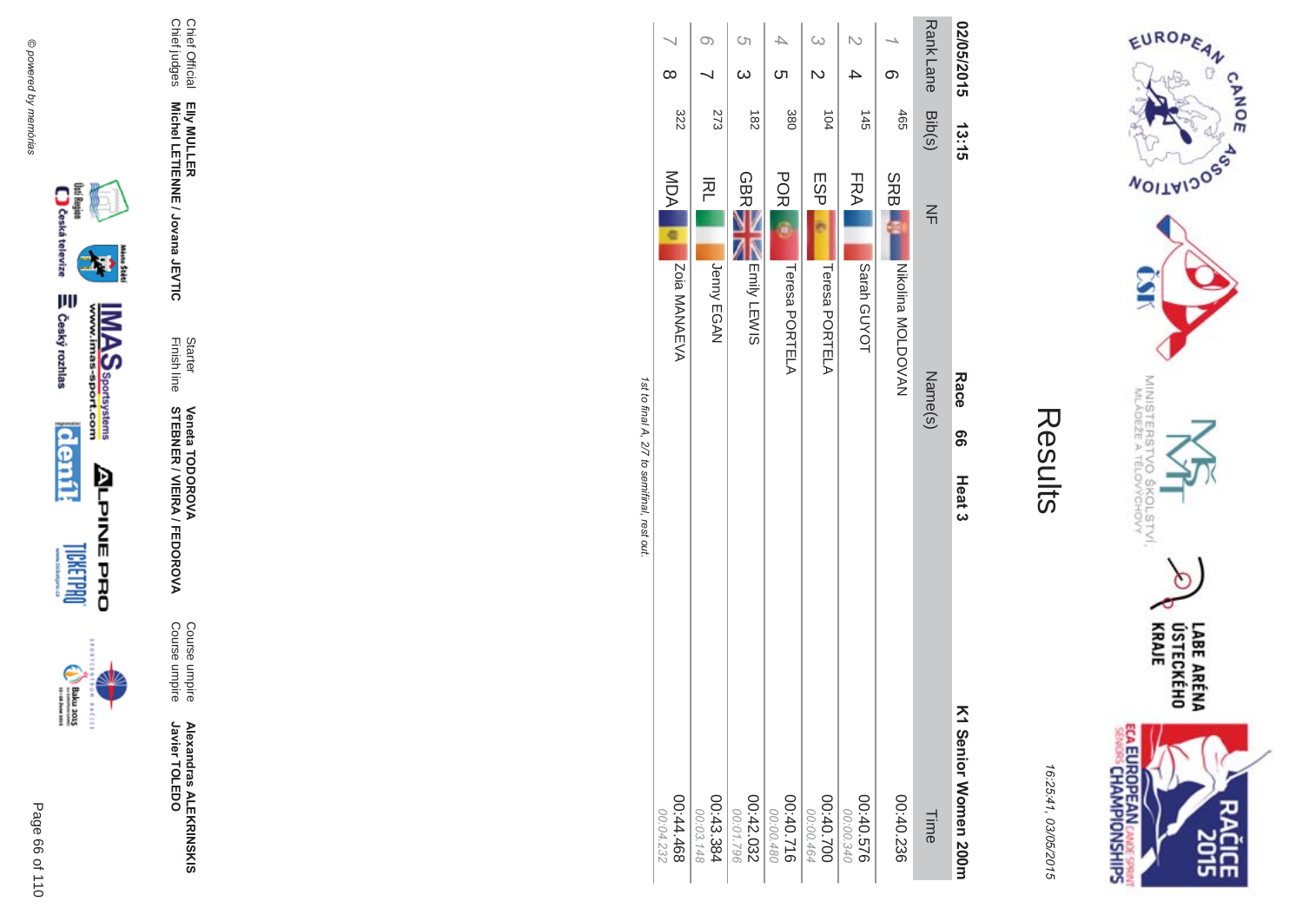



16:25:41 03/05/201  $\overline{(\overline{n})}$ 

| ŗ<br>L |
|--------|
|        |
|        |
|        |
|        |

|                                             |                        |                        | <b>(</b> ၂             |                        | $\omega$               |                        |              | <b>RankLane</b> |                      |
|---------------------------------------------|------------------------|------------------------|------------------------|------------------------|------------------------|------------------------|--------------|-----------------|----------------------|
|                                             | $\infty$               |                        |                        | <b>ဟ</b>               |                        |                        |              |                 |                      |
|                                             | 322                    | 273                    | $\frac{182}{2}$        | 380                    | 104                    | $\frac{145}{1}$        | 465          | Bib(s)          | 02/05/2014 13:15     |
|                                             | MDA                    | 준                      | <b>GBR</b>             | <b>POR</b>             | ESP                    | FRA                    | <b>SRBI</b>  | $\leq$          |                      |
|                                             | Zoia MANAEVA           | Jenny EGAN             | Emily LEWIS            | Teresa PORTELA         | Teresa PORTELA         | Sarah GUYOT            | NEW MOLDOVAN | Name(s)         | Race<br>თ<br>თ       |
| 1st to final A, 2/7 to semifinal, rest out. |                        |                        |                        |                        |                        |                        |              |                 | Heat <sub>3</sub>    |
|                                             | 894.44.00<br>00:04.232 | 00:43.384<br>00:03.148 | 00:42.032<br>00:01.796 | 00:40.716<br>00:00.480 | 00:40.700<br>00:00.464 | 00:40.576<br>00:00.340 | 00:40.236    | Time            | K1 Senior Momen 200m |







 $\begin{picture}(20,5) \put(0,0) {\put(0,0){\line(1,0){15}} \put(0,0){\line(1,0){15}} \put(0,0){\line(1,0){15}} \put(0,0){\line(1,0){15}} \put(0,0){\line(1,0){15}} \put(0,0){\line(1,0){15}} \put(0,0){\line(1,0){15}} \put(0,0){\line(1,0){15}} \put(0,0){\line(1,0){15}} \put(0,0){\line(1,0){15}} \put(0,0){\line(1,0){15}} \put(0,0){\line(1,0){15$ **EXCLC** 

A/FEDOR **MA** Course umpire<br>Course umpire Course umpire Course umpire

**Alexandras ALEKR Alexandras ALEKRINSKIS**<br>Javier TOLEDO

Javier TOLEDO

Finish line Starter **STEBNER \$ -Veneta TODOR \*\$'**

Chief Official<br>Chief judges Chief judges

Chief Official

**EIIy MULLER** 

Elly MULLER<br>Michel LETIENNE / Jovana JEVTIC **Michel LETIENNE / Jovana JEVTIC** 

Page  $\overline{a}$ 0f 110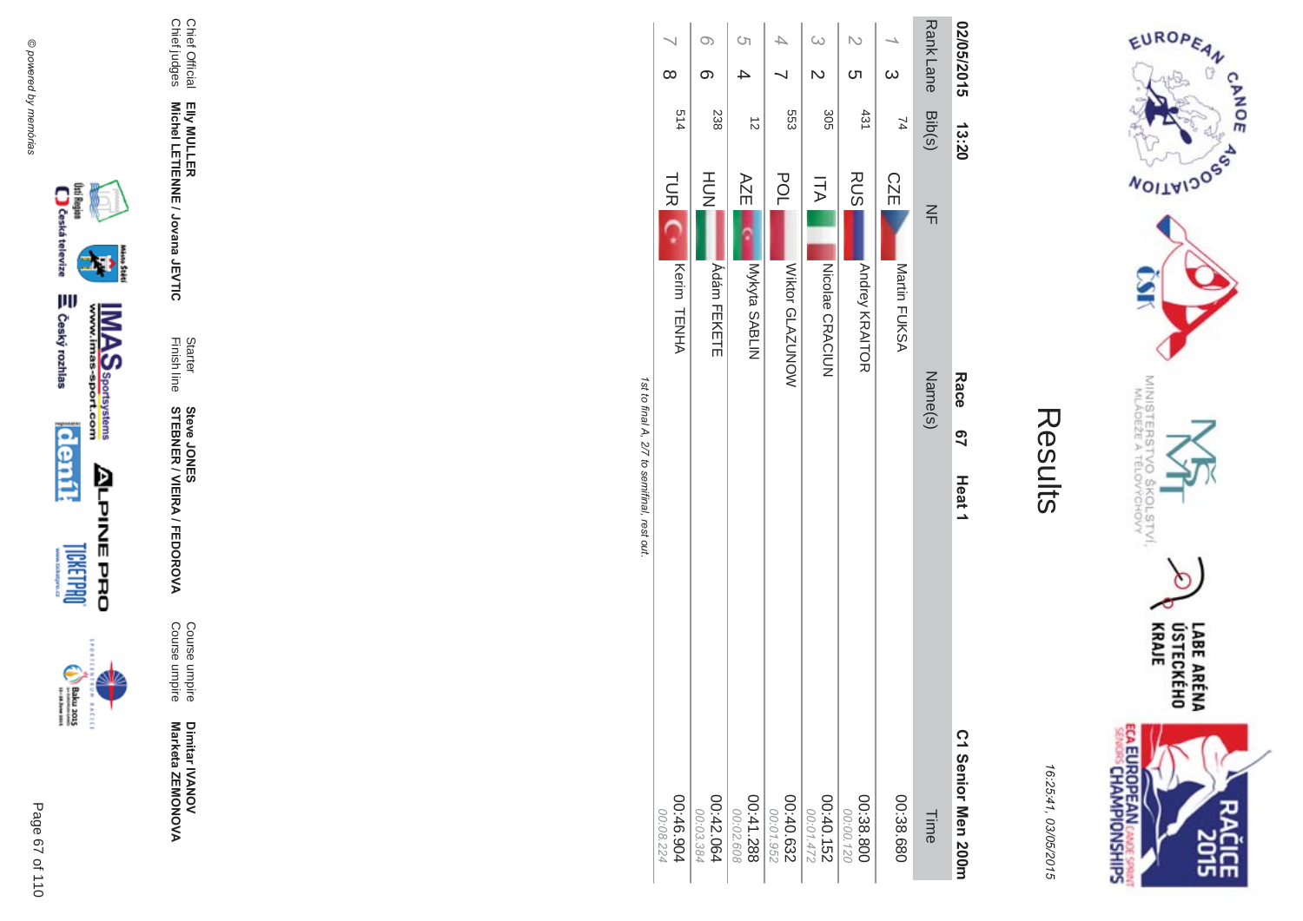



| Ĩ. |
|----|
|    |
|    |
|    |
|    |

|                                             |                                  |                                | <b>(</b> ၂             |                        |                               |                                     |                            |                   | 02/05/2015                            |
|---------------------------------------------|----------------------------------|--------------------------------|------------------------|------------------------|-------------------------------|-------------------------------------|----------------------------|-------------------|---------------------------------------|
|                                             | $\infty$                         |                                |                        |                        |                               |                                     | $\omega$                   |                   |                                       |
|                                             | 514                              | 238                            | $\vec{c}$              | 553                    | 305                           | 431                                 | $\overline{7}$             | Rank Lane Bib(s)  | 13:20                                 |
| 1st to final A, 2/7 to semifinal, rest out. | TUR <sub>IC</sub><br>Kerim TENHA | HUH<br>N<br><b>Adám FEKETE</b> | AZE<br>Mykyta SABLIN   | POL<br>Wiktor GLAZUNOW | <b>ITA</b><br>Nicolae CRACIUN | <b>RUS</b><br><b>Andrey KRAITOR</b> | <b>CZE</b><br>Martin FUKSA | $\leq$<br>Name(s) | Race<br><u>ე</u><br>Heat <sub>1</sub> |
|                                             | 00:46.904<br>00:08.224           | 00:42.064<br>00:03.384         | 00:41.288<br>00:02.608 | 00:40.632<br>00:01.952 | 00:40.152<br>00:01.472        | 00:38.80C<br>00:00.120              | 00:38.680                  | Time              | C1 Senior Men 200m                    |

Chief Official<br>Chief judges

Elly MULLER<br>Michel LETIENNE / Jovana JEVTIC

Starter<br>Finish line

**Steve JONER / VIEIRA / FEDOROVA** 

Course umpire<br>Course umpire

Dimitar IVANOV<br>Marketa ZEMONOVA



Page 67 of 110





₩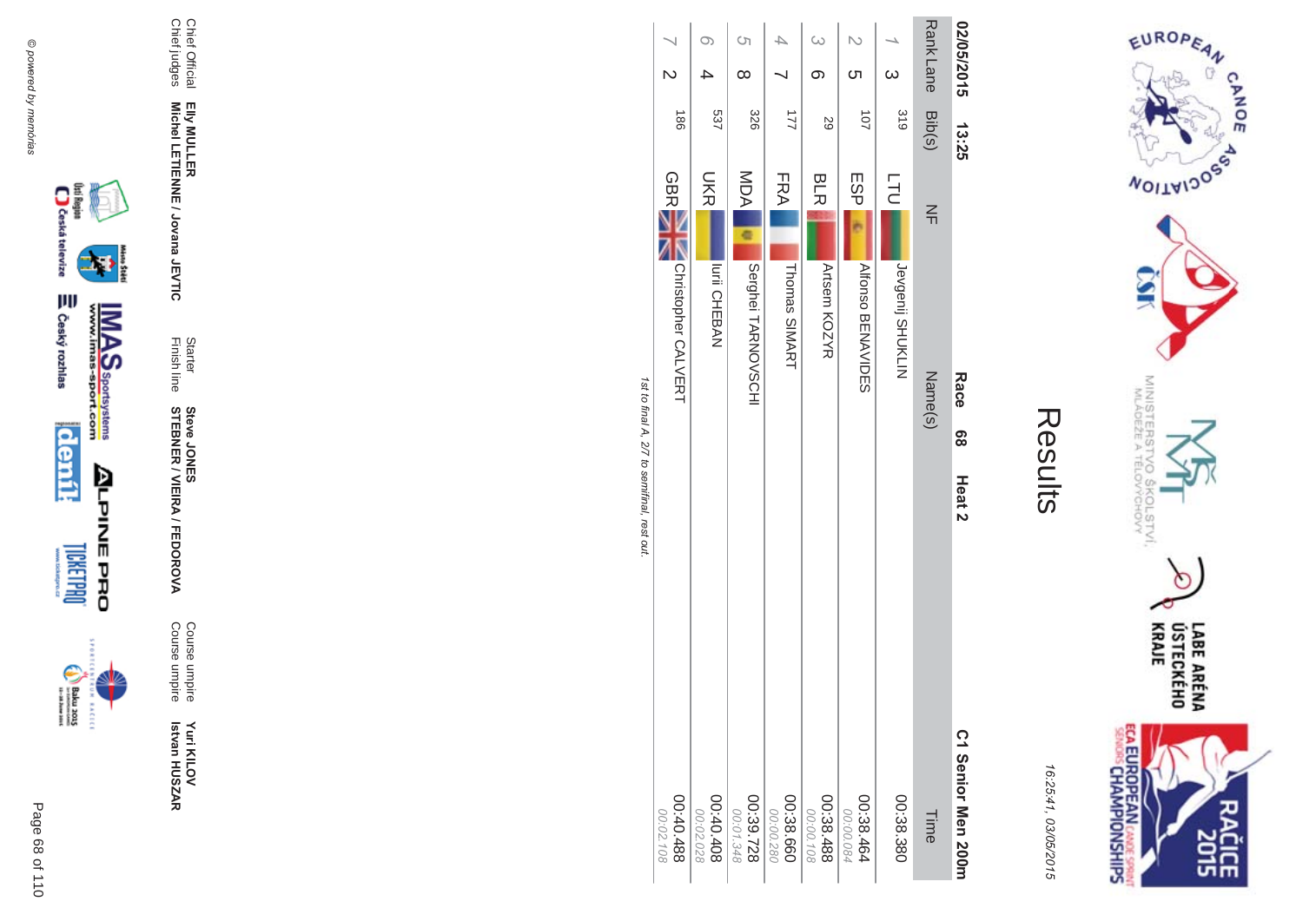



|                                             |                             |                        | Ċη                     |                        |                        |                        |                  |                  | 02/05/2015         |
|---------------------------------------------|-----------------------------|------------------------|------------------------|------------------------|------------------------|------------------------|------------------|------------------|--------------------|
|                                             |                             |                        | $\infty$               |                        | တ                      | ŌТ                     | $\omega$         |                  |                    |
|                                             | $\frac{1}{8}$               | 537                    | 326                    | $\overline{2}$         | 59                     | $\overline{101}$       | 319              | Rank Lane Bib(s) | 13:25              |
|                                             | <b>GBRE</b>                 | <b>NKI</b>             | MOA                    | FRA                    | <b>BLR</b>             | ESP <sub>I</sub>       | <b>LTU</b>       | $\leq$           |                    |
|                                             | <b>NOTISTOPIATO CALVERY</b> | Iurii CHEBAN           | Serghei TARNOVSCHI     | Thomas SIMART          | Artsem KOZYR           | <b>AIONO BENAVIDES</b> | Pevgenij SHOKLIN | Name(s)          | <b>Race</b>        |
| 1st to final A, 2/7 to semifinal, rest out. |                             |                        |                        |                        |                        |                        |                  |                  | 8                  |
|                                             |                             |                        |                        |                        |                        |                        |                  |                  | Heat <sub>2</sub>  |
|                                             | 884.040.98<br>00:02.108     | 00:40.408<br>00:02.028 | 00:39.728<br>00:01.348 | 00:38.660<br>00:00.280 | 00:38.488<br>00:00.108 | 00:38.464<br>00:00.084 | 08:38.380        | Time             | C1 Senior Men 200m |









Yuri KILOV<br>Istvan HUSZAR

Course umpire<br>Course umpire

Starter<br>Finish line **Steve JONER / VIEIRA / FEDOROVA** 

Elly MULLER<br>Michel LETIENNE / Jovana JEVTIC

Chief Official<br>Chief judges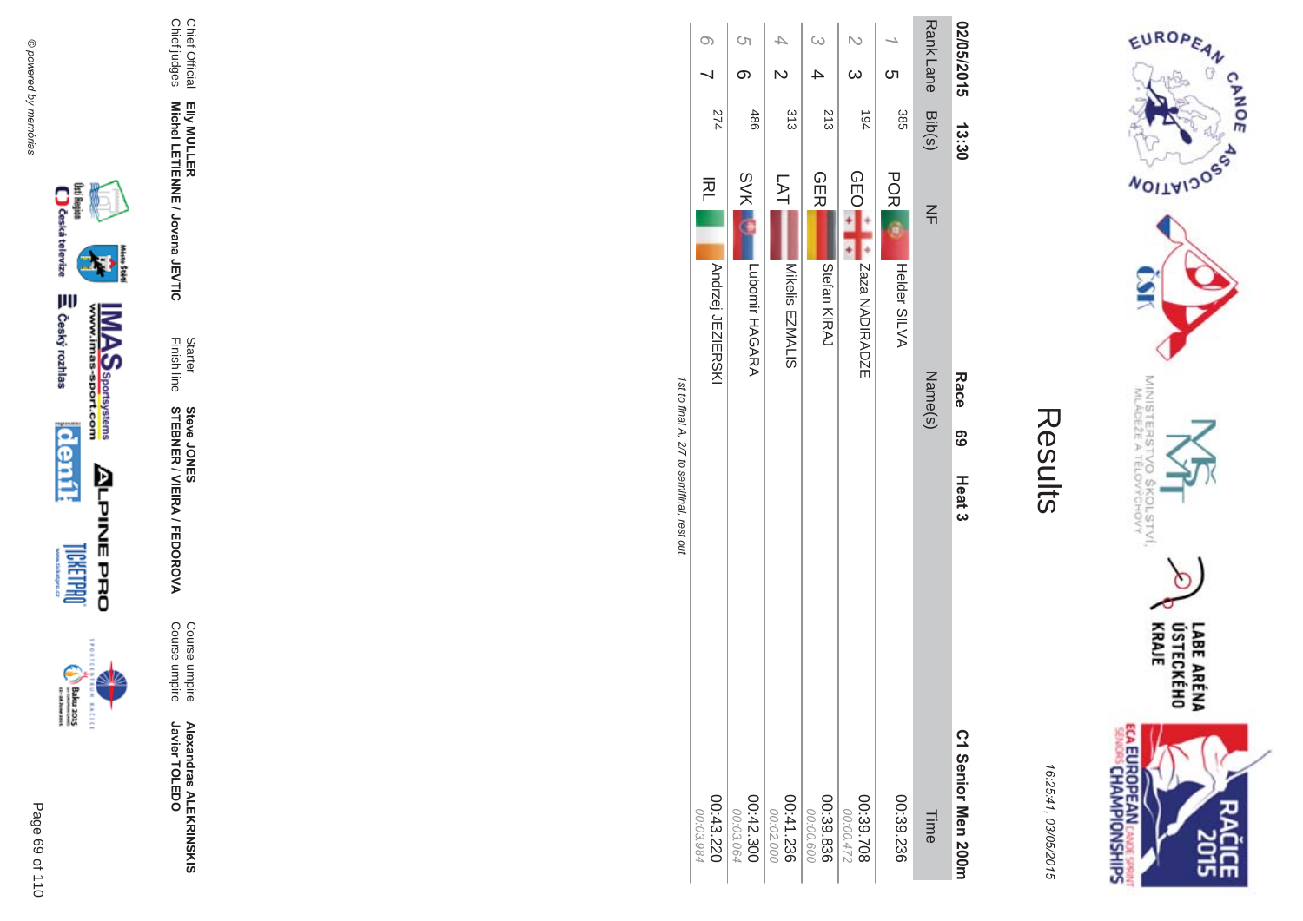$\begin{picture}(20,5) \put(0,0) {\put(0,0){\line(1,0){15}} \put(0,0){\line(1,0){15}} \put(0,0){\line(1,0){15}} \put(0,0){\line(1,0){15}} \put(0,0){\line(1,0){15}} \put(0,0){\line(1,0){15}} \put(0,0){\line(1,0){15}} \put(0,0){\line(1,0){15}} \put(0,0){\line(1,0){15}} \put(0,0){\line(1,0){15}} \put(0,0){\line(1,0){15}} \put(0,0){\line(1,0){15$ **EXCLC** 





Chief Official<br>Chief judges

**Alexandras ALEKRINSKIS**<br>Javier TOLEDO

Course umpire<br>Course umpire

Starter<br>Finish line **Steve JONER / VIEIRA / FEDOROVA** 

Elly MULLER<br>Michel LETIENNE / Jovana JEVTIC

|         |   | 02/05/2014 13:30 | Race                               | <u>၉၅</u><br>Heat 3 | C1 Senior Men 200m     |
|---------|---|------------------|------------------------------------|---------------------|------------------------|
|         |   | Rank Lane Bib(s) | $\leq$<br>Name(s)                  |                     | Time                   |
|         | ဟ | 385              | <b>POR</b><br>Helder SILVA         |                     | 00:39.236              |
|         |   | 194              | <b>OEO</b><br><b>ANDIRADIRADZE</b> |                     | 00:39.708<br>00:00.472 |
|         |   | 213              | <b>GER</b><br>Stetan KIRAJ         |                     | 00:39.836<br>00:00.600 |
|         |   | 313              | LAT<br>Mikelis<br>EZMALIS          |                     | 00:41.236<br>00:02.000 |
| G       |   | 486              | <b>SVK</b><br>Lubomir HAGARA       |                     | 00:42.300<br>00:03.064 |
| $\circ$ |   | 274              | 丙二<br>Andrzej JEZIERSKI            |                     | 00:43.220<br>786 EU 00 |

EUROPEAN

**WOILWIDOSS** 

MINISTERS<br>MINISTERS

c

 $5_{q}$ 

COLSTVI.<br><sup>CCHOVY</sup>

**ECA EUROPEAN CANE SPRING** 

 $\circ$ 

LABE ARÉNA<br>ÚSTECKÉHO<br>KRAJE

**SICE** 

Results

16:25:41, 03/05/2015

CANOE

1st to final A, 2/7 to semifinal, rest out.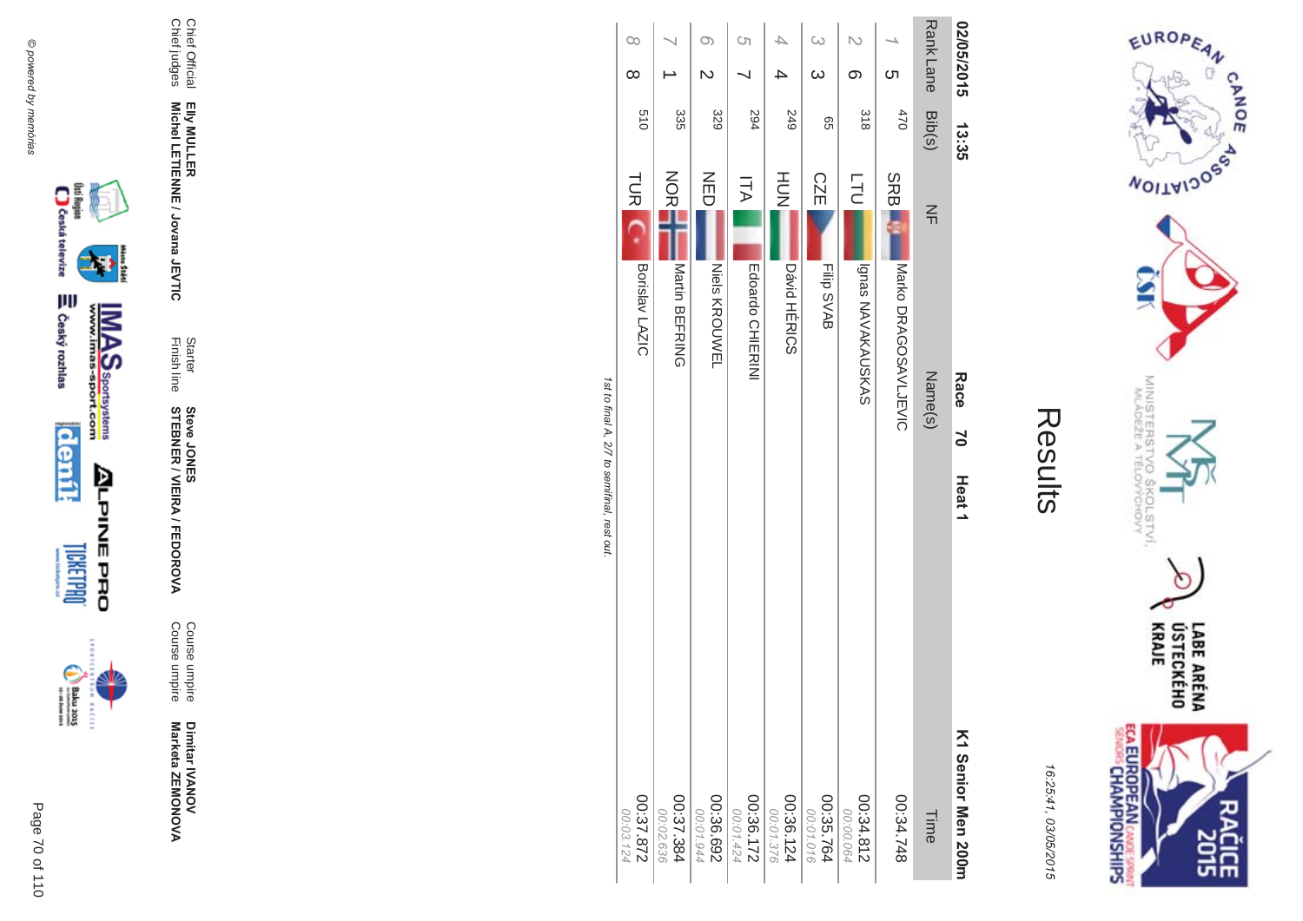













Chief Official<br>Chief judges Elly MULLER<br>Michel LETIENNE / Jovana JEVTIC

Starter<br>Finish line

**Steve JONER / VIEIRA / FEDOROVA** 

Course umpire<br>Course umpire

Dimitar IVANOV<br>Marketa ZEMONOVA

16:25:41, 03/05/2015

ECA EUROPEAN CANDES SPRING

| ί<br>۴ |
|--------|
|        |
|        |
|        |

EUROPEAN

**WOILWIDOSS** 

MINISTERS<br>MINISTERS

 $\bullet$ 

**DOVY** 

KOLSTVÍ,<br>ÝCHOVY

LABE ARÉNA<br>ÚSTECKÉHO<br>KRAJE

ĉ ዸቘ

CANOE

| 27.87.872<br>00:03.124 |                             | Borislav LAZIC      | TUR <sub>IC</sub> | 019    | $\infty$   | $\infty$ |
|------------------------|-----------------------------|---------------------|-------------------|--------|------------|----------|
| 00:02.636              |                             |                     |                   |        |            |          |
| 00:37.384              |                             | Martin BEFRING      | NOR<br>NO         | 335    |            |          |
| 00:01.944              |                             |                     |                   |        |            |          |
| 00:36.692              |                             | Niels<br>KROUV/EL   | NED               | 329    |            | O)       |
| 00:01.424              |                             |                     |                   |        |            | S)       |
| 00:36.172              |                             | Edoardo CHIERINI    | ΞA                | 294    |            |          |
| 00:01.376              |                             |                     |                   |        |            |          |
| 00:36.124              |                             | <b>Dávid HÉRICS</b> | HOH               | 249    |            |          |
| 00:01.016              |                             |                     |                   |        | $\omega$   | $\omega$ |
| 00:35.764              |                             | Filip SVAB          | CZE               | 99     |            |          |
| 00:00.064              |                             |                     |                   |        |            |          |
| 00:34.812              |                             | Ignas NAVAKAUSKAS   | <b>LTU</b>        | 318    | တ          |          |
|                        |                             |                     |                   |        | ທ          |          |
| 847.748                |                             |                     | SRB.              | 470    |            |          |
|                        |                             |                     |                   |        |            |          |
| Time                   |                             | Name(s)             | $\leq$            | Bib(s) | Rank Lane  |          |
| K1 Senior Men 200m     | $\geq$<br>Heat <sub>1</sub> | Race                |                   | 13:35  | 02/05/2015 |          |

ו פו ווח ווי ופו J,  $\overline{\mathcal{L}}$  $\overline{c}$  $11128$ īa,  $1C<sub>21</sub>$ ρη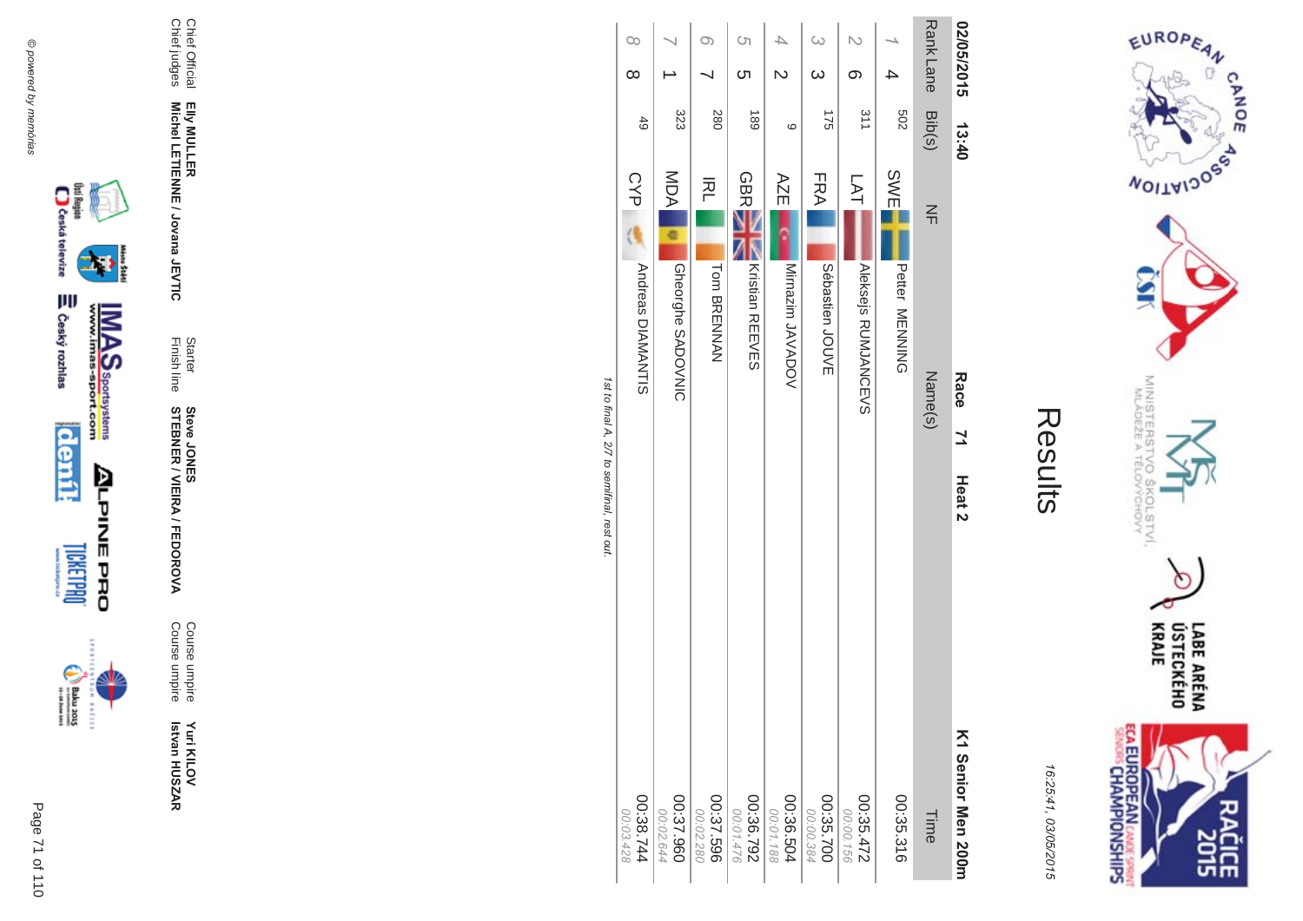









Elly MULLER<br>Michel LETIENNE / Jovana JEVTIC **Michel LETIENNE / Jovana JEVTIC** 

Chief Official<br>Chief judges Chief judges

**Yuri KILOV Betvan HUSZAR** Yuri KILOV<br>Istvan HUSZAR

**MA** Course umpire<br>Course umpire Course umpireCourse umpire

**STEBNER \$ -**A/FEDOR **Steve JONES** 

Finish line Starter

**EIIy MULLER** 

Chief Official

|                                             | $\infty$                        |                                 | O)                     | S                             |                         | $\omega$                  |                            |                          |                  | 02/05/2015                                  |
|---------------------------------------------|---------------------------------|---------------------------------|------------------------|-------------------------------|-------------------------|---------------------------|----------------------------|--------------------------|------------------|---------------------------------------------|
|                                             | $\infty$                        |                                 |                        | <b>C</b> h                    |                         | $\omega$                  | ග                          |                          |                  |                                             |
|                                             | 49                              | 323                             | 280                    | 681                           | ဖ                       | 175                       | $\frac{311}{2}$            | 209                      | Rank Lane Bib(s) | 13:40                                       |
|                                             | CYP<br><b>Andreas DIAMANTIS</b> | MDA<br><b>Gheorghe SADOVNIC</b> | 적<br>Tom BRENNAN       | <b>GBR</b><br>Kristian REEVES | AZE<br>Mirnazim JAVADOV | FRA<br>Sébastien<br>JOUVE | LAT<br>Aleksejs RUMJANCEVS | SWE<br>Petter<br>MENNING | $\leq$           |                                             |
| 1st to final A, 2/7 to semifinal, rest out. |                                 |                                 |                        |                               |                         |                           |                            |                          | Name(s)          | Race<br>$\overline{7}$<br>Heat <sub>2</sub> |
|                                             | 00:38.744<br>00:03.428          | 00:37.960<br>00:02.644          | 00:37.596<br>00:02.280 | 267.36.792<br>00:01.476       | 00:36.504<br>00:01.188  | 00:35.700<br>00:00.384    | 00:35.472<br>00:00.156     | 00:35.316                | Time             | K1 Senior Men 200m                          |

Results

EUROPEAN

**MOITAIDOS** 

MINISTERS<br>MINISTERS

erov<br>S

COLSTVI.<br><sup>CCHOVY</sup>

 $\circ$ 

LABE ARÉNA<br>ÚSTECKÉHO<br>KRAJE

**SHS** 

CANOE

16:25:41

**ECA EUROPEAN CANE SPRING** 

03/05/201

 $\overline{(\overline{n})}$ 

st to final A, 2/7 to semifinal, rest out.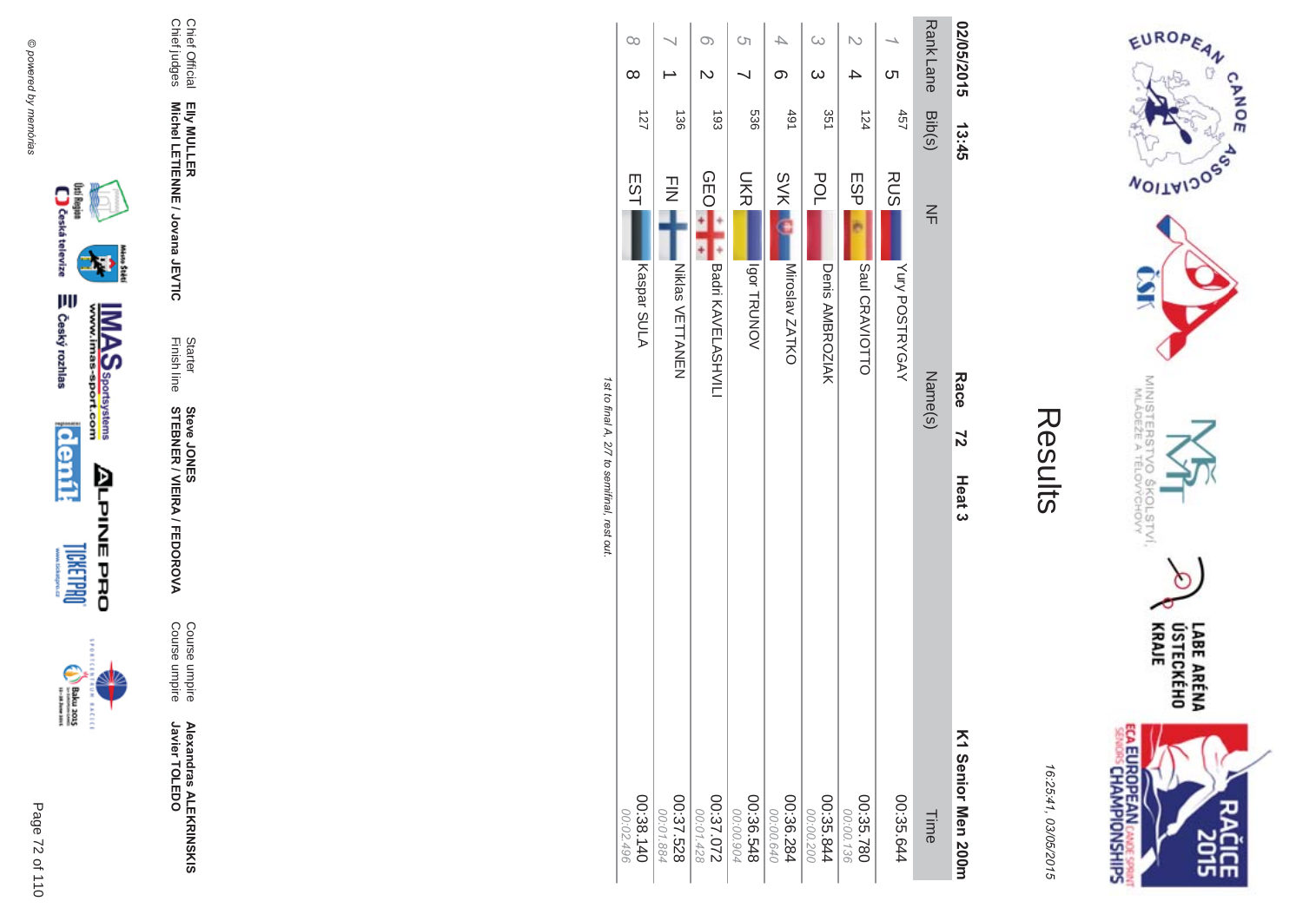









**Michel LETIENNE / Jovana JEVTIC** 

**Alexandras ALEKR Alexandras ALEKRINSKIS**<br>Javier TOLEDO Javier TOLEDO

**MA** Course umpire<br>Course umpire Course umpire Course umpire

Finish line Starter **STEBNER \$ -**A/FEDOR **Steve JONES** 

Elly MULLER<br>Michel LETIENNE / Jovana JEVTIC

Chief Official<br>Chief judges Chief judges Chief Official **EIIy MULLER** 

| 02/05/2015       |                         | 13:45           |                                  | Race<br>72                          | Heat <sub>3</sub> | K1 Senior Men 200m     |
|------------------|-------------------------|-----------------|----------------------------------|-------------------------------------|-------------------|------------------------|
| Rank Lane Bib(s) |                         |                 | $\leq$                           | Name(s)                             |                   | Time                   |
|                  | ຕ                       | 457             | <b>RUS</b><br>Yury POSTRYGAY     |                                     |                   | 00:35.644              |
|                  |                         | 124             | ESPI<br>Saul CRAVIOTTO           |                                     |                   | 00:35.780<br>00:00.136 |
|                  | $\omega$                | 351             | POL<br>Denis AMBROZIAK           |                                     |                   | 00:35.844<br>00:00.200 |
|                  | တ                       | 491             | <b>SVK</b><br>Miroslav ZATKO     |                                     |                   | 00:36.284<br>00:00.640 |
| S)               |                         | 536             | <b>DKR</b><br><b>Jgor TRUNOV</b> |                                     |                   | 00:36.548<br>00:00.904 |
| $\circ$          | $\overline{\mathsf{C}}$ | $\overline{5}$  | <b>OEO</b><br>Badri KAVELASHVILI |                                     |                   | 27.072<br>00:01.428    |
|                  |                         | $\frac{130}{2}$ | $\frac{1}{2}$<br>Niklas VETTANEN |                                     |                   | 00:37.528<br>00:01.884 |
| $\infty$         | $\infty$                | 127             | EST<br>Kaspar SULA               |                                     |                   | 00:38.140<br>00:02.496 |
|                  |                         |                 |                                  | fath final D.77 thamifinal reat out |                   |                        |

Results

EUROPEAN

**MOITAIDOS** 

MINISTERS<br>MINISTERS

c

 $rac{50}{60}$ 

COLSTVI.<br><sup>CCHOVY</sup>

LABE ARÉNA<br>ÚSTECKÉHO<br>KRAJE

ĉ ዸቘ

CANOE

 $\sigma$ 

16:25:41

**ECA EUROPEAN** CANDE SPRINT

03/05/201

 $\overline{(\overline{n})}$ 

n 191 st to final A, 2/7 to semifinal, rest out. Š  $\overline{\mathcal{L}}$  $\overline{c}$ ç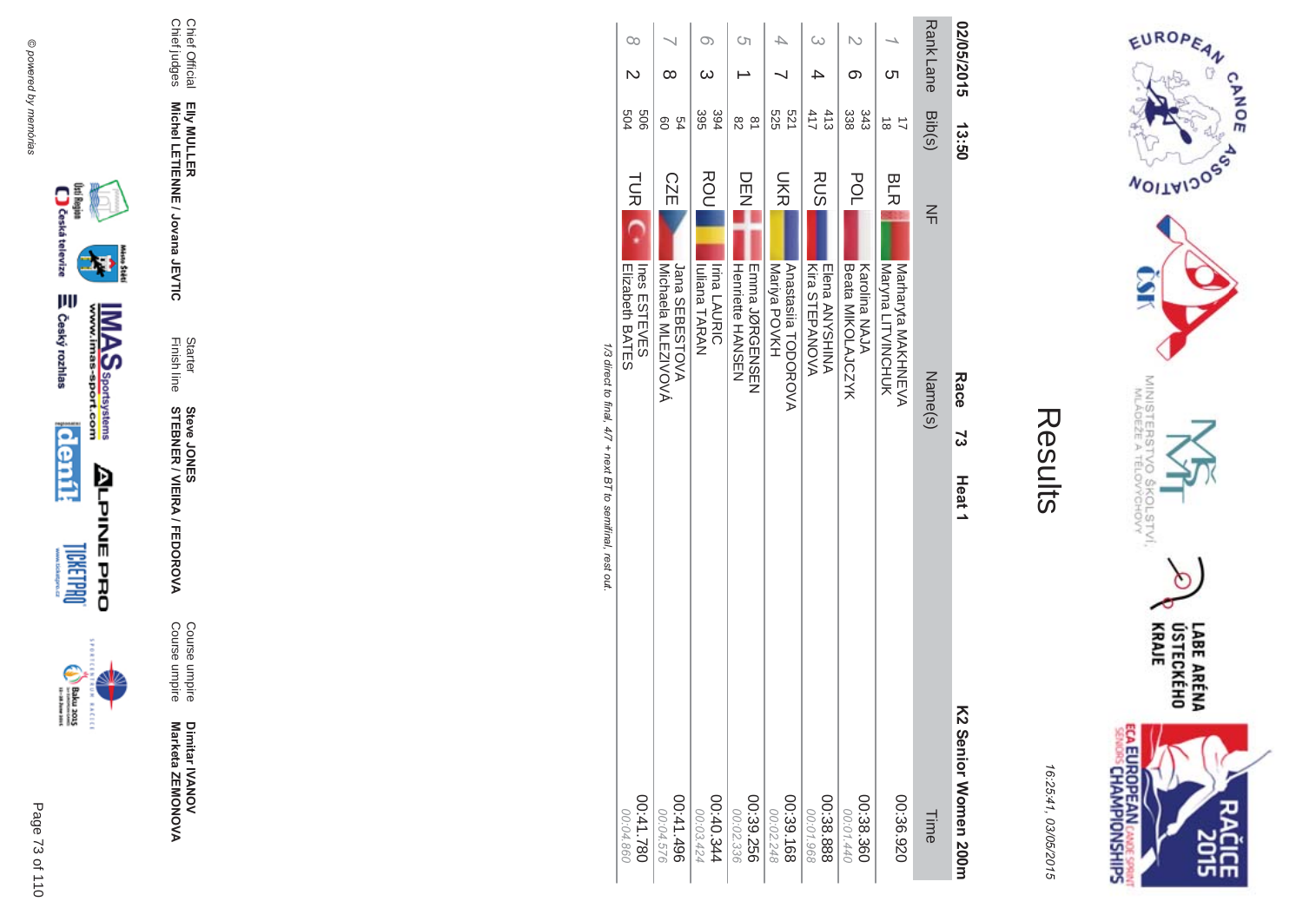

ECA EUROPEAN CANDES SPRING ĉ 유난

16:25:41, 03/05/2015

|                                                            | $\infty$                                            |                                                 | O)                                                 | Ċη                                             |                                    | $\infty$                                |                                           |                                                       | Rank Lane | 02/05/2015                                 |
|------------------------------------------------------------|-----------------------------------------------------|-------------------------------------------------|----------------------------------------------------|------------------------------------------------|------------------------------------|-----------------------------------------|-------------------------------------------|-------------------------------------------------------|-----------|--------------------------------------------|
|                                                            |                                                     | ∞                                               |                                                    |                                                |                                    |                                         | ග                                         | cл                                                    |           |                                            |
|                                                            | 909<br>504                                          | 54<br>80                                        | 395<br>394                                         | $\frac{\infty}{2}$<br>82                       | 521<br>525                         | 413<br>411                              | 343<br>338                                | $\overrightarrow{a}$<br>$\vec{8}$                     | Bib(s)    | 13:50                                      |
|                                                            | TUR <sup>I</sup><br>Ines ESTEVES<br>Elizabeth BATES | <b>CZE</b><br>Jana SEBESTOVA<br>MOVISENT MINOVA | ROU<br><b>Irina LAURIC</b><br><b>Iuliana TARAN</b> | DEN<br>Henriette HANSEN<br><b>EINDINGENSEN</b> | UKR.<br>ANDODDROVA<br>Mariya POVKH | RUS<br>Kira STEPANOVA<br>Elena ANYSHINA | pOL<br>Beata MIKOLAJCZYK<br>Karolina NAJA | <b>BLR</b><br>Naryna LITVINCHUK<br>Narraryta NAKHNEVA | $\leq$    |                                            |
| 1/3 direct to final, 4/7 + next BT to semifinal, rest out. |                                                     |                                                 |                                                    |                                                |                                    |                                         |                                           |                                                       | Name(s)   | Race<br>ະ                                  |
|                                                            |                                                     |                                                 |                                                    |                                                |                                    |                                         |                                           |                                                       |           | Heat <sub>1</sub><br>K2 Senior Women 200rr |
|                                                            | 087.141.780<br>00:04.860                            | 00:41.496<br>00:04.576                          | 00:40.344<br>00:03.424                             | 00:39.256<br>00:02.336                         | 00:39.168<br>00:02.248             | 00:38.888<br>00:01.968                  | 00:38.360<br>00:01.440                    | 00:36.920                                             | Time      |                                            |







Dimitar IVANOV<br>Marketa ZEMONOVA

Course umpire<br>Course umpire

**STEBNER / VIEIRA / FEDOROVA**<br>STEBNER / VIEIRA / FEDOROVA

Starter<br>Finish line

Elly MULLER<br>Michel LETIENNE / Jovana JEVTIC

Chief Official<br>Chief judges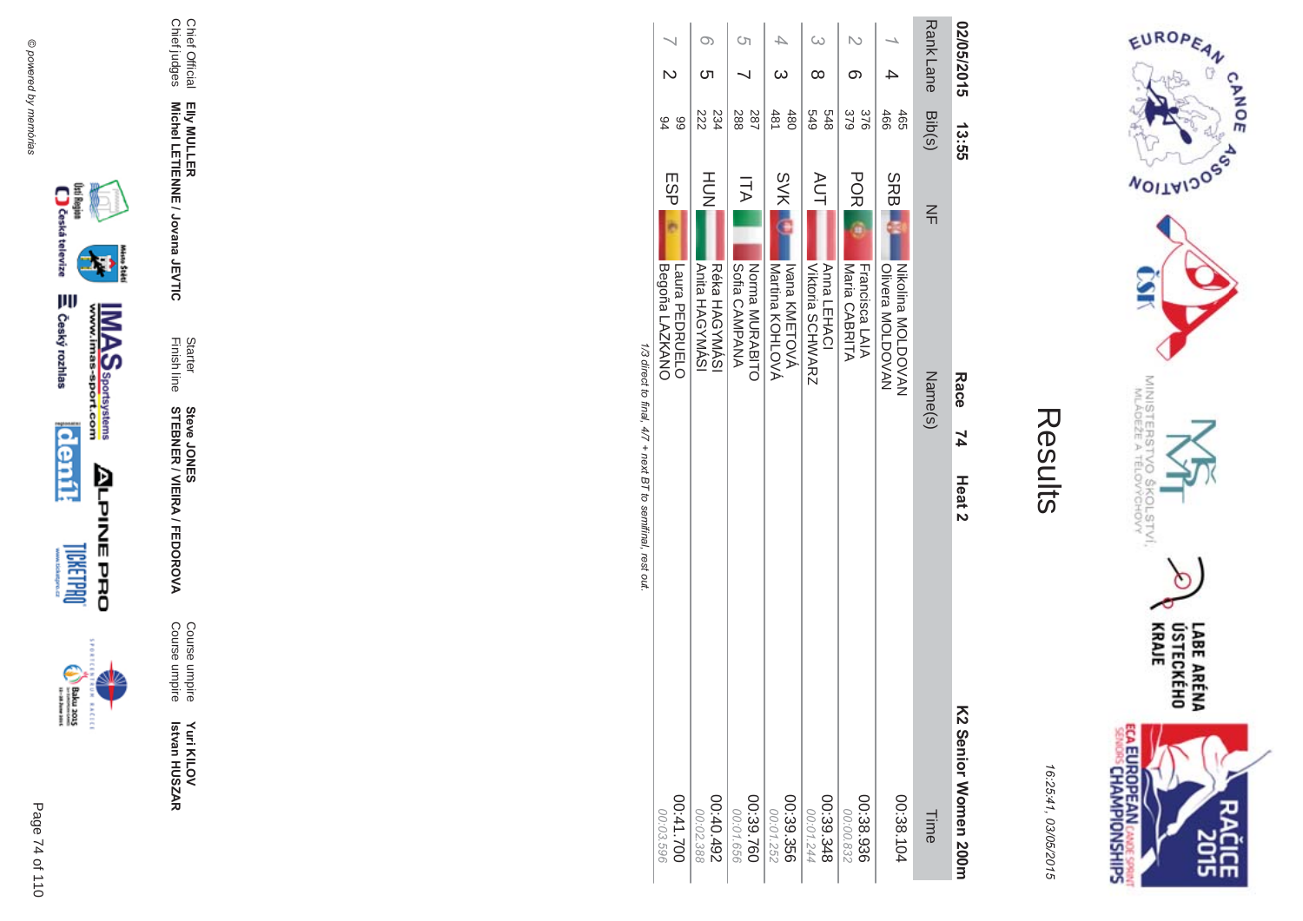



|                                                            |                                                |                                               |                                           |                                          |                                                      | ග                                            |                                                                    | <b>RankLane</b> | 02/05/2015                                |
|------------------------------------------------------------|------------------------------------------------|-----------------------------------------------|-------------------------------------------|------------------------------------------|------------------------------------------------------|----------------------------------------------|--------------------------------------------------------------------|-----------------|-------------------------------------------|
|                                                            | 66<br>94                                       | 234<br>222                                    | 288<br>287                                | 480<br>481                               | 679<br>848                                           | 379<br>376                                   | 466<br>465                                                         | Bib(s)          | 2.55                                      |
| 1/3 direct to final, 4/7 + next BT to semifinal, rest out. | ESP<br>Begoña LAZKANO<br><b>Laura PEDRCELO</b> | HOH<br><b>Anita HAGYMASI</b><br>Réka HAGYMASI | ITA<br>Sofia CAMPANA<br><b>NOTIBINARY</b> | <b>SVK</b><br>MoHCOHOVA<br>Ivana KMETOVÁ | <b>AUT</b><br>Anna LEHACI<br><b>Viktoria SCHWARZ</b> | DOK<br>DO<br>Maria CABRITA<br>Francisca LAIA | <b>SRBI</b><br><b>Olivera MOLDOVAN</b><br><b>Nikolina NOLDOVAN</b> | 즊<br>Name(s)    | Race<br>74                                |
|                                                            | 00:41.700<br>00:03.596                         | 267'0'30<br>00:02.388                         | 00:39.760<br>00:01.656                    | 00:39.356<br>00:01.252                   | 00:39.348<br>00:01.244                               | 00:38.936<br>00:00.832                       | 00:38.104                                                          | Time            | Heat <sub>2</sub><br>K2 Senior Momen 200n |







Page 74 of 110

Yuri KILOV<br>Istvan HUSZAR

Starter<br>Finish line

Elly MULLER<br>Michel LETIENNE / Jovana JEVTIC

Chief Official<br>Chief judges

**Steve JONER / VIEIRA / FEDOROVA** 

Course umpire<br>Course umpire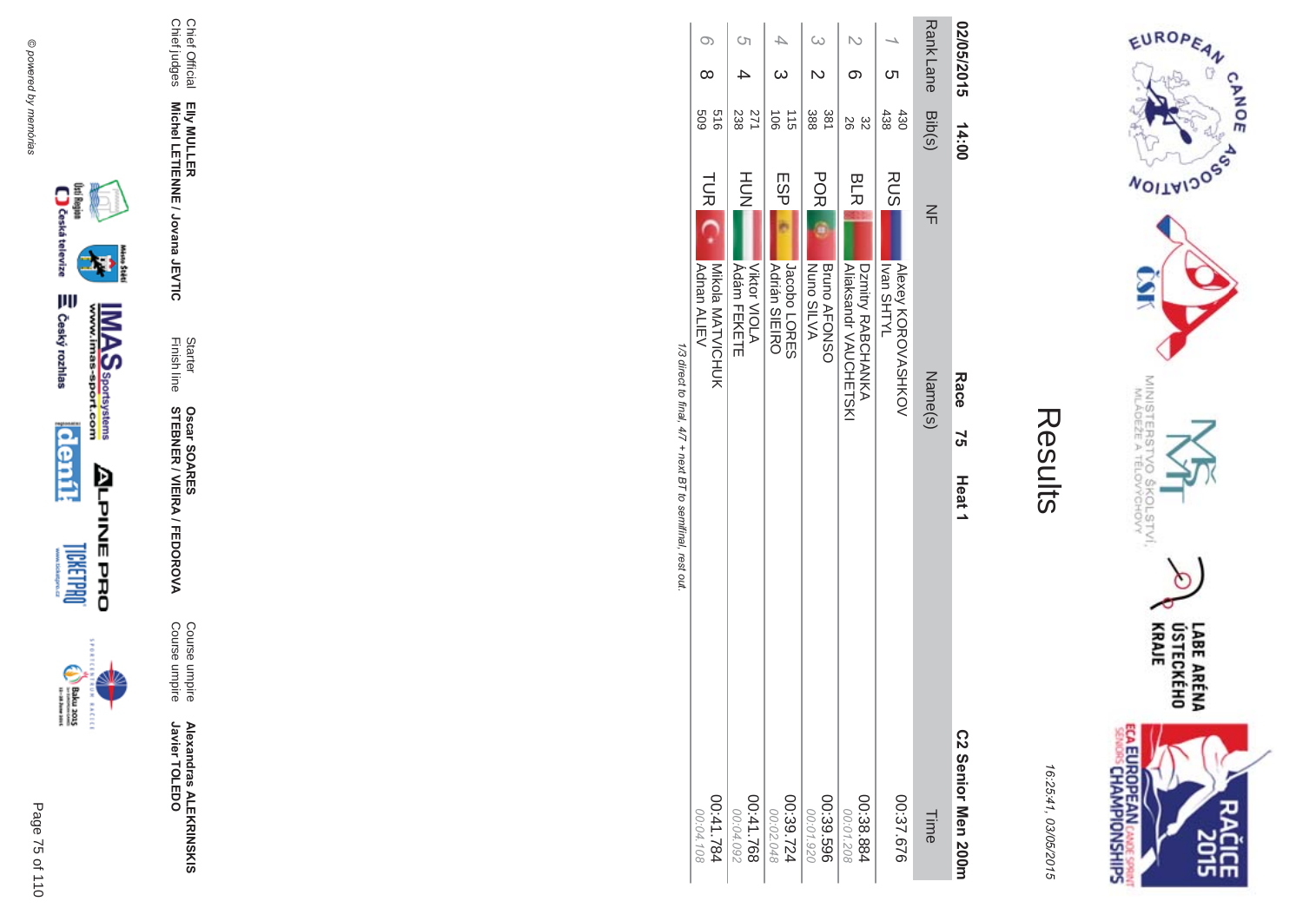



| $\mathbb{L}$ |
|--------------|
|              |
|              |
|              |
|              |

| 1/3 direct to final, 4/7 + next BT to semifinal, rest out.<br>41.784<br>00:04.108<br>00:04.092 | Mikola MATVICHUK<br>Adnan ALIEV                   | <b>TURI</b> | 919<br>609                 | $\infty$   | $\circ$          |
|------------------------------------------------------------------------------------------------|---------------------------------------------------|-------------|----------------------------|------------|------------------|
|                                                                                                | Viktor VIOLA<br><b>Adám FEKETE</b>                | HUH<br>N    | 271<br>238                 |            | Ċη               |
|                                                                                                | <b>Adrián SIEIRO</b><br>Jacobo LORES              | ESP         | $\frac{1}{5}$<br>$\vec{5}$ |            |                  |
|                                                                                                | <b>Nuno SILVA</b><br><b>Bruno AFONSO</b>          | <b>POR</b>  | 381<br>388                 |            |                  |
|                                                                                                | <b>Aliaksandr VAUCHETSKI</b><br>Dzmitry RABCHANKA | <b>BLR</b>  | 82<br>92                   |            |                  |
|                                                                                                | <b>Alexey KOROVASHKOV</b><br><b>IVTHS nsvl</b>    | RUS         | 438<br>430                 |            |                  |
|                                                                                                | Name(s)                                           | $\leq$      | Bib(s)                     |            | <b>Rank Lane</b> |
| Heat <sub>1</sub><br>C2 Senior Men 200m                                                        | Race<br>75                                        |             | 14:00                      | 02/05/2015 |                  |



Page 75 of 110









Elly MULLER<br>Michel LETIENNE / Jovana JEVTIC

Starter<br>Finish line

**Oscar SOARES<br>STEBNER / VIEIRA / FEDOROVA** 

Course umpire<br>Course umpire

**Alexandras ALEKRINSKIS**<br>Javier TOLEDO

Chief Official<br>Chief judges

@ powered by memórias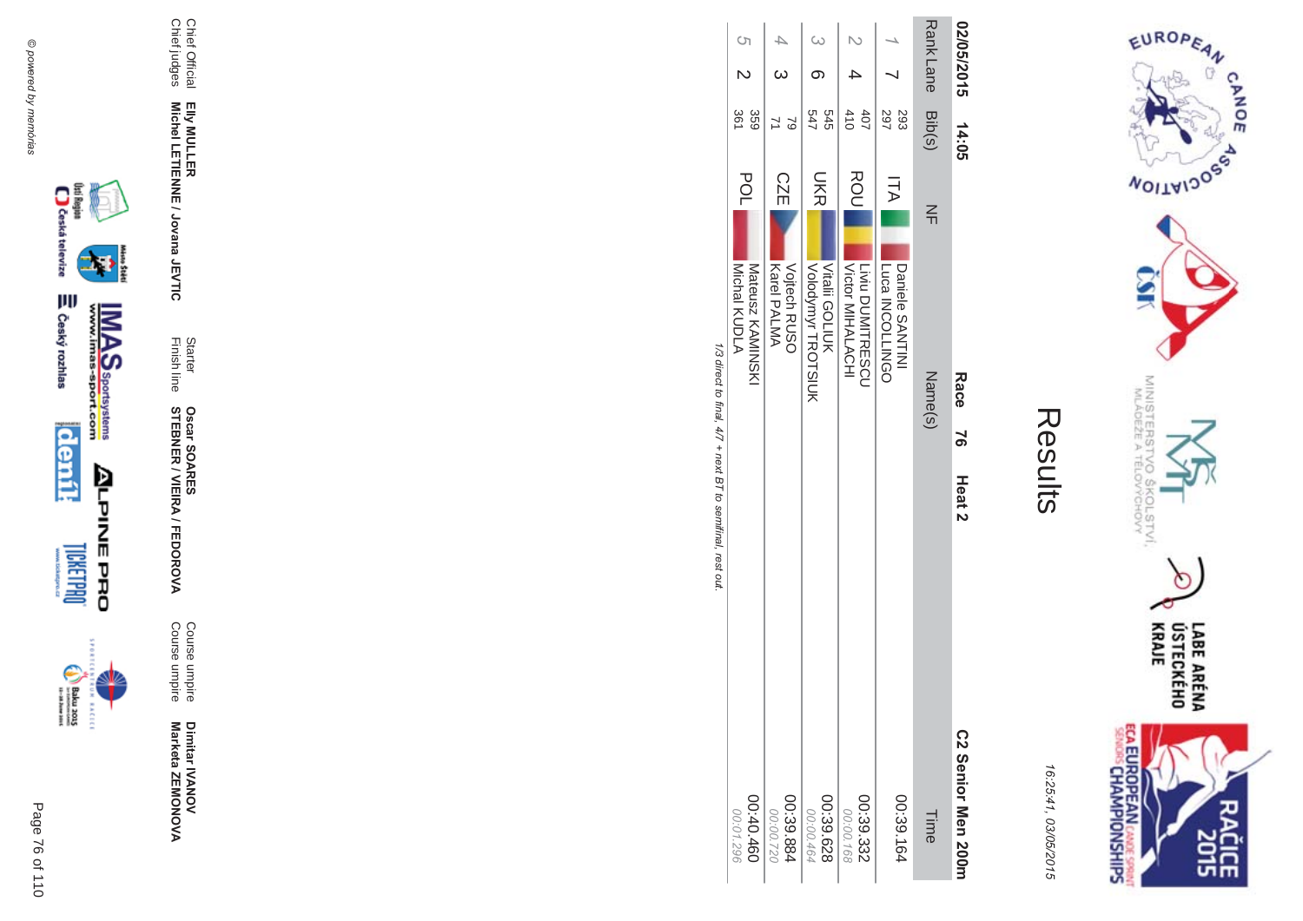Chief Official

Chief judges

Chief Official<br>Chief judges

**EIIy MULLER** 

Elly MULLER<br>Michel LETIENNE / Jovana JEVTIC

Finish line Starter

**STEBNER** 

**Oscar SOAR** 

55

**\$ -**

A/FEDOR

**MA** 

Course umpire

Course umpire

Course umpire<br>Course umpire

Dimitar **IVANOV** 

Marketa ZEMONOVA

Dimitar IVANOV<br>Marketa ZEMONOVA

**Michel LETIENNE / Jovana JEVTIC** 



istore



**02/05/2015** 

Rank Lane

 $\overline{\phantom{0}}$ 

4 

 $\frac{6}{9}$ 

 $\frac{4}{3}$ 

ى<br>2

 $\overline{\phantom{a}}$ 

LABE ARÉNA<br>ÚSTECKÉHO<br>KRAJE ECA EUROPEAN CANCE SPRINT 앞면

EUROPEAN

**MOITAIDOS** 

MINISTERS'<br>MLÁDEŽE A

CHOW<br>CHOW

 $\sigma$ 

CANOE

16:25:41 03/05/201  $\overline{(\overline{n})}$ 

Results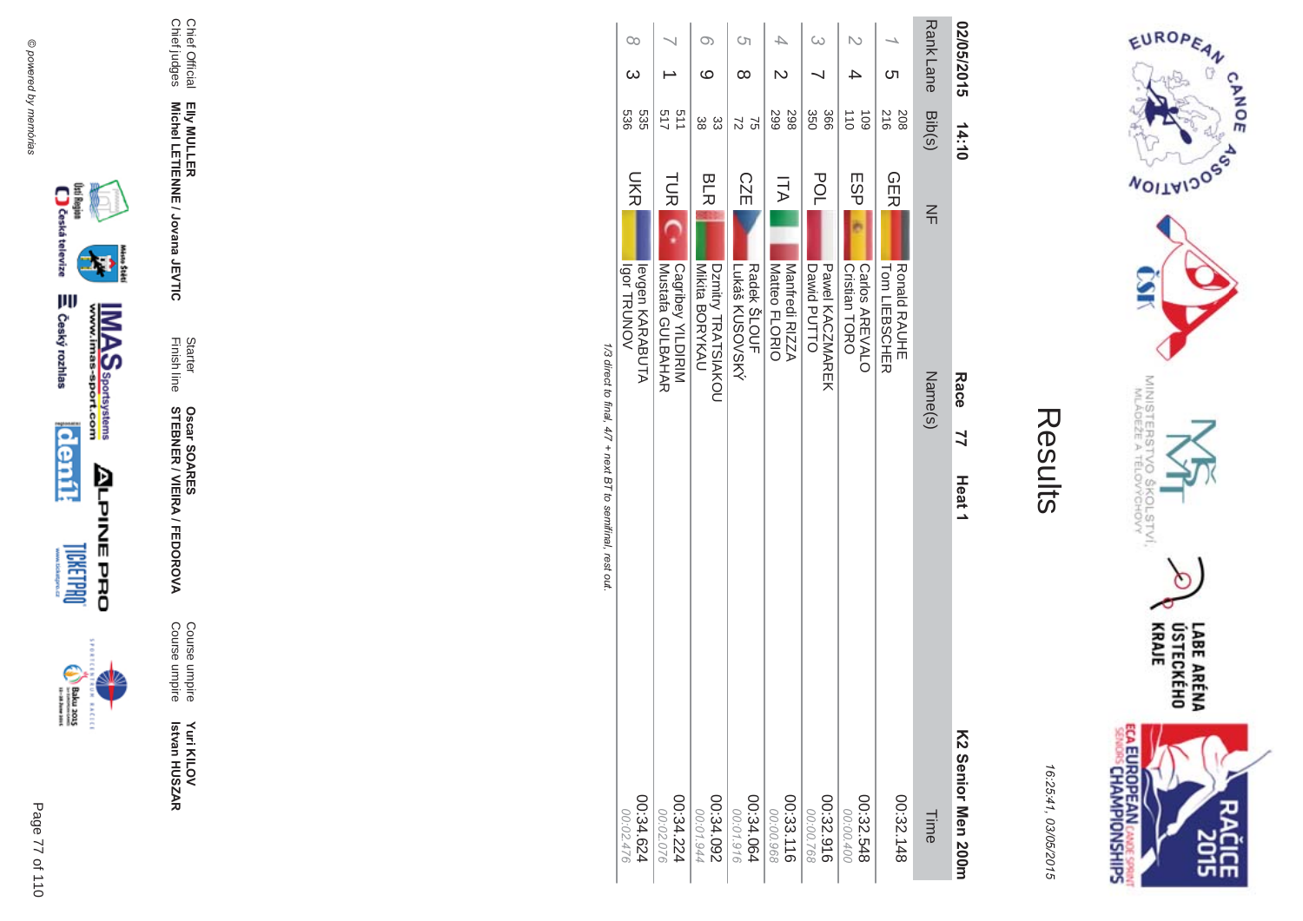







Elly MULLER<br>Michel LETIENNE / Jovana JEVTIC

Chief Official<br>Chief judges

Starter<br>Finish line

**Oscar SOARES<br>STEBNER / VIEIRA / FEDOROVA** 

Course umpire<br>Course umpire

Yuri KILOV<br>Istvan HUSZAR



Rank Lane 02/05/2015

Bib(s)

 $rac{1}{2}$ 

 $14:10$ 

EUROPEAN

**WOILWIDOSS** 

MINISTERS<br>MINISTERS

 $Q_{\mathcal{Q}'}$ 

COLSTVI.<br><sup>CCHOVY</sup>

৩

LABE ARÉNA<br>ÚSTECKÉHO<br>KRAJE

**SHS** 

CANOE

 $\sigma$ 

| ٧<br>١.<br>,<br>Ĺ<br>۸ |  |
|------------------------|--|
| Ξ<br>,<br>c<br>ς<br>ť  |  |

**ECA EUROPEAN CANE SPRING** 

| <b>Igor TRUNOV</b>      |                                       |                                      | Radek SLOUF            | Matteo FLORIO<br>Manfredi RIZZA | Dawid PUTTO            | Cristian TORO          | <b>Ronald RAUHE</b> |         |                    |
|-------------------------|---------------------------------------|--------------------------------------|------------------------|---------------------------------|------------------------|------------------------|---------------------|---------|--------------------|
| <b>Ievan KARABUTA</b>   | Cagribey YILDIRIM<br>Mustata GULBAHAR | Mikita BORYKAU<br>DZmitry TRATSIAKOU | Lukáš KUSOVSKÝ         |                                 | <b>Pawel KACNNAREK</b> | Carlos AREVALO         | Tom LIEBSCHER       |         |                    |
|                         |                                       |                                      |                        |                                 |                        |                        |                     | Name(s) | Race               |
|                         |                                       |                                      |                        |                                 |                        |                        |                     |         | 77                 |
|                         |                                       |                                      |                        |                                 |                        |                        |                     |         | Heat 1             |
|                         |                                       |                                      |                        |                                 |                        |                        |                     |         |                    |
|                         |                                       |                                      |                        |                                 |                        |                        |                     |         |                    |
|                         |                                       |                                      |                        |                                 |                        |                        |                     |         |                    |
|                         |                                       |                                      |                        |                                 |                        |                        |                     |         |                    |
|                         |                                       |                                      |                        |                                 |                        |                        |                     |         | K2 Senior Men 200m |
| 429.54.624<br>00:02.476 | 00:34.224<br>00:02.076                | 00:34.092<br>00:01.944               | 00:34.064<br>00:01.916 | 00:33.116<br>00:00.968          | 00:32.916<br>00:00.768 | 00:32.548<br>00:00.400 | 00:32.148           | Time    |                    |
|                         |                                       |                                      |                        |                                 |                        |                        |                     |         |                    |

1/3 direct to final, 4/7 + next BT to semifinal, rest out

 $\infty$ 

 $\omega$ 

536<br>536

**DKR** 

 $\circ$ 

 $\circ$ 

ಜ ಜ

**BLR** 

 $\overline{\phantom{0}}$ 

 $\rightarrow$ 

511<br>517

こ<br>反

 $\circ$ 

 $\infty$ 

 $|22$ 

**CZE** 

 $\overline{\mathcal{A}}$ 

 $\mathbb N$ 

2999

 $\overline{\Pi}A$ 

 $\omega$ 

 $\overline{\phantom{0}}$ 

366<br>350

POL

 $\mathbb N$ 

 $\rightarrow$ 

 $\frac{1}{6}$   $\frac{1}{6}$ 

ESP

 $\overline{\phantom{a}}$ 

ຕ

 $\begin{array}{c} 208 \\ 216 \end{array}$ 

**GER**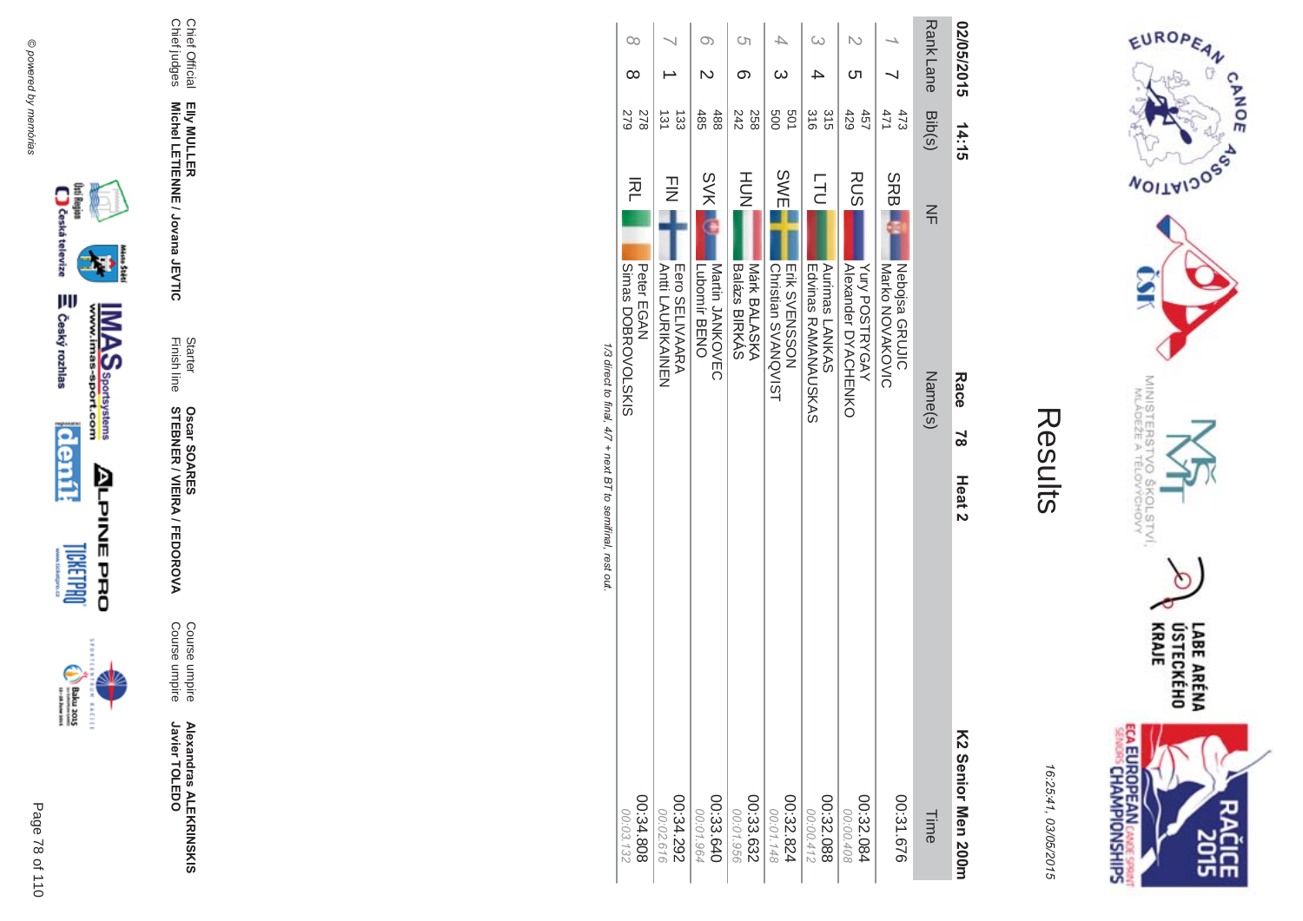



|                                                            | $\infty$                                        |                                          | $\infty$                                         | C٦                                   | ₽                                                  |                                                            |                                                     |                                           |                   |                                        |
|------------------------------------------------------------|-------------------------------------------------|------------------------------------------|--------------------------------------------------|--------------------------------------|----------------------------------------------------|------------------------------------------------------------|-----------------------------------------------------|-------------------------------------------|-------------------|----------------------------------------|
|                                                            | ∞                                               |                                          |                                                  | ග                                    |                                                    |                                                            | Cл                                                  |                                           | Rank Lane         | 02/05/2015                             |
|                                                            | 278<br>279                                      | $\frac{131}{2}$<br>$\frac{1}{33}$        | 485<br>488                                       | 242<br>258                           | <b>SOS</b><br>501                                  | 315<br>$\frac{8}{9}$                                       | 429<br>457                                          | 471<br>473                                | Bib(s)            | 14:15                                  |
| 1/3 direct to final, 4/7 + next B T to semifinal, rest out | 적<br>SIXIS<br>SING<br>SONOLORE<br>Peter<br>EGAN | コミ<br>Eero SELIVAARA<br>Anti LACRIKAINEN | <b>SVK</b><br>Martin JANKOVEC<br>Lubomir<br>BENO | HOH<br>Balázs BIRKÁS<br>Márk BALASKA | SWE<br><b>Christian SVANQVIST</b><br>Erik SVENSSON | <b>TLD</b><br>Aurimas LANKAS<br><b>Edvines RAMANANGSAS</b> | <b>RUS</b><br>Yury POSTRYGAY<br>Alexander DYACHENKO | SRBI<br>Nebojsa GRUJIC<br>Marko NOVAKOVIC | $\leq$<br>Name(s) | Race<br>$\approx$<br>Heat <sub>2</sub> |
|                                                            | 808.4.808<br>00:03.132                          | 262.34.292<br>00:02.616                  | 00:33.640<br>00:01.964                           | 00:33.632<br>00:01.956               | 00:32.824<br>00:01.148                             | 00:32.088<br>00:00.412                                     | 00:32.084<br>00:00.408                              | 00:31.676                                 | Time              | K2 Senior Men 2001                     |





























Elly MULLER<br>Michel LETIENNE / Jovana JEVTIC

Chief Official<br>Chief judges

Starter<br>Finish line **Oscar SOARES<br>STEBNER / VIEIRA / FEDOROVA** 

Course umpire<br>Course umpire

**Alexandras ALEKRINSKIS**<br>Javier TOLEDO

Page 78 of 110

**BACECE**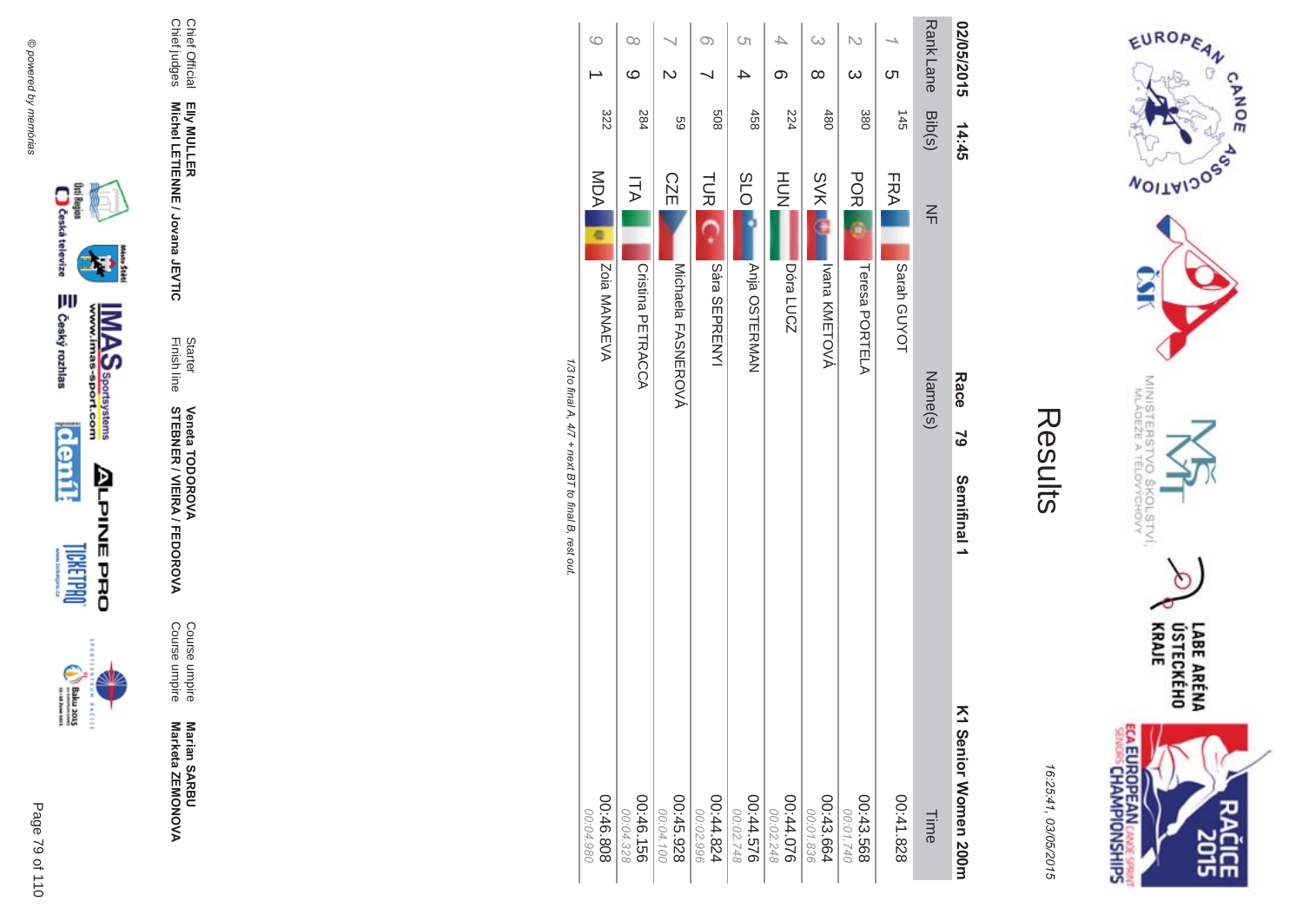

incon



**Veneta TODOROVA<br>STEBNER / VIEIRA / FEDOROVA** 

Starter<br>Finish line

Chief Official<br>Chief judges Elly MULLER<br>Michel LETIENNE / Jovana JEVTIC

| ŗ.<br>L |
|---------|
|         |
|         |
|         |
|         |
|         |

--

EUROPEAN

**WOILWIDOSS** 

MINISTERS<br>MINISTERS

'd

 $\sigma_{\varphi}$ 

**COLSTVI.**<br>YCHOVY

 $\cap$ 

LABE ARÉNA<br>ÚSTECKÉHO<br>KRAJE

**SH** 

CANOE

| ١      |
|--------|
| ŧ      |
|        |
| ۱      |
| ï      |
| í      |
|        |
| c<br>, |
| ç      |
|        |
| ļ      |
|        |
| I      |
|        |
| c      |
|        |

**ECA EUROPEAN CANDE SPRINT**<br>SENGIS CHAMPIONSHIPS

| $\circ$                | $\infty$               |                        | $\infty$               | Ċη                     |                        | $\infty$               | $\overline{\mathsf{C}}$ |             |                  | 02/05/2015             |
|------------------------|------------------------|------------------------|------------------------|------------------------|------------------------|------------------------|-------------------------|-------------|------------------|------------------------|
|                        | $\circ$                | N                      |                        |                        | တ                      | ∞                      | $\infty$                | Cл          |                  |                        |
| 322                    | 284                    | 69                     | 809                    | 458                    | 224                    | 480                    | 380                     | 145         | Rank Lane Bib(s) | 14:45                  |
| MDA                    | ΠA                     | <b>CZE</b>             | <b>TUR</b>             | <b>SLO</b>             | HUH<br>N               | <b>SVK</b>             | <b>POR</b>              | FRA         | $\leq$           |                        |
| Zoia MANAEVA           | Cristina PETRACCA      | Michaela FASNEROVÁ     | Sára SEPRENYI          | Anja OSTERMAN          | Dóra LUCZ              | Ivana KMETOVÁ          | Teresa PORTELA          | Sarah GUYOT |                  |                        |
|                        |                        |                        |                        |                        |                        |                        |                         |             | Name(s)          | Race<br>$\overline{5}$ |
|                        |                        |                        |                        |                        |                        |                        |                         |             |                  | Semifinal 1            |
| 00:46.808<br>00:04.980 | 00:46.156<br>00:04.328 | 00:45.928<br>00:04.100 | 00:44.824<br>00:02.996 | 00:44.576<br>00:02.748 | 00:44.076<br>00:02.248 | 00:43.664<br>00:01.836 | 00:43.568<br>00:01.740  | 828.142.00  | Time             | K1 Nenior Momen 2001   |

1/3 to final A, 4/7 + next BT to final B, rest out.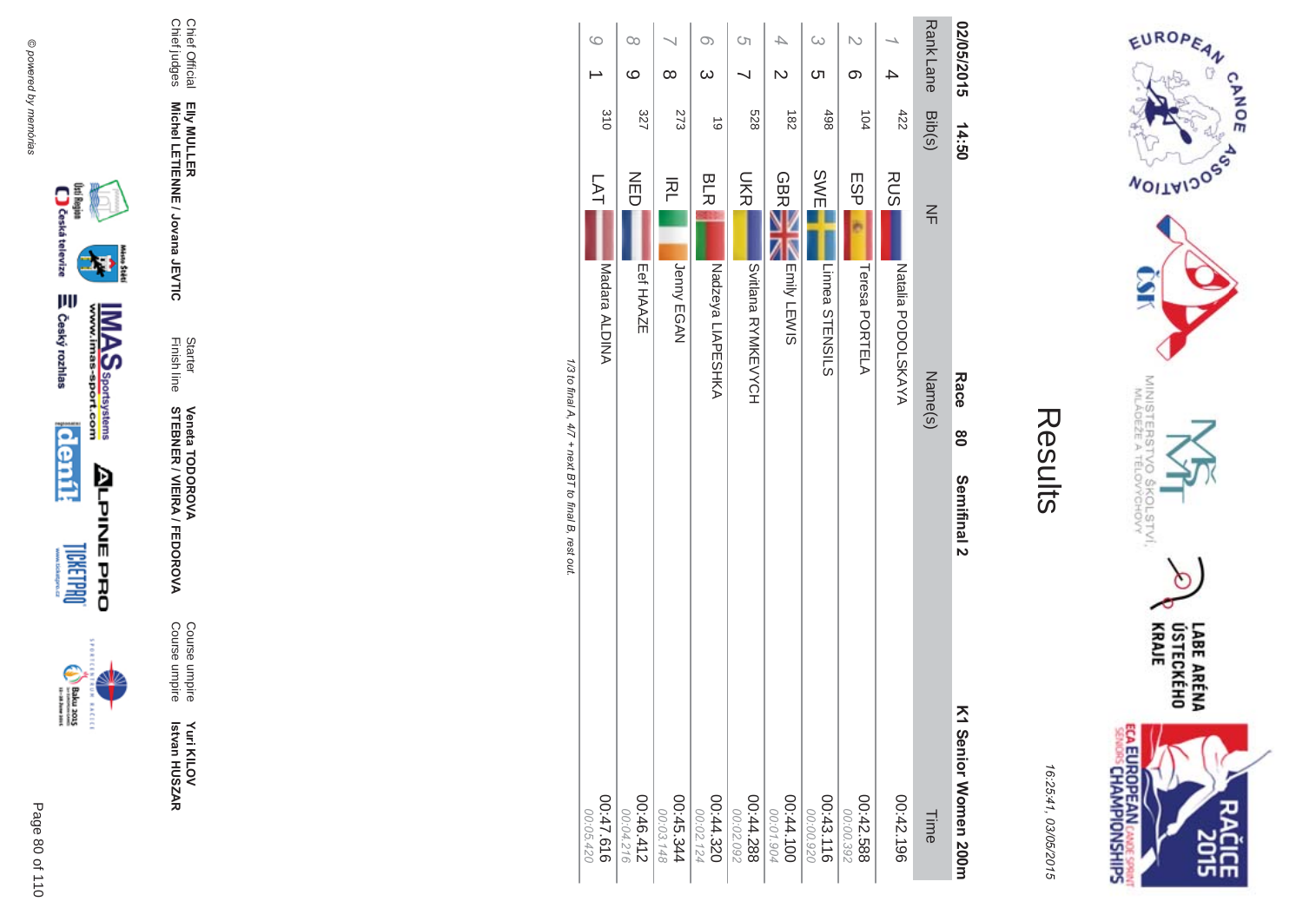



**MA** Course umpire<br>Course umpire Course umpireCourse umpire

Finish line Starter **STEBNER \$ -**A/FEDOR **Veneta TODOR \*\$'**

Chief Official<br>Chief judges Chief judges Chief Official Elly MULLER<br>Michel LETIENNE / Jovana JEVTIC **Michel LETIENNE / Jovana JEVTIC EIIy MULLER** 

| <b>Rank Lane</b><br>02/05/2015<br>$\omega$ | <b>C</b> h<br>တ | Bib(s)<br>422<br>498<br>104<br>14:50 | SWE<br><b>RUS</b><br>ESP<br>$\leq$ |                                      |
|--------------------------------------------|-----------------|--------------------------------------|------------------------------------|--------------------------------------|
|                                            |                 |                                      |                                    | Natalia PODOLSKAYA<br>Teresa PORTELA |
|                                            |                 |                                      |                                    | Linnea STENSILS                      |
|                                            |                 | $\frac{182}{2}$                      | <b>GBR</b>                         | Emily LEWIS                          |
| Ċη                                         |                 | 528                                  | <b>SHS</b>                         | <b>SALIBRA RANAKEVACH</b>            |
| O)                                         | $\omega$        | 6                                    | <b>BLR</b>                         | Nadzeya LIAPESHKA                    |
|                                            | $\infty$        | 273                                  | 주                                  | Jenny EGAN                           |
| $\infty$                                   | $\circ$         | 327                                  | NED                                | Eef HAAZE                            |
| 6                                          |                 | 310                                  | LAT                                | Madara ALDINA                        |

1/3 to final A, 4/7 + next BT to final B, rest out. /3 to final A,  $4/7$  + next BT to final B, rest out.

> LABE ARÉNA<br>ÚSTECKÉHO<br>KRAJE **ECA EUROPEAN** CANDE SPRINT ĉ ᅄ

EUROPEAN

**MOITAIDOS** 

MINISTERS<br>MINISTERS

c

 $rac{5}{9}$ 

COLSTVI.<br><sup>CCHOVY</sup>

CANOE

 $\sigma$ 

16:25:41 03/05/201  $\overline{(\overline{n})}$ 

Results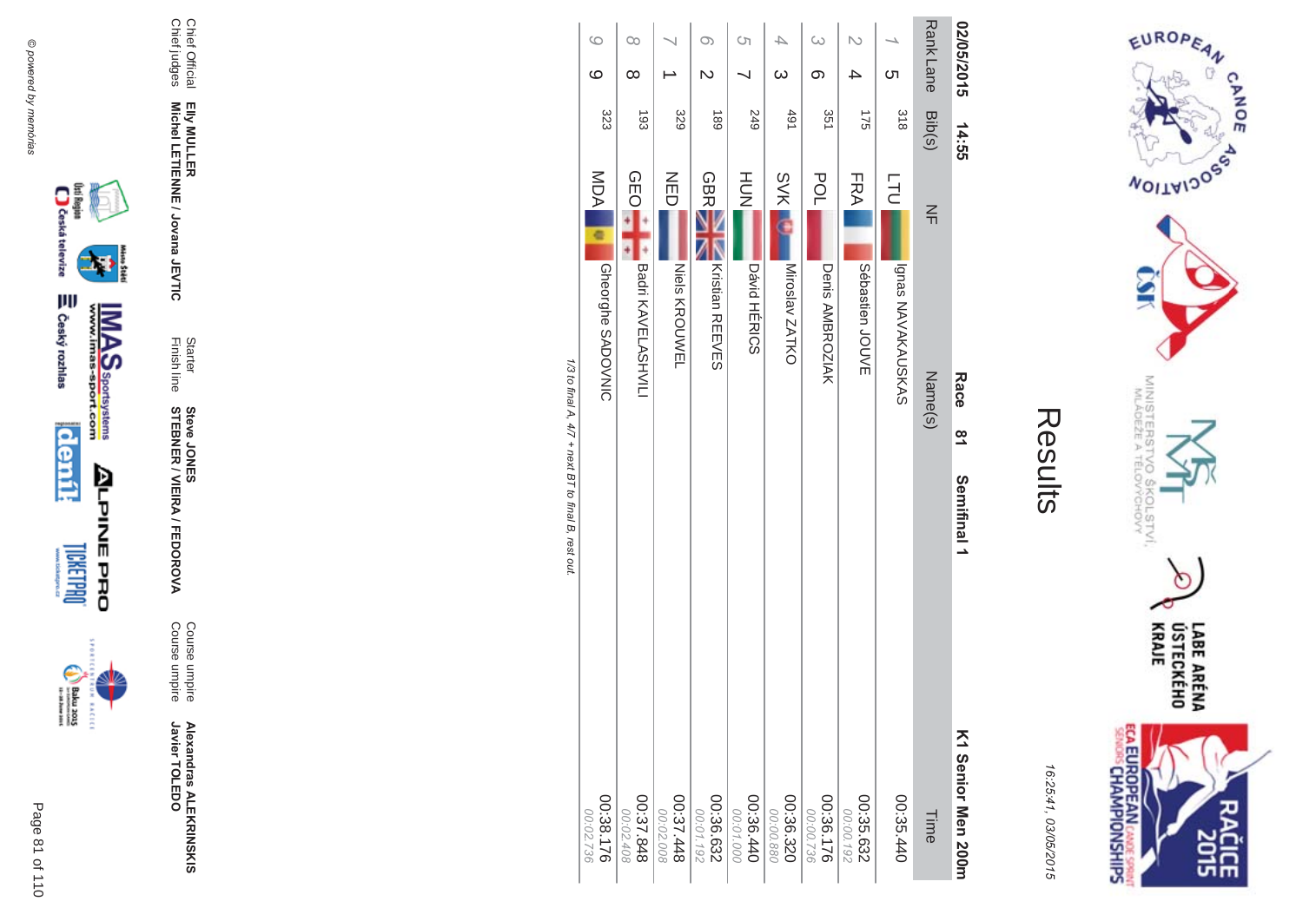

incon



**Alexandras ALEKR** 

**MA** Course umpire<br>Course umpire Course umpire Course umpire

Finish line Starter **STEBNER \$ -**A/FEDOR **Steve JONES** 

Chief Official<br>Chief judges Chief judges Chief Official Elly MULLER<br>Michel LETIENNE / Jovana JEVTIC **Michel LETIENNE / Jovana JEVTIC EIIy MULLER** 

| 02/05/2015       |          | 14:55           |            | Race<br>$\frac{1}{8}$    | Semifinal 1<br>K1 Senior Men 200m |
|------------------|----------|-----------------|------------|--------------------------|-----------------------------------|
| Rank Lane Bib(s) |          |                 | $\leq$     | Name(s)                  |                                   |
|                  | <u>ဟ</u> | 318             | <b>LTU</b> | Ignas NAVAKAUSKAS        |                                   |
|                  |          | 175             | FRA        | Sébastien<br>JOUVE       |                                   |
| G                | တ        | 351             | POL        | Denis AMBROZIAK          |                                   |
|                  | $\omega$ | 491             | <b>SVK</b> | Miroslav ZATKO           |                                   |
| Cη               |          | 249             | HUT<br>N   | <b>Dávid HÉRICS</b>      |                                   |
| $\circ$          | Z        | 68 <sub>1</sub> | <b>GBR</b> | Kristian REEVES          |                                   |
|                  |          | 329             | NED        | Niels KROUWEL            |                                   |
| $\infty$         | ∞        | $\frac{1}{3}$   | <b>QEO</b> | Badri KAVELASHVILI       |                                   |
| $\circ$          | ဖ        | 323             | MDA<br>¢   | <b>Gheorghe SADOVNIC</b> |                                   |

1/3 to final A, 4/7 + next BT to final B, rest out. /3 to final A,  $4/7$  + next BT to final B, rest out.



EUROPEAN

**MOITAIDOS** 

MINISTERS<br>MINISTERS

c

 $rac{5}{2}$ 

(OLSTVI,<br><sup>(</sup>CHOVY

 $\sigma$ 

CANOE

16:25:41 03/05/201  $\overline{(\overline{n})}$ 

Results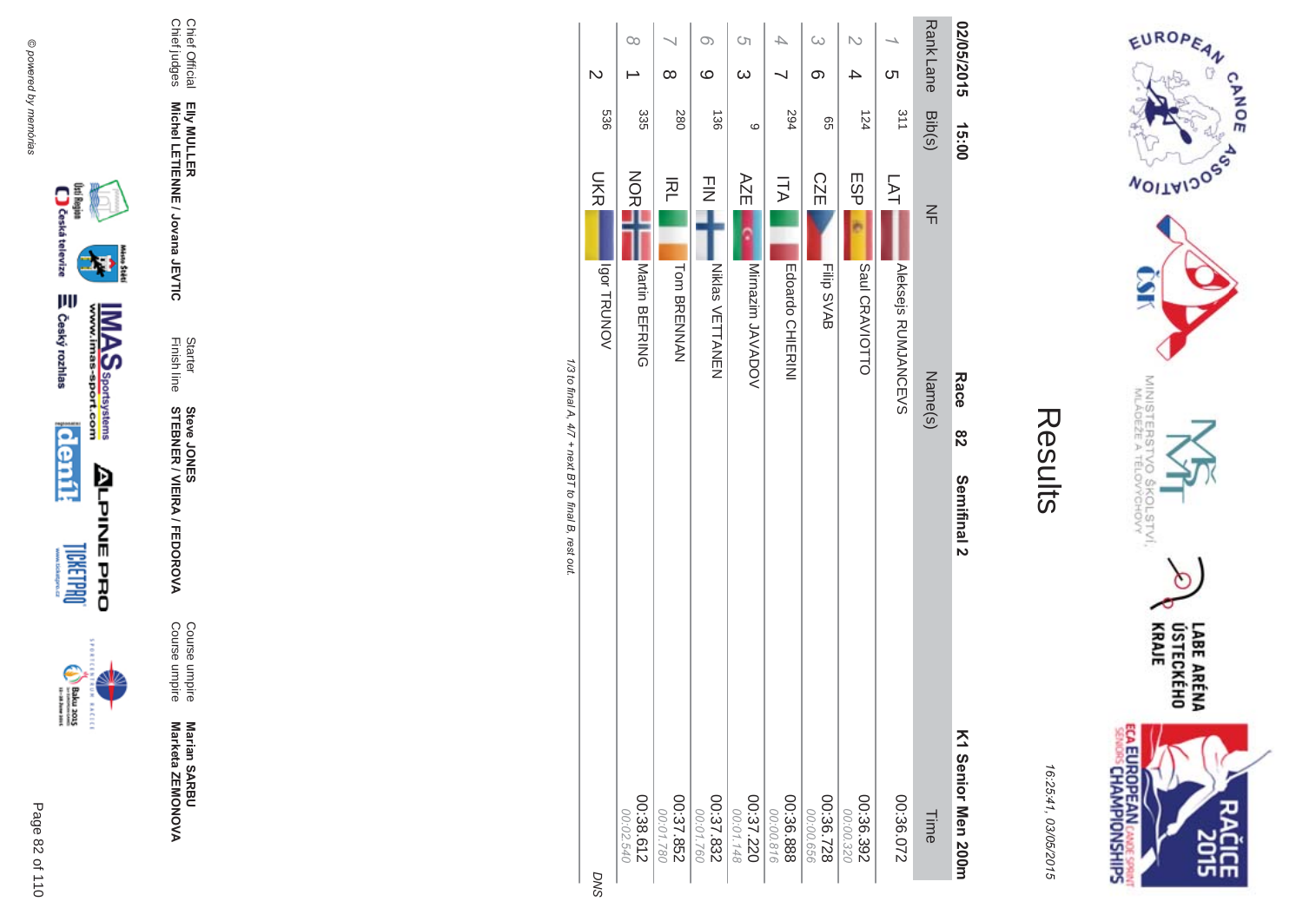

**BACECE** 

**Marian SARBU<br>Marketa ZEMONOVA** Marketa ZEMONOVA

Course umpire<br>Course umpire Course umpire Course umpire **Marian SAR** 

**MA** 

Finish line Starter **STEBNER \$ -**A/FEDOR **Steve JONES** 

Chief Official<br>Chief judges Chief judges Chief Official Elly MULLER<br>Michel LETIENNE / Jovana JEVTIC **Michel LETIENNE / Jovana JEVTIC EIIy MULLER** 

| ŗ<br>L |
|--------|
|        |
|        |
|        |
|        |

EUROPEAN

**MOITAIDOS** 

MINISTERS<br>MINISTERS

'd

 $rac{5}{2}$ 

**COLSTVI,**<br>ÝCHOVY

ECA EUROPEAN CANDES SPRING

Ò

LABE ARÉNA<br>ÚSTECKÉHO<br>KRAJE

**SH** 

CANOE

16:25:41 03/05/201  $\overline{(\overline{n})}$ 

| $\mathsf{D}$   | $\infty$               | $\infty$             | $\infty$<br>$\circ$    | S)<br>$\infty$   |                        | $\infty$<br>တ          | N                      | <b>C</b> h          | Rank Lane Bib(s) | 02/05/2015         |
|----------------|------------------------|----------------------|------------------------|------------------|------------------------|------------------------|------------------------|---------------------|------------------|--------------------|
| 989            | 335                    | 280                  | 136                    | ဖ                | 594                    | 99                     | 124                    | 311                 |                  | 15:00              |
| <b>UKR</b>     | NOR                    | 주                    | $\frac{1}{2}$          | AZE              | ITA                    | <b>CZE</b>             | ESP                    | 了<br>白              | $\leq$           |                    |
| <b>VONUBLE</b> | Martin BEFRING         | <b>Tom BRENNAN</b>   | <b>Niklas VETTANEN</b> | Mirnazim JAVADOV | Edoardo CHIERINI       | Filip SVAB             | Saul CRAVIOTTO         | Aleksejs RUMJANCEVS |                  | Race               |
|                |                        |                      |                        |                  |                        |                        |                        |                     | Name(s)          | 82                 |
|                |                        |                      |                        |                  |                        |                        |                        |                     |                  | Semifinal 2        |
|                |                        |                      |                        |                  |                        |                        |                        |                     |                  |                    |
| <b>DNS</b>     | 00:38.612<br>00:02.540 | 252.852<br>00:01.780 | 00:37.832<br>00:01.760 | 00:37.220        | 00:36.888<br>00:00.816 | 00:36.728<br>00:00.656 | 00:36.392<br>00:00.320 | 00:36.072           | Time             | K1 Senior Men 200m |

1/3 to final A, 4/7 + next BT to final B, rest out. /3 to final A,  $4/7$  + next BT to final B, rest out.

డ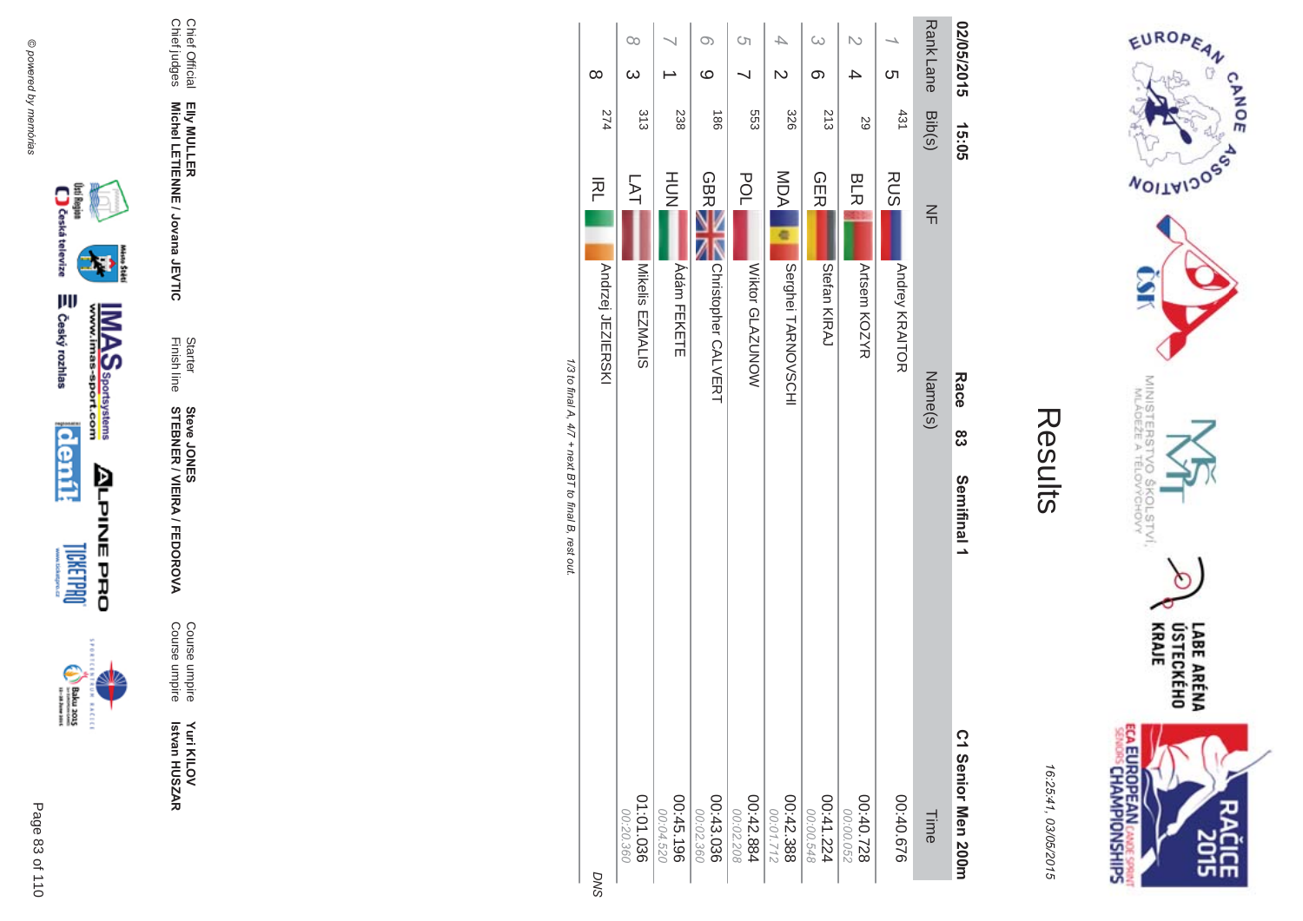

Course umpire<br>Course umpire Yuri KILOV<br>Istvan HUSZAR

Starter<br>Finish line **Steve JONER / VIEIRA / FEDOROVA** 

Chief Official<br>Chief judges Elly MULLER<br>Michel LETIENNE / Jovana JEVTIC

| ŗ. |
|----|
|    |
|    |
|    |
|    |
|    |

EUROPEAN

**NOILWIDOS** 

MINISTERS<br>MINISTERS

'd  $\sigma_{\rm w}$ 

**COLSTVI,**<br>ÝCHOVY

 $\circ$ 

LABE ARÉNA<br>ÚSTECKÉHO<br>KRAJE

**SHR** 

**CANOE** 

| ١<br>٠<br>,<br>i<br>r<br>í           |
|--------------------------------------|
| c<br>,<br>ι<br>t<br>I<br>C<br>ŕ<br>I |

**ECA EUROPEAN CANDE SPRINT**<br>SENGIS CHAMPIONSHIPS

|                          |            |                                   | Race    |                               |
|--------------------------|------------|-----------------------------------|---------|-------------------------------|
| <b>Rank Lane</b>         | Bib(s)     | $\leq$                            | Name(s) | Time                          |
| <u>(</u>                 | 431        | <b>RUS</b><br>Andrey KRAITOR      |         | 00:40.676                     |
|                          | 59         | <b>BLR</b><br>Artsem KOZYR        |         | 00:40.728<br>00:00.052        |
| $\overline{\omega}$<br>တ | 213        | <b>GER</b><br>Stefan KIRAJ        |         | 00:41.224<br>00:00.548        |
| ₽<br>N                   | 328        | MDA<br>Serghei TARNOVSCHI         |         | 00:42.388<br>00:01.712        |
| Ćη                       | 553        | <b>POL</b><br>Wiktor GLAZUNOW     |         | $\frac{00:42.884}{00:02.208}$ |
| $\infty$<br>$\circ$      | <b>186</b> | <b>GBR</b><br>Christopher CALVERT |         | $00:43.036$<br>980.23.036     |
|                          | 238        | HUH<br>N<br><b>Ádám FEKETE</b>    |         | 00:45.196<br>00:04.520        |
| $\infty$<br>$\infty$     | 313        | LAT<br>Mikelis<br>EZMALIS         |         | 01:01.036<br>00:20.360        |
| $\infty$                 | 274        | 적<br>Andrzej JEZIERSKI            |         | O                             |

1/3 to final A, 4/7 + next BT to final B, rest out.

ŠŅ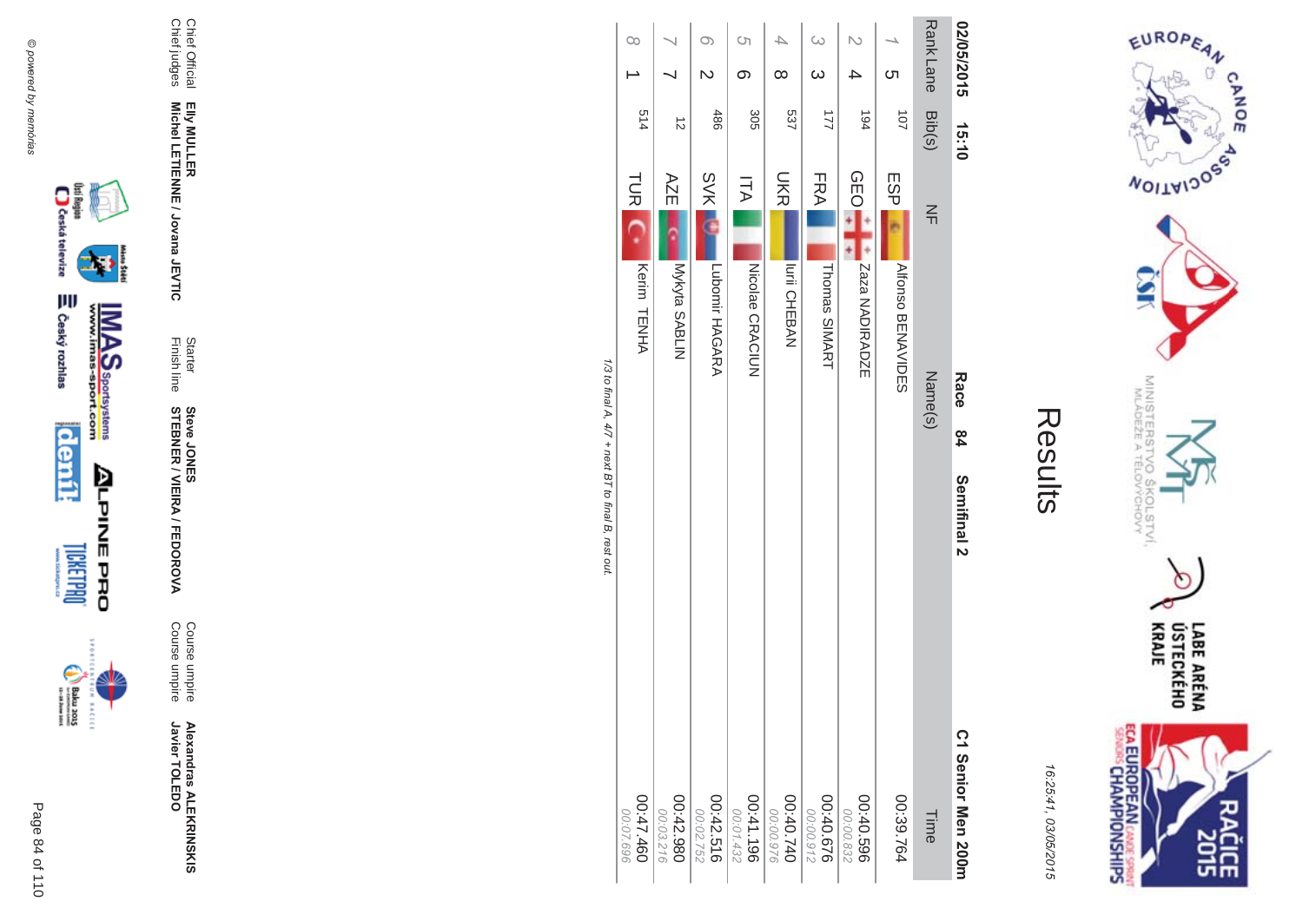











Chief Official<br>Chief judges

**Alexandras ALEKRINSKIS**<br>Javier TOLEDO

Course umpire<br>Course umpire

Starter<br>Finish line **Steve JONER / VIEIRA / FEDOROVA** 

Elly MULLER<br>Michel LETIENNE / Jovana JEVTIC

|                                                               | $\infty$               |                          | O)<br>N                | S)<br>$\infty$         | ∞                      | $\omega$<br>$\infty$   |                        | cл                       | Rank Lane     | 02/05/2015         |
|---------------------------------------------------------------|------------------------|--------------------------|------------------------|------------------------|------------------------|------------------------|------------------------|--------------------------|---------------|--------------------|
|                                                               | 514                    |                          | 486                    | 305                    | 537                    | $\overline{2}$         | 194                    | 101                      |               |                    |
|                                                               |                        | $\vec{v}$                |                        |                        |                        |                        |                        |                          | Bib(s)        | 15:10              |
|                                                               | TUR <sub>IC</sub>      | AZE                      | <b>SVK</b>             | ITA                    | <b>UKR</b>             | <b>FRA</b>             | <b>QEO</b>             | ESP                      | $\frac{2}{1}$ |                    |
|                                                               | Kerim TENHA            | Nykyta SABLIN            | Lubomir HAGARA         | NICOlae CRACIUN        | <b>Iurii CHEBAN</b>    | Thomas SIMART          | Zaza NADIRADZE         | <b>AIRDISO BENAVIDES</b> |               |                    |
|                                                               |                        |                          |                        |                        |                        |                        |                        |                          | Name(s)       | Race               |
|                                                               |                        |                          |                        |                        |                        |                        |                        |                          |               | 84                 |
| 1/3 to final $A$ , $4/7 +$ next $BT$ to final $B$ , rest out: |                        |                          |                        |                        |                        |                        |                        |                          |               | Semifinal 2        |
|                                                               | 00:47.460<br>00:07.696 | 086'542.980<br>00:03.216 | 00:42.516<br>00:02.752 | 00:41.196<br>00:01.432 | 00:40.740<br>00:00.976 | 00:40.676<br>00:00.912 | 00:40.596<br>00:00.832 | 00:39.764                | Time          | C1 Senior Men 200m |

EUROPEAN

**WOILWIDOSS** 

MINISTERS<br>MINISTERS

erov<br>S

COLSTVI.<br><sup>CCHOVY</sup>

**ECA EUROPEAN** CANDE SPRINT

LABE ARÉNA<br>ÚSTECKÉHO<br>KRAJE

ዸቘ

Results

16:25:41, 03/05/2015

 $\sigma$ 

CANOE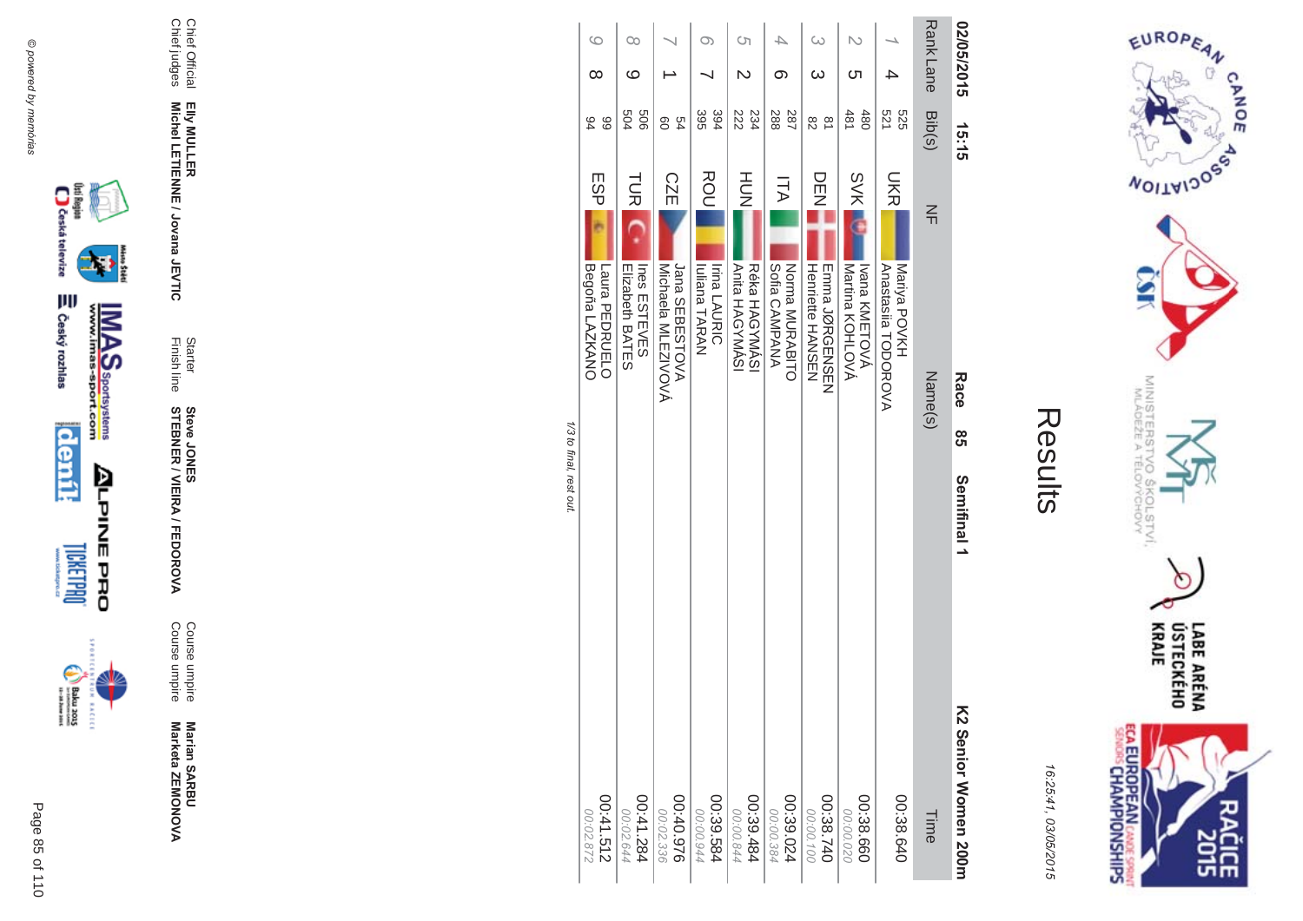

**BACECE** 



Marian SARBU<br>Marketa ZEMONOVA

Course umpire<br>Course umpire

Starter<br>Finish line **Steve JONER / VIEIRA / FEDOROVA** 

Chief Official<br>Chief judges Elly MULLER<br>Michel LETIENNE / Jovana JEVTIC

| Ĩ.<br>L |
|---------|
|         |
|         |
|         |
| l       |
|         |

 $\sim$ 

EUROPEAN

**WOILWIDOSS** 

MINISTERS<br>MINISTERS

'd

 $\sigma_{\rm w}$ 

**COLSTVI,**<br>ÝCHOVY

 $\cap$ 

LABE ARÉNA<br>ÚSTECKÉHO<br>KRAJE

**SH** 

**CANOE** 

| נ<br>٠ |
|--------|
| ١      |
|        |
|        |
|        |
|        |
|        |
|        |
| ļ      |
| ı,     |
|        |
| c      |
|        |

**ECA EUROPEAN CANDE SPRINT**<br>SENGIS CHAMPIONSHIPS

|                         | $\circ$<br>$\infty$    | $\infty$<br>ဖ                                    |                              | $\infty$                                    | S)                                                 | 4<br>ග                      | $\infty$                                       | N<br>Cл                                        | 4                          | Rank Lane | 02/05/2015           |
|-------------------------|------------------------|--------------------------------------------------|------------------------------|---------------------------------------------|----------------------------------------------------|-----------------------------|------------------------------------------------|------------------------------------------------|----------------------------|-----------|----------------------|
|                         | 66<br>84               | 909<br>504                                       | 54<br>80                     | 395<br>394                                  | 234<br>222                                         | 288<br>287                  | $\overline{8}$<br>82                           | 481<br>480                                     | 521<br>525                 | Bib(s)    | 15:15                |
|                         | ESP<br>Begoña LAZKANO  | <b>TUR</b><br>Ines<br>ESTEVES<br>Elizabeth BATES | <b>CZE</b><br>Jana SEBESTOVA | ROU<br>Iuliana TARAN<br><b>Irina LAURIC</b> | HUT<br>N<br><b>Anita HAGYMASI</b><br>Réka HAGYMÁSI | <b>ITA</b><br>Sofia CAMPANA | ロロコ                                            | <b>SVK</b><br>Martina KOHLOVA<br>Ivana KMETOVA | <b>UKR</b><br>Mariya POVKH | $\leq$    |                      |
| 1/3 to final, rest out. | Laura PEDRO            |                                                  | Michaela MLEZIVOVÁ           |                                             |                                                    | Norma MURABITO              | <b>Henriette HANSEN</b><br><b>EINDINGENSEN</b> |                                                | Anastasiia TODOROVA        | Name(s)   | Race<br>တ<br>ဟ       |
|                         |                        |                                                  |                              |                                             |                                                    |                             |                                                |                                                |                            |           | Semifinal 1          |
|                         | 00:41.512<br>228'02.00 | 00:41.284<br>00:02.644                           | 926'07:00<br>00:02.336       | 00:39.584<br>00:00.944                      | 00:39.484<br>00:00.844                             | 00:39.024<br>00:00.38       | 00:38.740<br>00:00.100                         | 00:38.660<br>00:00.020                         | 00:38.640                  | Time      | K2 Senior Momen 200m |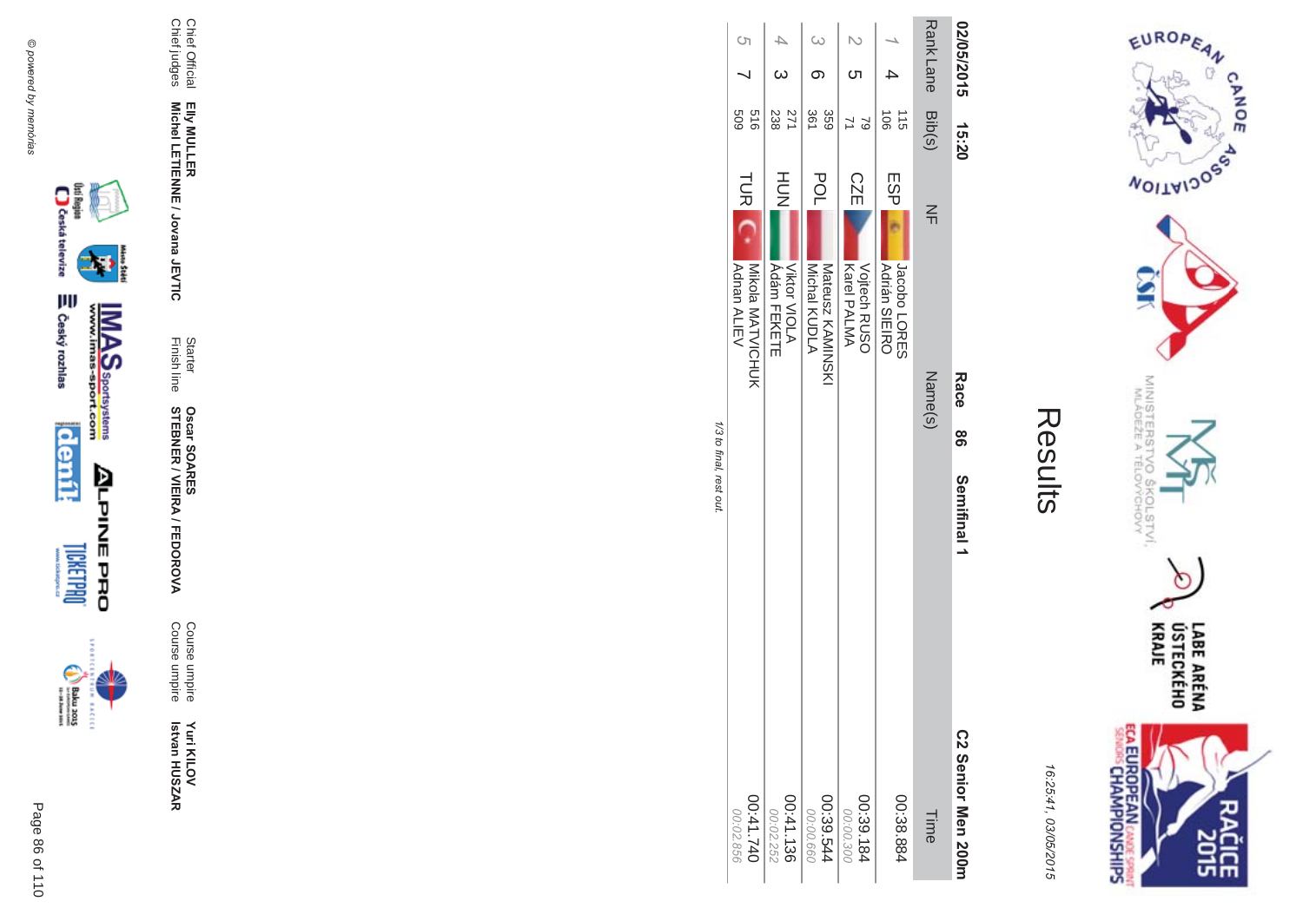

istore



98 Semifinal 1

LABE ARÉNA<br>ÚSTECKÉHO<br>KRAJE ECA EUROPEAN CANCE SPRINT ዸቘ

EUROPEAN

**NOILWIDOSS** 

MINISTERS<br>MLÁDEŽE A

CHOW<br>CHOW

 $\sigma$ 

**CANOE** 

16:25:41, 03/05/2015

Results

Starter<br>Finish line **Oscar SOARES<br>STEBNER / VIEIRA / FEDOROVA** Course umpire<br>Course umpire

Yuri KILOV<br>Istvan HUSZAR

Chief Official<br>Chief judges Elly MULLER<br>Michel LETIENNE / Jovana JEVTIC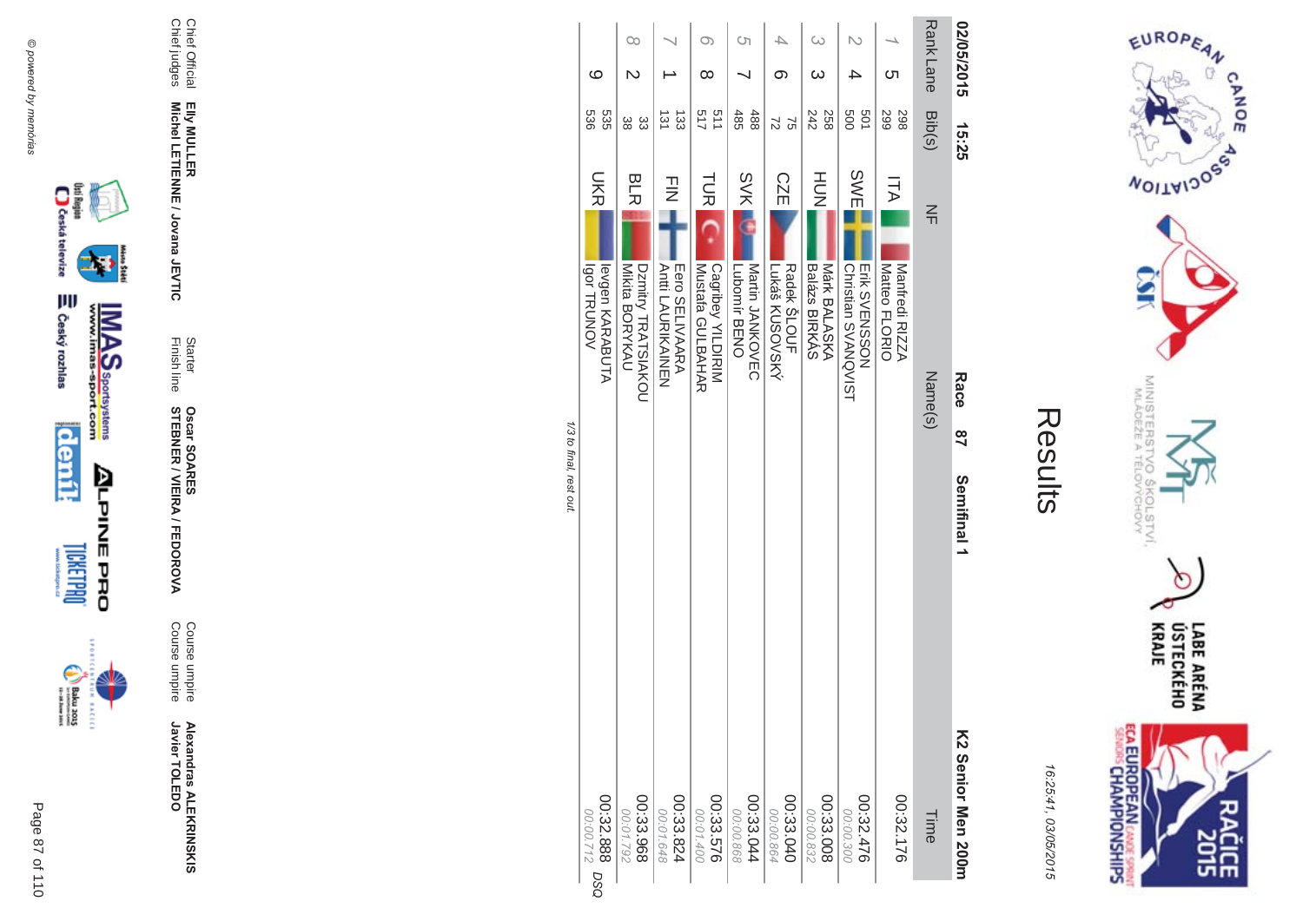









Chief Official<br>Chief judges Elly MULLER<br>Michel LETIENNE / Jovana JEVTIC

**Alexandras ALEKRINSKIS**<br>Javier TOLEDO

Course umpire<br>Course umpire

Starter<br>Finish line **Oscar SOARES<br>STEBNER / VIEIRA / FEDOROVA** 

|                         |                                       | 00                                   |                                     | Oා                                    | Cη                              | 4                             | ω                             | N                                    |                                 | Rank Lane      | 02/05/2015         |
|-------------------------|---------------------------------------|--------------------------------------|-------------------------------------|---------------------------------------|---------------------------------|-------------------------------|-------------------------------|--------------------------------------|---------------------------------|----------------|--------------------|
|                         | ပ                                     |                                      |                                     | ∞                                     |                                 | ග                             | ω                             | 4                                    | <u>(</u>                        |                |                    |
|                         | 535<br>989                            | 33<br>အိ                             | $\frac{131}{12}$<br>$\overline{33}$ | 511<br>517                            | 485<br>488                      | 72<br>$\mathfrak{D}$          | 242<br>258                    | 009<br>501                           | 298<br><b>299</b>               | Bib(s)         | 15:25              |
|                         | <b>UKR</b>                            | <b>BLR</b>                           | $\frac{1}{2}$                       | <b>TUR</b>                            | <b>SVK</b>                      | <b>CZE</b>                    | HU<br>N                       | <b>SWE</b>                           | ITA                             | $\frac{2}{11}$ |                    |
|                         | levgen KARABUTA<br><b>Igor TRUNOV</b> | Mikita BORYKAU<br>Dzmitry TRATSIAKOU | Eero SELIVAARA<br>Anti LACRIKAINEN  | Cagribey YILDIRIM<br>Mustata GULBAHAR | Nartin JANKOVEC<br>Lubomir BENO | Lukáš KUSOVSKÝ<br>Radek SLOUF | Márk BALASKA<br>Balázs BIRKÁS | Erik SVENSSON<br>Christian SVANQVIST | Manfredi RIZZA<br>Matteo FLORIO | Name(s)        | Race               |
| 1/3 to final, rest out. |                                       |                                      |                                     |                                       |                                 |                               |                               |                                      |                                 |                | $\frac{8}{1}$      |
|                         |                                       |                                      |                                     |                                       |                                 |                               |                               |                                      |                                 |                | Semifinal 1        |
|                         | 00:32.888<br>00:00.712<br><b>DSO</b>  | 00:33.968<br>2621792                 | 00:33.824<br>00:01.648              | 00:33.576<br>00:01.400                | 00:33.044<br>00:00.868          | 00:33.040<br>00:00.864        | 00:33.008<br>00:00.832        | 00:32.476<br>00:00.300               | 00:32.176                       | Time           | K2 Senior Men 2001 |

**Contract Contract** 



EUROPEAN

**NOILWIDOS** 

MINISTERS<br>MINISTERS

°C

 $5<sub>q</sub>$ 

COLSTVI.<br><sup>CCHOVY</sup>

 $\circ$ 

**CANOE** 

16:25:41, 03/05/2015

Results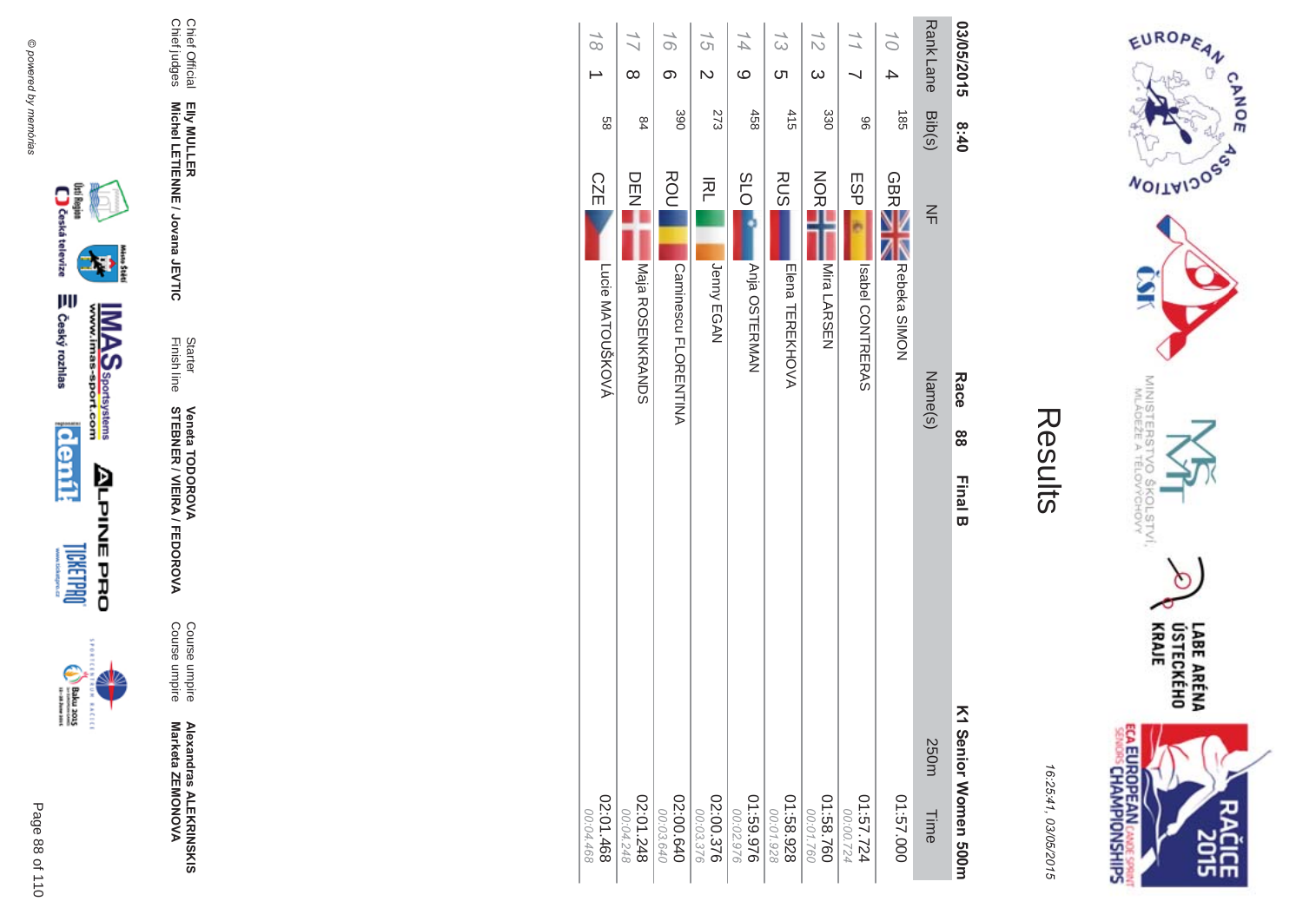



| ŗ. |
|----|
|    |
|    |
|    |
|    |

| 03/05/2015      |                         | 8:40             |            | Race                        | 88 | <b>Final B</b> | K1 Senior Women 500m   |
|-----------------|-------------------------|------------------|------------|-----------------------------|----|----------------|------------------------|
| <b>RankLane</b> |                         | Bib(s)           | $\leq$     | Name(s)                     |    |                | 250m<br>Time           |
| 10 <sup>1</sup> | 4                       | $\frac{185}{25}$ | <b>GBR</b> | Rebeka SIMON                |    |                | 01:57.000              |
|                 |                         | 96               | ESP        | Isabel CONTRERAS            |    |                | 4:57.724<br>00:00.724  |
| 12              | $\omega$                | 330              | <b>NOR</b> | Mira LARSEN                 |    |                | 01:58.760<br>00:01.760 |
| 13              | ຕ                       | 415              | <b>RUS</b> | Elena TEREKHOVA             |    |                | 01:58.928<br>00:01.928 |
| 14              | $\circ$                 | 458              | <b>SLO</b> | Anja OSTERMAN               |    |                | 01:59.976<br>00:02.976 |
| 15              | $\overline{\mathsf{C}}$ | 273              | 적          | Jenny EGAN                  |    |                | 02:00.376<br>00:03.376 |
| 16              | တ                       | 390              | ROU        | <b>Caminesco FLORENTINA</b> |    |                | 02:00.640<br>00:03.640 |
|                 | $\infty$                | 84               | DENZ       | <b>Naja ROSENKRANDS</b>     |    |                | 02:01.248<br>00:04.248 |
| $\frac{1}{8}$   |                         | 88               | <b>CZE</b> | Lucie MATOUŠKOVÁ            |    |                | 02:01.468<br>00:04.468 |













₩

Elly MULLER<br>Michel LETIENNE / Jovana JEVTIC

Chief Official<br>Chief judges

Alexandras ALEKRINSKIS<br>Marketa ZEMONOVA

Course umpire<br>Course umpire

**Veneta TODOROVA<br>STEBNER / VIEIRA / FEDOROVA** 

Starter<br>Finish line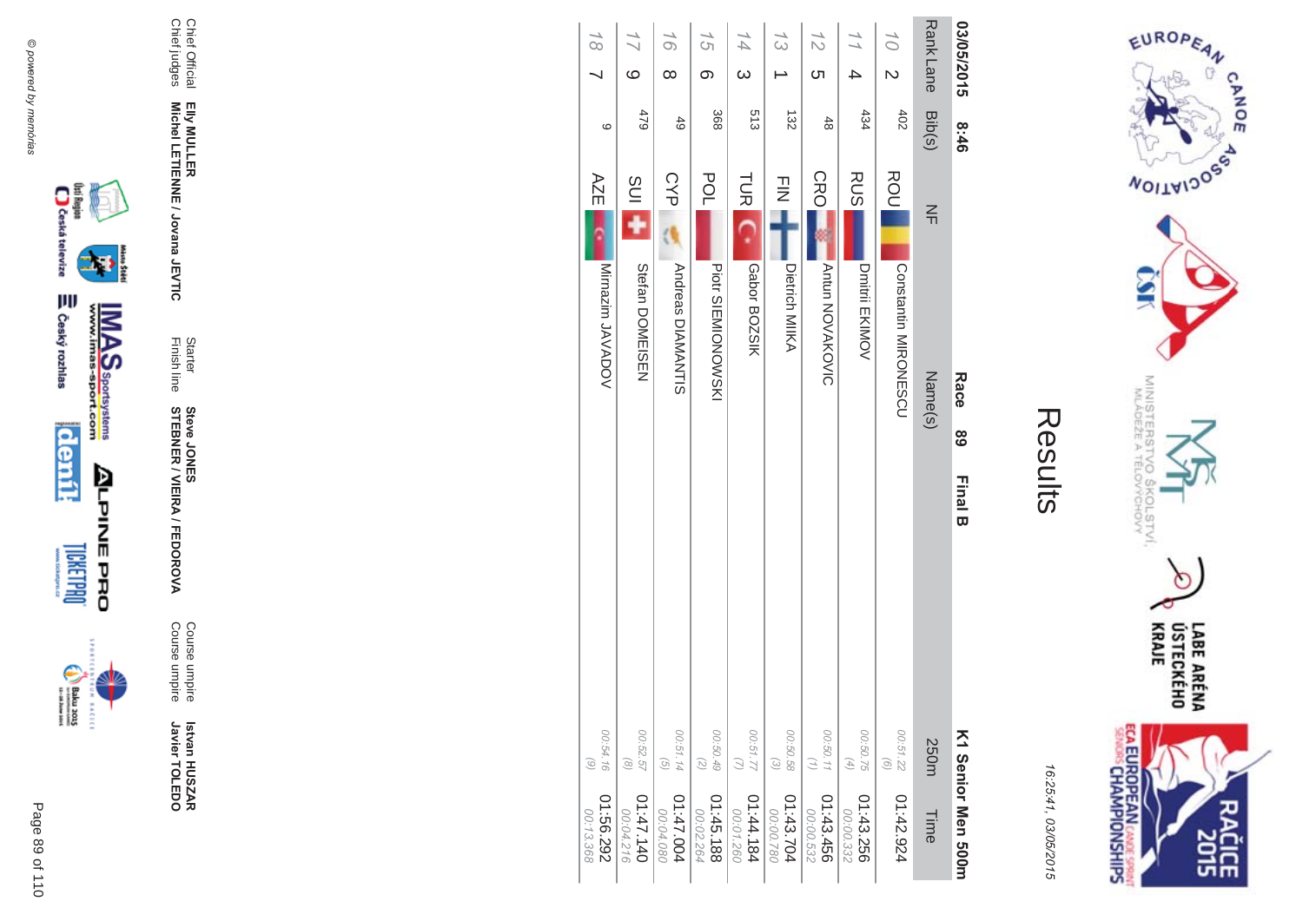



| 03/05/2015                        | 8:46        | Race<br><u>ශ</u><br><b>Final B</b>      |                                                            | K1 Senior Men 500m      |
|-----------------------------------|-------------|-----------------------------------------|------------------------------------------------------------|-------------------------|
| <b>RankLane</b>                   | Bib(s)      | $\leq$<br>Name(s)                       | 250m                                                       | Time                    |
| 10 <sup>1</sup><br>$\overline{C}$ | 402         | ROU<br>Operation MIRONE<br>SCO          | 00:51.22<br>$\odot$                                        | 01:42.924               |
| 4                                 | 434         | <b>RUS</b><br>Dmitril EKIMOV            | 00:50.75<br>$\left( \begin{matrix} 4 \end{matrix} \right)$ | 01:43.256<br>00:00.332  |
| 12<br>Cл                          | $rac{4}{8}$ | CRO<br><b>Antun NOVAKOVIC</b>           | 00:50.11<br>(1)                                            | 01:43.456<br>00:00.532  |
| $\frac{1}{3}$                     | 132         | $\frac{1}{2}$<br>Dietrich MIIKA         | 00:50.58<br>$\odot$                                        | 01:43.704<br>087.00.00  |
| 14<br>$\omega$                    | 513         | <b>TUR</b><br>Gabor BOZSIK              | 77.55.00                                                   | 181.44.184<br>00:01.260 |
| 15<br>တ                           | 368         | <b>POL</b><br><b>Piott SIEMIONOWSKI</b> | 00:50.49<br>$\left(\mathcal{L}\right)$                     | 01:45.188<br>00:02.264  |
| 16<br>$\infty$                    | 49          | <b>CYP</b><br><b>Andreas DIAMANTIS</b>  | 00:51.14<br>$\left( 5\right)$                              | 1:47.004<br>00:04.080   |
| $\frac{7}{1}$<br>ဖ                | 479         | <b>SUI</b><br>Stefan DOMEISEN           | 00:52.57<br>$\circledcirc$                                 | 04:47.140<br>00:04.216  |
| $\frac{1}{8}$                     | $\circ$     | AZE<br>Mirnazim JAVADOV                 | 00:54.16<br>$\odot$                                        | 01:56.292<br>00:13.368  |





 $\begin{picture}(25,20) \put(0,0){\line(1,0){155}} \put(0,0){\line(1,0){155}} \put(0,0){\line(1,0){155}} \put(0,0){\line(1,0){155}} \put(0,0){\line(1,0){155}} \put(0,0){\line(1,0){155}} \put(0,0){\line(1,0){155}} \put(0,0){\line(1,0){155}} \put(0,0){\line(1,0){155}} \put(0,0){\line(1,0){155}} \put(0,0){\line(1,0){155}} \put(0,0){\line(1$ **BACECE** 

Page 89 of 110









Elly MULLER<br>Michel LETIENNE / Jovana JEVTIC

Chief Official<br>Chief judges

Istvan HUSZAR<br>Javier TOLEDO

Course umpire<br>Course umpire

Starter<br>Finish line

**Steve JONER / VIEIRA / FEDOROVA**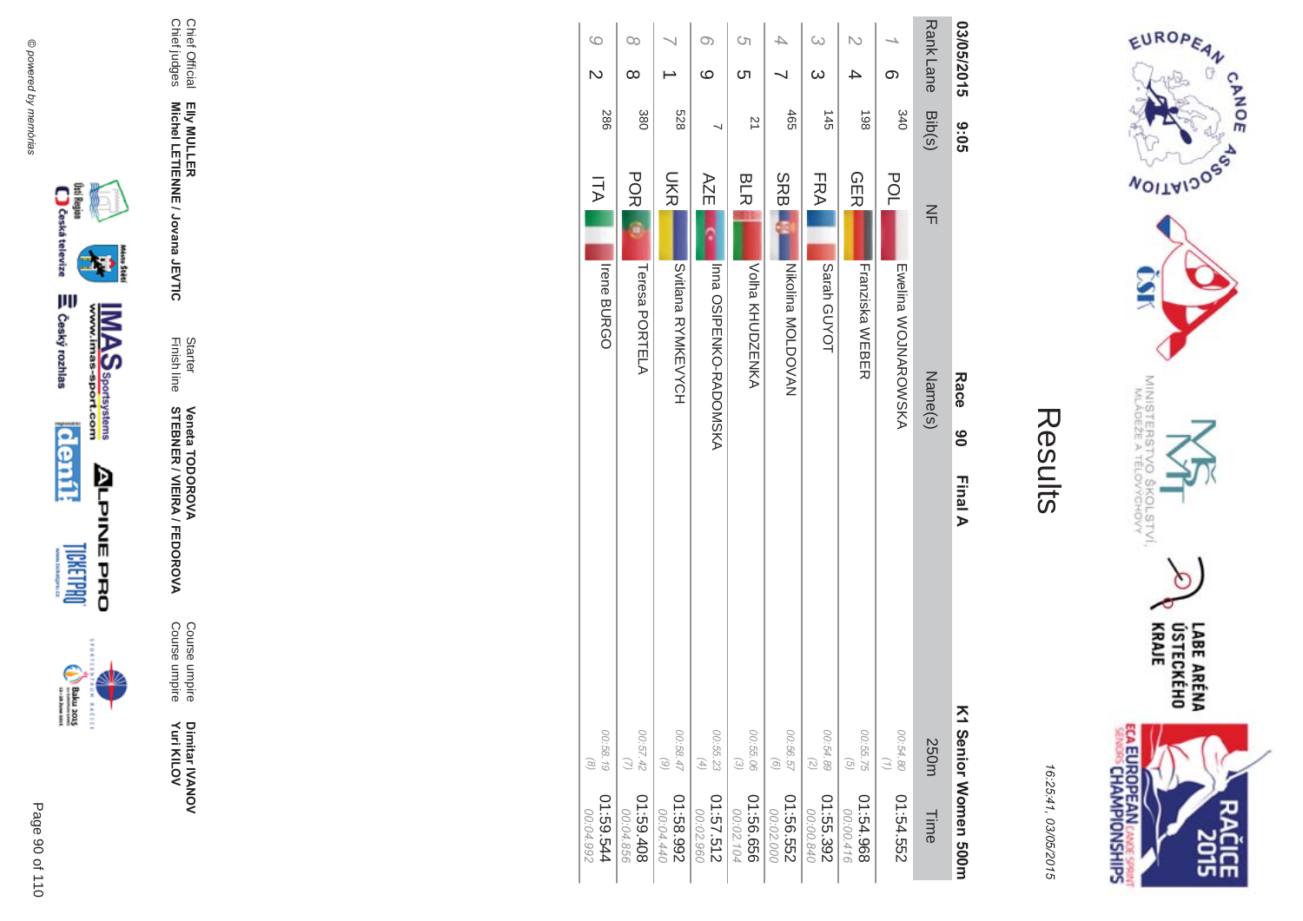



| 03/05/2015<br><b>9:02</b>   | <b>RankLane</b><br>Bib(s) | တ<br>340                    | 4<br>198                               | $\omega$<br>$\omega$<br>$\frac{145}{1}$                                            | 465                    | S)<br><u>(</u><br>$\overline{z}$ | O)<br>ဖ                                                                   | <b>528</b>             | 380                   | $\infty$<br>$\infty$ |
|-----------------------------|---------------------------|-----------------------------|----------------------------------------|------------------------------------------------------------------------------------|------------------------|----------------------------------|---------------------------------------------------------------------------|------------------------|-----------------------|----------------------|
|                             | $\leq$                    | POL                         | <b>GER</b>                             | FRA                                                                                | <b>SRBI</b>            | <b>BLR</b>                       | AZE                                                                       | <b>SKR</b>             | <b>POR</b>            | ITA                  |
| Race<br>ိစ                  | Name(s)                   | <b>Ewellina WOJNAROWSKA</b> | Franziska WEBER                        | Sarah GUYOT                                                                        | Nikolina MOLDOVAN      | Volha KHUDNENKY                  | Inna OSIPENKO-RADONSKA                                                    | <b>SYNKEVYOH</b>       | Teresa PORTELA        | Irene BURGO          |
| Final A                     |                           |                             |                                        |                                                                                    |                        |                                  |                                                                           |                        |                       |                      |
|                             | 250m                      | 00:54.80<br>$\binom{7}{1}$  | 00:55.75<br>$\left(\frac{1}{2}\right)$ | 00:54.89<br>$\begin{array}{c} \begin{array}{c} \mathbb{C} \end{array} \end{array}$ | 00:56.57<br>$\odot$    | 00:55.06<br>$\odot$              | 00:55.23<br>$\left( \begin{smallmatrix} 4 \\ 4 \end{smallmatrix} \right)$ | 00:58.47<br>$\odot$    | 00:57.42<br>$\omega$  | 00:58.19             |
| <b>ヘ1 Senior Momen 500m</b> | Time                      | 01:54.552                   | 896'79:10<br>00:00.416                 | 01:55.392<br>00:00.840                                                             | 01:56.552<br>00:02.000 | 01:56.656<br>00:02.104           | 01:57.512<br>00:02.960                                                    | 266'89:10<br>00:04.440 | 80+69.10<br>00:04.856 | 41:59.544            |



₩

**MAS**<br>Walla Sportsystems



Page 90 of 110

Dimitar IVANOV<br>Yuri KILOV

Course umpire<br>Course umpire

Starter Veneta TODOROVA<br>Finish line STEBNER / VIEIRA / FEDOROVA

Chief Official<br>Chief judges Elly MULLER<br>Michel LETIENNE / Jovana JEVTIC

@ powered by memórias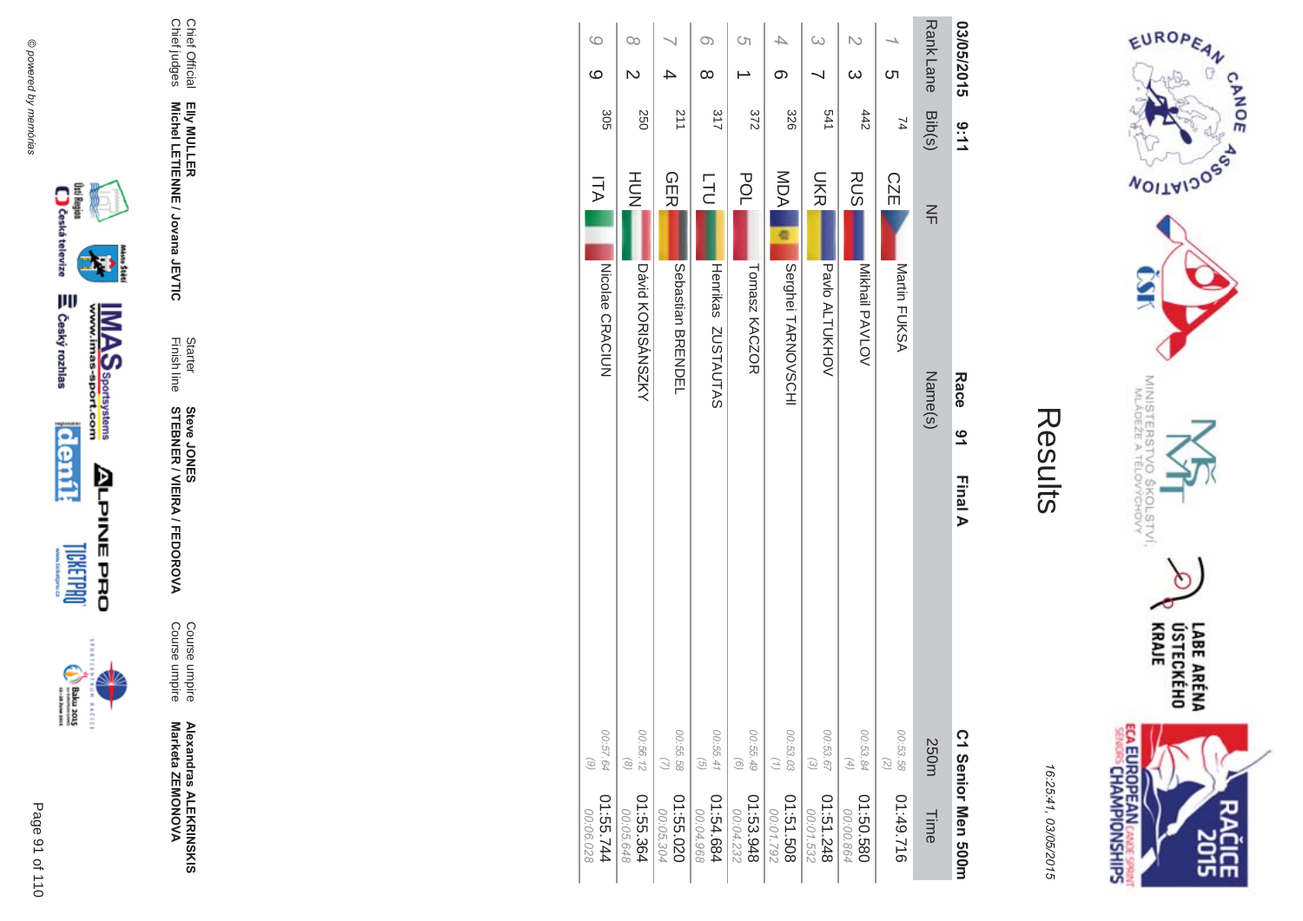



| ĺ.<br>Ι. |
|----------|
|          |
|          |
|          |

| 03/05/2015           | 9:11            | Race<br>91<br>Final A                  |                                                                 | C1 Senior Men 2001      |
|----------------------|-----------------|----------------------------------------|-----------------------------------------------------------------|-------------------------|
| Rank Lane            | Bib(s)          | $\frac{2}{1}$<br>Name(s)               | 250m                                                            | Time                    |
| <u>ဟ</u>             | 74              | CZE<br>Martin FUKSA                    | 00:53.58<br>$\begin{array}{c} \bigcirc \\ \bigcirc \end{array}$ | 01:49.716               |
| $\omega$             | 442             | <b>RUS</b><br>Mikhail PAVLOV           | 00:53.84<br>$\left( 4\right)$                                   | 082.50.580<br>00:00.864 |
| $\infty$             | 541             | <b>UKR</b><br>Pavlo ALTUKHOV           | 00:53.67<br>$\odot$                                             | 842.131.2<br>00:01.532  |
| 4<br>တ               | 328             | MDA<br>e<br>Serghei TARNOVSCHI         | 00:53.03<br>$\left( \frac{1}{2} \right)$                        | 805.151.50<br>00:01.792 |
| Ċη                   | 372             | POL<br>Tomasz KACZOR                   | 00:55.49<br>$\odot$                                             | 01:53.948<br>00:04.232  |
| $\infty$<br>$\infty$ | 317             | ГL<br>С<br>Henrikas ZUSTAUTAS          | 00:55.41<br>$\begin{pmatrix} G \\ G \end{pmatrix}$              | 01:54.684<br>00:04.968  |
|                      | $\frac{211}{2}$ | <b>GER</b><br><b>Sepastian BRENDEL</b> | 00:55.58<br>$\mathcal{Q}$                                       | 020.55.020<br>00:05.304 |
| $\infty$<br>N        | 250             | H <sub>D</sub> H<br>David KORISANSSNAY | 00:56.12<br>$\circledcirc$                                      | 01:55.364<br>00:05.648  |
| $\circ$<br>ဖ         | 305             | <b>ITA</b><br>NICOlae CRACIUN          | 00:57.64<br>$\odot$                                             | 1:55.744<br>00:06.028   |

@ powered by memórias @ powered by memórias



Page

 $\overline{a}$ 91 of 110



**EXCLC** 



Chief Official

Chief Official<br>Chief judges

Chief judges

**EIIy MULLER** 

Elly MULLER<br>Michel LETIENNE / Jovana JEVTIC

Finish line Starter

**STEBNER** 

**Steve JONES** 

**\$ -**

A/FEDOR

**MA** 

Course umpire

Course umpire

Course umpire<br>Course umpire

**Alexandras ALEKR Alexandras ALEKRINSKIS<br>Marketa ZEMONOVA** 

Marketa ZEMONOVA

**Michel LETIENNE / Jovana JEVTIC**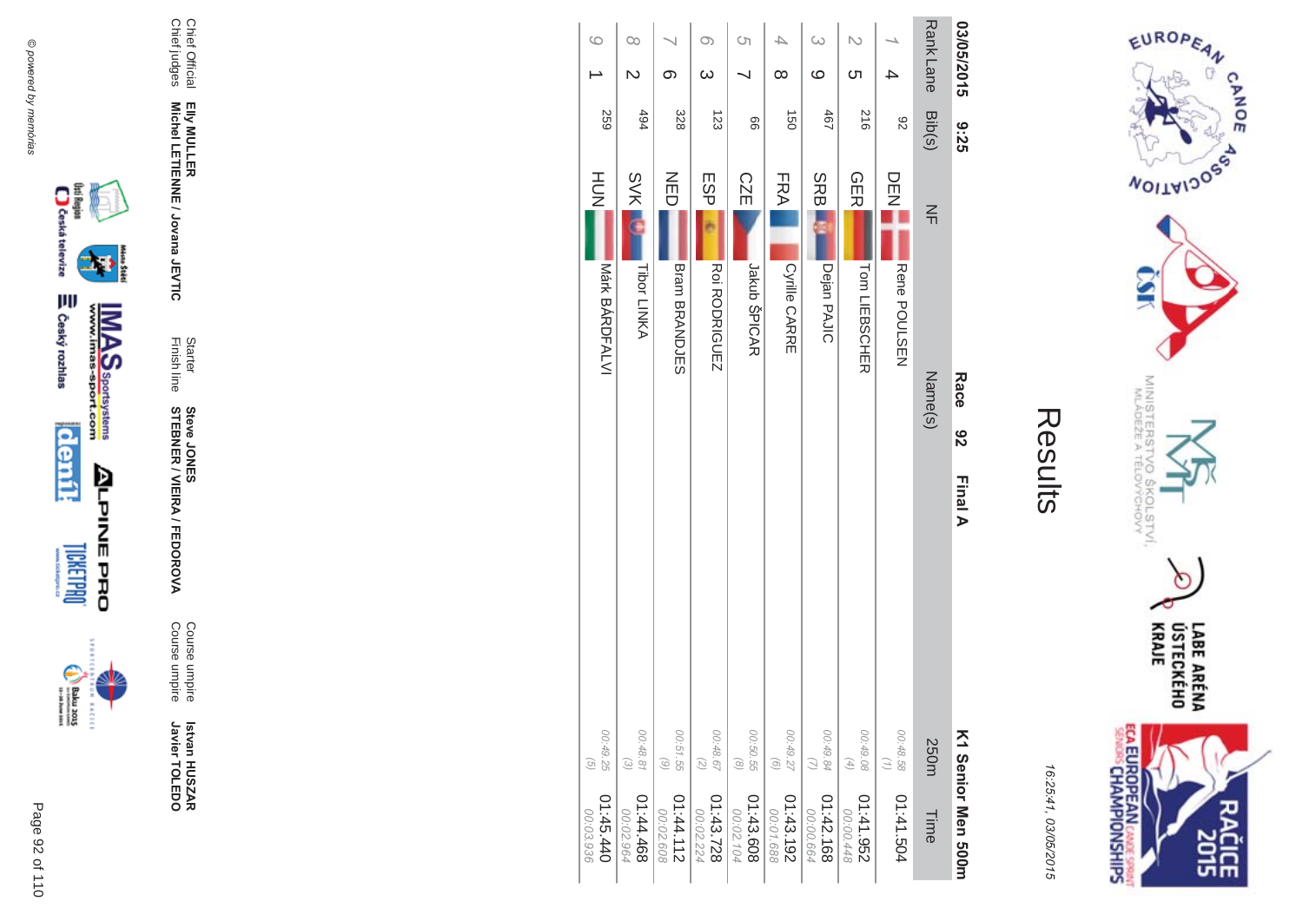



| 9:35            | Race<br>82<br>Final A    |                                          | K1 Senior Men 500m     |
|-----------------|--------------------------|------------------------------------------|------------------------|
| Bib(s)          | $\leq$<br>Name(s)        | 250m                                     | Time                   |
| 82              | DEN<br>Z<br>Rene POULSEN | 00:48.58<br>$\left( \frac{1}{2} \right)$ | 01:41.504              |
| 516             | <b>GER</b>               | 00:49.08                                 | 256.141.952            |
|                 | Tom LIEBSCHER            | $(4)$                                    | 00:00.448              |
| 19 <sub>b</sub> | <b>SRB</b>               | 00:49.84                                 | 01:42.168              |
|                 | Dejan PAJIC              | $\omega$                                 | 00:00.664              |
| $\overline{a}$  | FRA                      | 00:49.27                                 | 01:43.192              |
|                 | <b>Cyrille CARRE</b>     | $\begin{pmatrix} 0 \end{pmatrix}$        | 00:01.688              |
| 99              | <b>CZE</b>               | 00:50.55                                 | 01:43.608              |
|                 | Jakub ŠPICAR             | $\circledcirc$                           | 00:02.104              |
| 123             | ESP                      | 00:48.67                                 | 01:43.728              |
|                 | RODRIGUEZ                | $\tag{5}$                                | 00:02.224              |
| 328             | NED                      | 00:51.55                                 | 01:44.112              |
|                 | <b>Bram BRANDJES</b>     | $\odot$                                  | 00:02.608              |
| 494             | <b>SVK</b>               | 00:48.81                                 | 01:44.468              |
|                 | <b>Tibor LINKA</b>       | $\odot$                                  | 00:02.964              |
| <b>259</b>      | Márk BÁRDFALVI           | 00:49.25<br>G)                           | 01:45.440<br>00:03.936 |
|                 |                          | HUH<br>N                                 |                        |

@ powered by memórias





Course umpire<br>Course umpire Istvan HUSZAR<br>Javier TOLEDO

Starter<br>Finish line **Steve JONER / VIEIRA / FEDOROVA** 

Elly MULLER<br>Michel LETIENNE / Jovana JEVTIC

Chief Official<br>Chief judges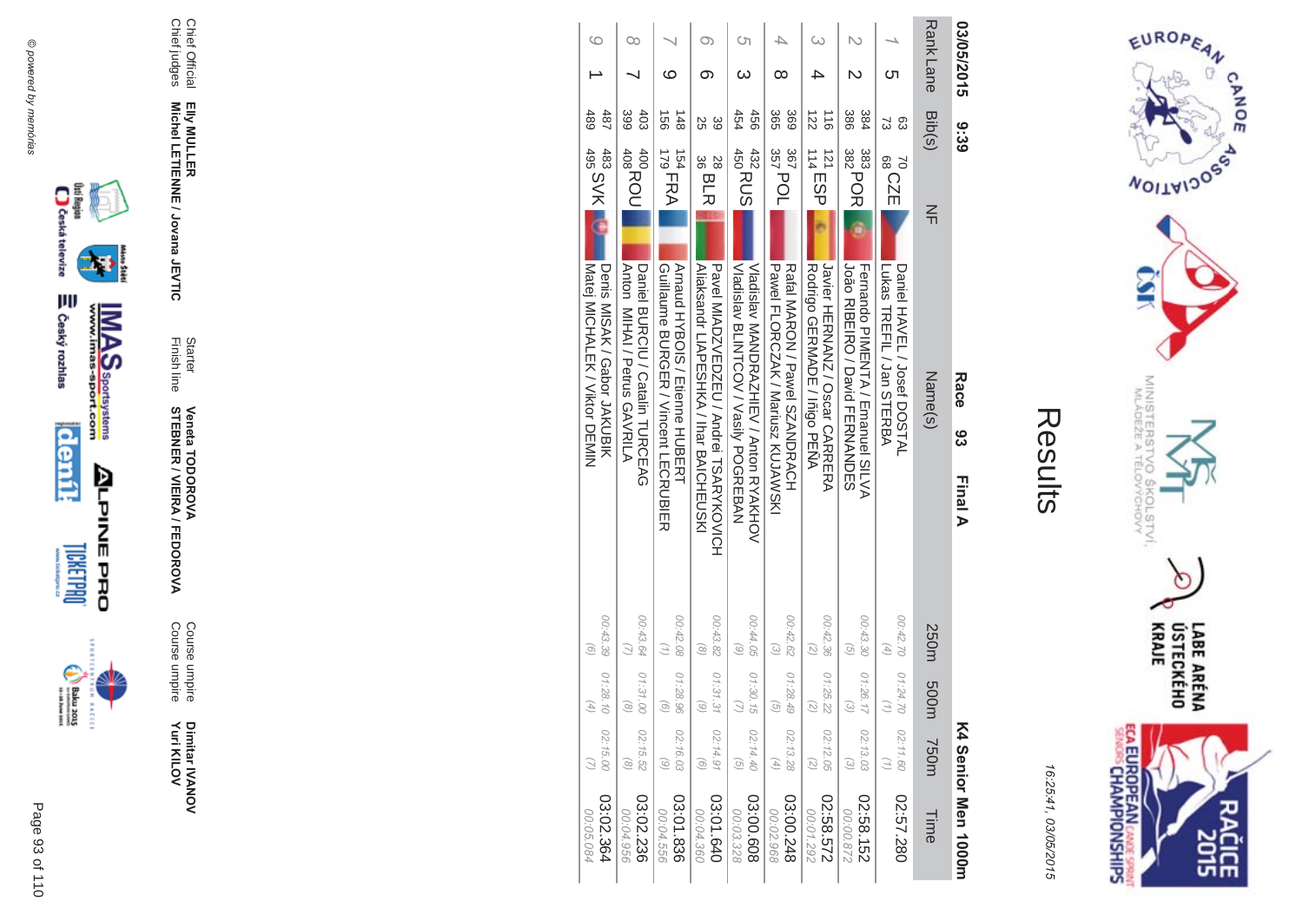



| ŗ.<br>L |
|---------|
|         |
|         |
|         |
|         |
|         |

| 03/05/2015       |                              |                      | Race                                                                                                                                                                  | ပ္ပ | <b>Final A</b>                       |                                                                                                                                                                                                                                                                                                                                                                                                                                                                                                                                                                                                                                    |                  |                                | K4 Senior Men 1000H    |
|------------------|------------------------------|----------------------|-----------------------------------------------------------------------------------------------------------------------------------------------------------------------|-----|--------------------------------------|------------------------------------------------------------------------------------------------------------------------------------------------------------------------------------------------------------------------------------------------------------------------------------------------------------------------------------------------------------------------------------------------------------------------------------------------------------------------------------------------------------------------------------------------------------------------------------------------------------------------------------|------------------|--------------------------------|------------------------|
| <b>Rank Lane</b> |                              | $\leq$               |                                                                                                                                                                       |     |                                      | 250m                                                                                                                                                                                                                                                                                                                                                                                                                                                                                                                                                                                                                               | m003             | 750m                           | Time                   |
| Cл               | සි<br>ವ                      | 70<br>88<br>88<br>88 |                                                                                                                                                                       |     |                                      | 00:42.70<br>$\begin{pmatrix} 4 \end{pmatrix}$                                                                                                                                                                                                                                                                                                                                                                                                                                                                                                                                                                                      | 01:24.70         | 02:11.60                       | 02:57.280              |
|                  | 386<br>384                   |                      |                                                                                                                                                                       |     |                                      | 00:43.30<br>$\overline{G}$                                                                                                                                                                                                                                                                                                                                                                                                                                                                                                                                                                                                         | 01:26.17         | 02:13.03<br>$\widehat{\omega}$ | 02:58.152<br>228'00:00 |
|                  | 122<br>$\frac{1}{9}$         |                      |                                                                                                                                                                       |     |                                      | 00:42.36<br>2                                                                                                                                                                                                                                                                                                                                                                                                                                                                                                                                                                                                                      | 01:25.22         | 02:12.05<br>$\overline{z}$     | 02:58.572<br>00:01.292 |
| ∞                | 365<br>369                   |                      |                                                                                                                                                                       |     |                                      | 00:42.62<br>$\widehat{\omega}$                                                                                                                                                                                                                                                                                                                                                                                                                                                                                                                                                                                                     | 01:28.49<br>୕ୖଡ଼ | 02:13.28<br>(4)                | 03:00.248<br>00:02.968 |
| ω                | 454<br>456                   |                      |                                                                                                                                                                       |     |                                      | 00:44.05<br>$\odot$                                                                                                                                                                                                                                                                                                                                                                                                                                                                                                                                                                                                                | 01:30.15         | 02:14.40<br>$\widehat{G}$      | 03:00.608<br>00:03.328 |
| ග                | 39<br>25                     | 28<br>36<br>36<br>36 |                                                                                                                                                                       |     |                                      | 00:43.82<br>$\odot$                                                                                                                                                                                                                                                                                                                                                                                                                                                                                                                                                                                                                | 01:31.3<br>c     | 02:14.91<br>$\odot$            | 03:01.640<br>00:04.360 |
| ဖ                | 148<br>$\overrightarrow{50}$ | 154                  |                                                                                                                                                                       |     |                                      | 00:42.08                                                                                                                                                                                                                                                                                                                                                                                                                                                                                                                                                                                                                           | 01:28.96         | 02:16.03<br>$\odot$            | 03:01.836<br>00:04.556 |
|                  | 399<br>403                   |                      |                                                                                                                                                                       |     |                                      | 00:43.64                                                                                                                                                                                                                                                                                                                                                                                                                                                                                                                                                                                                                           | 01:31.0          | 02:15.52<br>$\odot$            | 03:02.236<br>00:04.956 |
|                  | 489<br>487                   | 483<br>495<br>495    |                                                                                                                                                                       |     |                                      | 00:43.39<br>$\odot$                                                                                                                                                                                                                                                                                                                                                                                                                                                                                                                                                                                                                | 01:28.10         | 02:15.00                       | 03:02.364<br>00:05.084 |
|                  |                              |                      | Bib(s)<br>9:39<br>$357$ POL<br>367<br>432<br>450<br>450<br>450<br>383<br>382<br>382<br>382<br>400<br>408<br>408<br>408<br>$114$<br>$114$<br>$114$<br>$179$ FRA<br>121 |     | Lukas HREFIL / Jan SHERBA<br>Name(s) | João RIBEIRO / David FERNANDES<br>Denis MISAK / Gabor JAKUBIK<br>Javier HERNANZ / Oscar CARRERA<br>Matej MICHALEK / Viktor DEMIN<br>Daniel BURCIU / Catalin TURCEAG<br>Arnaud HYBOIS / Etienne HUBEKH<br>Pavel MIADZVEDZEN / Andrei H2ARXKOVICH<br>Nadisiav BLIXHOOV / Vasily POGREBAN<br>VIadisIav MANDRAZHIEV / Anton RYAKHOV<br><b>Nilaksandr コマPEのエスA / Ihar BAICHEUSKI</b><br>Pawel FLORCNAK / Mariusz KUJAWSKI<br>Rodrigo GERNADE / Fisigo PENA<br>Fernando PIMENTA / Emanuel SILVA<br>Anton MIHAI / Petrus GA/KRILA<br>Guillaume BURGER / Vincent LECRUBIER<br>Katal MAKOM / Pawel SZAMDKACH<br>Daniel HAVEL / Josef DOSTAL |                  |                                |                        |







Dimitar IVANOV<br>Yuri KILOV **Yuri KILOV** Dimitar **IVANOV** 

**MA** Course umpire<br>Course umpire Course umpire Course umpire

Finish line **STEBNER \$ -**A/FEDOR **Veneta TODOR \*\$'**

**Starter** 

**EIIy MULLER** Elly MULLER<br>Michel LETIENNE / Jovana JEVTIC **Michel LETIENNE / Jovana JEVTIC** 

Chief Official<br>Chief judges Chief judges Chief Official

Page  $\overline{a}$ 93 of 110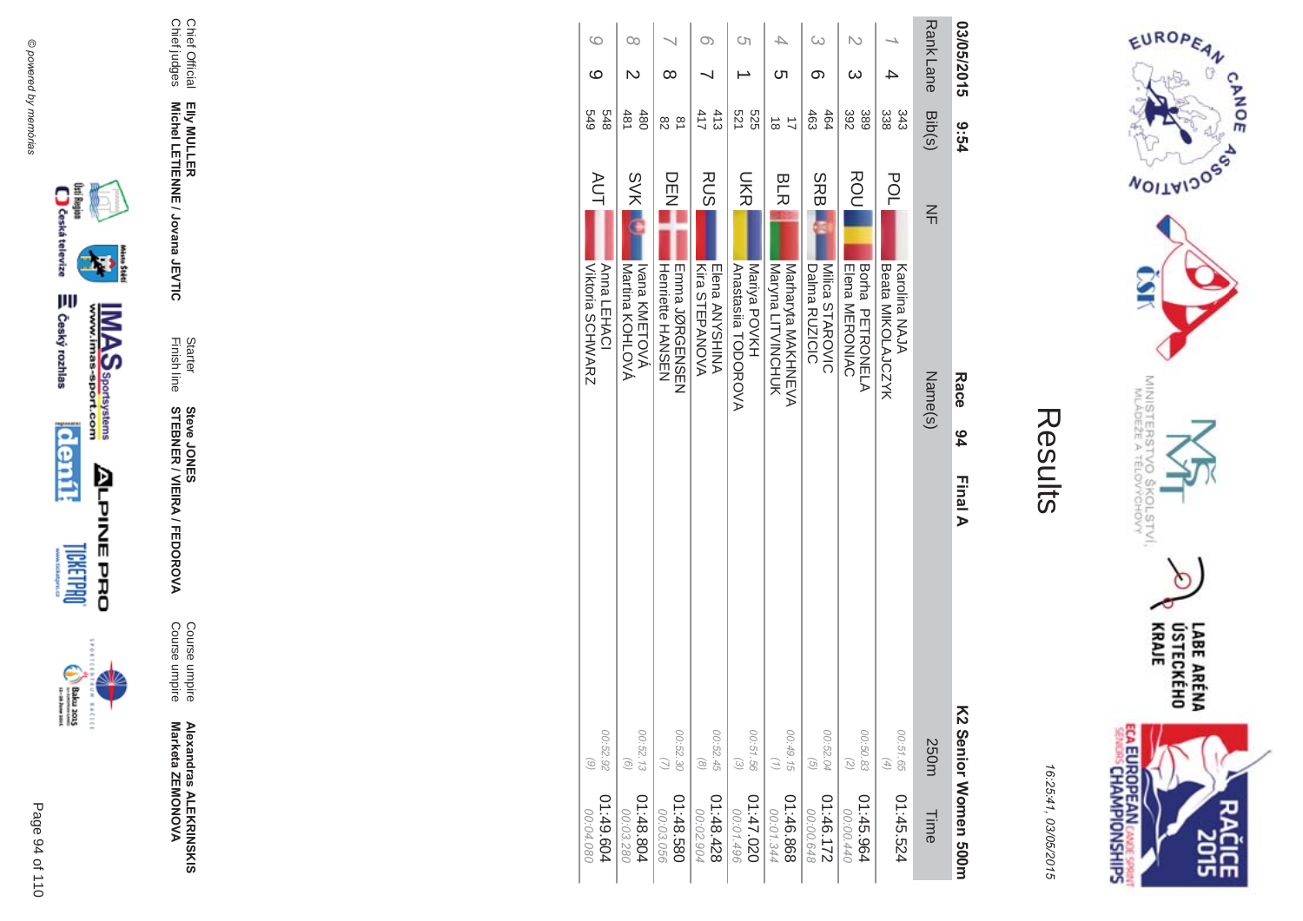



| ί<br>$\mathbb{L}$ |
|-------------------|
|                   |
|                   |
|                   |
|                   |
|                   |

| 03/05/2015      | 5-54                          | Race<br>94                                                      | Final A                                                           | V2 Senior Women 500m     |
|-----------------|-------------------------------|-----------------------------------------------------------------|-------------------------------------------------------------------|--------------------------|
| <b>RankLane</b> | Bib(s)                        | $\leq$<br>Name(s)                                               | 250m                                                              | Time                     |
|                 | အိ<br>343                     | POL<br><b>Beata MIKOLAJCZYK</b><br>Karolina NAJA                | 00:51.65<br>$\left( \frac{4}{\sqrt{2}} \right)$                   | 01:45.524                |
| ω               | 392<br>389                    | ROU<br>Borna PETRONELA<br><b>Elena MERONIAC</b>                 | 00:50.83<br>$\binom{2}{2}$                                        | 01:45.964<br>00:00.440   |
| ω<br>တ          | 463<br>464                    | SRB<br>Milca STAROVIC<br>Dalma RUZICIC                          | 00:52.04<br>$\left( 5\right)$                                     | 01:46.172<br>00:00.648   |
| 4<br>Cл         | ಹ                             | <b>BLR</b><br>Maryna LITVINCHOHO<br>Narharyta NAKHZEVA          | 00:49.15<br>$\left( \frac{1}{2} \right)$                          | 898.94:10<br>00:01.344   |
| Ċη              | 521<br>525                    | <b>SHR</b><br>Mariya POVKH<br>Anastasila TODOROVA               | 00:51.56<br>$\begin{array}{c} \textcircled{\small 2} \end{array}$ | 020.747.020<br>00:01.496 |
| $\infty$        | 413<br>417                    | <b>RUS</b><br>Kira STEPANOVA<br>Elena ANYSHINA                  | 00:52.45<br>$\circledcirc$                                        | 824.8428<br>00:02.904    |
| ∞               | $\frac{\infty}{\infty}$<br>82 | DE<br>N<br>Z<br><b>EINDINGENSENS</b><br><b>Henriette HANSEN</b> | 00:52.30<br>$\overline{u}$                                        | 01:48.580<br>00:03.056   |
| 00<br>N         | 480<br>481                    | <b>SVK</b><br>Ivana KMETOVÁ<br>Martina KOHLOVA                  | 00:52.13<br>$\odot$                                               | 41:48.804<br>00:03.280   |
| 0<br>ဖ          | 848<br>679                    | <b>AUT</b><br>Anna LEHACI<br><b>Viktoria SCHWARZ</b>            | 00:52.92<br>$\odot$                                               | 01:49.604<br>00:04.080   |



(kii Region<br>Caskai televize

₩

Chief Official

Chief Official<br>Chief judges

Chief judges

**EIIy MULLER** 

Elly MULLER<br>Michel LETIENNE / Jovana JEVTIC

Finish line Starter

**STEBNER** 

**Steve JONES** 

**\$ -**

A/FEDOR

**MA** 

Course umpire

Course umpire

Course umpire<br>Course umpire

**Alexandras ALEKR Alexandras ALEKRINSKIS<br>Marketa ZEMONOVA** 

Marketa ZEMONOVA

**Michel LETIENNE / Jovana JEVTIC** 



Page

 $\overline{a}$ 94 of 110



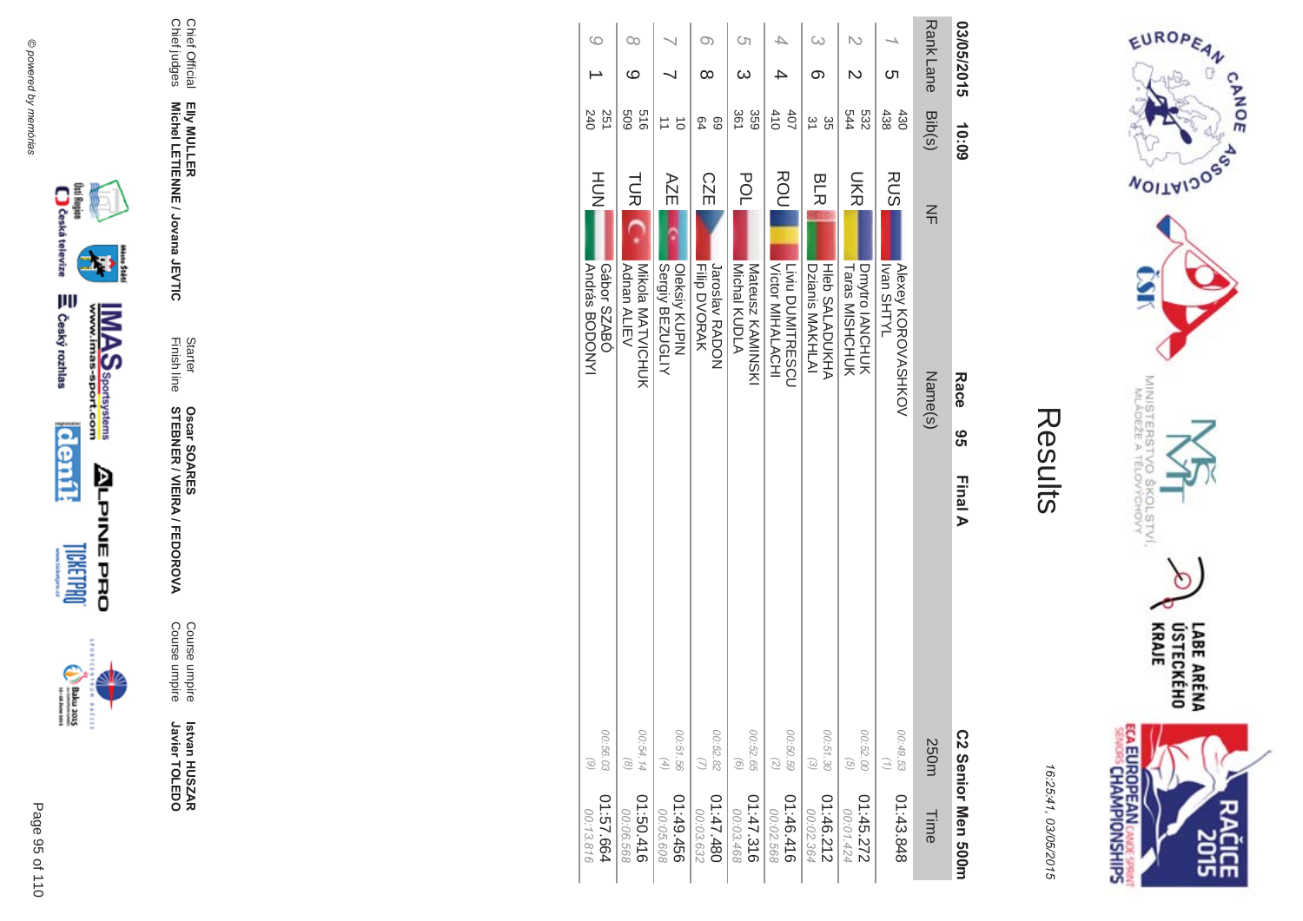



| í |
|---|
|   |
|   |

| 41:57.664<br>00:13.816  | 00:56.03<br>$\odot$                                           |                | <b>András BODONY</b><br>Gábor SZABÓ         | HOH        | 240<br>251             |                 | 0        |
|-------------------------|---------------------------------------------------------------|----------------|---------------------------------------------|------------|------------------------|-----------------|----------|
| 01:50.416<br>00:06.568  | 00:54.14<br>$\circledcirc$                                    |                | Mikola MATVICHUK<br>Adnan ALIEV             | <b>TUR</b> | 919<br>609             | ဖ               | $\infty$ |
| 01:49.456<br>00:05.608  | 00:51.56<br>$\left( \begin{matrix} 4 \end{matrix} \right)$    |                | Oleksiy KUPIN<br>Sergiy BEZUGLIY            | AZE        | ਠੋ                     |                 |          |
| 084.747.10<br>00:03.632 | 00:52.82<br>$\omega$                                          |                | Jaroslav RADON<br><b>Filip DVORAK</b>       | <b>CZE</b> | 69<br>64               | ∞               | $\infty$ |
| 01:47.316<br>00:03.468  | 00:52.65<br>$\begin{pmatrix} 0 \end{pmatrix}$                 |                | Michal KUDLA<br>Mateusz KAMINSKI            | POL        | 361<br>359             | ω               | Cη       |
| 01:46.416<br>00:02.568  | 00:50.59<br>$\left(\begin{matrix} 7 \\ 0 \end{matrix}\right)$ |                | Victor MIHALACHI<br><b>Livid DUMITRESCU</b> | ROU        | 410<br>40 <sub>7</sub> |                 |          |
| 01:46.212<br>00:02.364  | 00:51.30<br>$\odot$                                           |                | Dzianis MAKHLAI<br><b>HIGD SALADOXHA</b>    | <b>BLR</b> | 31<br>ပ္တ              | ග               | $\omega$ |
| 01:45.272<br>00:01.424  | 00:52.00<br>$\left(\frac{1}{2}\right)$                        |                | Dmytro IANCHUK<br><b>Taras MISHCHUK</b>     | <b>NR</b>  | 544<br>532             | N               |          |
| 01:43.848               | 00:49.53<br>$\left(\frac{1}{2}\right)$                        |                | Alexey KOROVASHKOV<br><b>IVTHS nevi</b>     | <b>RUS</b> | 438<br>430             | ת               |          |
| Time                    | 250m                                                          |                | Name(s)                                     | $\leq$     | Bib(s)                 | <b>RankLane</b> |          |
| C2 Serior Men 500H      |                                                               | မ္မ<br>Final A | Race                                        |            | 10:09                  | 03/05/2015      |          |







 **Betvan HUSZAR** Istvan HUSZAR<br>Javier TOLEDO Javier TOLEDO

**MA** Course umpire<br>Course umpire Course umpire Course umpire

Finish line Starter **STEBNER \$ -**A/FEDOR **Oscar SOAR** 55

**EIIy MULLER** Elly MULLER<br>Michel LETIENNE / Jovana JEVTIC **Michel LETIENNE / Jovana JEVTIC** 

Chief Official<br>Chief judges Chief judges Chief Official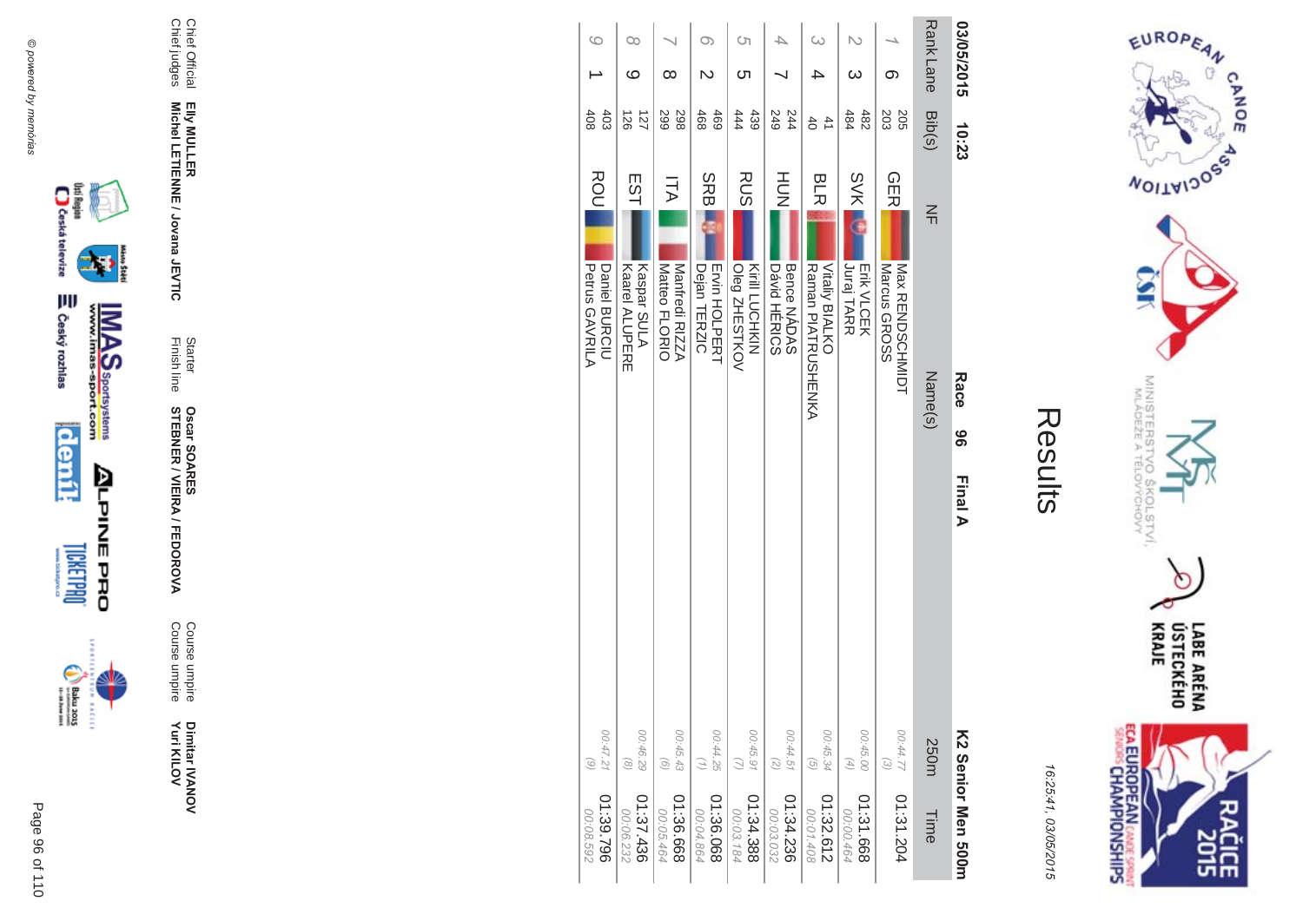



| 03/05/2015      | 10:23                        | Race<br>96                                                 | Final A<br>K2 Serior Men 500m           |                        |
|-----------------|------------------------------|------------------------------------------------------------|-----------------------------------------|------------------------|
| <b>RankLane</b> | Bib(s)                       | $\leq$<br>Name(s)                                          | 250m                                    | Time                   |
| ග               | 203<br><b>205</b>            | <b>GER</b><br>Nax RENDOCHNIUH<br>Marcus GROSS              | 00:44.77<br>$\odot$                     | 01:31.204              |
| N<br>ω          | 482<br>484                   | <b>SVK</b><br>Juraj TARR<br><b>Erik VLCEK</b>              | 00:45.00<br>$(4)$                       | 01:31.668<br>00:00.464 |
| $\infty$        | $\overline{4}$<br>$\ddot{6}$ | <b>BLR</b><br>Raman PIALENCRIFINA<br><b>Vitaliy BIALKO</b> | 00:45.34<br>$\overline{G}$              | 01:32.612<br>00:01.408 |
|                 | 249<br>244                   | HUH<br>N<br>Bence NADAS<br>Dávid HERICS                    | 00:44.51<br>$\left( \mathcal{Z}\right)$ | 01:34.236<br>00:03.032 |
| <b>CT</b><br>ᢗᠮ | 444<br>439                   | <b>RUS</b><br>Kirill LUCHKIN<br>Oleg ZHESTKOV              | 00:45.91                                | 01:34.388<br>00:03.184 |
| Oා              | 469<br>468                   | <b>SRB</b><br><b>Ervin HOLPERT</b><br>Dejan<br>TERZIC      | 00:44.25<br>(1)                         | 01:36.068<br>00:04.864 |
| $\infty$        | 298<br>599                   | ΠA<br>Manfredi RIZZA<br>Matteo FLORIO                      | 00:45.43<br>$\odot$                     | 01:36.668<br>00:05.464 |
| 00<br>ဖ         | 121<br>$\frac{26}{36}$       | EST<br>Kaspar SULA<br><b>Kaarel ALUPERE</b>                | 00:46.29<br>$\circledcirc$              | 01:37.436<br>00:06.232 |
| $\circ$         | 408<br>$403$                 | ROU<br><b>Petrus GAVRILA</b><br>Daniel BURCIU              | 00:47.21<br>$\odot$                     | 01:39.796<br>00:08.592 |



₩

**MAS**<br>Walla Sportsystems



**ALPINEPRO** 

Dimitar IVANOV<br>Yuri KILOV

Course umpire<br>Course umpire

Starter<br>Finish line **Oscar SOARES<br>STEBNER / VIEIRA / FEDOROVA** 

Elly MULLER<br>Michel LETIENNE / Jovana JEVTIC

Chief Official<br>Chief judges

@ powered by memórias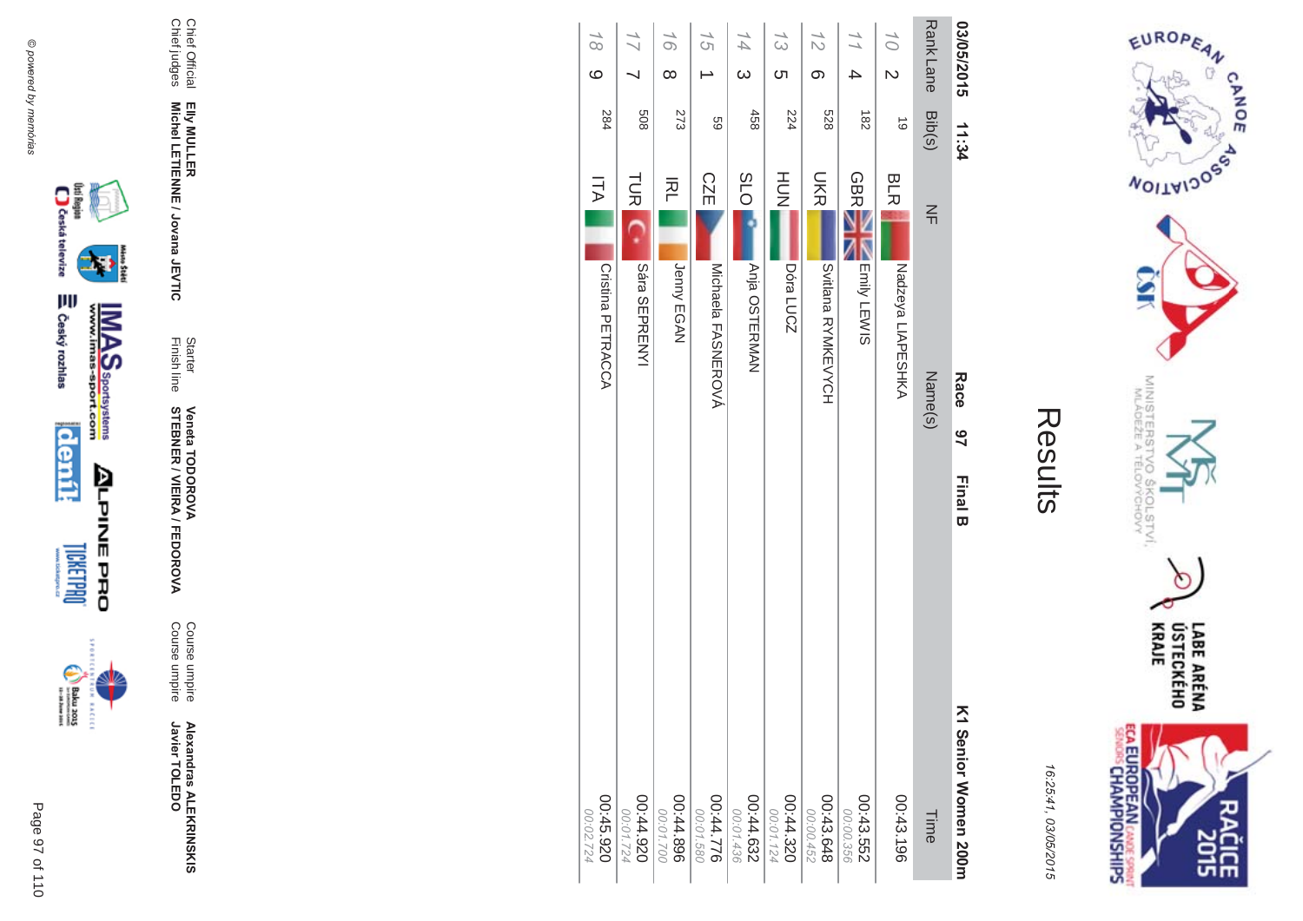

incon



Chief Official<br>Chief judges Elly MULLER<br>Michel LETIENNE / Jovana JEVTIC

**Alexandras ALEKRINSKIS**<br>Javier TOLEDO

Course umpire<br>Course umpire

Starter<br>Finish line **Veneta TODOROVA<br>STEBNER / VIEIRA / FEDOROVA** 

| 03/05/2015                    | 11:34     |                  | Race               | $\frac{2}{5}$<br><b>Final B</b> | K1 Senior Women 200m   |
|-------------------------------|-----------|------------------|--------------------|---------------------------------|------------------------|
| <b>RankLane</b>               | Bib(s)    | $\leq$           | Name(s)            |                                 | Time                   |
| 10<br>$\overline{\mathsf{C}}$ | $\vec{0}$ | <b>BLR</b>       | Nadzeya LIAPESHKA  |                                 | 00:43.196              |
| $\frac{1}{1}$<br>4            | 182       | <b>GBR</b>       | Emily LEWIS        |                                 | 00:43.552<br>00:00.356 |
| 12<br>တ                       | 829       | <b>SKR</b>       | Svitlana RYMKEVYCH |                                 | 00:43.648<br>00:00.452 |
| $\frac{1}{3}$<br>ഗ            | 224       | HU<br>N          | Dóra LUCZ          |                                 | 00:44.320<br>00:01.124 |
| $\overline{4}$<br>$\omega$    | 458       | O <sub>1</sub> S | Anja OSTERMAN      |                                 | 00:44.632<br>00:01.436 |
| 15                            | 69        | <b>CZE</b>       | Michaela FASNEROVÁ |                                 | 00:44.776              |
| 16<br>$\infty$                | 273       | 적                | Jenny EGAN         |                                 | 00:44.896<br>00:01.700 |
|                               | 809       | <b>TUR</b>       | Sára SEPRENYI      |                                 | 026'44'00<br>00:01.724 |
| $\overline{6}$<br>$\circ$     | 284       | ITA              | Cristina PETRACCA  |                                 | 00:45.920<br>00:02.724 |
|                               |           |                  |                    |                                 |                        |



EUROPEAN

**NOILWIDOSS** 

MINISTERS<br>MINISTERS

c  $\sigma_{\rm c}$ 

COLSTVI.<br>CHOVY

 $\sigma$ 

**CANOE** 

 $\pi$  e

16:25:41, 03/05/2015

Results

LABE ARÉNA<br>ÚSTECKÉHO<br>KRAJE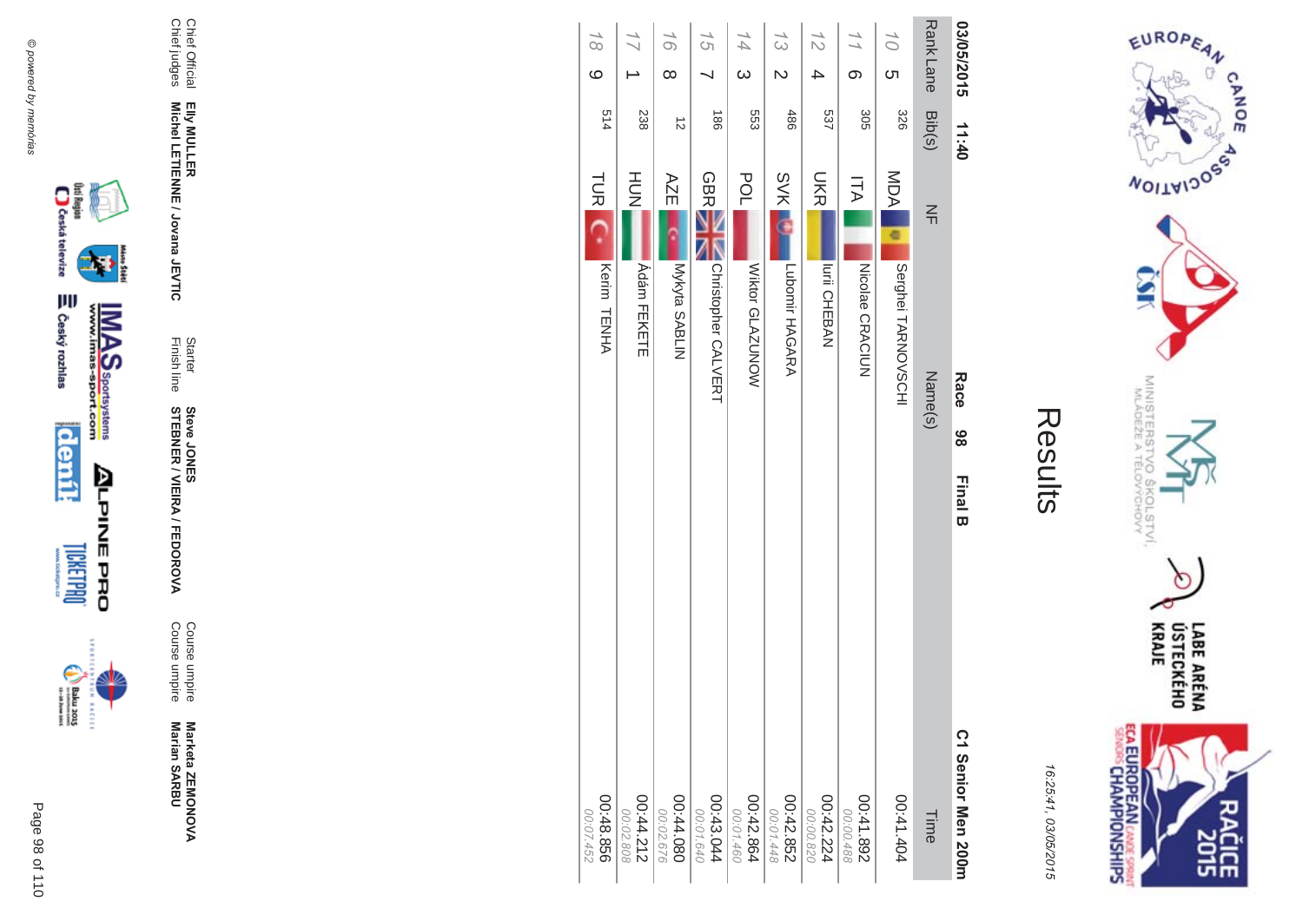

ECA EUROPEAN CANDES SPRING 임

16:25:41, 03/05/2015

| Ĭ. |
|----|
|    |
|    |
|    |
|    |

| 03/05/2015      |                         | 11:40            |            | Race                | 86 | <b>Final B</b> | C1 Senior Men 200m      |
|-----------------|-------------------------|------------------|------------|---------------------|----|----------------|-------------------------|
|                 |                         | Rank Lane Bib(s) | $\leq$     | Name(s)             |    |                | Time                    |
| 10 <sub>1</sub> | ഗ                       | 328              | MDA<br>e   | Serghei TARNOVSCHI  |    |                | 41.41.404               |
| $\frac{1}{1}$   | တ                       | 305              | コム         | NICOlae CRACIUN     |    |                | 268.142.00<br>00:00.488 |
| $\frac{7}{2}$   | 4                       | 537              | <b>UKR</b> | <b>Iurii CHEBAN</b> |    |                | 00:42.224<br>00:00.820  |
| 13              | $\overline{\mathsf{C}}$ | 486              | <b>SVK</b> | Lubomir HAGARA      |    |                | 00:42.852<br>00:01.448  |
| $\overline{44}$ | $\omega$                | 553              | POL        | Wiktor GLAZUNOW     |    |                | 00:42.864<br>00:01.460  |
| 15              |                         | $\frac{180}{2}$  | <b>GBR</b> | Christopher CALVERT |    |                | 00:43.044<br>00:01.640  |
| 16              | $\infty$                | $\vec{v}$        | AZE        | Mykyta SABLIN       |    |                | 080'44'080<br>00:02.676 |
| $\overline{11}$ |                         | 238              | HU<br>N    | <b>Ádám FEKETE</b>  |    |                | 00:44.212<br>00:02.808  |
| $\frac{1}{8}$   | $\circ$                 | 514              | <b>TUR</b> | Kerim TENHA         |    |                | 00:48.856<br>00:07.452  |
|                 |                         |                  |            |                     |    |                |                         |

@ powered by memórias



Page 98 of 110

**ALPINEPRO DREEBINT** 









Chief Official<br>Chief judges

Elly MULLER<br>Michel LETIENNE / Jovana JEVTIC

Starter<br>Finish line

**Steve JONER / VIEIRA / FEDOROVA** 

Course umpire<br>Course umpire

Marketa ZEMONOVA<br>Marian SARBU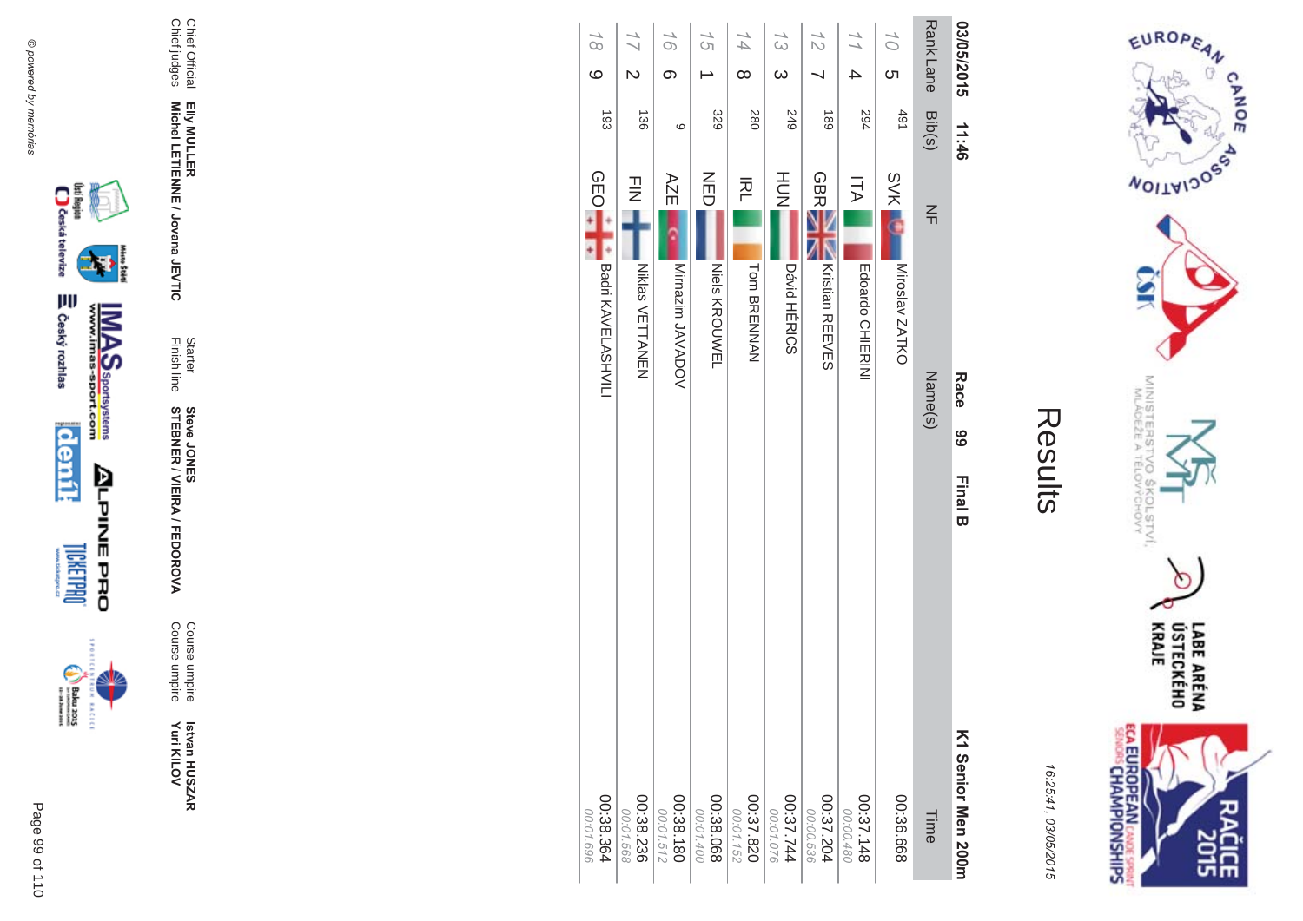





incon



Course umpire<br>Course umpire

Starter<br>Finish line **Steve JONER / VIEIRA / FEDOROVA** 

Chief Official<br>Chief judges Elly MULLER<br>Michel LETIENNE / Jovana JEVTIC

| 03/05/2015       |                | 11:46          | <b>Race</b><br>66                       | <b>Final B</b> | K1 Senior Men 200m     |
|------------------|----------------|----------------|-----------------------------------------|----------------|------------------------|
| <b>Rank Lane</b> |                | Bib(s)         | $\leq$<br>Name(s)                       |                | Time                   |
| 10               | ဟ              | $+91$          | <b>SVK</b><br>Miroslav ZATKO            |                | 00:36.668              |
| $\frac{1}{1}$    | 4              | 294            | Ξ<br>Edoardo CHIERINI                   |                | 00:37.148<br>00:00.480 |
| $\frac{7}{2}$    |                | 681            | <b>GBR</b><br>Kristian REEVES           |                | 00:37.204<br>00:00.536 |
| $\frac{1}{3}$    | $\omega$       | <b>249</b>     | HUH<br>N<br><b>Dávid HÉRICS</b>         |                | 147.744<br>00:01.076   |
| 14               | $\infty$       | 280            | 적<br><b>Tom BRENNAN</b>                 |                | 02:37.820<br>00:01.152 |
| 15               |                | 329            | NED<br>Niels KROUWEL                    |                | 00:38.068<br>00:01.400 |
| 16               | တ              | 6              | AZE<br>Mirnazim JAVADOV                 |                | 00:38.180<br>00:01.512 |
| $\frac{1}{2}$    | $\overline{C}$ | 136            | $\frac{1}{2}$<br><b>Niklas VETTANEN</b> |                | 00:38.236<br>00:01.568 |
| $\overline{18}$  | $\circ$        | $\overline{5}$ | <b>OEO</b><br>Badri KAVELASHVILI        |                | 00:38.364<br>00:01.696 |

COLSTVI.<br><sup>CCHOVY</sup> LABE ARÉNA<br>ÚSTECKÉHO<br>KRAJE

MINISTERS<br>MINISTERS

erov<br>S

EUROPEAN

**WOILWIDOSS** 

CANOE

 $\sigma$ 



16:25:41, 03/05/2015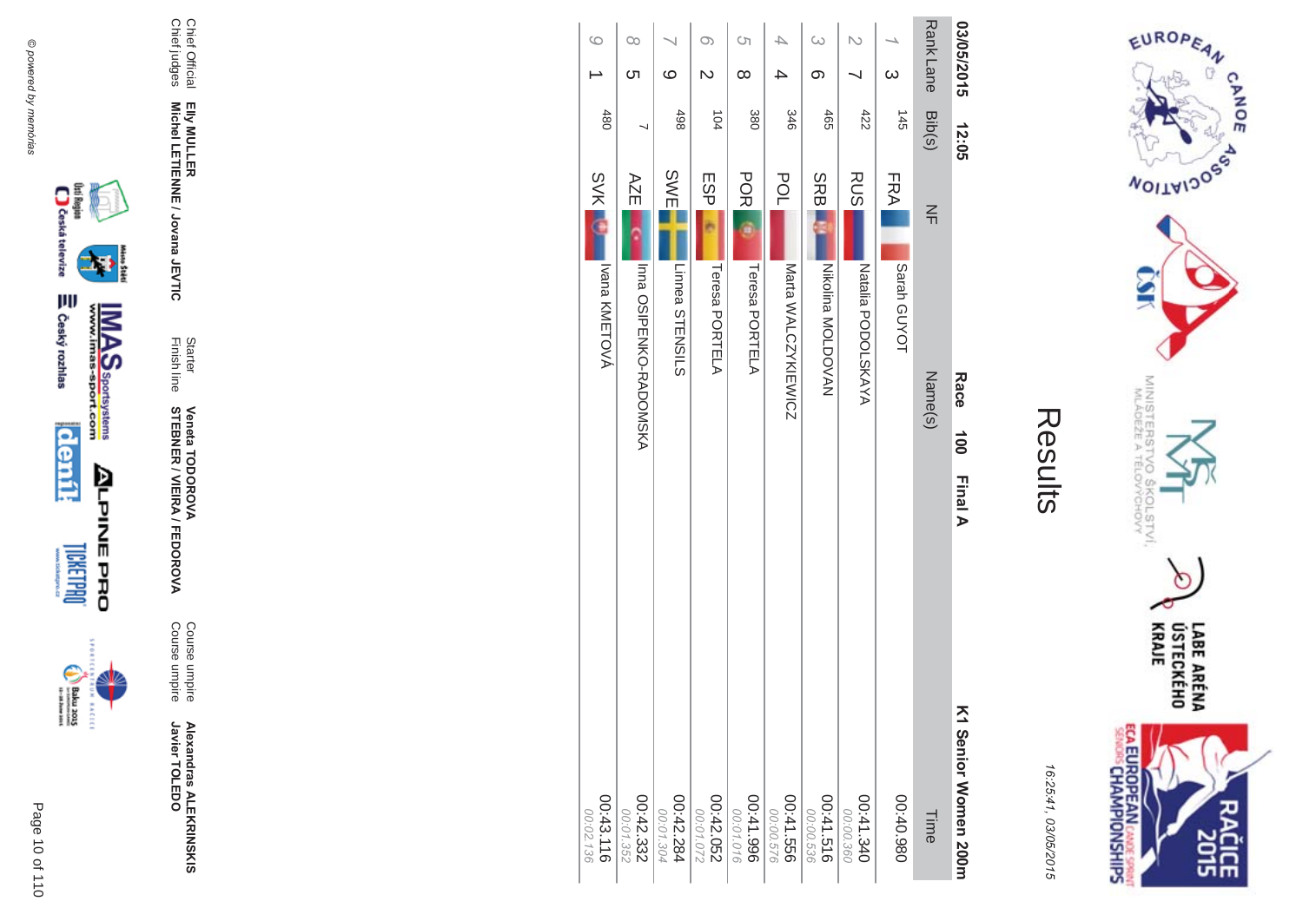



**EXCLC** 

**Alexandras ALEKR Alexandras ALEKRINSKIS**<br>Javier TOLEDO Javier TOLEDO

**MA** Course umpire<br>Course umpire Course umpire Course umpire

Finish line Starter **STEBNER \$ -**A/FEDOR **Veneta TODOR \*\$'**

Chief Official<br>Chief judges Chief judges Chief Official Elly MULLER<br>Michel LETIENNE / Jovana JEVTIC **Michel LETIENNE / Jovana JEVTIC EIIy MULLER** 

| 03/05/2015 |                          | 12:05           |             | Race<br>100            | <b>Final A</b><br>K1 Nenior Nomen 200H |
|------------|--------------------------|-----------------|-------------|------------------------|----------------------------------------|
| Rank Lane  |                          | Bib(s)          | $\leq$      | Name(s)                | Time                                   |
|            |                          | $\frac{145}{1}$ | <b>FRA</b>  | Sarah GUYOT            | 086'0+00                               |
|            |                          | 422             | <b>RUS</b>  | NAYANG DOLSKAYA        | 00:41.340<br>00:00.360                 |
| $\infty$   | ග                        | 465             | <b>SRBI</b> | Nikolipa NOLDOVAN      | 00:41.516<br>00:00.536                 |
|            | 4                        | 346             | POL         | Marta WALCZYKIEWICZ    | 00:41.556<br>00:00.576                 |
| Ċη         | ∞                        | 380             | <b>POR</b>  | Teresa PORTELA         | 966'17.00<br>00:01.016                 |
| O          | N                        | 104             | <b>ESP</b>  | Teresa PORTELA         | 00:42.052<br>00:01.072                 |
|            | ဖ                        | 498             | SWE         | Linnea STENSILS        | 00:42.284<br>00:01.304                 |
| O0         | Cл                       |                 | AZE         | Inna OSIPENKO-RADONSKY | 00:42.332<br>00:01.352                 |
| $\circ$    | $\overline{\phantom{0}}$ | 480             | $\sim$ X/K  | Ivana KMETOVÁ          | 00:43.116                              |

 $\rightarrow$ 

**SVK** 

00:02.1

SVK II International International Conduct of the CONSTANTING CONSTRUCTION CONTACT CONTACT CONTACT CONTACT CONTACT CONTACT CONTACT CONTACT CONTACT CONTACT CONTACT CONTACT CONTACT CONTACT CONTACT CONTACT CONTACT CONTACT CON

 $\circ$ 



16:25:41 03/05/201  $\overline{(\overline{n})}$ 

Results

 $\pi$  o

LABE ARÉNA<br>ÚSTECKÉHO<br>KRAJE **ECA EUROPEAN** CANDE SPRINT

EUROPEAN

**MOITAIDOS** 

MINISTERS<br>MINISTERS

c  $rac{5}{2}$ 

COLSTVI,

 $\circ$ 

CANOE

 $\sigma$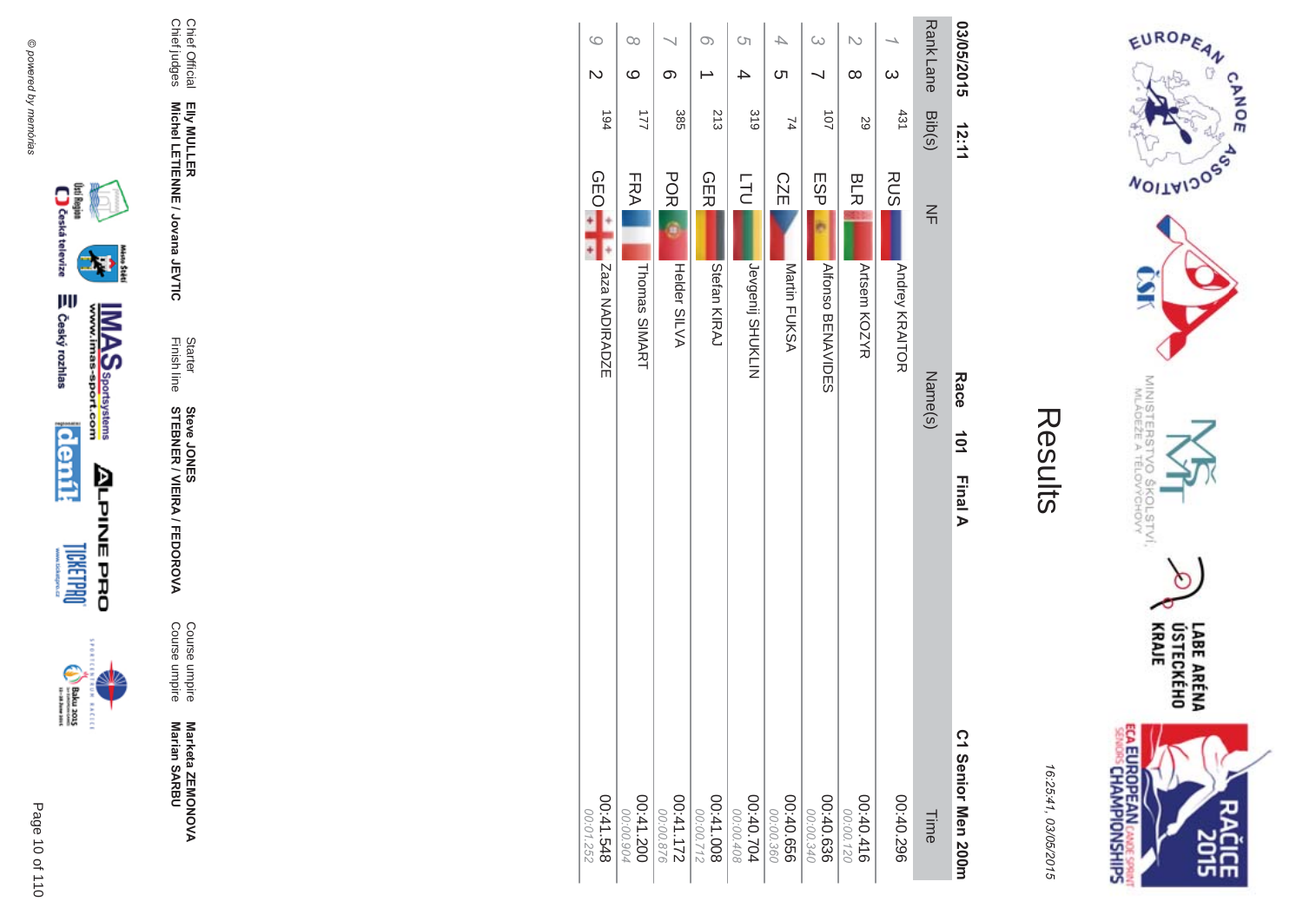

**EXCLC** 



Marketa ZEMONOVA<br>Marian SARBU

Course umpire<br>Course umpire

Starter<br>Finish line **Steve JONER / VIEIRA / FEDOROVA** 

Chief Official<br>Chief judges Elly MULLER<br>Michel LETIENNE / Jovana JEVTIC



EUROPEAN

**WOILWIDOSS** 

MINISTERS<br>MINISTERS

e

 $\overline{Q}_{\mathcal{Q}}$ 

COLSTVI.<br><sup>CCHOVY</sup>

m

LABE ARÉNA<br>ÚSTECKÉHO<br>KRAJE

**SHR** 

CANOE

| t<br>١<br>٠<br>١<br>L<br>۸ |  |
|----------------------------|--|
| r<br>١<br>ļ<br>۱<br>Gп     |  |

**ECA EUROPEAN CANDE SPRINT**<br>SENGIS CHAMPIONSHIPS

| 03/05/2015                         | 12:11          |                                | Race<br>101 Final A      | C1 Senior Men 200m       |
|------------------------------------|----------------|--------------------------------|--------------------------|--------------------------|
| Rank Lane Bib(s)                   |                | $rac{1}{4}$                    | Name(s)                  | Time                     |
| $\infty$                           | 431            | <b>RUS</b><br>Andrey KRAITOR   |                          | 00:40.296                |
| $\overline{C}$<br>$\infty$         | 59             | <b>BLR</b><br>Artsem KOZYR     |                          | 00:40.416<br>00:00.120   |
| $\infty$                           | 101            | ESP <sub>I</sub>               | <b>Alfonso BENAVIDES</b> | $00:40.636$<br>96.00.340 |
| 4<br><u>(</u>                      | 74             | <b>CZE</b><br>Martin FUKSA     |                          | 00:40.656<br>00:00.360   |
| Ċη<br>4                            | 318            | <b>TLD</b><br>Jevgenij SHUKLIN |                          | 00:40.704<br>00:00.408   |
| O)                                 | 213            | <b>GER</b><br>Stefan KIRAJ     |                          | 800.14:00<br>00:00.712   |
| တ                                  | 385            | <b>POR</b><br>Helder SILVA     |                          | $00:41.172$<br>271.172   |
| O0<br>ဖ                            | $\overline{2}$ | FRA<br>Thomas SIMART           |                          | 00:41.200<br>00:00.904   |
| $\circ$<br>$\overline{\mathsf{C}}$ | 194            | <b>GEO-</b><br>Zaza NADIRADZE  |                          | 845.41.548<br>00:01.252  |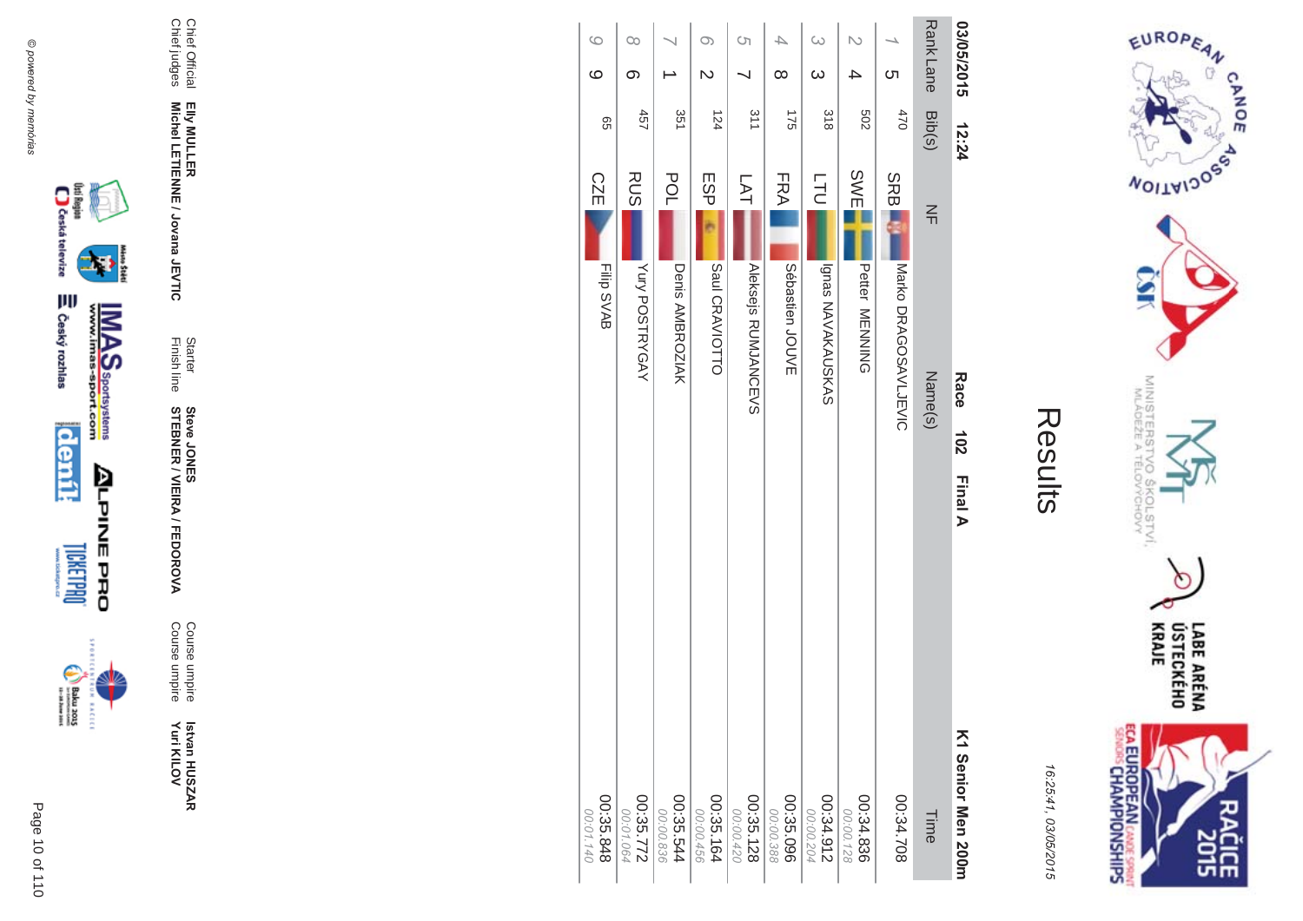

incon



**MA** Course umpire<br>Course umpire Course umpire Course umpire

Finish line Starter **STEBNER \$ -**A/FEDOR **Steve JONES** 

Chief Official<br>Chief judges Chief judges Chief Official Elly MULLER<br>Michel LETIENNE / Jovana JEVTIC **Michel LETIENNE / Jovana JEVTIC EIIy MULLER** 

| 03/05/2015       |                         | 12:24 |             | Race                 | 102<br>Final A | K1 Senior Men 200m     |
|------------------|-------------------------|-------|-------------|----------------------|----------------|------------------------|
| Rank Lane Bib(s) |                         |       | $\leq$      | Name(s)              |                | Time                   |
|                  | <u>ဟ</u>                | 470   | <b>SRBI</b> | Narko DRAGOSAVLJEVIC |                | 802'34.708             |
| N                | 4                       | 209   | <b>SWE</b>  | Petter<br>MENNING    |                | 00:34.836<br>00:00.128 |
| $\omega$         | $\infty$                | 318   | LTU<br>L    | Ignas NAVAKAUSKAS    |                | 00:34.912<br>00:00.204 |
| 4                | $\infty$                | 175   | FRA         | Sébastien<br>JOUVE   |                | 00:35.096<br>00:00.388 |
| <b>(</b> ၂       |                         | 311   | LAT         | Aleksejs RUMJANCEVS  |                | 00:35.128<br>00:00.420 |
| $\circ$          | $\overline{\mathsf{C}}$ | 124   | <b>ESP</b>  | Saul CRAVIOTTO       |                | 00:35.164<br>00:00.456 |
|                  |                         | 351   | POL         | Denis AMBROZIAK      |                | 00:35.544<br>00:00.836 |
| $\infty$         | တ                       | 457   | <b>RUS</b>  | Yury POSTRYGAY       |                | 00:35.772<br>00:01.064 |
| $\circ$          | $\circ$                 | 99    | <b>CZE</b>  | Filip SVAB           |                | 00:35.848<br>00:01.140 |



EUROPEAN

**MOITAIDOS** 

MINISTERS<br>MINISTERS

ľο

 $rac{5}{15}$ 

COLSTVI.<br><sup>CCHOVY</sup>

CANOE

16:25:41 03/05/201  $\overline{(\overline{n})}$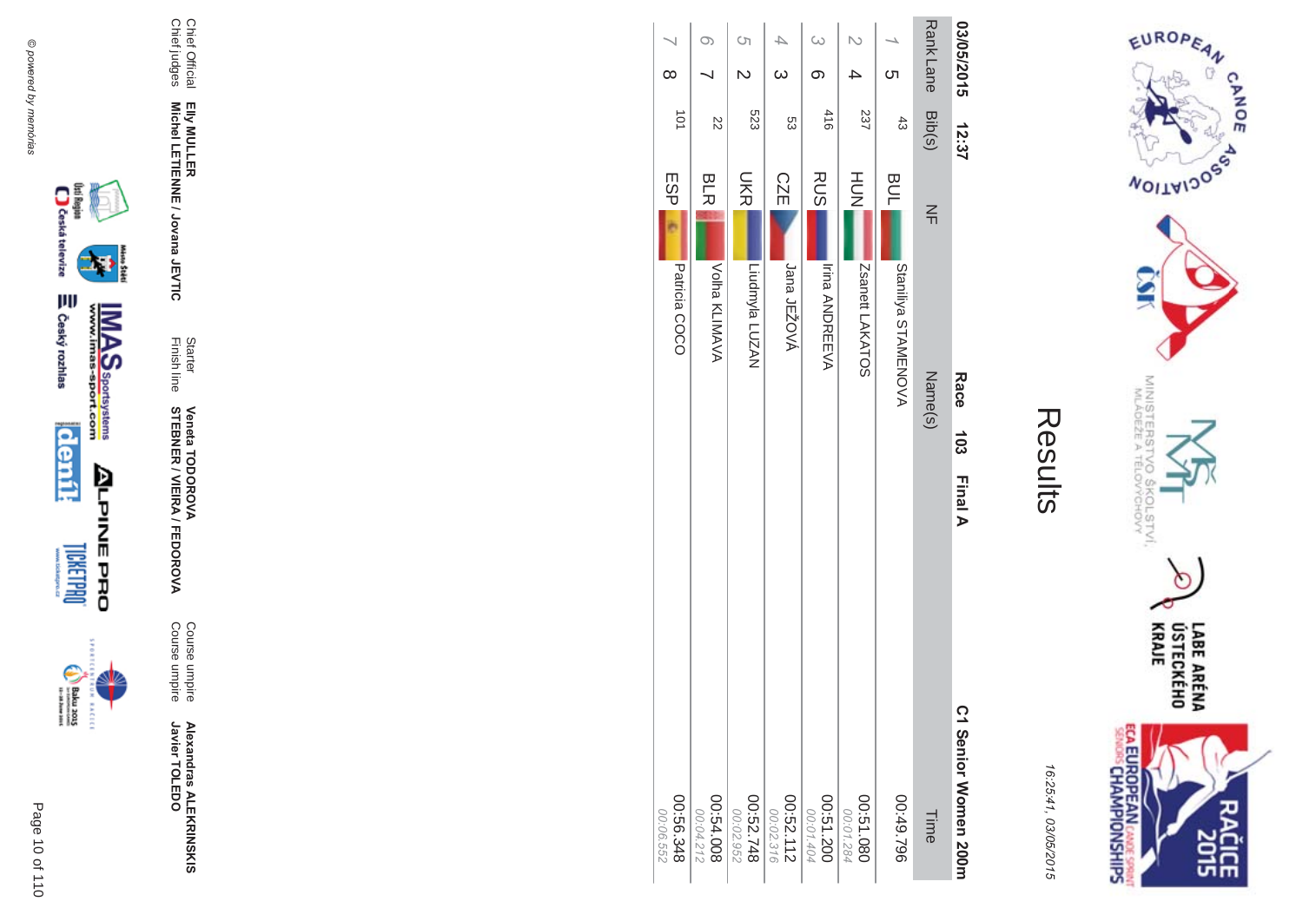



|          |                  | <b>Race</b>                         | C1 Senior Women 200m     |
|----------|------------------|-------------------------------------|--------------------------|
|          | Bib(s)           | $\leq$                              | Time                     |
| Cη       | $\ddot{3}$       | <b>BUL</b><br>Staniliya STAMENOVA   | 962'67:00                |
|          | 237              | HUT<br>N<br>Zsanett LAKATOS         | 0801231.080<br>00:01.284 |
|          | 416              | <b>RUS</b><br><b>Irina ANDREEVA</b> | 00:51.200<br>00:01.404   |
|          | ပ္ပ              | <b>CZE</b><br>Jana JEŽOVÁ           | 00:52.112<br>00:02.316   |
|          | 523              | UKR<br>Liudmyla LUZAN               | 00:52.748<br>00:02.952   |
|          | Z2               | <b>BLR</b><br>Volha KLIMAVA         | 00:54.008<br>00:04.212   |
| $\infty$ | $\overline{101}$ | ESP <br>Patricia COCO               | 00:56.348<br>00:06.552   |
|          | <b>Rank Lane</b> | 03/05/2015 12:37                    | Name(s)<br>$103$ Final A |





**EXCLC** 

Page

 $\overline{a}$ 10 of 110







₩

Chief Official

Chief Official<br>Chief judges

Chief judges

**EIIy MULLER** 

Elly MULLER<br>Michel LETIENNE / Jovana JEVTIC

Finish line Starter

**STEBNER** 

**Veneta TODOR** 

**\*\$'**

Course umpire

Course umpire

Course umpire<br>Course umpire

**Alexandras ALEKR Alexandras ALEKRINSKIS**<br>Javier TOLEDO

Javier TOLEDO

**\$ -**

A/FEDOR

**MA** 

**Michel LETIENNE / Jovana JEVTIC**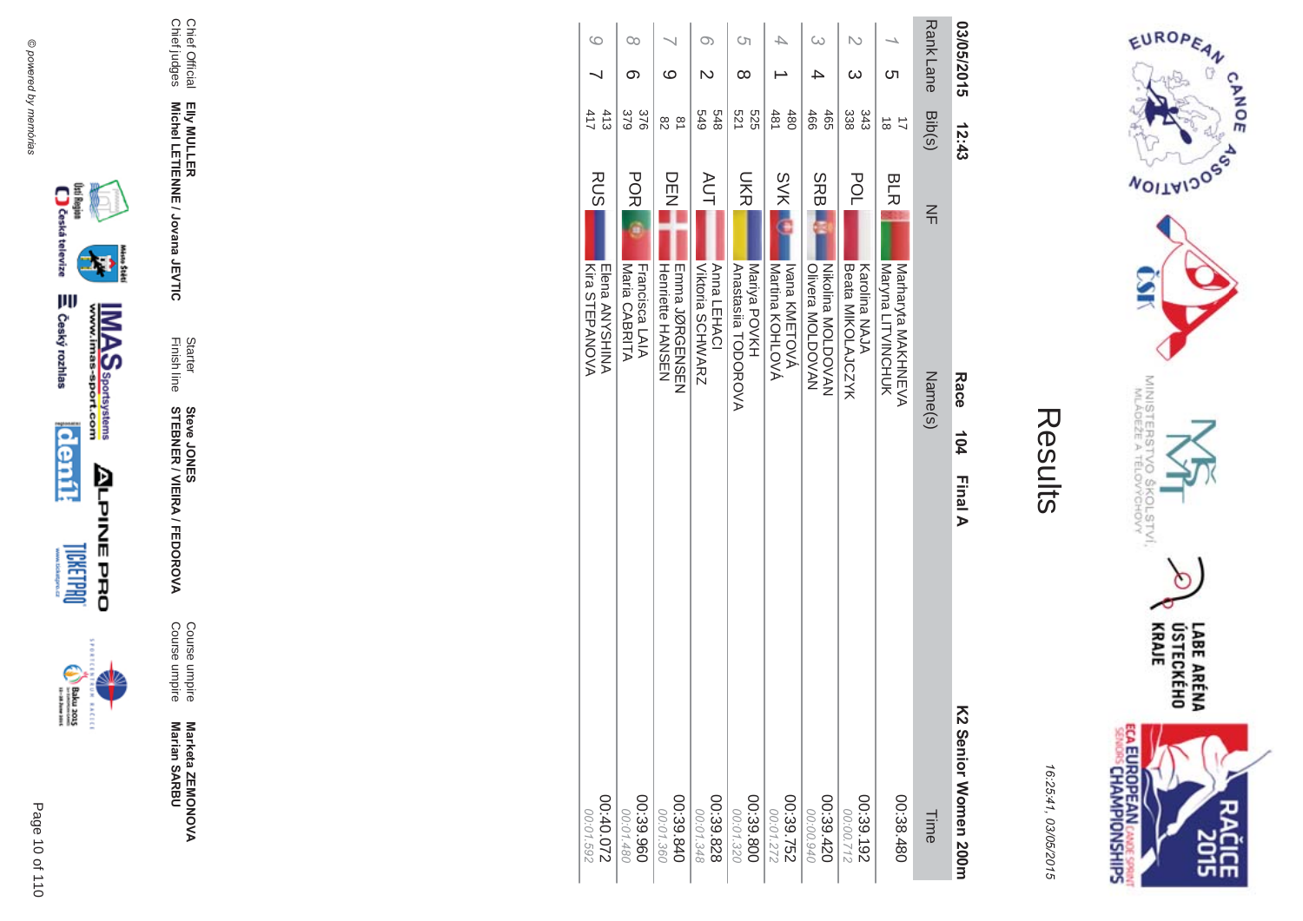

## Results

**College** 

16:25:41, 03/05/2015

| 03/05/2015      | 12:43               |                                                | Race<br>104                                         | <b>Final A</b> | K2 Senior Momen 200m   |
|-----------------|---------------------|------------------------------------------------|-----------------------------------------------------|----------------|------------------------|
| <b>RankLane</b> | Bib(s)              | 즊                                              | Name(s)                                             |                | Time                   |
| Cл              | $\vec{8}$           | BLR                                            | Naryna LITVINGHUK<br><b>Narraryta NAKHNEVA</b>      |                | 00:38.480              |
| ယ               | 338<br>343          | POL<br>Karolina NAJA                           | Beata MIKOLAJCZYK                                   |                | 00:39.192<br>21200:00  |
|                 | 466<br>465          | <b>SRB</b>                                     | <b>Nikolina MOLDOVAN</b><br><b>Olivera MOLDOVAN</b> |                | 00:39.420<br>00:00.940 |
|                 | 481<br>480          | <b>SVK</b>                                     | Martina KOHLOVÁ<br>Ivana KMETOVÁ                    |                | 28.752                 |
| S)<br>∞         | 521<br>525          | UKR<br>Mariya POVKH                            | Anastasila TODOROVA                                 |                | 00:39.800<br>00:01.320 |
| O)              | 848<br>643          | <b>AUT</b><br>Anna LEHACI                      | <b>Viktoria SCHWARZ</b>                             |                | 00:39.828<br>00:01.348 |
| ဖ               | $\frac{1}{2}$<br>82 | DEN<br>N                                       | <b>Henriette HANSEN</b><br>mmma JQRGmNSmN           |                | 00:39.840<br>00:01.360 |
| 00<br>တ         | 379<br>376          | <b>PORI</b><br>Maria CABRITA<br>Francisca LAIA |                                                     |                | 00:39.960<br>00:01.480 |
| $\circ$         | 413<br>417          | <b>RUS</b>                                     | Kira STEPANOVA<br>Elena ANYSHINA                    |                | 220.0400<br>00:01.592  |



D

**MAS**<br>Walla Sportsystems



**ALPINEPRO** 

Marketa ZEMONOVA<br>Marian SARBU

Course umpire<br>Course umpire

Starter<br>Finish line **Steve JONER / VIEIRA / FEDOROVA** 

Elly MULLER<br>Michel LETIENNE / Jovana JEVTIC

Chief Official<br>Chief judges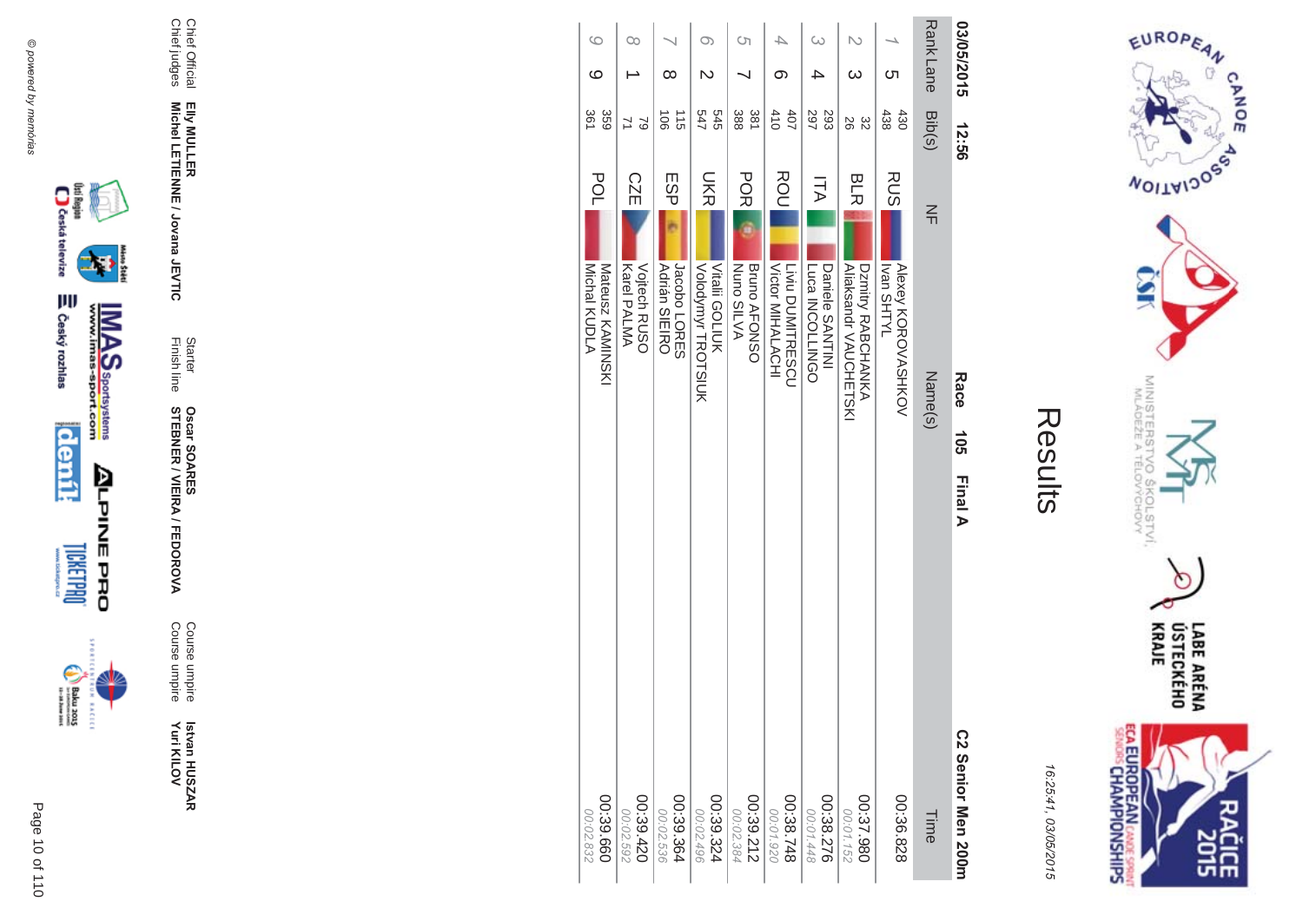

Results

16:25:41 03/05/201  $\overline{(\overline{n})}$ 

| 03/05/2015      |    | 12:56                  |            | Race                                              | <b>105</b> | <b>Final A</b> | C2 Senior Men 200m       |
|-----------------|----|------------------------|------------|---------------------------------------------------|------------|----------------|--------------------------|
| <b>RankLane</b> |    | Bib(s)                 | $\leq$     | Name(s)                                           |            |                | Time                     |
|                 | Cл | 438<br>430             | RUS        | <b>Alexey KOROVASHKOV</b><br><b>IVTHS nevil</b>   |            |                | 00:36.828                |
|                 | ω  | 92<br>32               | <b>BLR</b> | <b>Aliaksandr VAUCHETSKI</b><br>Dznitry RABCHANKA |            |                | 086.737.980<br>00:01.152 |
| ω               |    | 297<br>293             | ΠA         | DODINGOLLNGO<br>Daniele SANTINI                   |            |                | 00:38.276<br>00:01.448   |
|                 | တ  | 410<br>40 <sub>7</sub> | ROU        | Victor MIHALACHI<br>Liviu DUMITRESCU              |            |                | 00:38.748<br>00:01.920   |
| Ćη              |    | 388<br>381             | <b>POR</b> | NVIIS OUN<br><b>Bruno AFONSO</b>                  |            |                | 00:39.212<br>00:02.384   |
| O)              |    | 545<br>34              | <b>NKS</b> | Vitalii GOLIUK<br>Volodymyr TROTSIUK              |            |                | 00:39.324<br>00:02.496   |
|                 | ∞  | 115<br>$\frac{1}{9}$   | ESP        | <b>Adrián SIEIRO</b><br>Jacobo LORES              |            |                | 00:39.364<br>00:02.536   |
| $\infty$        |    | $\approx$              | <b>CZE</b> | <b>Vojtech RUSO</b><br>Karel PALMA                |            |                | 00:39.420<br>00:02.592   |
| $\circ$         | ဖ  | 359<br>361             | POL        | Michal KUDLA<br><b>Nateusz KAMINGKI</b>           |            |                | 099.89.00<br>00:02.832   |



▓





 **Betvan HUSZAR** Istvan HUSZAR<br>Yuri KILOV **Yuri KILOV** 

**MA** Course umpire<br>Course umpire Course umpire Course umpire

**STEBNER \$ -**A/FEDOR **Oscar SOAR** 55

Elly MULLER<br>Michel LETIENNE / Jovana JEVTIC **Michel LETIENNE / Jovana JEVTIC** Finish line Starter

Chief Official<br>Chief judges Chief judges Chief Official **EIIy MULLER** 

@ powered by memórias @ powered by memórias

> Page  $\overline{a}$ 10 of 110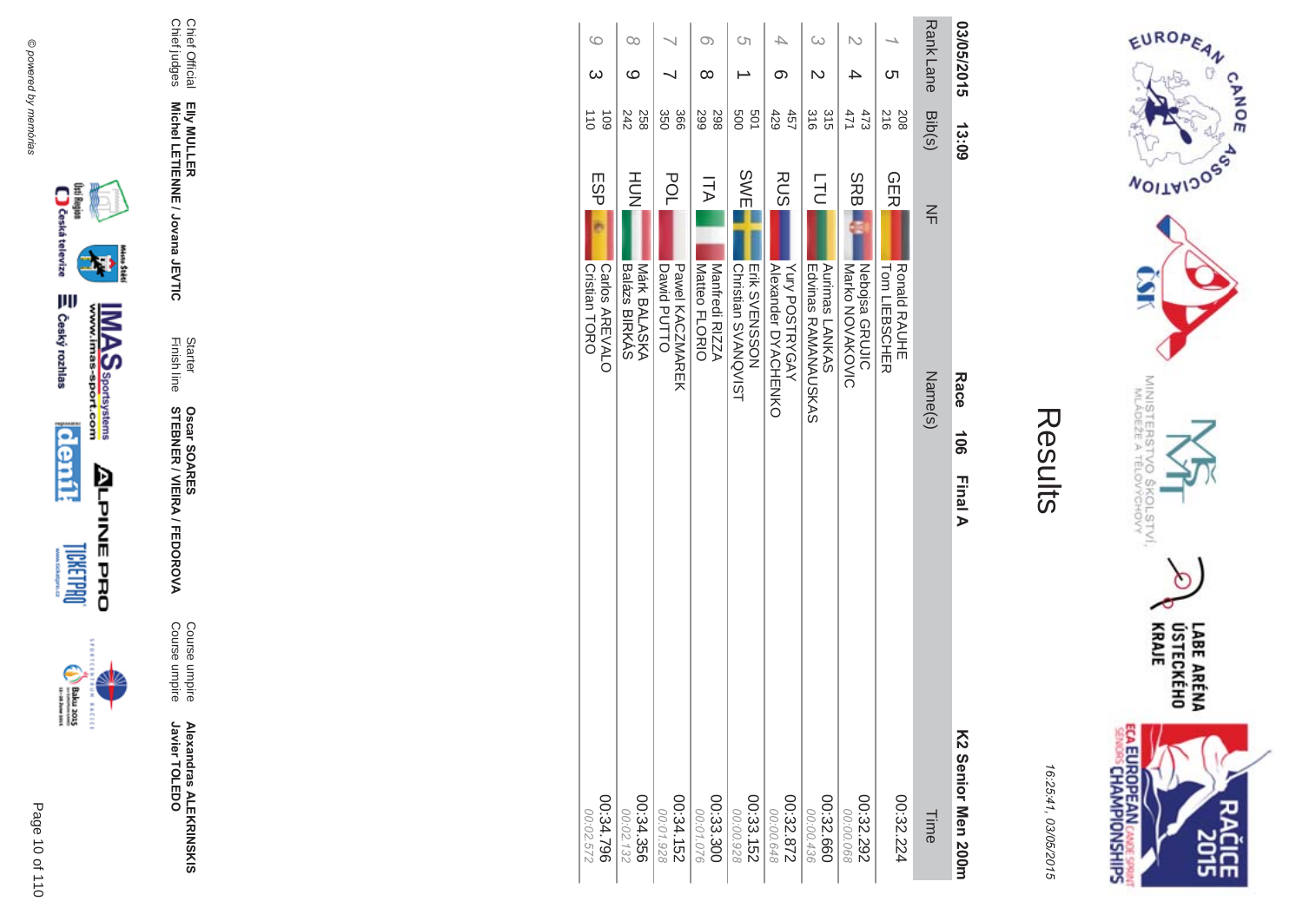







Chief Official<br>Chief judges Elly MULLER<br>Michel LETIENNE / Jovana JEVTIC

**Alexandras ALEKRINSKIS**<br>Javier TOLEDO

Course umpire<br>Course umpire

Starter<br>Finish line **Oscar SOARES<br>STEBNER / VIEIRA / FEDOROVA** 

| $\circ$                                       | $\infty$                                  |                                                     | O)                                    | Ċη                                                 |                                                     | G                                                   | N                                         |                                                           | <b>Rank Lane</b> | 03/05/2015         |
|-----------------------------------------------|-------------------------------------------|-----------------------------------------------------|---------------------------------------|----------------------------------------------------|-----------------------------------------------------|-----------------------------------------------------|-------------------------------------------|-----------------------------------------------------------|------------------|--------------------|
|                                               | ဖ                                         |                                                     | $\infty$                              |                                                    | ග                                                   |                                                     |                                           | ת                                                         |                  |                    |
| 110<br>109                                    | 242<br>258                                | 366<br>350                                          | 299<br>298                            | 009<br>501                                         | 429<br>457                                          | 315<br>316                                          | 471<br>473                                | 216<br>208                                                | Bib(s)           | 13:09              |
| <b>ESP</b><br>Cristian TORO<br>Carlos AREVALO | HUH<br>N<br>Balázs BIRKÁS<br>Márk BALASKA | <b>POL</b><br>Dawid PUTTO<br><b>Dawel KACNNAREK</b> | 万人<br>Manfredi RIZZA<br>Matteo FLORIO | <b>SWE</b><br>Erik SVENSSON<br>Christian SVANQVIST | <b>RUS</b><br>Yury POSTRYGAY<br>Alexander DYACHENKO | <b>LTU</b><br>Edvinas RAMANAUSKAS<br>Aurimas LANKAS | SRB.<br>Nebojsa GRUJIC<br>Narko NOVAKOVIC | <b>GER</b><br><b>Ronald RAUHE</b><br><b>Tom LIEBSCHER</b> | $\leq$           |                    |
|                                               |                                           |                                                     |                                       |                                                    |                                                     |                                                     |                                           |                                                           | Name(s)          | <b>Race</b><br>106 |
|                                               |                                           |                                                     |                                       |                                                    |                                                     |                                                     |                                           |                                                           |                  | <b>Final A</b>     |
|                                               |                                           |                                                     |                                       |                                                    |                                                     |                                                     |                                           |                                                           |                  | K2 Se              |

00:34.152<br>25:152

00:34.356

8

32

00:34.796

00:02.572

00:33.152<br>28.152

00:33.300

00:01.076

 $00:32.872$ <br> $00:00.648$ 

00:32.292

00:00.068

00:32.660

00:00.436

00:32.224

Time



EUROPEAN

**WOILWIDOSS** 

MINISTERS<br>MINISTERS

 $\sigma_{\sigma}$ 

COLSTVI.<br><sup>CCHOVY</sup>

 $\circ$ 

CANOE

16:25:41, 03/05/2015

nior Men 200m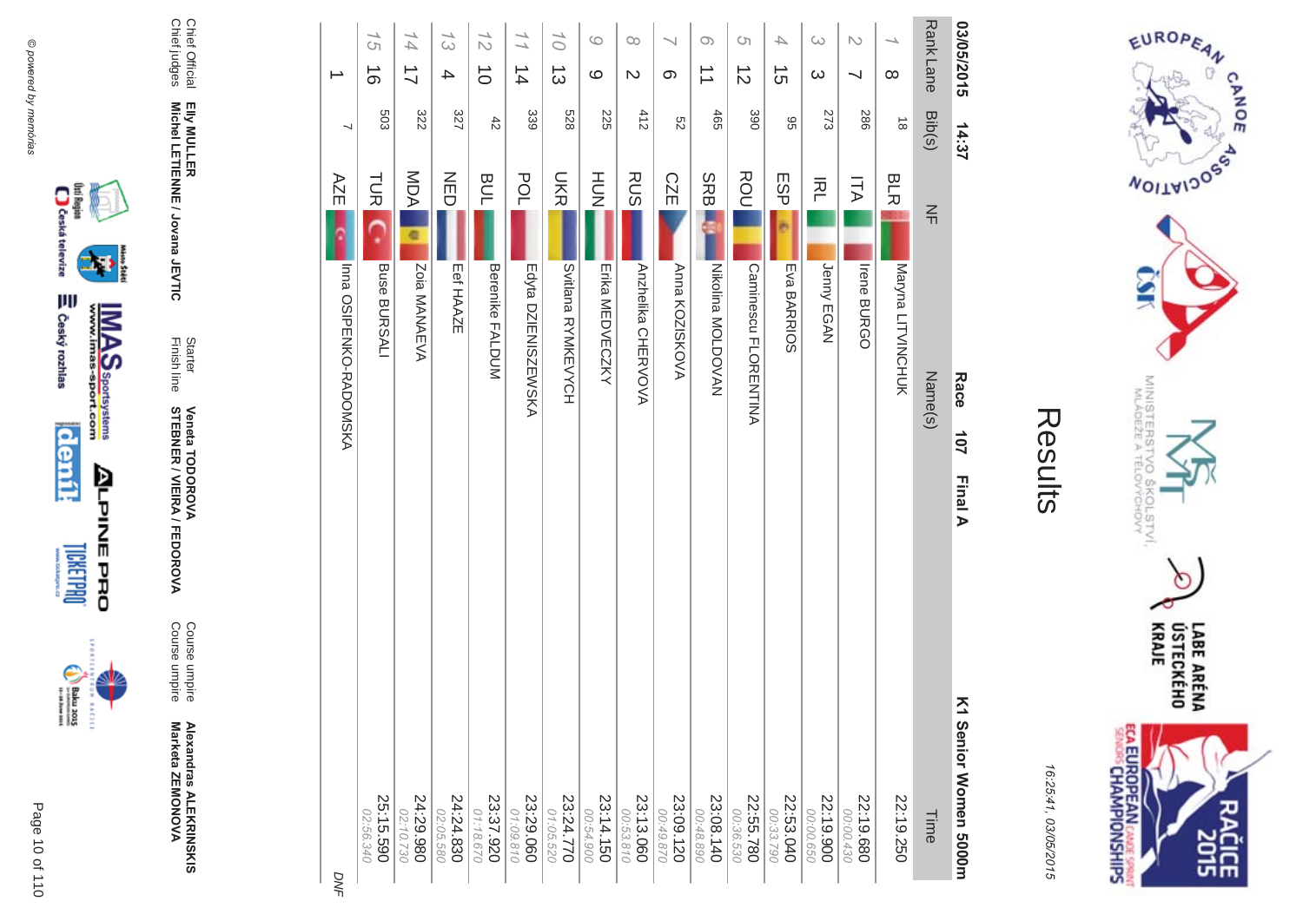



**EXCLC** 

**Alexandras ALEKR Alexandras ALEKRINSKIS<br>Marketa ZEMONOVA** Marketa ZEMONOVA

A/FEDOR **MA** Course umpire<br>Course umpire Course umpire Course umpire

Finish line Starter **STEBNER \$ -Veneta TODOR \*\$'**

Chief Official<br>Chief judges Chief judges Chief Official Elly MULLER<br>Michel LETIENNE / Jovana JEVTIC **Michel LETIENNE / Jovana JEVTIC EIIy MULLER** 

16:25:41 03/05/201  $\overline{(\overline{n})}$ 

LABE ARÉNA<br>ÚSTECKÉHO<br>KRAJE ECA EUROPEAN CANDES SPRING čičE

EUROPEAN

**MOITAIDOS** 

MINISTERS<br>MINISTERS

'd

 $rac{50}{60}$ 

COLSTVI.<br><sup>CCHOVY</sup>

 $\circ$ 

CANOE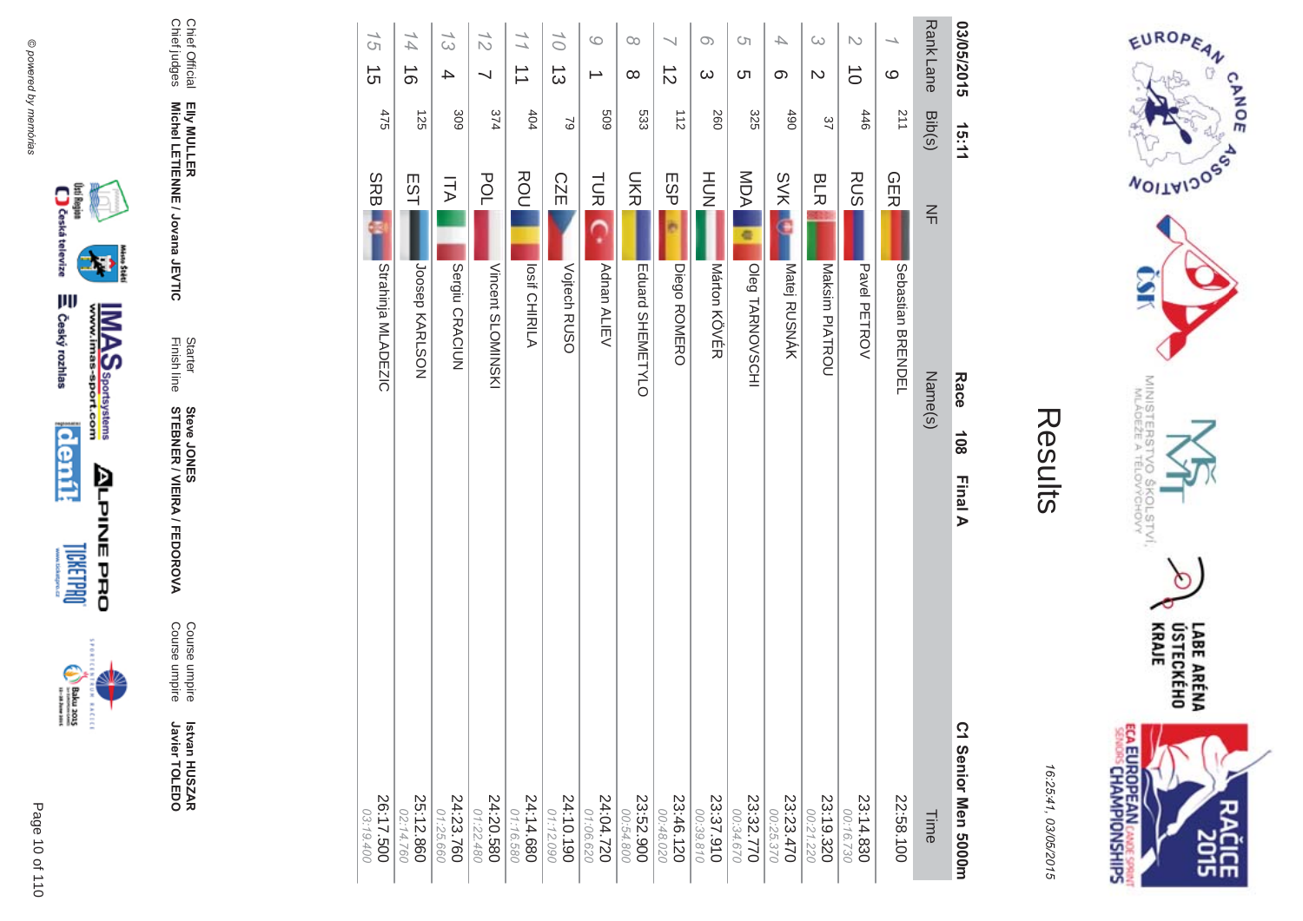

incon

**Michel LETIENNE / Jovana JEVTIC** 

Chief Official<br>Chief judges Chief judges Chief Official Elly MULLER<br>Michel LETIENNE / Jovana JEVTIC **EIIy MULLER** 

Finish line Starter

**STEBNER** 

**Steve JONES** 

**\$ -**

A/FEDOR

**MA** 

Course umpire

Course umpire

Course umpire<br>Course umpire

 **Betvan HUSZAR** Istvan HUSZAR<br>Javier TOLEDO

Javier TOLEDO

| 03/05/2015                          | 15:11  |             |                      | Race    | 108<br>Final A | C1 Senior Men 5000m      |
|-------------------------------------|--------|-------------|----------------------|---------|----------------|--------------------------|
| Rank Lane                           | Bib(s) | $\leq$      |                      | Name(s) |                | Time                     |
| $\overline{\phantom{0}}$<br>$\circ$ | 211    | <b>GERI</b> | Sebastian<br>BKENDEL |         |                | 22:58.100                |
| $\mathcal{L}$<br>$\vec{0}$          | 446    | <b>RUS</b>  | Pavel PETROV         |         |                | 23:14.830<br>00:16.730   |
| ట<br>$\mathcal{D}$                  | 37     | <b>BLR</b>  | Maksim PIATROU       |         |                | 23:19.320<br>00:21.220   |
| $\overline{\phantom{a}}$<br>တ       | 06#    | <b>SVK</b>  | Matej RUSNÁK         |         |                | 23:23.470<br>00:25.370   |
| <b>CT</b><br><b>(</b> ၂             | 325    | <b>MDA</b>  | Oleg TARNOVSCHI      |         |                | 23:32.770<br>00:34.670   |
| $\circ$<br>$\infty$                 | 260    | HOH         | Marton KOVER         |         |                | 23:37.910<br>00:39.810   |
| $\vec{z}$                           | 112    | <b>ESP</b>  | Diego ROMERO         |         |                | 23:46.120<br>00:48.020   |
| $\infty$<br>$\infty$                | 533    | <b>DKR</b>  | Eduard SHEMETYLO     |         |                | 23:52.900<br>00:54.800   |
| $\circ$                             | 609    | <b>TUR</b>  | Adnan ALIEV          |         |                | 24:04.720<br>01:06.620   |
| 10<br>$\vec{3}$                     | 2      | <b>CZE</b>  | Vojtech RUSO         |         |                | $24:10.190$<br>01:12.090 |
| $\frac{1}{1}$<br>$\Rightarrow$      | 404    | ROU         | <b>Losif CHIRILA</b> |         |                | 24:14.680<br>01:16.580   |
| $\frac{1}{2}$<br>⇃                  | 374    | POL         | Vincent SLOMINSKI    |         |                | 24:20.580<br>01:22.480   |
| 13<br>4                             | 309    | ITA         | Sergiu CRACIUN       |         |                | 24:23.760<br>71:25.660   |
| 14<br>$\vec{0}$                     | 125    | EST         | Joosep KARLSON       |         |                | 25:12.860<br>02:14.760   |
| 15<br>$\vec{5}$                     | 475    | <b>SRB</b>  | Strahinja MLADEZIC   |         |                | 26:17.500<br>03:19.400   |
|                                     |        |             |                      |         |                |                          |



EUROPEAN

**MOITAIDOS** 

CANOE

16:25:41 03/05/201  $\overline{(\overline{n})}$  LABE ARÉNA<br>ÚSTECKÉHO<br>KRAJE

MINISTERS<br>MINISTERS

c  $rac{5}{2}$ 

COLSTVI.<br><sup>CCHOVY</sup>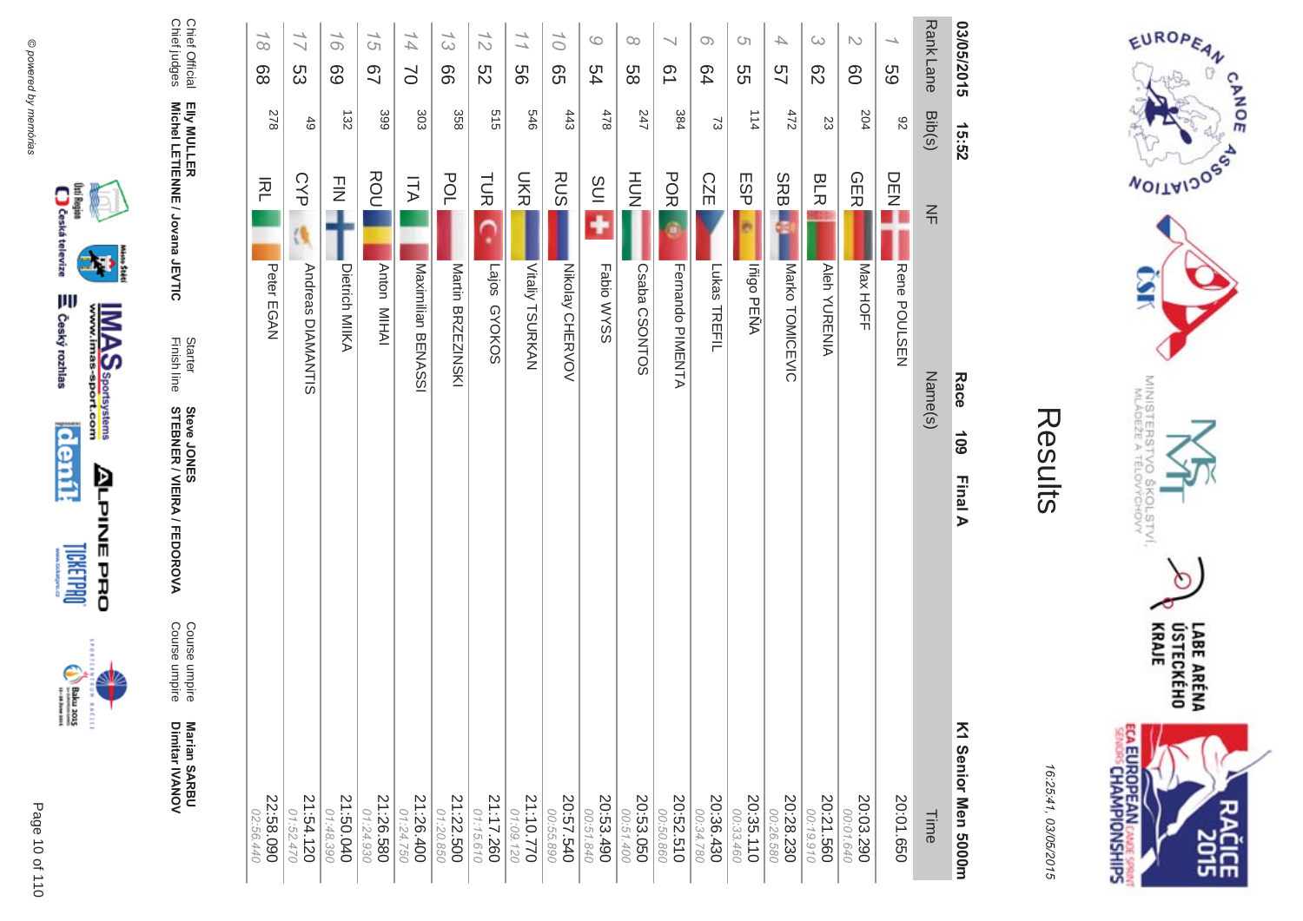







Chief Official<br>Chief judges Chief judges Chief Official Elly MULLER<br>Michel LETIENNE / Jovana JEVTIC **Michel LETIENNE / Jovana JEVTIC EIIy MULLER** 

Finish line Starter

**STEBNER** 

**Steve JONES** 

**\$ -**

A/FEDOR

**MA** 

Course umpire

Course umpire

Course umpire<br>Course umpire

**Marian SAR Marian SARBU**<br>Dimitar IVANOV

Dimitar **IVANOV** 

| 03/05/2015                                 | 15:52      |                                        | Race<br>60 <sub>1</sub><br>Final A | K1 Senior Men 5000m    |
|--------------------------------------------|------------|----------------------------------------|------------------------------------|------------------------|
| Rank Lane                                  | Bib(s)     | 즊                                      | Name(s)                            | Time                   |
| $\overline{\phantom{0}}$<br>69             | 82         | DENE<br>Rene POULSEN                   |                                    | 20:01.650              |
| $\sim$<br>80                               | 204        | <b>GER</b><br>Max HOFF                 |                                    | 20:03.290<br>00:01.640 |
| $\omega$<br>$\mathcal{S}^2$                | 23         | <b>BLR</b><br><b>Aleh YURENIA</b>      |                                    | 20:21.560<br>00:19.910 |
| 4<br>57                                    | 7/5        | <b>SRB</b><br>Marko TOMICEVIC          |                                    | 20:28.230<br>00:26.580 |
| <b>CT</b><br>SS                            | 114        | <b>ESP</b><br>Iñigo PEÑA               |                                    | 20:35.110<br>00:33.460 |
| $\infty$<br>64                             | S,         | <b>CZE</b><br>Lukas TREFIL             |                                    | 20:36.430<br>00:34.780 |
| $\overline{\phantom{0}}$<br>51             | 384        | <b>POR</b><br>Fernando PIMENTA         |                                    | 20:52.510<br>00:50.860 |
| $\infty$<br>88                             | 247        | $rac{1}{2}$<br>Csaba CSONTOS           |                                    | 20:53.050<br>00:51.400 |
| $\circ$<br>54                              | $478$      | SUI<br>Fabio WYSS                      |                                    | 20:53.490<br>00:51.840 |
| $\overline{O}$<br>99                       | 443        | <b>RUS</b><br><b>Nikolay CHERVOV</b>   |                                    | 20:57.540<br>00:55.890 |
| 11<br>99                                   | 946        | UKR<br><b>Vitaliy TSURKAN</b>          |                                    | 21:10.770<br>01:09.120 |
| $\frac{1}{2}$<br>52                        | 515        | <b>TUR</b><br>Lajos GYOKOS             |                                    | 21:17.260<br>01:15.610 |
| 53<br>99                                   | 358        | POL<br>Martin BRZEZINSKI               |                                    | 21:22.500<br>01:20.850 |
| 14<br>$\geq$                               | 303        | <b>ITA</b><br>Maximilian BENASSI       |                                    | 21:26.400<br>01:24.750 |
| $\overline{\phantom{0}}$<br>$\sigma$<br>97 | 399        | ROU<br>Anton MIHAI                     |                                    | 21:26.580<br>01:24.930 |
| $\overline{\phantom{0}}$<br>$\infty$<br>89 | 132        | $\bar{z}$<br>Dietrich MIIKA            |                                    | 21:50.040<br>01:48.390 |
| 17<br>S3                                   | $\ddot{6}$ | <b>CYP</b><br><b>Andreas DIAMANTIS</b> |                                    | 21:54.120<br>1.52.470  |
| $\frac{1}{2}$<br>88                        | 278        | 丙<br>Peter EGAN                        |                                    | 22:58.090<br>02:56.440 |

CANOE **MOITAIDOS** MINISTERS<br>MINISTERS °C  $rac{50}{60}$ COLSTVI.<br><sup>CCHOVY</sup> Ò LABE ARÉNA<br>ÚSTECKÉHO<br>KRAJE **ECA EUROPEAN CANDE SPRINT**<br>SENGIS CHAMPIONSHIPS

**SHS** 

EUROPEAN

16:25:41 03/05/201  $\overline{(\overline{n})}$